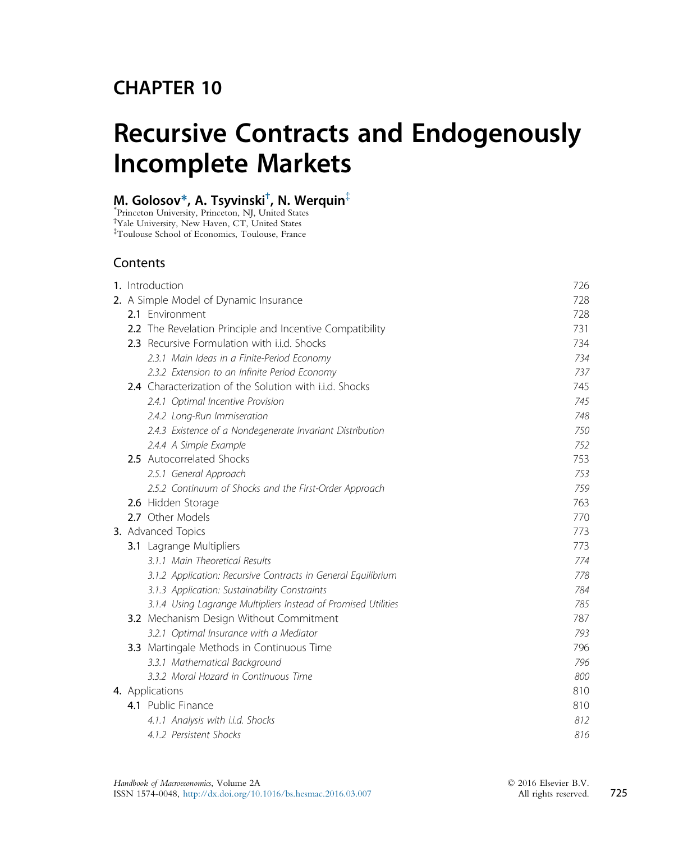## CHAPTER 10

# Recursive Contracts and Endogenously Incomplete Markets

|  | M. Golosov $^*$ , A. Tsyvinski $^\dagger$ , N. Werquin $^\ddag$ |  |
|--|-----------------------------------------------------------------|--|
|  | <sup>*</sup> Princeton University, Princeton, NJ, United States |  |

† Yale University, New Haven, CT, United States  $\overleftarrow{ }$ Toulouse School of Economics, Toulouse, France

## **Contents**

|  | 1. Introduction                                                | 726 |
|--|----------------------------------------------------------------|-----|
|  | 2. A Simple Model of Dynamic Insurance                         | 728 |
|  | 2.1 Environment                                                | 728 |
|  | 2.2 The Revelation Principle and Incentive Compatibility       | 731 |
|  | 2.3 Recursive Formulation with i.i.d. Shocks                   | 734 |
|  | 2.3.1 Main Ideas in a Finite-Period Economy                    | 734 |
|  | 2.3.2 Extension to an Infinite Period Economy                  | 737 |
|  | 2.4 Characterization of the Solution with i.i.d. Shocks        | 745 |
|  | 2.4.1 Optimal Incentive Provision                              | 745 |
|  | 2.4.2 Long-Run Immiseration                                    | 748 |
|  | 2.4.3 Existence of a Nondegenerate Invariant Distribution      | 750 |
|  | 2.4.4 A Simple Example                                         | 752 |
|  | 2.5 Autocorrelated Shocks                                      | 753 |
|  | 2.5.1 General Approach                                         | 753 |
|  | 2.5.2 Continuum of Shocks and the First-Order Approach         | 759 |
|  | 2.6 Hidden Storage                                             | 763 |
|  | 2.7 Other Models                                               | 770 |
|  | 3. Advanced Topics                                             | 773 |
|  | 3.1 Lagrange Multipliers                                       | 773 |
|  | 3.1.1 Main Theoretical Results                                 | 774 |
|  | 3.1.2 Application: Recursive Contracts in General Equilibrium  | 778 |
|  | 3.1.3 Application: Sustainability Constraints                  | 784 |
|  | 3.1.4 Using Lagrange Multipliers Instead of Promised Utilities | 785 |
|  | 3.2 Mechanism Design Without Commitment                        | 787 |
|  | 3.2.1 Optimal Insurance with a Mediator                        | 793 |
|  | <b>3.3</b> Martingale Methods in Continuous Time               | 796 |
|  | 3.3.1 Mathematical Background                                  | 796 |
|  | 3.3.2 Moral Hazard in Continuous Time                          | 800 |
|  | 4. Applications                                                | 810 |
|  | 4.1 Public Finance                                             | 810 |
|  | 4.1.1 Analysis with i.i.d. Shocks                              | 812 |
|  | 4.1.2 Persistent Shocks                                        | 816 |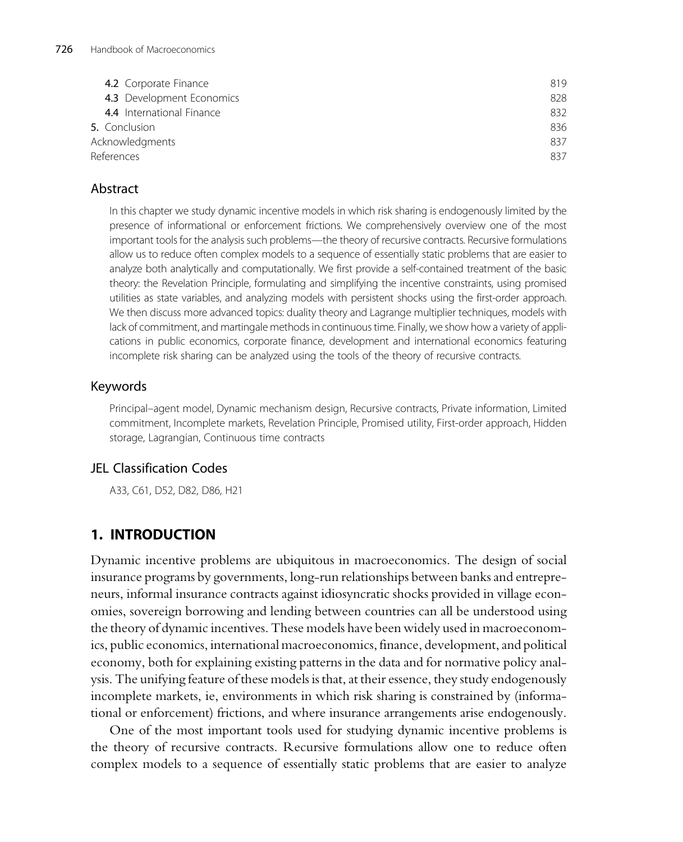| 4.2 Corporate Finance     | 819 |  |
|---------------------------|-----|--|
| 4.3 Development Economics | 828 |  |
| 4.4 International Finance | 832 |  |
| 5. Conclusion             | 836 |  |
| Acknowledgments           |     |  |
| References                |     |  |
|                           |     |  |

## Abstract

In this chapter we study dynamic incentive models in which risk sharing is endogenously limited by the presence of informational or enforcement frictions. We comprehensively overview one of the most important tools for the analysis such problems—the theory of recursive contracts. Recursive formulations allow us to reduce often complex models to a sequence of essentially static problems that are easier to analyze both analytically and computationally. We first provide a self-contained treatment of the basic theory: the Revelation Principle, formulating and simplifying the incentive constraints, using promised utilities as state variables, and analyzing models with persistent shocks using the first-order approach. We then discuss more advanced topics: duality theory and Lagrange multiplier techniques, models with lack of commitment, and martingale methods in continuous time. Finally, we show how a variety of applications in public economics, corporate finance, development and international economics featuring incomplete risk sharing can be analyzed using the tools of the theory of recursive contracts.

## Keywords

Principal–agent model, Dynamic mechanism design, Recursive contracts, Private information, Limited commitment, Incomplete markets, Revelation Principle, Promised utility, First-order approach, Hidden storage, Lagrangian, Continuous time contracts

## JEL Classification Codes

A33, C61, D52, D82, D86, H21

## 1. INTRODUCTION

Dynamic incentive problems are ubiquitous in macroeconomics. The design of social insurance programs by governments, long-run relationships between banks and entrepreneurs, informal insurance contracts against idiosyncratic shocks provided in village economies, sovereign borrowing and lending between countries can all be understood using the theory of dynamic incentives. These models have been widely used in macroeconomics, public economics, international macroeconomics, finance, development, and political economy, both for explaining existing patterns in the data and for normative policy analysis. The unifying feature of these models is that, at their essence, they study endogenously incomplete markets, ie, environments in which risk sharing is constrained by (informational or enforcement) frictions, and where insurance arrangements arise endogenously.

One of the most important tools used for studying dynamic incentive problems is the theory of recursive contracts. Recursive formulations allow one to reduce often complex models to a sequence of essentially static problems that are easier to analyze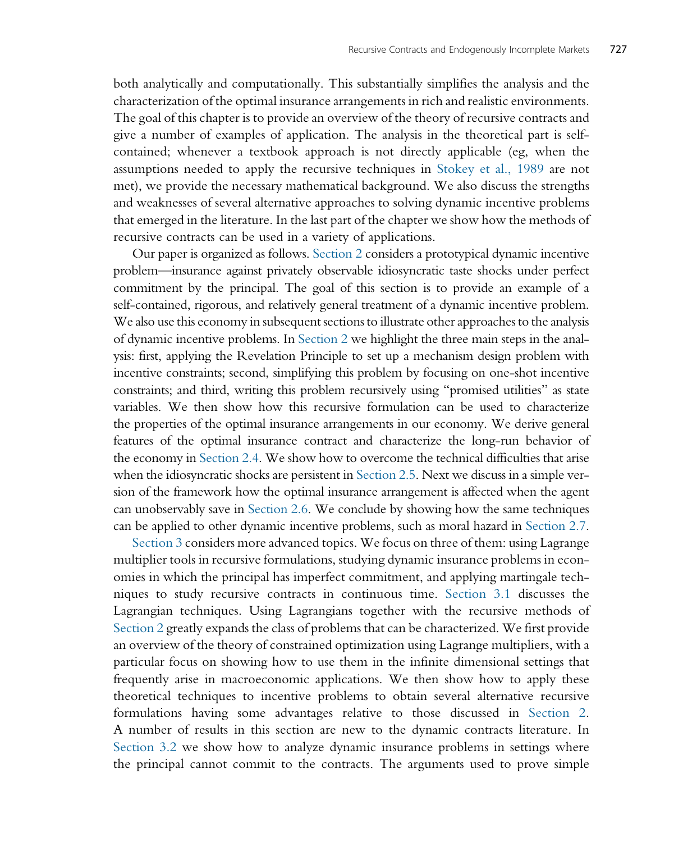both analytically and computationally. This substantially simplifies the analysis and the characterization of the optimal insurance arrangements in rich and realistic environments. The goal of this chapter is to provide an overview of the theory of recursive contracts and give a number of examples of application. The analysis in the theoretical part is selfcontained; whenever a textbook approach is not directly applicable (eg, when the assumptions needed to apply the recursive techniques in [Stokey et al., 1989](#page-116-0) are not met), we provide the necessary mathematical background. We also discuss the strengths and weaknesses of several alternative approaches to solving dynamic incentive problems that emerged in the literature. In the last part of the chapter we show how the methods of recursive contracts can be used in a variety of applications.

Our paper is organized as follows. [Section 2](#page-3-0) considers a prototypical dynamic incentive problem—insurance against privately observable idiosyncratic taste shocks under perfect commitment by the principal. The goal of this section is to provide an example of a self-contained, rigorous, and relatively general treatment of a dynamic incentive problem. We also use this economy in subsequent sections to illustrate other approaches to the analysis of dynamic incentive problems. In [Section 2](#page-3-0) we highlight the three main steps in the analysis: first, applying the Revelation Principle to set up a mechanism design problem with incentive constraints; second, simplifying this problem by focusing on one-shot incentive constraints; and third, writing this problem recursively using "promised utilities" as state variables. We then show how this recursive formulation can be used to characterize the properties of the optimal insurance arrangements in our economy. We derive general features of the optimal insurance contract and characterize the long-run behavior of the economy in [Section 2.4.](#page-20-0) We show how to overcome the technical difficulties that arise when the idiosyncratic shocks are persistent in [Section 2.5.](#page-28-0) Next we discuss in a simple version of the framework how the optimal insurance arrangement is affected when the agent can unobservably save in [Section 2.6](#page-38-0). We conclude by showing how the same techniques can be applied to other dynamic incentive problems, such as moral hazard in [Section 2.7](#page-45-0).

[Section 3](#page-48-0) considers more advanced topics. We focus on three of them: using Lagrange multiplier tools in recursive formulations, studying dynamic insurance problems in economies in which the principal has imperfect commitment, and applying martingale techniques to study recursive contracts in continuous time. [Section 3.1](#page-48-0) discusses the Lagrangian techniques. Using Lagrangians together with the recursive methods of [Section 2](#page-3-0) greatly expands the class of problems that can be characterized. We first provide an overview of the theory of constrained optimization using Lagrange multipliers, with a particular focus on showing how to use them in the infinite dimensional settings that frequently arise in macroeconomic applications. We then show how to apply these theoretical techniques to incentive problems to obtain several alternative recursive formulations having some advantages relative to those discussed in [Section 2](#page-3-0). A number of results in this section are new to the dynamic contracts literature. In [Section 3.2](#page-62-0) we show how to analyze dynamic insurance problems in settings where the principal cannot commit to the contracts. The arguments used to prove simple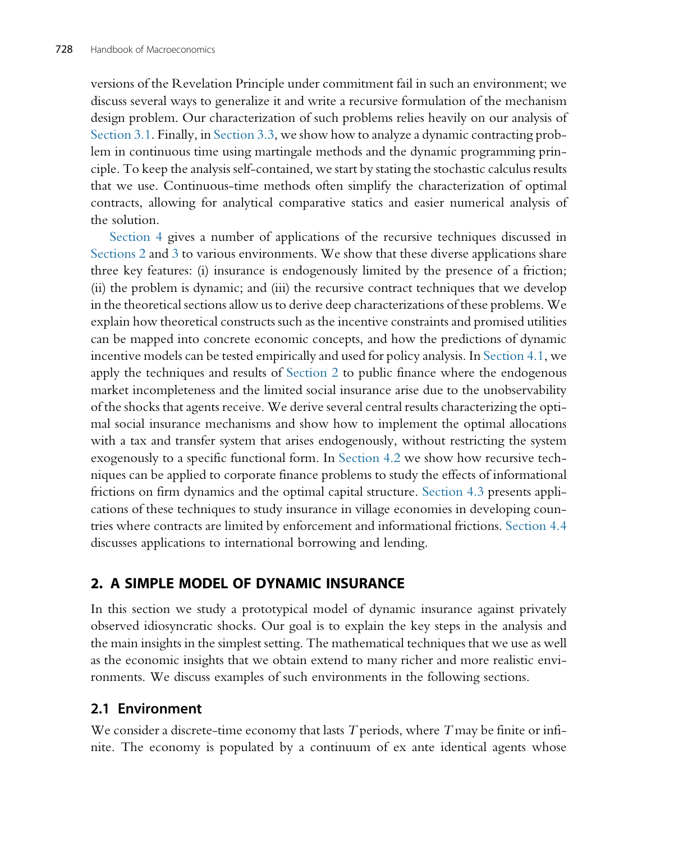<span id="page-3-0"></span>versions of the Revelation Principle under commitment fail in such an environment; we discuss several ways to generalize it and write a recursive formulation of the mechanism design problem. Our characterization of such problems relies heavily on our analysis of [Section 3.1.](#page-48-0) Finally, in [Section 3.3,](#page-71-0) we show how to analyze a dynamic contracting problem in continuous time using martingale methods and the dynamic programming principle. To keep the analysis self-contained, we start by stating the stochastic calculus results that we use. Continuous-time methods often simplify the characterization of optimal contracts, allowing for analytical comparative statics and easier numerical analysis of the solution.

[Section 4](#page-85-0) gives a number of applications of the recursive techniques discussed in Sections 2 and [3](#page-48-0) to various environments. We show that these diverse applications share three key features: (i) insurance is endogenously limited by the presence of a friction; (ii) the problem is dynamic; and (iii) the recursive contract techniques that we develop in the theoretical sections allow us to derive deep characterizations of these problems. We explain how theoretical constructs such as the incentive constraints and promised utilities can be mapped into concrete economic concepts, and how the predictions of dynamic incentive models can be tested empirically and used for policy analysis. In [Section 4.1](#page-85-0), we apply the techniques and results of Section 2 to public finance where the endogenous market incompleteness and the limited social insurance arise due to the unobservability of the shocks that agents receive. We derive several central results characterizing the optimal social insurance mechanisms and show how to implement the optimal allocations with a tax and transfer system that arises endogenously, without restricting the system exogenously to a specific functional form. In [Section 4.2](#page-94-0) we show how recursive techniques can be applied to corporate finance problems to study the effects of informational frictions on firm dynamics and the optimal capital structure. [Section 4.3](#page-103-0) presents applications of these techniques to study insurance in village economies in developing countries where contracts are limited by enforcement and informational frictions. [Section 4.4](#page-107-0) discusses applications to international borrowing and lending.

## 2. A SIMPLE MODEL OF DYNAMIC INSURANCE

In this section we study a prototypical model of dynamic insurance against privately observed idiosyncratic shocks. Our goal is to explain the key steps in the analysis and the main insights in the simplest setting. The mathematical techniques that we use as well as the economic insights that we obtain extend to many richer and more realistic environments. We discuss examples of such environments in the following sections.

## 2.1 Environment

We consider a discrete-time economy that lasts T periods, where T may be finite or infinite. The economy is populated by a continuum of ex ante identical agents whose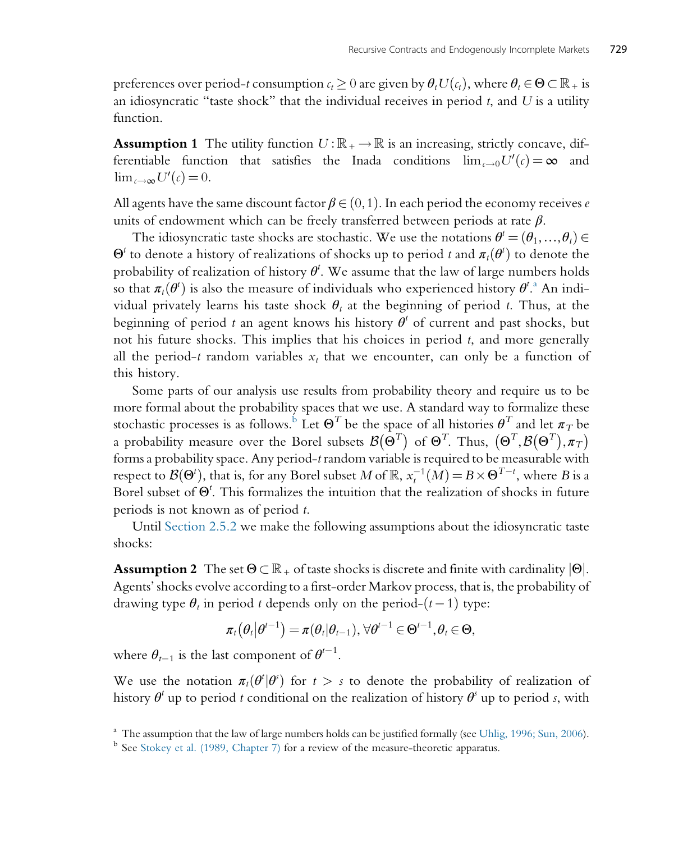preferences over period-t consumption  $c_t \geq 0$  are given by  $\theta_t U(c_t)$ , where  $\theta_t \in \Theta \subset \mathbb{R}_+$  is an idiosyncratic "taste shock" that the individual receives in period  $t$ , and  $U$  is a utility function.

**Assumption 1** The utility function  $U : \mathbb{R}_+ \to \mathbb{R}$  is an increasing, strictly concave, differentiable function that satisfies the Inada conditions  $\lim_{\epsilon \to 0} U'(\epsilon) = \infty$  and  $U'(\epsilon) = 0$  $\lim_{\epsilon \to \infty} U'(\epsilon) = 0.$ 

All agents have the same discount factor  $\beta \in (0,1)$ . In each period the economy receives e units of endowment which can be freely transferred between periods at rate  $\beta$ .

The idiosyncratic taste shocks are stochastic. We use the notations  $\theta^t = (\theta_1, \ldots, \theta_t) \in$  $\Theta^t$  to denote a history of realizations of shocks up to period t and  $\pi_t(\theta^t)$  to denote the probability of realization of history  $\theta^t$ . We assume that the law of large numbers holds so that  $\pi_t(\theta^t)$  is also the measure of individuals who experienced history  $\theta^{t,a}$ . An indi-<br>vidual privately learns his taste shock  $\theta$  at the beginning of period t. Thus, at the vidual privately learns his taste shock  $\theta_t$  at the beginning of period t. Thus, at the beginning of period t an agent knows his history  $\theta^t$  of current and past shocks, but not his future shocks. This implies that his choices in period  $t$ , and more generally all the period-t random variables  $x_t$  that we encounter, can only be a function of this history.

Some parts of our analysis use results from probability theory and require us to be more formal about the probability spaces that we use. A standard way to formalize these stochastic processes is as follows.<sup>b</sup> Let  $\Theta^T$  be the space of all histories  $\theta^T$  and let  $\pi_T$  be a probability measure over the Borel subsets  $\mathcal{B}(\Theta^T)$  of  $\Theta^T$ . Thus,  $(\Theta^T, \mathcal{B}(\Theta^T), \pi_T)$ <br>forms a probability space. Any period, trandom variable is required to be measurable with forms a probability space. Any period-t random variable is required to be measurable with respect to  $\mathcal{B}(\Theta^t)$ , that is, for any Borel subset M of  $\mathbb{R}$ ,  $x_t^{-1}(M) = B \times \Theta^{T-t}$ , where B is a<br>Borel subset of  $\Theta^t$ . This formalizes the intuition that the realization of shocks in future Borel subset of  $\Theta'$ . This formalizes the intuition that the realization of shocks in future periods is not known as of period t.

Until [Section 2.5.2](#page-34-0) we make the following assumptions about the idiosyncratic taste shocks:

**Assumption 2** The set  $\Theta \subset \mathbb{R}_+$  of taste shocks is discrete and finite with cardinality  $|\Theta|$ . Agents' shocks evolve according to a first-order Markov process, that is, the probability of drawing type  $\theta_t$  in period t depends only on the period- $(t-1)$  type:

$$
\pi_t(\theta_t|\theta^{t-1}) = \pi(\theta_t|\theta_{t-1}), \forall \theta^{t-1} \in \Theta^{t-1}, \theta_t \in \Theta,
$$

where  $\theta_{t-1}$  is the last component of  $\theta^{t-1}$ .

We use the notation  $\pi_t(\theta^t|\theta^s)$  for  $t > s$  to denote the probability of realization of history  $\theta^t$  up to period t conditional on the realization of history  $\theta^s$  up to period s, with

<sup>&</sup>lt;sup>a</sup> The assumption that the law of large numbers holds can be justified formally (see [Uhlig, 1996; Sun, 2006](#page-116-0)). <br><sup>b</sup> See [Stokey et al. \(1989, Chapter 7\)](#page-116-0) for a review of the measure-theoretic apparatus.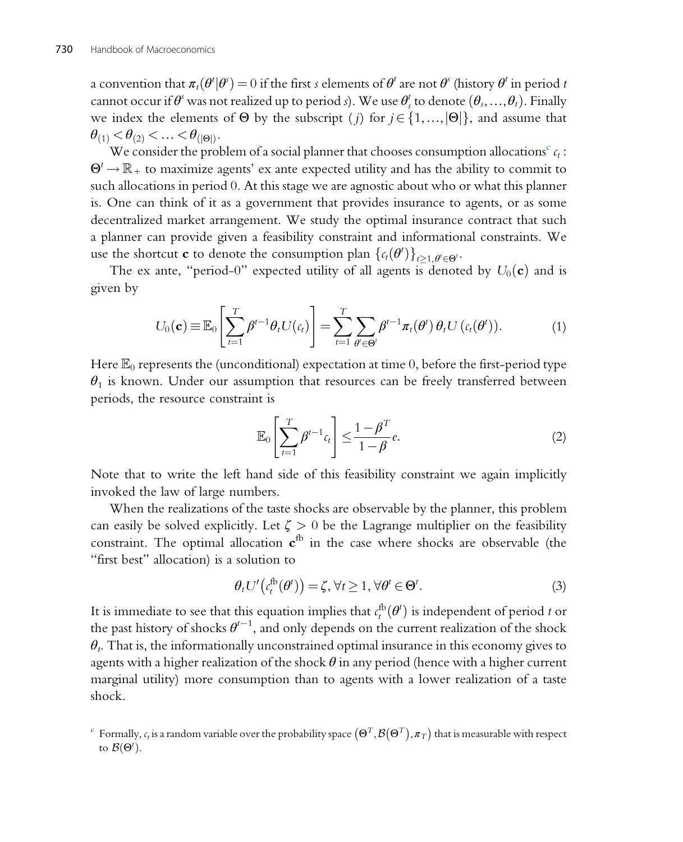<span id="page-5-0"></span>a convention that  $\pi_t(\theta^t|\theta^s) = 0$  if the first s elements of  $\theta^t$  are not  $\theta^s$  (history  $\theta^t$  in period to cour if  $\theta^s$  was not realized up to period s). We use  $\theta^t$  to denote  $(\theta - \theta)$ . Finally cannot occur if  $\theta^s$  was not realized up to period s). We use  $\theta^t_s$  to denote  $(\theta_s, ..., \theta_t)$ . Finally we index the elements of  $\Theta$  by the subscript (*j*) for  $j \in \{1,..., |\Theta|\}$ , and assume that  $\theta_{(1)} < \theta_{(2)} < \ldots < \theta_{(|\Theta|)}.$ 

We consider the problem of a social planner that chooses consumption allocations  $c_t$ :  $\Theta' \rightarrow \mathbb{R}_+$  to maximize agents' ex ante expected utility and has the ability to commit to such allocations in period 0. At this stage we are agnostic about who or what this planner is. One can think of it as a government that provides insurance to agents, or as some decentralized market arrangement. We study the optimal insurance contract that such a planner can provide given a feasibility constraint and informational constraints. We use the shortcut **c** to denote the consumption plan  $\{c_t(\theta^t)\}_{t\geq 1, \theta^t \in \Theta^t}$ .<br>The ex ante "period 0" expected utility of all agents is denote

The ex ante, "period-0" expected utility of all agents is denoted by  $U_0(c)$  and is given by

$$
U_0(\mathbf{c}) \equiv \mathbb{E}_0 \left[ \sum_{t=1}^T \beta^{t-1} \theta_t U(c_t) \right] = \sum_{t=1}^T \sum_{\theta' \in \Theta^t} \beta^{t-1} \pi_t(\theta') \theta_t U(c_t(\theta')). \tag{1}
$$

Here  $\mathbb{E}_0$  represents the (unconditional) expectation at time 0, before the first-period type  $\theta_1$  is known. Under our assumption that resources can be freely transferred between periods, the resource constraint is

$$
\mathbb{E}_0\left[\sum_{t=1}^T \beta^{t-1} c_t\right] \le \frac{1-\beta^T}{1-\beta}e. \tag{2}
$$

Note that to write the left hand side of this feasibility constraint we again implicitly invoked the law of large numbers.

When the realizations of the taste shocks are observable by the planner, this problem can easily be solved explicitly. Let  $\zeta > 0$  be the Lagrange multiplier on the feasibility constraint. The optimal allocation  $\mathbf{c}^{\text{fb}}$  in the case where shocks are observable (the "first best" allocation) is a solution to "first best" allocation) is a solution to

$$
\theta_t U' \big( c_t^{\text{fb}}(\theta^t) \big) = \zeta, \forall t \ge 1, \forall \theta^t \in \Theta^t.
$$
\n<sup>(3)</sup>

It is immediate to see that this equation implies that  $c_t^{fb}(\theta^t)$  is independent of period t or<br>the past history of shocks  $\theta^{t-1}$  and only depends on the current realization of the shock the past history of shocks  $\theta^{t-1}$ , and only depends on the current realization of the shock  $\theta_t$ . That is, the informationally unconstrained optimal insurance in this economy gives to agents with a higher realization of the shock  $\theta$  in any period (hence with a higher current marginal utility) more consumption than to agents with a lower realization of a taste shock.

<sup>&</sup>lt;sup>c</sup> Formally,  $c_t$  is a random variable over the probability space  $(\Theta^T, \mathcal{B}(\Theta^T), \pi_T)$  that is measurable with respect to  $\mathcal{B}(\Theta^t)$ . to  $\mathcal{B}(\Theta^t)$ .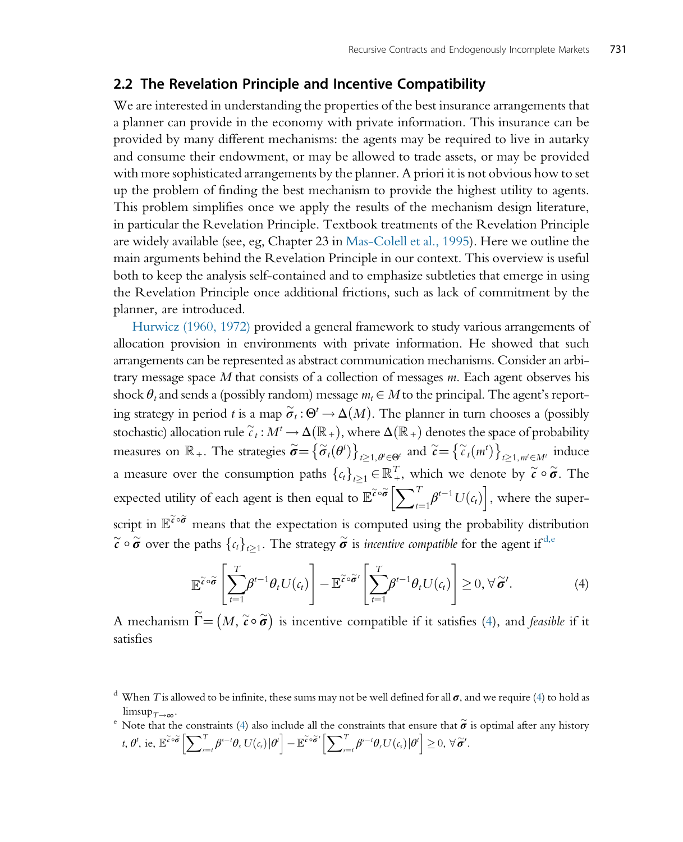#### 2.2 The Revelation Principle and Incentive Compatibility

We are interested in understanding the properties of the best insurance arrangements that a planner can provide in the economy with private information. This insurance can be provided by many different mechanisms: the agents may be required to live in autarky and consume their endowment, or may be allowed to trade assets, or may be provided with more sophisticated arrangements by the planner. A priori it is not obvious how to set up the problem of finding the best mechanism to provide the highest utility to agents. This problem simplifies once we apply the results of the mechanism design literature, in particular the Revelation Principle. Textbook treatments of the Revelation Principle are widely available (see, eg, Chapter 23 in [Mas-Colell et al., 1995](#page-115-0)). Here we outline the main arguments behind the Revelation Principle in our context. This overview is useful both to keep the analysis self-contained and to emphasize subtleties that emerge in using the Revelation Principle once additional frictions, such as lack of commitment by the planner, are introduced.

[Hurwicz \(1960, 1972\)](#page-114-0) provided a general framework to study various arrangements of allocation provision in environments with private information. He showed that such arrangements can be represented as abstract communication mechanisms. Consider an arbitrary message space M that consists of a collection of messages m. Each agent observes his shock  $\theta_t$  and sends a (possibly random) message  $m_t \in M$  to the principal. The agent's reporting strategy in period t is a map  $\widetilde{\sigma}_t : \Theta^t \to \Delta(M)$ . The planner in turn chooses a (possibly<br>the checked all action wile  $\widetilde{\sigma} : M^t \to \Delta(\mathbb{R}_+)$  where  $\Lambda(\mathbb{R}_+)$  denotes the grass of makehility stochastic) allocation rule  $\widetilde{c}_t : M^t \to \Delta(\mathbb{R}_+),$  where  $\Delta(\mathbb{R}_+)$  denotes the space of probability measures on  $\mathbb{R}_+$ . The strategies  $\widetilde{\sigma} = \{\widetilde{\sigma}_t(\theta^t)\}_{t \geq 1, \theta^t \in \Theta^t}$  and  $\widetilde{\mathfrak{c}} = \{\widetilde{\epsilon}_t(m^t)\}_{t \geq 1, m^t \in M^t}$  induce a measure over the consumption paths  $\{c_t\}_{t\geq 1} \in \mathbb{R}^T_+$ , which we denote by  $\widetilde{\mathfrak{c}} \circ \widetilde{\mathfrak{\sigma}}$ . The expected utility of each agent is then equal to  $\mathbb{E}^{\tilde{\epsilon} \circ \tilde{\sigma}} \left[ \sum_{t=1}^{T} \beta^{t-1} U(\mathfrak{c}_t) \right]$ , where the super $t=1$ script in  $\mathbb{E}^{\widetilde{c} \circ \widetilde{\sigma}}$  means that the expectation is computed using the probability distribution  $\widetilde{c} \circ \widetilde{\sigma}$  over the paths  $\{c_t\}_{t\geq 1}$ . The strategy  $\widetilde{\sigma}$  is *incentive compatible* for the agent if  $\sigma^{\rm d,e}$ 

$$
\mathbb{E}^{\tilde{c}\circ\tilde{\sigma}}\left[\sum_{t=1}^T \beta^{t-1}\theta_t U(c_t)\right] - \mathbb{E}^{\tilde{c}\circ\tilde{\sigma}'}\left[\sum_{t=1}^T \beta^{t-1}\theta_t U(c_t)\right] \geq 0, \forall \tilde{\sigma}'.\tag{4}
$$

A mechanism  $\hat{\Gamma} = (M, \tilde{c} \circ \tilde{\sigma})$  is incentive compatible if it satisfies (4), and *feasible* if it satisfies

<sup>&</sup>lt;sup>d</sup> When T is allowed to be infinite, these sums may not be well defined for all  $\sigma$ , and we require (4) to hold as  $\limsup_{T\to\infty}$ .<br><sup>e</sup> Note that the constraints (4) also include all the constraints that ensure that  $\tilde{\sigma}$  is optimal after any history

t,  $\theta^t$ , ie,  $\mathbb{E}^{\widetilde{\epsilon} \circ \widetilde{\sigma}} \left[ \sum_{i=1}^T \right]$  $s = t$  $\left[\sum_{s=t}^T \beta^{s-t}\theta_s U(\mathbf{c}_s) | \theta^t \right] - \mathbb{E}^{\widetilde{\mathbf{c}} \circ \widetilde{\boldsymbol{\sigma}}'} \left[\sum_{s=t}^T \theta^s \theta^s \right]$  $s = t$  $\left[\sum_{s=t}^T \beta^{s-t} \theta_s U(\mathfrak{c}_s) | \theta^t \right] \geq 0, \forall \widetilde{\boldsymbol{\sigma}}'.$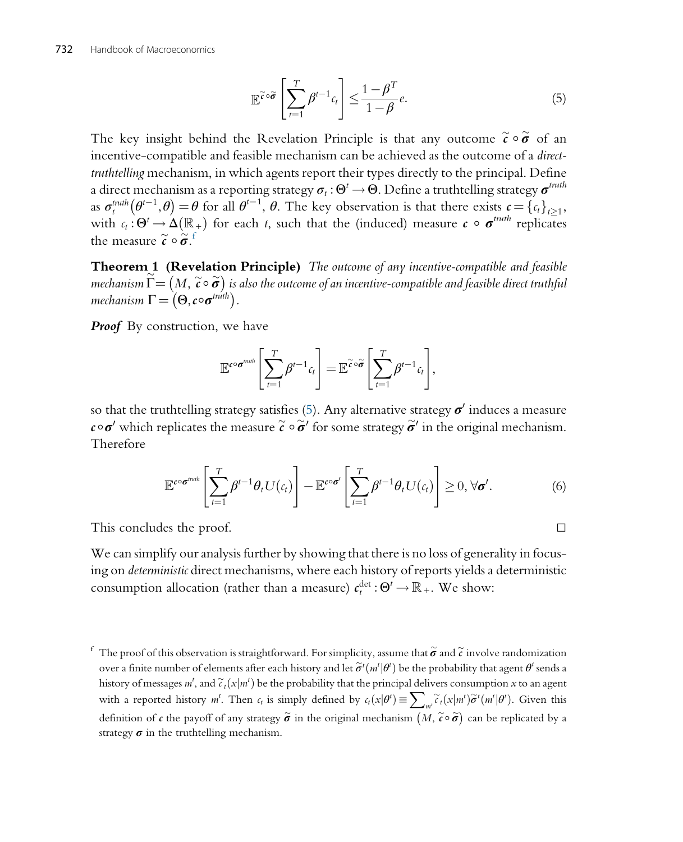$$
\mathbb{E}^{\tilde{c} \circ \tilde{\sigma}} \left[ \sum_{t=1}^{T} \beta^{t-1} c_t \right] \le \frac{1 - \beta^T}{1 - \beta} e. \tag{5}
$$

The key insight behind the Revelation Principle is that any outcome  $\stackrel{\sim}{\mathfrak{c}}\circ\stackrel{\sim}{\mathfrak{o}}$  of an incentive-compatible and feasible mechanism can be achieved as the outcome of a directtruthtelling mechanism, in which agents report their types directly to the principal. Define a direct mechanism as a reporting strategy  $\sigma_t : \Theta^t \to \Theta$ . Define a truthtelling strategy  $\sigma^{truth}$ as  $\sigma_t^{truth}(\theta^{t-1}, \theta) = \theta$  for all  $\theta^{t-1}$ ,  $\theta$ . The key observation is that there exists  $c = \{c_t\}_{t \geq 1}$ , with  $c_t$  :  $\Theta^t \to \Delta(\mathbb{R}_+)$  for each t, such that the (induced) measure  $\mathfrak{c} \circ \sigma^{truth}$  replicates the measure  $\stackrel{\sim}{\mathfrak{c}}\circ\stackrel{\sim}{\sigma}.^{\scriptscriptstyle\mathfrak{f}}$ 

**Theorem 1 (Revelation Principle)** The outcome of any incentive-compatible and feasible mechanism  $\overline{\Gamma} = (M, \widetilde{c} \circ \widetilde{\sigma})$  is also the outcome of an incentive-compatible and feasible direct truthful<br>mechanism  $\Gamma = (\Theta, c \circ \sigma^{truth})$ mechanism  $\Gamma = (\Theta, c \circ \sigma^{truth})$ .

**Proof** By construction, we have

$$
\mathbb{E}^{\epsilon \circ \sigma^{\text{truth}}}\left[\sum_{t=1}^{T} \beta^{t-1} c_t\right] = \mathbb{E}^{\widetilde{\epsilon} \circ \widetilde{\sigma}}\left[\sum_{t=1}^{T} \beta^{t-1} c_t\right],
$$

so that the truthtelling strategy satisfies (5). Any alternative strategy  $\sigma'$  induces a measure  $c \circ \sigma'$  which replicates the measure  $\stackrel{\sim}{\epsilon} \circ \stackrel{\sim}{\sigma'}$  for some strategy  $\stackrel{\sim}{\sigma'}$  in the original mechanism. Therefore

$$
\mathbb{E}^{\epsilon \circ \sigma^{\text{truth}}}\left[\sum_{t=1}^{T} \beta^{t-1} \theta_t U(\mathbf{c}_t)\right] - \mathbb{E}^{\epsilon \circ \sigma'}\left[\sum_{t=1}^{T} \beta^{t-1} \theta_t U(\mathbf{c}_t)\right] \geq 0, \forall \sigma'.
$$
 (6)

This concludes the proof. □

We can simplify our analysis further by showing that there is no loss of generality in focusing on deterministic direct mechanisms, where each history of reports yields a deterministic consumption allocation (rather than a measure)  $c_t^{\text{det}}$  :  $\Theta^t \to \mathbb{R}_+$ . We show:

 $^{\rm f}$  The proof of this observation is straightforward. For simplicity, assume that  $\widetilde{\sigma}$  and  $\widetilde{\epsilon}$  involve randomization over a finite number of elements after each history and let  $\widetilde{\sigma}^t(m'|\theta')$  be the probability that agent  $\theta'$  sends a<br>bittery of progress of and  $\widetilde{\sigma}$  (club) had a general bility that has grin in all discusses comm history of messages  $m^t$ , and  $\tilde{c}_t(x|m^t)$  be the probability that the principal delivers consumption x to an agent with a reported history  $m'$ . Then  $c_t$  is simply defined by  $c_t(x|\theta') \equiv \sum_{m'} \tilde{c}_t(x|m^t|\theta^t)$ . Given this definition of  $\frak c$  the payoff of any strategy  $\widetilde{\pmb\sigma}$  in the original mechanism  $(M, \, \widetilde\pmb{c} \circ\widetilde{\pmb\sigma})$  can be replicated by a strategy  $\sigma$  in the truthtelling mechanism.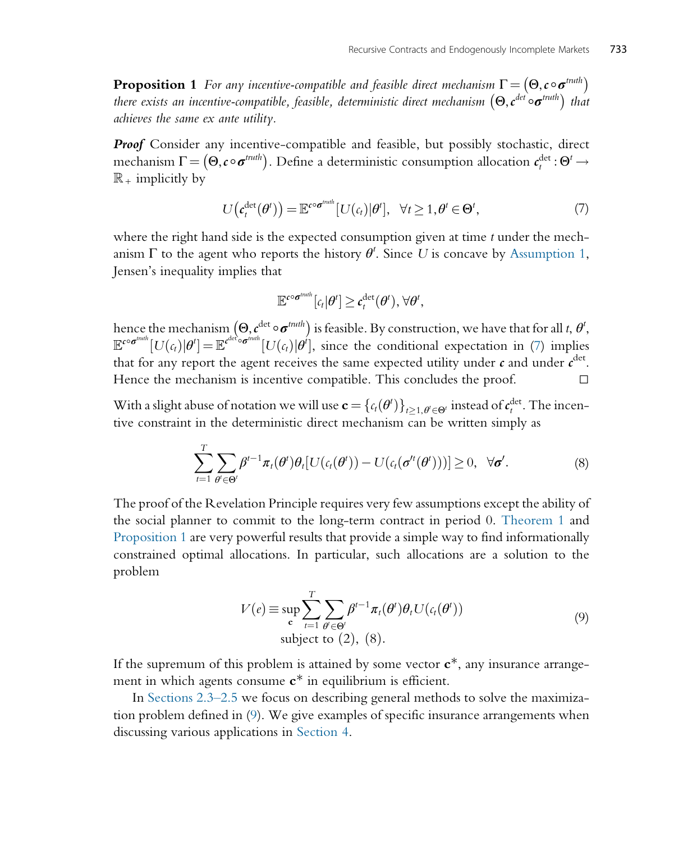<span id="page-8-0"></span>**Proposition 1** For any incentive-compatible and feasible direct mechanism  $\Gamma = (\Theta, c \circ \sigma^{truth})$ there exists an incentive-compatible, feasible, deterministic direct mechanism  $(\Theta, \mathfrak{c}^{det} \circ \boldsymbol{\sigma}^{truth})$  that achieves the same ex ante utility.

**Proof** Consider any incentive-compatible and feasible, but possibly stochastic, direct mechanism  $\Gamma = (\Theta, c \circ \sigma^{truth})$ . Define a deterministic consumption allocation  $c_t^{\text{det}} : \Theta^t \to$  $\mathbb{R}_+$  implicitly by

$$
U\big(c_t^{\det}(\theta^t)\big) = \mathbb{E}^{\mathfrak{c} \circ \sigma^{\text{truth}}}[U(\mathfrak{c}_t)|\theta^t], \ \ \forall t \ge 1, \theta^t \in \Theta^t,
$$
 (7)

where the right hand side is the expected consumption given at time  $t$  under the mechanism  $\Gamma$  to the agent who reports the history  $\theta^t$ . Since U is concave by Assumption 1, Jensen's inequality implies that

$$
\mathbb{E}^{\boldsymbol{c} \circ \boldsymbol{\sigma}^{\text{truth}}}[c_t|\theta^t] \geq c_t^{\text{det}}(\theta^t), \forall \theta^t,
$$

hence the mechanism  $(\Theta, c^{\det} \circ \bm{\sigma}^{\textit{truth}})$  is feasible. By construction, we have that for all  $t, \theta^t,$  $\mathbb{E}^{\epsilon \circ \sigma^{multi}}[U(\epsilon_i)|\theta^i] = \mathbb{E}^{\epsilon^{\det \circ \sigma^{multi}}}[U(\epsilon_i)|\theta^i]$ , since the conditional expectation in (7) implies that for any report the agent receives the same expected utility under  $c$  and under  $c^{\text{det}}$ . Hence the mechanism is incentive compatible. This concludes the proof.  $□$ 

With a slight abuse of notation we will use  $\mathbf{c} = \{c_t(\theta^t)\}_{t \geq 1, \theta^t \in \Theta^t}$  instead of  $c_t^{\text{det}}$ . The incentive constraint in the deterministic direct mechanism can be written simply as tive constraint in the deterministic direct mechanism can be written simply as

$$
\sum_{t=1}^{T} \sum_{\theta' \in \Theta'} \beta^{t-1} \pi_t(\theta') \theta_t [U(c_t(\theta')) - U(c_t(\sigma'^t(\theta')))] \ge 0, \quad \forall \sigma'.
$$
 (8)

The proof of the Revelation Principle requires very few assumptions except the ability of the social planner to commit to the long-term contract in period 0. Theorem 1 and Proposition 1 are very powerful results that provide a simple way to find informationally constrained optimal allocations. In particular, such allocations are a solution to the problem

$$
V(e) \equiv \sup_{\mathbf{c}} \sum_{t=1}^{T} \sum_{\theta' \in \Theta^t} \beta^{t-1} \pi_t(\theta^t) \theta_t U(c_t(\theta^t))
$$
  
subject to (2), (8). (9)

If the supremum of this problem is attained by some vector  $c^*$ , any insurance arrangement in which agents consume  $c^*$  in equilibrium is efficient.

In [Sections 2.3](#page-9-0)–2.5 we focus on describing general methods to solve the maximization problem defined in (9). We give examples of specific insurance arrangements when discussing various applications in [Section 4.](#page-85-0)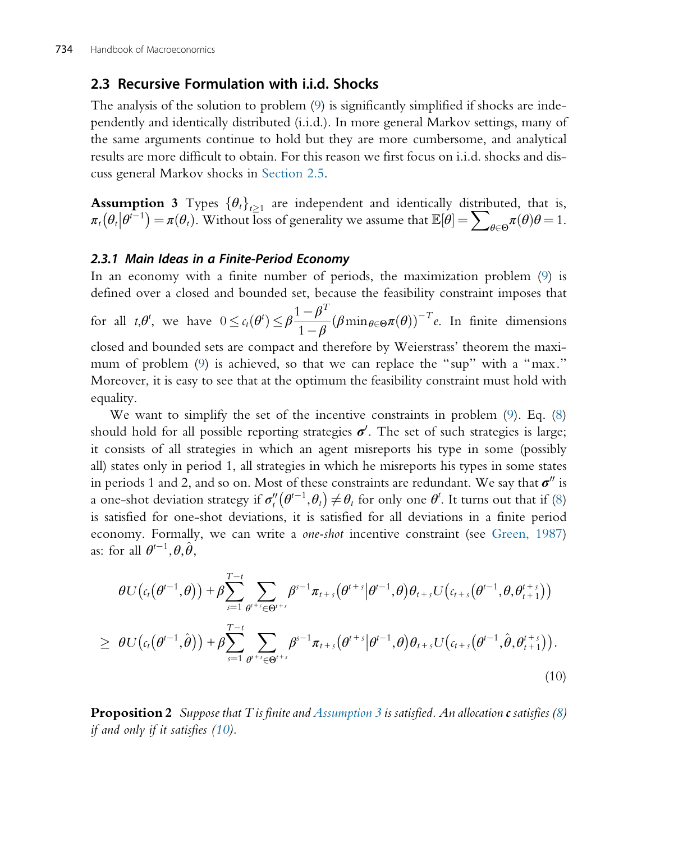## <span id="page-9-0"></span>2.3 Recursive Formulation with i.i.d. Shocks

The analysis of the solution to problem ([9](#page-8-0)) is significantly simplified if shocks are independently and identically distributed (i.i.d.). In more general Markov settings, many of the same arguments continue to hold but they are more cumbersome, and analytical results are more difficult to obtain. For this reason we first focus on i.i.d. shocks and discuss general Markov shocks in [Section 2.5](#page-28-0).

**Assumption 3** Types  $\{\theta_t\}_{t>1}$  are independent and identically distributed, that is,  $\pi_t(\theta_t|\theta^{t-1}) = \pi(\theta_t)$ . Without loss of generality we assume that  $\mathbb{E}[\theta] = \sum_{\theta \in \Theta} \pi(\theta)\theta = 1$ .

## 2.3.1 Main Ideas in a Finite-Period Economy

In an economy with a finite number of periods, the maximization problem [\(9\)](#page-8-0) is defined over a closed and bounded set, because the feasibility constraint imposes that for all  $t, \theta^t$ , we have  $0 \leq c_t(\theta^t) \leq \beta \frac{1-\beta^T}{1-\beta} (\beta \min_{\theta \in \Theta} \pi(\theta))^{-T} e$ . In finite dimensions closed and bounded sets are compact and therefore by Weierstrass' theorem the maxiclosed and bounded sets are compact and therefore by Weierstrass' theorem the maxi-mum of problem ([9](#page-8-0)) is achieved, so that we can replace the "sup" with a "max." Moreover, it is easy to see that at the optimum the feasibility constraint must hold with equality.

We want to simplify the set of the incentive constraints in problem [\(9](#page-8-0)). Eq. ([8\)](#page-8-0) should hold for all possible reporting strategies  $\sigma'$ . The set of such strategies is large; it consists of all strategies in which an agent misreports his type in some (possibly all) states only in period 1, all strategies in which he misreports his types in some states in periods 1 and 2, and so on. Most of these constraints are redundant. We say that  $\sigma''$  is a one-shot deviation strategy if  $\sigma''_t(\theta^{t-1}, \theta_t) \neq \theta_t$  for only one  $\theta^t$ . It turns out that if ([8](#page-8-0)) is satisfied for one-shot deviations, it is satisfied for all deviations in a finite period economy. Formally, we can write a *one-shot* incentive constraint (see [Green, 1987\)](#page-114-0) as: for all  $\theta^{t-1}, \theta, \hat{\theta},$ 

$$
\theta U(c_{t}(\theta^{t-1},\theta)) + \beta \sum_{s=1}^{T-t} \sum_{\theta^{t+s} \in \Theta^{t+s}} \beta^{s-1} \pi_{t+s}(\theta^{t+s}|\theta^{t-1},\theta) \theta_{t+s} U(c_{t+s}(\theta^{t-1},\theta,\theta^{t+s}_{t+1}))
$$
  
\n
$$
\geq \theta U(c_{t}(\theta^{t-1},\hat{\theta})) + \beta \sum_{s=1}^{T-t} \sum_{\theta^{t+s} \in \Theta^{t+s}} \beta^{s-1} \pi_{t+s}(\theta^{t+s}|\theta^{t-1},\theta) \theta_{t+s} U(c_{t+s}(\theta^{t-1},\hat{\theta},\theta^{t+s}_{t+1})).
$$
\n(10)

**Proposition 2** Suppose that T is finite and Assumption 3 is satisfied. An allocation **c** satisfies  $(8)$  $(8)$  $(8)$ if and only if it satisfies (10).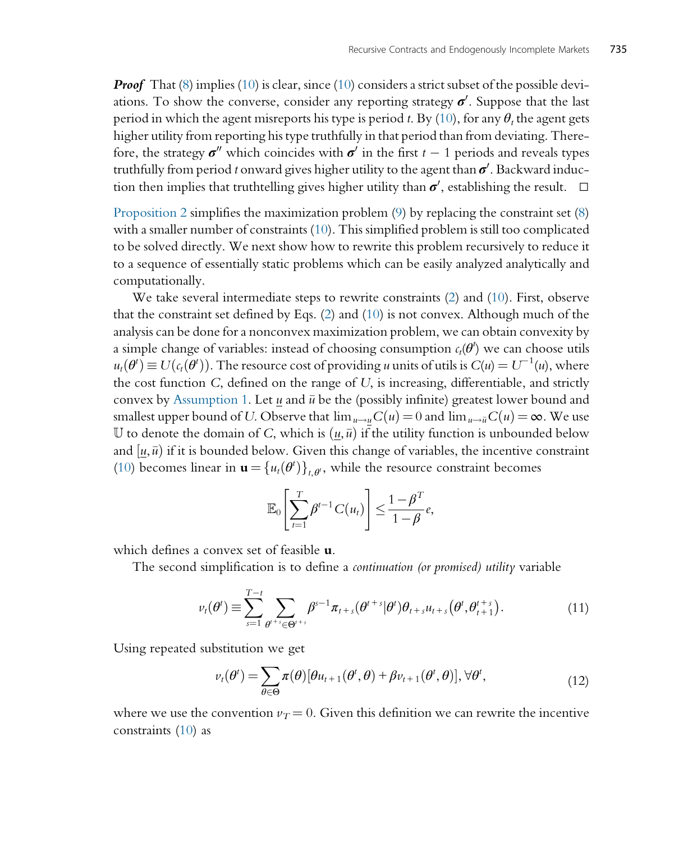<span id="page-10-0"></span>**Proof** That ([8\)](#page-8-0) implies [\(10\)](#page-9-0) is clear, since ([10\)](#page-9-0) considers a strict subset of the possible deviations. To show the converse, consider any reporting strategy  $\boldsymbol{\sigma}'$ . Suppose that the last period in which the agent misreports his type is period t. By [\(10](#page-9-0)), for any  $\theta_t$ , the agent gets higher utility from reporting his type truthfully in that period than from deviating. Therefore, the strategy  $\sigma''$  which coincides with  $\sigma'$  in the first  $t-1$  periods and reveals types truthfully from period  $t$  onward gives higher utility to the agent than  $\pmb{\sigma}'$ . Backward induction then implies that truthtelling gives higher utility than  $\sigma'$ , establishing the result.  $\;\;\Box$ 

Proposition 2 simplifies the maximization problem ([9](#page-8-0)) by replacing the constraint set ([8\)](#page-8-0) with a smaller number of constraints ([10](#page-9-0)). This simplified problem is still too complicated to be solved directly. We next show how to rewrite this problem recursively to reduce it to a sequence of essentially static problems which can be easily analyzed analytically and computationally.

We take several intermediate steps to rewrite constraints ([2](#page-5-0)) and ([10](#page-9-0)). First, observe that the constraint set defined by Eqs. ([2](#page-5-0)) and ([10](#page-9-0)) is not convex. Although much of the analysis can be done for a nonconvex maximization problem, we can obtain convexity by a simple change of variables: instead of choosing consumption  $c_t(\theta')$  we can choose utils  $u_t(\theta^t) \equiv U(c_t(\theta^t))$ . The resource cost of providing u units of utils is  $C(u) = U^{-1}(u)$ , where the cost function  $C$ , defined on the range of  $U$ , is increasing, differentiable, and strictly convex by Assumption 1. Let  $\underline{u}$  and  $\bar{u}$  be the (possibly infinite) greatest lower bound and smallest upper bound of U. Observe that  $\lim_{u\to \underline{u}} C(u) = 0$  and  $\lim_{u\to \overline{u}} C(u) = \infty$ . We use U to denote the domain of C, which is  $(\underline{u}, \overline{u})$  if the utility function is unbounded below<br>and  $[\underline{u}, \overline{u}]$  if it is bounded below. Given this change of variables, the incentive constraint and  $[\underline{u}, \overline{u}]$  if it is bounded below. Given this change of variables, the incentive constraint<br>(10) becomes linear in  $\mathbf{u} = \int u(\theta^t) \mathbf{1}$ , while the resource constraint becomes [\(10\)](#page-9-0) becomes linear in  $\mathbf{u} = \{u_t(\theta^t)\}_{t, \theta^t}$ , while the resource constraint becomes

$$
\mathbb{E}_0\left[\sum_{t=1}^T \beta^{t-1} C(u_t)\right] \le \frac{1-\beta^T}{1-\beta}e,
$$

which defines a convex set of feasible **u**.

The second simplification is to define a continuation (or promised) utility variable

$$
\nu_t(\theta^t) \equiv \sum_{s=1}^{T-t} \sum_{\theta^{t+s} \in \Theta^{t+s}} \beta^{s-1} \pi_{t+s}(\theta^{t+s}|\theta^t) \theta_{t+s} u_{t+s}(\theta^t, \theta_{t+1}^{t+s}). \tag{11}
$$

Using repeated substitution we get

$$
\nu_t(\theta^t) = \sum_{\theta \in \Theta} \pi(\theta) [\theta u_{t+1}(\theta^t, \theta) + \beta v_{t+1}(\theta^t, \theta)], \forall \theta^t,
$$
\n(12)

where we use the convention  $\nu_T = 0$ . Given this definition we can rewrite the incentive constraints ([10\)](#page-9-0) as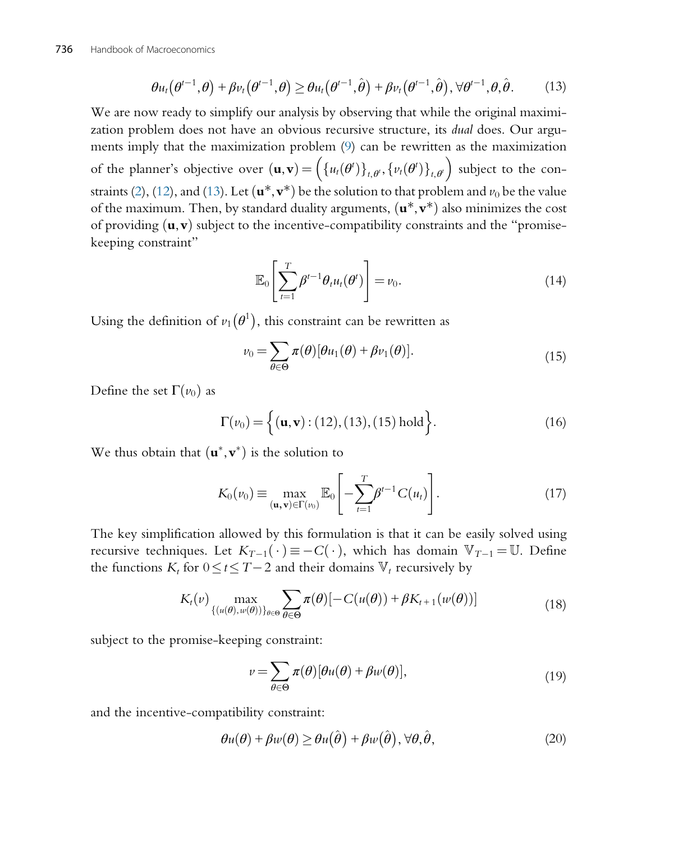$$
\theta u_t(\theta^{t-1},\theta) + \beta v_t(\theta^{t-1},\theta) \ge \theta u_t(\theta^{t-1},\hat{\theta}) + \beta v_t(\theta^{t-1},\hat{\theta}), \forall \theta^{t-1},\theta,\hat{\theta}.
$$
 (13)

<span id="page-11-0"></span>We are now ready to simplify our analysis by observing that while the original maximization problem does not have an obvious recursive structure, its dual does. Our arguments imply that the maximization problem ([9](#page-8-0)) can be rewritten as the maximization of the planner's objective over  $(\mathbf{u}, \mathbf{v}) = (\{u_t(\theta^t)\}_{t, \theta^t}, \{v_t(\theta^t)\}_{t, \theta^t})$  subject to the con-straints ([2](#page-5-0)), ([12](#page-10-0)), and (13). Let  $(\mathbf{u}^*, \mathbf{v}^*)$  be the solution to that problem and  $v_0$  be the value of the maximum. Then, by standard duality arguments,  $(\mathbf{u}^*, \mathbf{v}^*)$  also minimizes the cost of providing  $(\mathbf{u}, \mathbf{v})$  subject to the incentive-compatibility constraints and the "promisekeeping constraint"

$$
\mathbb{E}_0\left[\sum_{t=1}^T \beta^{t-1} \theta_t u_t(\theta^t)\right] = \nu_0.
$$
\n(14)

Using the definition of  $v_1(\theta^1)$ , this constraint can be rewritten as

$$
\nu_0 = \sum_{\theta \in \Theta} \pi(\theta) [\theta u_1(\theta) + \beta v_1(\theta)]. \tag{15}
$$

Define the set  $\Gamma(\nu_0)$  as

$$
\Gamma(v_0) = \left\{ (\mathbf{u}, \mathbf{v}) : (12), (13), (15) \text{ hold} \right\}.
$$
 (16)

We thus obtain that  $(\mathbf{u}^*, \mathbf{v}^*)$  is the solution to

$$
K_0(\nu_0) \equiv \max_{(\mathbf{u}, \mathbf{v}) \in \Gamma(\nu_0)} \mathbb{E}_0 \left[ -\sum_{t=1}^T \beta^{t-1} C(u_t) \right].
$$
 (17)

The key simplification allowed by this formulation is that it can be easily solved using recursive techniques. Let  $K_{T-1}(\cdot) \equiv -C(\cdot)$ , which has domain  $\mathbb{V}_{T-1} = \mathbb{U}$ . Define the functions  $K_t$  for  $0 \le t \le T-2$  and their domains  $V_t$  recursively by

$$
K_t(\nu)\max_{\{(u(\theta),w(\theta))\}_{\theta\in\Theta}}\sum_{\theta\in\Theta}\pi(\theta)[-C(u(\theta))+\beta K_{t+1}(w(\theta))]
$$
\n(18)

subject to the promise-keeping constraint:

$$
\nu = \sum_{\theta \in \Theta} \pi(\theta) [\theta u(\theta) + \beta w(\theta)], \qquad (19)
$$

and the incentive-compatibility constraint:

$$
\theta u(\theta) + \beta w(\theta) \ge \theta u(\hat{\theta}) + \beta w(\hat{\theta}), \forall \theta, \hat{\theta},
$$
\n(20)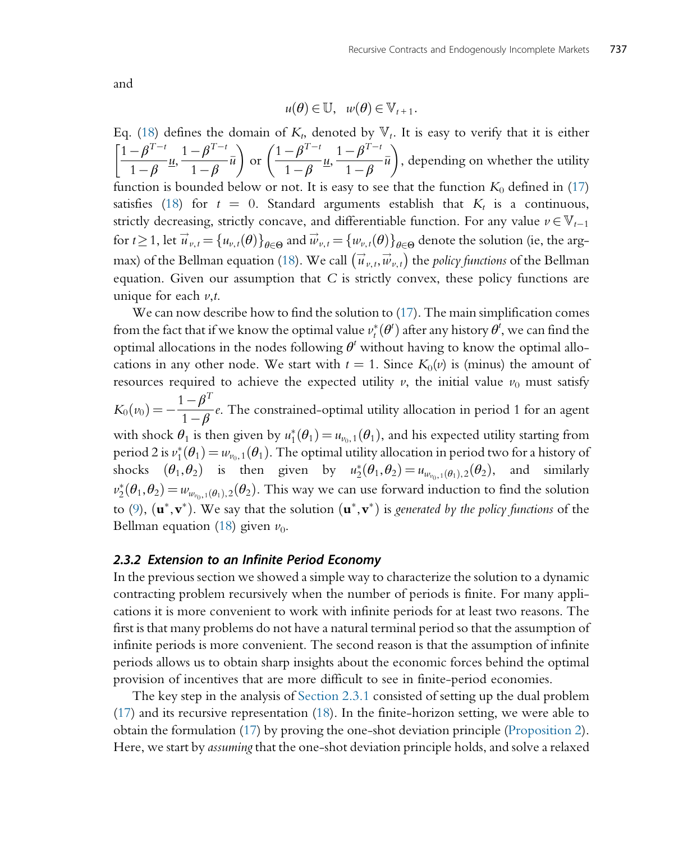and

$$
u(\theta) \in \mathbb{U}, \quad w(\theta) \in \mathbb{V}_{t+1}.
$$

Eq. ([18](#page-11-0)) defines the domain of  $K_t$ , denoted by  $V_t$ . It is easy to verify that it is either  $\frac{1-\beta^{T-t}}{1-\beta}$  $\frac{\mu}{1-\beta}$  u,<br>etion is k  $\frac{1-\beta^{T-t}}{1-\beta}$  $\frac{r}{1-\beta}$ *u*<br>unded be  $\left[\frac{1-\beta^{T-t}}{1-\theta}\underline{u},\frac{1-\beta^{T-t}}{1-\theta}\overline{u}\right]$  or  $\left(\frac{1-\beta^{T-t}}{1-\theta}\right)$  $\frac{\mu}{1-\beta}$  u,<br>and lt is u  $\frac{1-\beta^{T-t}}{1-\beta}$  $\frac{P}{1-\beta}$   $\bar{u}$ <br>w to see  $\left(\frac{1-\beta^{T-t}}{1-\beta u},\frac{1-\beta^{T-t}}{1-\beta u}\right)$ , depending on whether the utility function is bounded below or not. It is easy to see that the function  $K_0$  defined in [\(17\)](#page-11-0) satisfies ([18\)](#page-11-0) for  $t = 0$ . Standard arguments establish that  $K_t$  is a continuous, strictly decreasing, strictly concave, and differentiable function. For any value  $v \in V_{t-1}$ for  $t \ge 1$ , let  $\vec{u}_{v,t} = \{u_{v,t}(\theta)\}_{\theta \in \Theta}$  and  $\vec{w}_{v,t} = \{w_{v,t}(\theta)\}_{\theta \in \Theta}$  denote the solution (ie, the arg-max) of the Bellman equation ([18\)](#page-11-0). We call  $\left(\vec{u}_{v,t},\vec{w}_{v,t}\right)$  the *policy functions* of the Bellman equation. Given our assumption that  $C$  is strictly convex, these policy functions are unique for each  $v, t$ .

We can now describe how to find the solution to [\(17](#page-11-0)). The main simplification comes from the fact that if we know the optimal value  $v_t^*(\theta^t)$  after any history  $\theta^t$ , we can find the optimal allocations in the nodes following  $\theta^t$  without beyond the optimal allocations. optimal allocations in the nodes following  $\theta^t$  without having to know the optimal allocations in any other node. We start with  $t = 1$ . Since  $K_0(v)$  is (minus) the amount of resources required to achieve the expected utility v, the initial value  $\nu_0$  must satisfy  $K_0(v_0) = -\frac{1-\beta^T}{1-\beta}e$ . The constrained-optimal utility allocation in period 1 for an agent<br>with shock  $\theta$ , is then given by  $u^*(\theta_1) = u_{-1}(\theta_1)$  and his expected utility stating from with shock  $\theta_1$  is then given by  $u_1^*(\theta_1) = u_{\nu_0,1}(\theta_1)$ , and his expected utility starting from period 2 is  $v_1^*(\theta_1) = w_{v_0,1}(\theta_1)$ . The optimal utility allocation in period two for a history of shocks  $(\theta_1, \theta_2)$  is then given by  $u_2^*(\theta_1, \theta_2) = u_{w_{v_0,1}(\theta_1),2}(\theta_2)$ , and similarly  $\nu_2^*(\theta_1, \theta_2) = \nu_{\nu_{\nu_0,1}(\theta_1),2}(\theta_2)$ . This way we can use forward induction to find the solution to ([9](#page-8-0)),  $(\mathbf{u}^*, \mathbf{v}^*)$ . We say that the solution  $(\mathbf{u}^*, \mathbf{v}^*)$  is *generated by the policy functions* of the Bellman equation (18) given u. Bellman equation ([18\)](#page-11-0) given  $v_0$ .

#### 2.3.2 Extension to an Infinite Period Economy

In the previous section we showed a simple way to characterize the solution to a dynamic contracting problem recursively when the number of periods is finite. For many applications it is more convenient to work with infinite periods for at least two reasons. The first is that many problems do not have a natural terminal period so that the assumption of infinite periods is more convenient. The second reason is that the assumption of infinite periods allows us to obtain sharp insights about the economic forces behind the optimal provision of incentives that are more difficult to see in finite-period economies.

The key step in the analysis of [Section 2.3.1](#page-9-0) consisted of setting up the dual problem ([17\)](#page-11-0) and its recursive representation [\(18\)](#page-11-0). In the finite-horizon setting, we were able to obtain the formulation [\(17](#page-11-0)) by proving the one-shot deviation principle (Proposition 2). Here, we start by assuming that the one-shot deviation principle holds, and solve a relaxed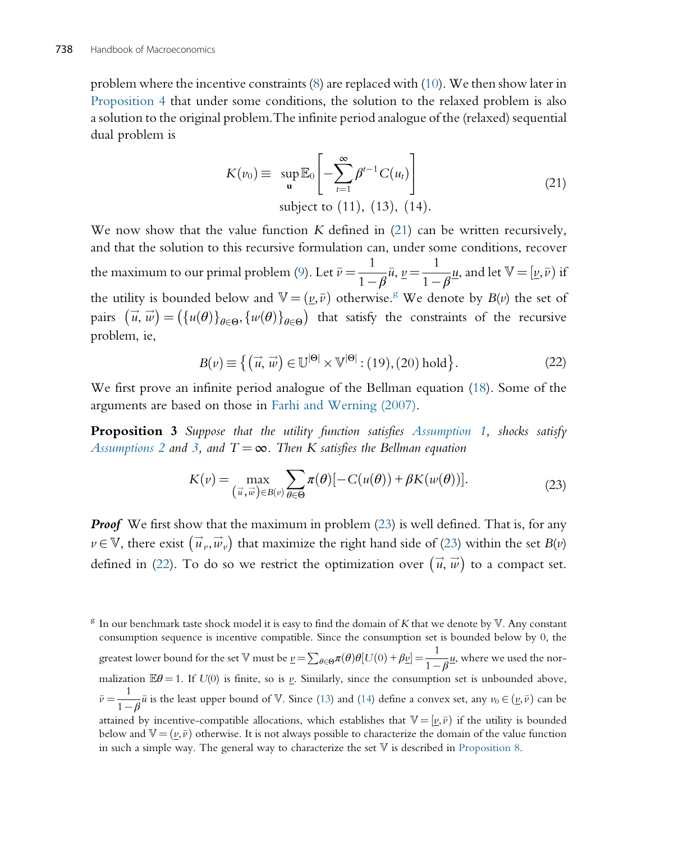<span id="page-13-0"></span>problem where the incentive constraints  $(8)$  $(8)$  $(8)$  are replaced with  $(10)$ . We then show later in Proposition 4 that under some conditions, the solution to the relaxed problem is also a solution to the original problem.The infinite period analogue of the (relaxed) sequential dual problem is

$$
K(v_0) \equiv \sup_{\mathbf{u}} \mathbb{E}_0 \left[ -\sum_{t=1}^{\infty} \beta^{t-1} C(u_t) \right]
$$
  
subject to (11), (13), (14).

We now show that the value function  $K$  defined in (21) can be written recursively, and that the solution to this recursive formulation can, under some conditions, recover the maximum to our primal problem ([9\)](#page-8-0). Let  $\bar{v} = \frac{1}{1-\beta}\bar{u}$ ,  $\underline{v} = \frac{1}{1-\beta}\underline{u}$ , and let  $\mathbb{V} = [\underline{v}, \bar{v})$  if<br>the utility is bounded below and  $\mathbb{V} = (v, \bar{v})$  otherwise <sup>g</sup> We denote by  $B(v)$  the set of the utility is bounded below and  $\mathbb{V} = (\underline{v}, \overline{v})$  otherwise.<sup>8</sup> We denote by  $B(v)$  the set of pairs  $(\vec{u}, \vec{w}) = (\{u(\theta)\}_{\theta \in \Theta}, \{w(\theta)\}_{\theta \in \Theta})$  that satisfy the constraints of the recursive problem, ie,

$$
B(v) \equiv \left\{ \left( \vec{u}, \vec{w} \right) \in \mathbb{U}^{|\Theta|} \times \mathbb{V}^{|\Theta|} : (19), (20) \text{ hold} \right\}. \tag{22}
$$

We first prove an infinite period analogue of the Bellman equation ([18\)](#page-11-0). Some of the arguments are based on those in [Farhi and Werning \(2007\)](#page-113-0).

Proposition 3 Suppose that the utility function satisfies Assumption 1, shocks satisfy Assumptions 2 and 3, and  $T = \infty$ . Then K satisfies the Bellman equation

$$
K(v) = \max_{(\vec{u}, \vec{w}) \in B(v)} \sum_{\theta \in \Theta} \pi(\theta) [-C(u(\theta)) + \beta K(w(\theta))].
$$
\n(23)

**Proof** We first show that the maximum in problem  $(23)$  is well defined. That is, for any  $v \in \mathbb{V}$ , there exist  $(\vec{u}_v, \vec{w}_v)$  that maximize the right hand side of (23) within the set  $B(v)$ defined in (22). To do so we restrict the optimization over  $(\vec{u}, \vec{w})$  to a compact set.

 $g$  In our benchmark taste shock model it is easy to find the domain of K that we denote by  $V$ . Any constant consumption sequence is incentive compatible. Since the consumption set is bounded below by 0, the greatest lower bound for the set V must be  $\underline{v} = \sum_{\theta \in \Theta} \pi(\theta) \theta[U(0) + \beta \underline{v}] = \frac{1}{1 - \beta} \underline{u}$ , where we used the nor-<br>malization  $\mathbb{E} \theta = 1$ . If  $U(0)$  is finite, so is v. Similarly, since the consumption set is unb malization  $\mathbb{E}\theta = 1$ . If U(0) is finite, so is <u>v</u>. Similarly, since the consumption set is unbounded above,  $\bar{v} = \frac{1}{1-\beta} \bar{u}$  is the least upper bound of V. Since ([13\)](#page-11-0) and [\(14](#page-11-0)) define a convex set, any  $v_0 \in (\underline{v}, \bar{v})$  can be virtually intensive-compatible allocations, which establishes that  $\mathbb{V} = [v, \bar{v})$  if the utili attained by incentive-compatible allocations, which establishes that  $\mathbb{V} = [\underline{\nu}, \overline{\nu})$  if the utility is bounded<br>below and  $\mathbb{V} = (\nu, \overline{\nu})$  otherwise. It is not always possible to characterize the domain of the value below and  $\mathbb{V} = (\underline{v}, \overline{v})$  otherwise. It is not always possible to characterize the domain of the value function<br>in such a simple way. The general way to characterize the set  $\mathbb{V}$  is described in Proposition 8. in such a simple way. The general way to characterize the set  $V$  is described in Proposition 8.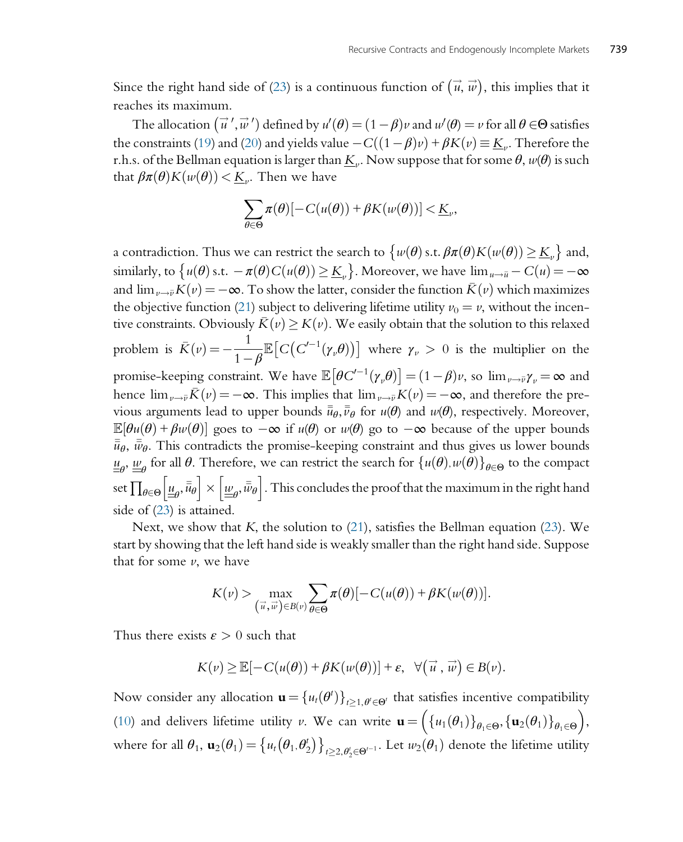Since the right hand side of [\(23\)](#page-13-0) is a continuous function of  $(\vec{u},\vec{w})$ , this implies that it reaches its maximum.

The allocation  $(\vec{u}', \vec{w}')$  defined by  $u'(\theta) = (1 - \beta)v$  and  $u'(\theta) = v$  for all  $\theta \in \Theta$  satisfies<br>constraints (10) and (20) and widely unless  $G((1 - \beta)v) + \beta V(v) = V$ . Therefore the the constraints [\(19](#page-11-0)) and [\(20](#page-11-0)) and yields value  $-C((1 - \beta)v) + \beta K(v) \equiv K_v$ . Therefore the r.h.s. of the Bellman equation is larger than  $K_{\nu}$ . Now suppose that for some  $\theta$ ,  $w(\theta)$  is such that  $\beta \pi(\theta) K(w(\theta)) \leq \underline{K}_{w}$ . Then we have

$$
\sum_{\theta \in \Theta} \pi(\theta) [-C(u(\theta)) + \beta K(w(\theta))] < \underline{K}_{\nu},
$$

a contradiction. Thus we can restrict the search to  $\{w(\theta) \text{ s.t. } \beta \pi(\theta) K(w(\theta)) \geq \underline{K}_v\}$  and, similarly, to  $\{u(\theta) \text{ s.t. } -\pi(\theta)C(u(\theta)) \geq \underline{K}_v\}$ . Moreover, we have  $\lim_{u \to \bar{u}} - C(u) = -\infty$ and  $\lim_{\nu \to \bar{\nu}} K(\nu) = -\infty$ . To show the latter, consider the function  $\bar{K}(\nu)$  which maximizes the objective function (21) subject to delivering lifetime utility  $u_i - u$  without the incen-the objective function [\(21\)](#page-13-0) subject to delivering lifetime utility  $v_0 = v$ , without the incentive constraints. Obviously  $\bar{K}(v) \ge K(v)$ . We easily obtain that the solution to this relaxed problem is  $\bar{K}(v) = -\frac{1}{1-\beta} \mathbb{E}\left[C(C'^{-1}(\gamma_v \theta))\right]$  where  $\gamma_v > 0$  is the multiplier on the<br>promise keeping constraint. We have  $\mathbb{E}\left[\theta C'^{-1}(\gamma_v \theta)\right] = (1-\beta)v$ , so  $\lim_{\gamma_v \to \infty} \gamma_v = \infty$  and promise-keeping constraint. We have  $\mathbb{E}[\theta C'^{-1}(\gamma,\theta)] = (1-\beta)\nu$ , so  $\lim_{\nu \to \bar{\nu}} \gamma_{\nu} = \infty$  and hence  $\lim_{\nu \to \bar{\nu}} \bar{K}(\nu) = -\infty$ . This implies that  $\lim_{\nu \to \bar{\nu}} K(\nu) = -\infty$ , and therefore the previous arguments lead to upper bounds  $\bar{\bar{u}}_\theta,\bar{\bar{v}}_\theta$  for  $u(\theta)$  and  $w(\theta)$ , respectively. Moreover,  $\mathbb{E}[\theta u(\theta) + \beta w(\theta)]$  goes to  $-\infty$  if  $u(\theta)$  or  $w(\theta)$  go to  $-\infty$  because of the upper bounds  $\bar{\bar u}_\theta$ ,  $\bar{\bar w}_\theta$ . This contradicts the promise-keeping constraint and thus gives us lower bounds  $\frac{u}{\theta}$ ,  $\frac{w}{\theta}$  for all  $\theta$ . Therefore, we can restrict the search for  $\{u(\theta), w(\theta)\}_{\theta \in \Theta}$  to the compact set  $\prod_{\theta \in \Theta} \left[ \underline{u}_{\theta}, \bar{\bar{u}}_{\theta} \right] \times \left[ \underline{w}_{\theta}, \bar{\bar{w}}_{\theta} \right]$ . This concludes the proof that the maximum in the right hand side of ([23](#page-13-0)) is attained.

Next, we show that K, the solution to  $(21)$  $(21)$ , satisfies the Bellman equation  $(23)$  $(23)$  $(23)$ . We start by showing that the left hand side is weakly smaller than the right hand side. Suppose that for some  $\nu$ , we have

$$
K(v) > \max_{(\vec{u},\vec{w}) \in B(v)} \sum_{\theta \in \Theta} \pi(\theta) [-C(u(\theta)) + \beta K(w(\theta))].
$$

Thus there exists  $\varepsilon > 0$  such that

$$
K(v) \geq \mathbb{E}[-C(u(\theta)) + \beta K(w(\theta))] + \varepsilon, \ \ \forall (\vec{u}, \vec{w}) \in B(v).
$$

Now consider any allocation  $\mathbf{u} = \{u_t(\theta^t)\}_{t \geq 1, \theta^t \in \Theta^t}$  that satisfies incentive compatibility ([10\)](#page-9-0) and delivers lifetime utility v. We can write  $\mathbf{u} = (\{u_1(\theta_1)\}_{\theta_1 \in \Theta}, \{u_2(\theta_1)\}_{\theta_1 \in \Theta}),$ where for all  $\theta_1$ ,  $\mathbf{u}_2(\theta_1) = \{u_t(\theta_1, \theta_2^t)\}_{t \geq 2, \theta_2^t \in \Theta^{t-1}}$ . Let  $w_2(\theta_1)$  denote the lifetime utility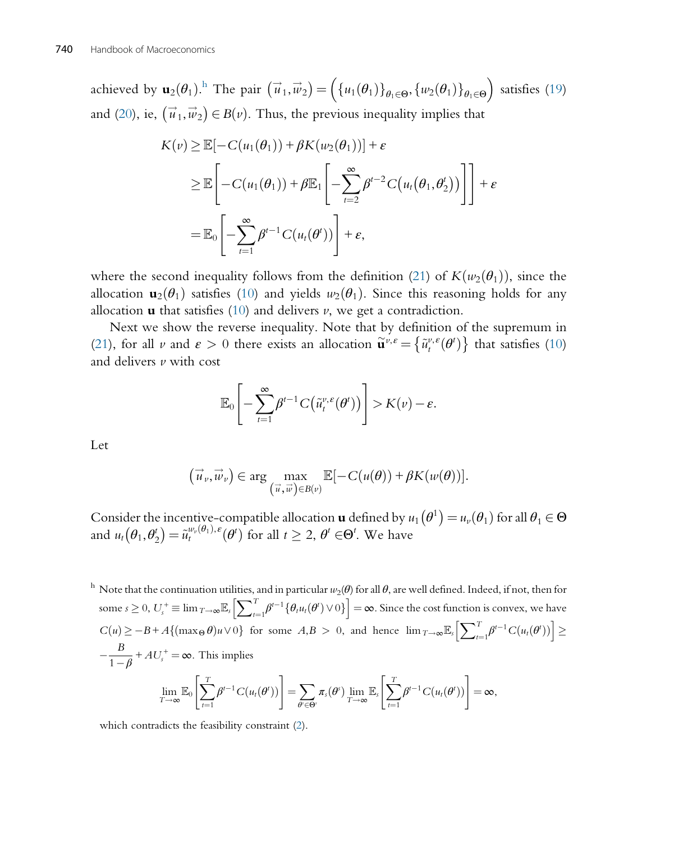achieved by  $\mathbf{u}_2(\theta_1)$ .<sup>h</sup> The pair  $(\vec{u}_1, \vec{w}_2) = (\{u_1(\theta_1)\}_{\theta_1 \in \Theta}, \{w_2(\theta_1)\}_{\theta_1 \in \Theta})$  satisfies [\(19\)](#page-11-0) and ([20\)](#page-11-0), ie,  $(\vec{u}_1, \vec{w}_2) \in B(v)$ . Thus, the previous inequality implies that

$$
K(v) \geq \mathbb{E}[-C(u_1(\theta_1)) + \beta K(w_2(\theta_1))] + \varepsilon
$$
  
\n
$$
\geq \mathbb{E}\left[-C(u_1(\theta_1)) + \beta \mathbb{E}_1\left[-\sum_{t=2}^{\infty} \beta^{t-2} C(u_t(\theta_1, \theta_2'))\right]\right] + \varepsilon
$$
  
\n
$$
= \mathbb{E}_0\left[-\sum_{t=1}^{\infty} \beta^{t-1} C(u_t(\theta'))\right] + \varepsilon,
$$

where the second inequality follows from the definition [\(21](#page-13-0)) of  $K(w_2(\theta_1))$ , since the allocation  $\mathbf{u}_2(\theta_1)$  satisfies [\(10](#page-9-0)) and yields  $w_2(\theta_1)$ . Since this reasoning holds for any allocation **u** that satisfies ([10](#page-9-0)) and delivers  $\nu$ , we get a contradiction.

Next we show the reverse inequality. Note that by definition of the supremum in [\(21\)](#page-13-0), for all v and  $\varepsilon > 0$  there exists an allocation  $\tilde{\mathbf{u}}^{\nu,\varepsilon} = \{\tilde{u}_t^{\nu,\varepsilon}(\theta^t)\}\$  that satisfies [\(10\)](#page-9-0) and delivers  $\nu$  with cost

$$
\mathbb{E}_0\left[-\sum_{t=1}^{\infty}\beta^{t-1}C(\tilde{u}_t^{\nu,\varepsilon}(\theta^t))\right] > K(\nu)-\varepsilon.
$$

Let

$$
(\vec{u}_v, \vec{w}_v) \in \arg \max_{(\vec{u}, \vec{w}) \in B(v)} \mathbb{E}[-C(u(\theta)) + \beta K(w(\theta))].
$$

Consider the incentive-compatible allocation **u** defined by  $u_1(\theta^1) = u_v(\theta_1)$  for all  $\theta_1 \in \Theta$  and  $u_t(\theta_1, \theta_2^t) = \tilde{u}_t^{w_v(\theta_1), \varepsilon}(\theta^t)$  for all  $t \ge 2$ ,  $\theta^t \in \Theta^t$ . We have

 $^{\rm h}$  Note that the continuation utilities, and in particular  $w_2(\theta)$  for all  $\theta$ , are well defined. Indeed, if not, then for some  $s \geq 0$ ,  $U_s^+ \equiv \lim_{T \to \infty} \mathbb{E}_s \Bigl[\sum_{t=1}^T$  $\left[\sum_{t=1}^T \beta^{t-1} \{\theta_t u_t(\theta^t) \vee 0\}\right] = \infty$ . Since the cost function is convex, we have  $C(u) \ge -B + A\{ (\max_{\Theta} \theta)u \vee 0 \}$  for some  $A, B > 0$ , and hence  $\lim_{T \to \infty} \mathbb{E}_{s} \Biggl[ \sum_{t=1}^{T} \mathbb{E}_{s} \Biggl[ \sum_{t=1}^{T} \mathbb{E}_{s} \Biggr]$  $\left[\sum_{t=1}^T \beta^{t-1} C(u_t(\theta^t))\right] \geq$  $-\frac{B}{1-\beta} + AU_s^+ = \infty$ . This implies  $\lim_{T \to \infty} \mathbb{E}_0 \left[ \sum_{t=1}^T \right]$  $t=1$  $\left[\sum_{t=1}^T \beta^{t-1} C(u_t(\theta^t))\right] = \sum_{\theta^t \in \Theta^t} \pi_s(\theta^s) \lim_{T \to \infty} \mathbb{E}_s \left[\sum_{t=1}^T \pi_t(\theta^t) \right]$  $t=1$  $\left[\sum_{t=1}^T \beta^{t-1} C(u_t(\theta^t))\right] = \infty,$ 

which contradicts the feasibility constraint [\(2\)](#page-5-0).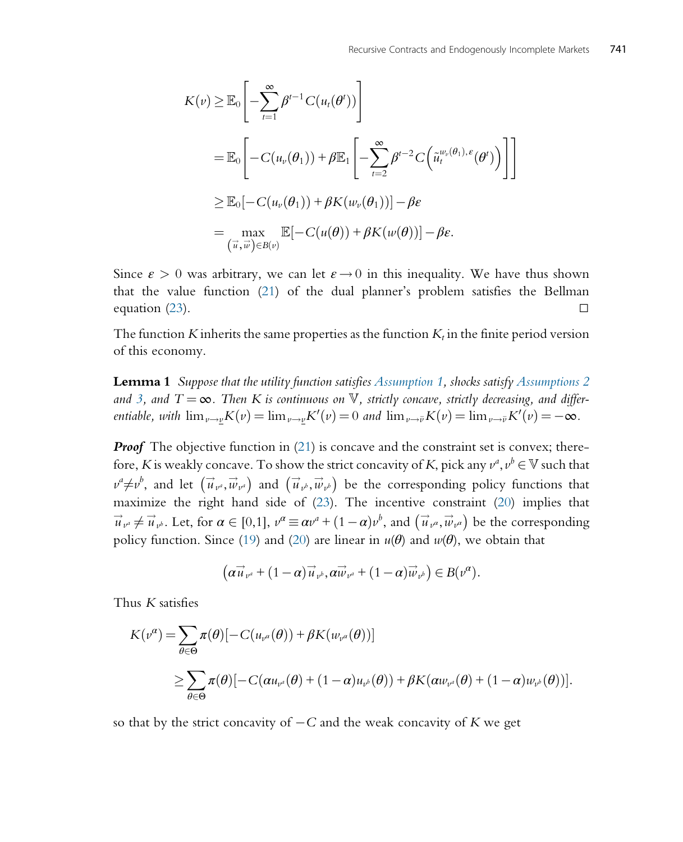$$
K(v) \geq \mathbb{E}_{0} \left[ -\sum_{t=1}^{\infty} \beta^{t-1} C(u_{t}(\theta^{t})) \right]
$$
  
\n
$$
= \mathbb{E}_{0} \left[ -C(u_{v}(\theta_{1})) + \beta \mathbb{E}_{1} \left[ -\sum_{t=2}^{\infty} \beta^{t-2} C\left(\tilde{u}_{t}^{w_{v}(\theta_{1}), \varepsilon}(\theta^{t})\right) \right] \right]
$$
  
\n
$$
\geq \mathbb{E}_{0} \left[ -C(u_{v}(\theta_{1})) + \beta K(w_{v}(\theta_{1})) \right] - \beta \varepsilon
$$
  
\n
$$
= \max_{(\vec{u}, \vec{w}) \in B(v)} \mathbb{E} \left[ -C(u(\theta)) + \beta K(w(\theta)) \right] - \beta \varepsilon.
$$

Since  $\varepsilon > 0$  was arbitrary, we can let  $\varepsilon \to 0$  in this inequality. We have thus shown that the value function [\(21\)](#page-13-0) of the dual planner's problem satisfies the Bellman equation ([23\)](#page-13-0).  $\Box$ 

The function K inherits the same properties as the function  $K_t$  in the finite period version of this economy.

**Lemma 1** Suppose that the utility function satisfies Assumption 1, shocks satisfy Assumptions 2 and 3, and  $T = \infty$ . Then K is continuous on V, strictly concave, strictly decreasing, and differentiable, with  $\lim_{\nu\to \underline{\nu}}K(\nu)=\lim_{\nu\to \underline{\nu}}K'(\nu)=0$  and  $\lim_{\nu\to \overline{\nu}}K(\nu)=\lim_{\nu\to \overline{\nu}}K'(\nu)=-\infty$ .

**Proof** The objective function in  $(21)$  $(21)$  $(21)$  is concave and the constraint set is convex; therefore, K is weakly concave. To show the strict concavity of K, pick any  $v^a$ ,  $v^b \in \mathbb{V}$  such that  $v^a \neq v^b$ , and let  $(\vec{u}_{v^a}, \vec{w}_{v^a})$  and  $(\vec{u}_{v^b}, \vec{w}_{v^b})$  be the corresponding policy functions that maximize the right hand side of [\(23\)](#page-13-0). The incentive constraint ([20](#page-11-0)) implies that  $\vec{u}_{\nu^a} \neq \vec{u}_{\nu^b}$ . Let, for  $\alpha \in [0,1]$ ,  $\nu^{\alpha} \equiv \alpha \nu^a + (1-\alpha)\nu^b$ , and  $(\vec{u}_{\nu^a}, \vec{w}_{\nu^a})$  be the corresponding policy function. Since ([19\)](#page-11-0) and [\(20](#page-11-0)) are linear in  $u(\theta)$  and  $w(\theta)$ , we obtain that

$$
(\alpha \vec{u}_{\nu^a} + (1 - \alpha) \vec{u}_{\nu^b}, \alpha \vec{w}_{\nu^a} + (1 - \alpha) \vec{w}_{\nu^b}) \in B(\nu^{\alpha}).
$$

Thus  $K$  satisfies

$$
K(\nu^{\alpha}) = \sum_{\theta \in \Theta} \pi(\theta) [-C(u_{\nu^{\alpha}}(\theta)) + \beta K(w_{\nu^{\alpha}}(\theta))]
$$
  
\n
$$
\geq \sum_{\theta \in \Theta} \pi(\theta) [-C(\alpha u_{\nu^{\alpha}}(\theta) + (1 - \alpha)u_{\nu^{\beta}}(\theta)) + \beta K(\alpha w_{\nu^{\alpha}}(\theta) + (1 - \alpha)w_{\nu^{\beta}}(\theta))].
$$

so that by the strict concavity of  $-C$  and the weak concavity of K we get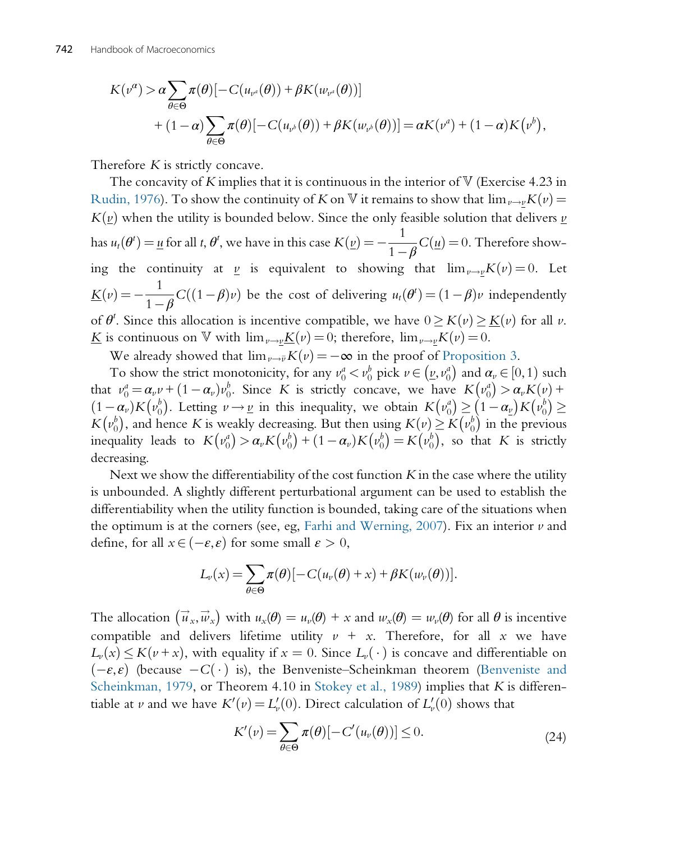<span id="page-17-0"></span>
$$
K(\nu^{\alpha}) > \alpha \sum_{\theta \in \Theta} \pi(\theta) [-C(u_{\nu^{\alpha}}(\theta)) + \beta K(w_{\nu^{\alpha}}(\theta))]
$$
  
+ 
$$
(1 - \alpha) \sum_{\theta \in \Theta} \pi(\theta) [-C(u_{\nu^{\beta}}(\theta)) + \beta K(w_{\nu^{\beta}}(\theta))] = \alpha K(\nu^{\alpha}) + (1 - \alpha) K(\nu^{\beta}),
$$

Therefore K is strictly concave.

The concavity of K implies that it is continuous in the interior of  $V$  (Exercise 4.23 in [Rudin, 1976\)](#page-115-0). To show the continuity of K on V it remains to show that  $\lim_{v\to v}K(v)$  =  $K(\underline{v})$  when the utility is bounded below. Since the only feasible solution that delivers  $\underline{v}$ has  $u_t(\theta^t) = \underline{u}$  for all t,  $\theta^t$ , we have in this case  $K(\underline{v}) = -\frac{1}{1-\theta^t}$  $\frac{1}{1-\beta}C(\underline{u})=0.$  Therefore show-<br>ing that  $\lim_{k\to\infty}K(u)=0$  Let ing the continuity at  $\underline{v}$  is equivalent to showing that  $\lim_{v\to v}K(v)=0$ . Let  $\underline{K}(v) = -\frac{1}{1-\beta}C((1-\beta)v)$  be the cost of delivering  $u_t(\theta^t) = (1-\beta)v$  independently<br>of  $\theta^t$ . Since this allocation is incentive compatible, we have  $0 \ge K(v) \ge K(v)$  for all v. of  $\theta^t$ . Since this allocation is incentive compatible, we have  $0 \ge K(v) \ge K(v)$  for all v.<br>K is continuous on W with  $\lim_{k \to \infty} K(v) = 0$ ; therefore,  $\lim_{k \to \infty} K(v) = 0$ . K is continuous on V with  $\lim_{\nu \to \nu} K(\nu) = 0$ ; therefore,  $\lim_{\nu \to \nu} K(\nu) = 0$ .

We already showed that  $\lim_{\nu \to \bar{\nu}} K(\nu) = -\infty$  in the proof of Proposition 3.<br>To show the strict monotonicity, for any  $y^d \le y^b$  pick  $y \in (y, y^d)$  and  $\alpha \in [0, \infty)$ 

To show the strict monotonicity, for any  $v_0^a < v_0^b$  pick  $v \in (\underline{v}, v_0^a)$  and  $\alpha_v \in [0, 1)$  such  $v_0^a = \alpha v + (1 - \alpha)v_0^b$ . Since K is strictly concave, we have  $K(v_0^a) \ge \alpha K(v_0) +$ that  $v_0^a = \alpha_v v + (1 - \alpha_v) v_0^b$ . Since K is strictly concave, we have  $K(v_0^a) > \alpha_v K(v) +$ <br>  $(1 - \alpha_v) K(v_0^b)$  Letting  $v \to v$  in this inequality, we obtain  $K(v_0^a) > (1 - \alpha_v) K(v_0^b)$  $(1 - \alpha_v) K(v_0^b)$ . Letting  $v \to v$  in this inequality, we obtain  $K(v_0^a) \ge (1 - \alpha_v) K(v_0^b) \ge$ <br> $K(v_0^b)$  and hence K is weakly decreasing. But then using  $K(v) \ge K(v_0^b)$  in the previous  $K(v_0^b)$ , and hence K is weakly decreasing. But then using  $K(v) \geq K(v_0^b)$  in the previous<br>inequality leads to  $K(v^a) > \alpha K(v^b) + (1-\alpha)K(v^b) - K(v^b)$  so that K is strictly inequality leads to  $K(v_0^d) > \alpha_v K(v_0^b) + (1 - \alpha_v) K(v_0^b) = K(v_0^b)$ , so that K is strictly decreasing.

Next we show the differentiability of the cost function  $K$  in the case where the utility is unbounded. A slightly different perturbational argument can be used to establish the differentiability when the utility function is bounded, taking care of the situations when the optimum is at the corners (see, eg, [Farhi and Werning, 2007\)](#page-113-0). Fix an interior  $\nu$  and define, for all  $x \in (-\varepsilon, \varepsilon)$  for some small  $\varepsilon > 0$ ,

$$
L_{\nu}(x) = \sum_{\theta \in \Theta} \pi(\theta) [-C(u_{\nu}(\theta) + x) + \beta K(w_{\nu}(\theta))].
$$

The allocation  $(\vec{u}_x, \vec{w}_x)$  with  $u_x(\theta) = u_y(\theta) + x$  and  $w_x(\theta) = w_y(\theta)$  for all  $\theta$  is incentive<br>compatible and delivere lifetime within  $w_y(x) = w_y(\theta)$  for all  $\theta$  is incentive compatible and delivers lifetime utility  $v + x$ . Therefore, for all x we have  $L_v(x) \leq K(v+x)$ , with equality if  $x = 0$ . Since  $L_v(\cdot)$  is concave and differentiable on  $(-\varepsilon,\varepsilon)$  (because  $-C(\cdot)$  is), the Benveniste–Scheinkman theorem [\(Benveniste and](#page-112-0) [Scheinkman, 1979,](#page-112-0) or Theorem 4.10 in [Stokey et al., 1989](#page-116-0)) implies that  $K$  is differentiable at  $\nu$  and we have  $K'(\nu) = L'_{\nu}(0)$ . Direct calculation of  $L'_{\nu}(0)$  shows that

$$
K'(v) = \sum_{\theta \in \Theta} \pi(\theta) [-C'(u_v(\theta))] \le 0.
$$
 (24)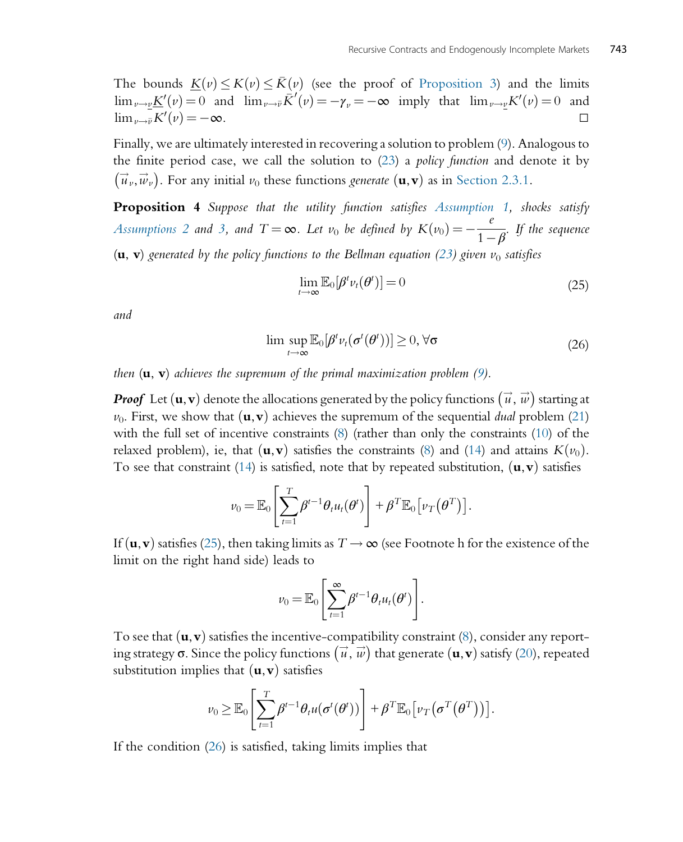<span id="page-18-0"></span>The bounds  $\underline{K}(v) \le K(v) \le \overline{K}(v)$  (see the proof of Proposition 3) and the limits<br>lim  $K'(v) = 0$  and lim  $\overline{K}'(v) = -\gamma = -\infty$  imply that lim  $K'(v) = 0$  and  $\lim_{\nu \to \underline{v}} \underline{K}'(\nu) = 0$  and  $\lim_{\nu \to \overline{\nu}} \overline{K}'(\nu) = -\gamma_{\nu} = -\infty$  imply that  $\lim_{\nu \to \underline{v}} K'(\nu) = 0$  and  $\lim_{\nu \to \bar{\nu}} K'$  $(v) = -\infty$ .

Finally, we are ultimately interested in recovering a solution to problem [\(9\)](#page-8-0). Analogous to the finite period case, we call the solution to  $(23)$  $(23)$  a *policy function* and denote it by  $(\vec{u}_v, \vec{w}_v)$ . For any initial  $v_0$  these functions *generate* (**u**,**v**) as in [Section 2.3.1.](#page-9-0)

**Proposition 4** Suppose that the utility function satisfies Assumption 1, shocks satisfy Assumptions 2 and 3, and  $T = \infty$ . Let  $v_0$  be defined by  $K(v_0) = -\frac{e}{1-e^{\frac{1}{2}}}\mathcal{L}(v_0)$  $\frac{1}{1-\beta}$ . If the sequence  $(u, v)$  generated by the policy functions to the Bellman equation ([23](#page-13-0)) given  $v_0$  satisfies

$$
\lim_{t \to \infty} \mathbb{E}_0[\beta^t \nu_t(\theta^t)] = 0 \tag{25}
$$

and

$$
\limsup_{t \to \infty} \mathbb{E}_0[\beta^t \nu_t(\sigma^t(\theta^t))] \ge 0, \forall \sigma
$$
\n(26)

then  $(\mathbf{u}, \mathbf{v})$  achieves the supremum of the primal maximization problem [\(9\)](#page-8-0).

**Proof** Let  $(\mathbf{u}, \mathbf{v})$  denote the allocations generated by the policy functions  $(\vec{u}, \vec{w})$  starting at  $u$ , First we show that  $(\mathbf{u}, \mathbf{v})$  achieves the supremum of the sequential dual problem (21).  $v_0$ . First, we show that  $(\mathbf{u}, \mathbf{v})$  achieves the supremum of the sequential *dual* problem [\(21\)](#page-13-0) with the full set of incentive constraints [\(8](#page-8-0)) (rather than only the constraints [\(10\)](#page-9-0) of the relaxed problem), ie, that  $(\mathbf{u}, \mathbf{v})$  satisfies the constraints [\(8\)](#page-8-0) and [\(14\)](#page-11-0) and attains  $K(v_0)$ . To see that constraint ([14](#page-11-0)) is satisfied, note that by repeated substitution,  $(\mathbf{u}, \mathbf{v})$  satisfies

$$
\nu_0 = \mathbb{E}_0 \left[ \sum_{t=1}^T \beta^{t-1} \theta_t u_t(\theta^t) \right] + \beta^T \mathbb{E}_0 \left[ \nu_T(\theta^T) \right].
$$

If  $(\mathbf{u}, \mathbf{v})$  satisfies (25), then taking limits as  $T \to \infty$  (see Footnote h for the existence of the limit on the right hand side) leads to

$$
\nu_0 = \mathbb{E}_0 \left[ \sum_{t=1}^{\infty} \beta^{t-1} \theta_t u_t(\theta^t) \right].
$$

To see that  $(\mathbf{u},\mathbf{v})$  satisfies the incentive-compatibility constraint ([8](#page-8-0)), consider any reporting strategy  $\sigma$ . Since the policy functions  $(\vec{u}, \vec{w})$  that generate  $(\mathbf{u}, \mathbf{v})$  satisfy ([20](#page-11-0)), repeated<br>substitution implies that  $(\mathbf{u}, \mathbf{v})$  satisfies substitution implies that  $(\mathbf{u}, \mathbf{v})$  satisfies

$$
\nu_0 \geq \mathbb{E}_0 \left[ \sum_{t=1}^T \beta^{t-1} \theta_t u(\sigma^t(\theta^t)) \right] + \beta^T \mathbb{E}_0 \left[ \nu_T \big( \sigma^T \big( \theta^T \big) \big) \right].
$$

If the condition (26) is satisfied, taking limits implies that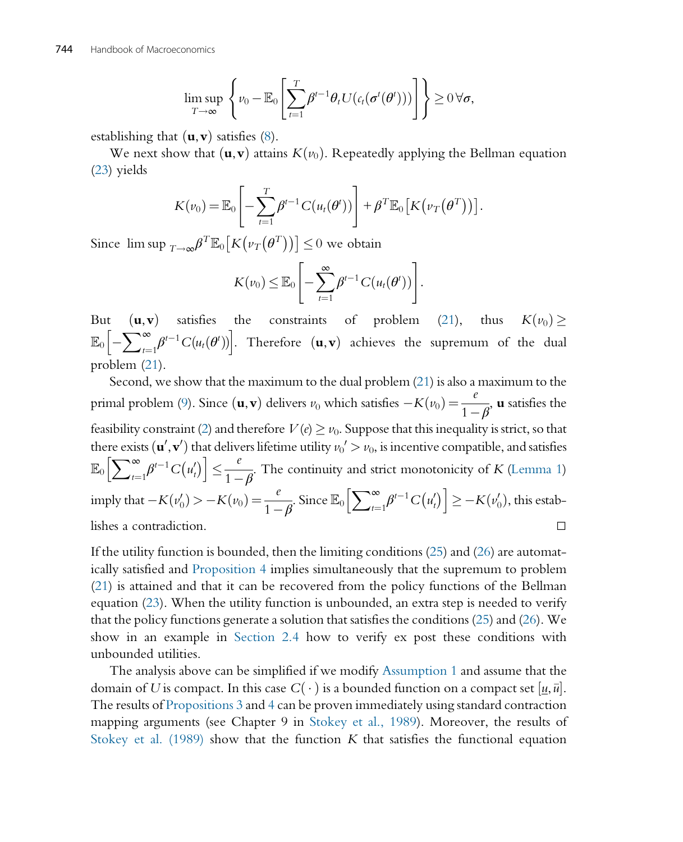$$
\limsup_{T\to\infty}\left\{\nu_0-\mathbb{E}_0\left[\sum_{t=1}^T \beta^{t-1}\theta_t U(c_t(\sigma^t(\theta^t)))\right]\right\}\geq 0 \,\forall \sigma,
$$

establishing that  $(\mathbf{u}, \mathbf{v})$  satisfies [\(8](#page-8-0)).

We next show that  $(\mathbf{u}, \mathbf{v})$  attains  $K(v_0)$ . Repeatedly applying the Bellman equation [\(23\)](#page-13-0) yields

$$
K(\nu_0) = \mathbb{E}_0 \left[ - \sum_{t=1}^T \beta^{t-1} C(u_t(\theta^t)) \right] + \beta^T \mathbb{E}_0 \left[ K(\nu_T(\theta^T)) \right].
$$

Since  $\limsup_{T\to\infty}\beta^T\mathbb{E}_0\left[K\left(\nu_T(\theta^T)\right)\right]\leq 0$  we obtain

$$
K(\nu_0) \leq \mathbb{E}_0 \left[ -\sum_{t=1}^{\infty} \beta^{t-1} C(u_t(\theta^t)) \right].
$$

But  $(\mathbf{u}, \mathbf{v})$  satisfies the constraints of problem [\(21\)](#page-13-0), thus  $K(v_0) \geq$  $\mathbb{E}_0\Bigl[-\sum\nolimits_{t=1}^\infty$  $t=1$  $\left[-\sum_{t=1}^{\infty}\beta^{t-1}C(u_t(\theta^t))\right]$ . Therefore  $(\mathbf{u}, \mathbf{v})$  achieves the supremum of the dual problem ([21](#page-13-0)).

Second, we show that the maximum to the dual problem ([21](#page-13-0)) is also a maximum to the primal problem [\(9\)](#page-8-0). Since  $(\mathbf{u}, \mathbf{v})$  delivers  $\nu_0$  which satisfies  $-K(\nu_0) = \frac{e}{1-\nu_0}$  $\frac{c}{1-\beta}$ , **u** satisfies the feasibility constraint [\(2\)](#page-5-0) and therefore  $V(e) \ge v_0$ . Suppose that this inequality is strict, so that there exists  $(\mathbf{u}', \mathbf{v}')$  that delivers lifetime utility  $v_0' > v_0$ , is incentive compatible, and satisfies  $\mathbb{E}_0\Big[\sum\nolimits_{t=1}^\infty$  $t=1$  $\left[\sum_{t=1}^{\infty} \beta^{t-1} C(u_t')\right] \leq \frac{e}{1-\beta}$ . The continuity and strict monotonicity of K (Lemma 1)  $1-\beta$ imply that  $-K(v_0') > -K(v_0) = \frac{e}{1-e^{-\frac{1}{2}}}\$  $\frac{e}{1-\beta}$ . Since  $\mathbb{E}_0\left[\sum_{t=1}^{\infty}$  $t=1$  $\left[\sum_{t=1}^{\infty} \beta^{t-1} C(u'_t)\right] \geq -K(v'_0)$ , this establishes a contradiction. □

If the utility function is bounded, then the limiting conditions ([25\)](#page-18-0) and [\(26](#page-18-0)) are automatically satisfied and Proposition 4 implies simultaneously that the supremum to problem [\(21\)](#page-13-0) is attained and that it can be recovered from the policy functions of the Bellman equation [\(23](#page-13-0)). When the utility function is unbounded, an extra step is needed to verify that the policy functions generate a solution that satisfies the conditions [\(25](#page-18-0)) and ([26](#page-18-0)). We show in an example in [Section 2.4](#page-20-0) how to verify ex post these conditions with unbounded utilities.

The analysis above can be simplified if we modify Assumption 1 and assume that the domain of U is compact. In this case  $C(\cdot)$  is a bounded function on a compact set  $[\underline{u}, \overline{u}]$ .<br>The results of Propositions 3 and 4 can be proven immediately using standard contraction The results of Propositions 3 and 4 can be proven immediately using standard contraction mapping arguments (see Chapter 9 in [Stokey et al., 1989\)](#page-116-0). Moreover, the results of Stokey et al.  $(1989)$  show that the function K that satisfies the functional equation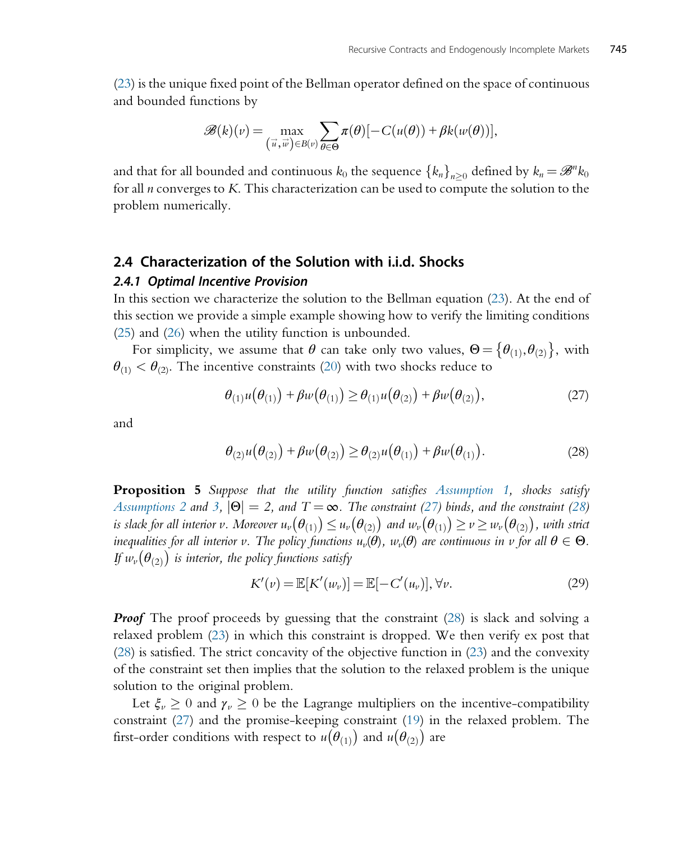<span id="page-20-0"></span>([23\)](#page-13-0) is the unique fixed point of the Bellman operator defined on the space of continuous and bounded functions by

$$
\mathscr{B}(k)(v) = \max_{(\vec{u}, \vec{w}) \in B(v)} \sum_{\theta \in \Theta} \pi(\theta) [-C(u(\theta)) + \beta k(w(\theta))],
$$

and that for all bounded and continuous  $k_0$  the sequence  $\{k_n\}_{n\geq 0}$  defined by  $k_n = \mathscr{B}^n k_0$ <br>for all u converges to K. This characterization can be used to compute the solution to the for all  $n$  converges to  $K$ . This characterization can be used to compute the solution to the problem numerically.

## 2.4 Characterization of the Solution with i.i.d. Shocks

#### 2.4.1 Optimal Incentive Provision

In this section we characterize the solution to the Bellman equation ([23](#page-13-0)). At the end of this section we provide a simple example showing how to verify the limiting conditions ([25\)](#page-18-0) and [\(26](#page-18-0)) when the utility function is unbounded.

For simplicity, we assume that  $\theta$  can take only two values,  $\Theta = {\theta_{(1)}, \theta_{(2)}}$ , with  $\angle \theta_{(2)}$ , The incentive constraints (20) with two shocks reduce to  $\theta_{(1)} < \theta_{(2)}$ . The incentive constraints [\(20\)](#page-11-0) with two shocks reduce to

$$
\theta_{(1)}u(\theta_{(1)}) + \beta w(\theta_{(1)}) \ge \theta_{(1)}u(\theta_{(2)}) + \beta w(\theta_{(2)}),
$$
\n(27)

and

$$
\theta_{(2)}u(\theta_{(2)}) + \beta w(\theta_{(2)}) \ge \theta_{(2)}u(\theta_{(1)}) + \beta w(\theta_{(1)}).
$$
 (28)

Proposition 5 Suppose that the utility function satisfies Assumption 1, shocks satisfy Assumptions 2 and 3,  $|\Theta| = 2$ , and  $T = \infty$ . The constraint (27) binds, and the constraint (28) is slack for all interior v. Moreover  $u_v(\theta_{(1)}) \leq u_v(\theta_{(2)})$  and  $w_v(\theta_{(1)}) \geq v \geq w_v(\theta_{(2)})$ , with strict<br>inequalities for all interior v. The policy functions  $u(\theta)$ ,  $w(\theta)$  are continuous in y for all  $\theta \in \Theta$ . inequalities for all interior v. The policy functions  $u_{\nu}(\theta)$ ,  $w_{\nu}(\theta)$  are continuous in v for all  $\theta \in \Theta$ . If  $w_v(\theta_{(2)})$  is interior, the policy functions satisfy

$$
K'(v) = \mathbb{E}[K'(w_v)] = \mathbb{E}[-C'(u_v)], \forall v.
$$
 (29)

**Proof** The proof proceeds by guessing that the constraint (28) is slack and solving a relaxed problem [\(23](#page-13-0)) in which this constraint is dropped. We then verify ex post that (28) is satisfied. The strict concavity of the objective function in ([23](#page-13-0)) and the convexity of the constraint set then implies that the solution to the relaxed problem is the unique solution to the original problem.

Let  $\xi_v \geq 0$  and  $\gamma_v \geq 0$  be the Lagrange multipliers on the incentive-compatibility constraint (27) and the promise-keeping constraint ([19](#page-11-0)) in the relaxed problem. The first-order conditions with respect to  $u(\theta_{(1)})$  and  $u(\theta_{(2)})$  are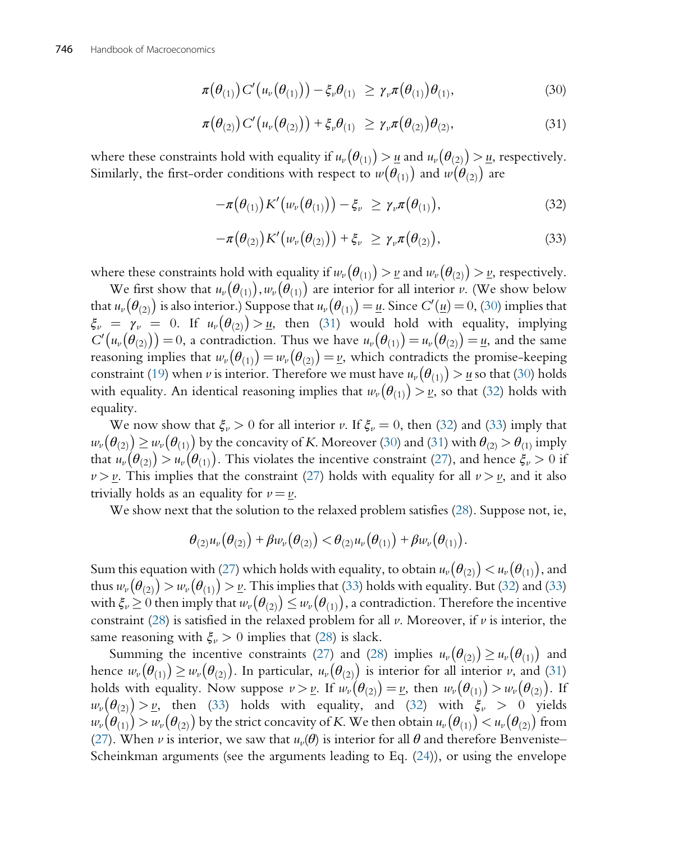$$
\pi(\theta_{(1)}) C' \big( u_{\nu}(\theta_{(1)}) \big) - \xi_{\nu} \theta_{(1)} \geq \gamma_{\nu} \pi(\theta_{(1)}) \theta_{(1)}, \tag{30}
$$

$$
\pi(\theta_{(2)}) C' \big( u_{\nu}(\theta_{(2)}) \big) + \xi_{\nu} \theta_{(1)} \geq \gamma_{\nu} \pi(\theta_{(2)}) \theta_{(2)}, \tag{31}
$$

<span id="page-21-0"></span>where these constraints hold with equality if  $u_v(\theta_{(1)}) > u$  and  $u_v(\theta_{(2)}) > u$ , respectively. Similarly, the first-order conditions with respect to  $w(\theta_{(1)})$  and  $w(\theta_{(2)})$  are

$$
-\pi(\theta_{(1)})K'(\omega_{\nu}(\theta_{(1)}))-\xi_{\nu}\geq \gamma_{\nu}\pi(\theta_{(1)}), \qquad (32)
$$

$$
-\pi(\theta_{(2)})K'(\omega_v(\theta_{(2)}))+\xi_v \geq \gamma_v\pi(\theta_{(2)}),
$$
\n(33)

where these constraints hold with equality if  $w_v(\theta_{(1)}) > \underline{v}$  and  $w_v(\theta_{(2)}) > \underline{v}$ , respectively.

We first show that  $u_{\nu}(\theta_{(1)})$ ,  $w_{\nu}(\theta_{(1)})$  are interior for all interior  $\nu$ . (We show below that  $u_{\nu}(\theta_{(2)})$  is also interior.) Suppose that  $u_{\nu}(\theta_{(1)}) = \underline{u}$ . Since  $C'(\underline{u}) = 0$ , (30) implies that  $\xi = \chi = 0$ . If  $u(\theta_{(1)}) > u$ , then (31) would hold with equality implying  $\xi_v = \gamma_v = 0$ . If  $u_v(\theta_{(2)}) \ge \underline{u}$ , then (31) would hold with equality, implying  $C'(u(\theta_{(2)})) = 0$  a contradiction. Thus we have  $u(\theta_{(2)}) = u(\theta_{(2)}) = u$  and the same  $C'(u_\nu(\theta_{(2)})) = 0$ , a contradiction. Thus we have  $u_\nu(\theta_{(1)}) = u_\nu(\theta_{(2)}) = u$ , and the same<br>reasoning implies that  $u_\nu(\theta_{(2)}) = u_\nu(\theta_{(2)}) = u$ , which contradicts the promise keeping reasoning implies that  $w_{\nu}(\theta_{(1)}) = w_{\nu}(\theta_{(2)}) = \underline{\nu}$ , which contradicts the promise-keeping<br>constraint (19) when use interior. Therefore we must have  $u_{\nu}(\theta_{(2)}) > u$  so that (30) holds constraint ([19](#page-11-0)) when v is interior. Therefore we must have  $u_{\nu}(\theta_{(1)}) > u$  so that (30) holds with equality. An identical reasoning implies that  $w_{\nu}(\theta_{(1)}) > \underline{\nu}$ , so that (32) holds with equality.

We now show that  $\xi_{\nu} > 0$  for all interior v. If  $\xi_{\nu} = 0$ , then (32) and (33) imply that  $w_v(\theta_{(2)}) \geq w_v(\theta_{(1)})$  by the concavity of K. Moreover (30) and (31) with  $\theta_{(2)} > \theta_{(1)}$  imply<br>that  $w(\theta_{(2)}) > w_v(\theta_{(3)})$ . This violates the incentive constraint (27) and hence  $\xi > 0$  if that  $u_{\nu}(\theta_{(2)}) > u_{\nu}(\theta_{(1)})$ . This violates the incentive constraint ([27\)](#page-20-0), and hence  $\xi_{\nu} > 0$  if  $v > v$ . This implies that the constraint [\(27](#page-20-0)) holds with equality for all  $v > v$ , and it also trivially holds as an equality for  $v = v$ .

We show next that the solution to the relaxed problem satisfies [\(28](#page-20-0)). Suppose not, ie,

$$
\theta_{(2)}u_{\nu}(\theta_{(2)}) + \beta w_{\nu}(\theta_{(2)}) < \theta_{(2)}u_{\nu}(\theta_{(1)}) + \beta w_{\nu}(\theta_{(1)}).
$$

Sum this equation with ([27](#page-20-0)) which holds with equality, to obtain  $u_{\nu}(\theta_{(2)}) < u_{\nu}(\theta_{(1)})$ , and<br>there  $u_{\nu}(\theta_{(1)}) > u_{\nu}(\theta_{(1)}) > u_{\nu}$ . This invaligate to (22) holds with equality. But (22) and (22) thus  $w_v(\theta_{(2)}) > w_v(\theta_{(1)}) > v$ . This implies that (33) holds with equality. But (32) and (33) with  $\xi_{\nu} \geq 0$  then imply that  $w_{\nu}(\theta_{(2)}) \leq w_{\nu}(\theta_{(1)})$ , a contradiction. Therefore the incentive<br>constraint (28) is satisfied in the relaxed problem for all  $\nu$ . Moreover, if  $\nu$  is interior, the constraint [\(28](#page-20-0)) is satisfied in the relaxed problem for all  $\nu$ . Moreover, if  $\nu$  is interior, the same reasoning with  $\xi_v > 0$  implies that [\(28](#page-20-0)) is slack.

Summing the incentive constraints [\(27](#page-20-0)) and ([28\)](#page-20-0) implies  $u_{\nu}(\theta_{(2)}) \ge u_{\nu}(\theta_{(1)})$  and (31) hence  $w_{\nu}(\theta_{(1)}) \geq w_{\nu}(\theta_{(2)})$ . In particular,  $u_{\nu}(\theta_{(2)})$  is interior for all interior  $\nu$ , and (31) holds with equality. Now suppose  $v > \underline{v}$ . If  $w_{\nu}(\theta_{(2)}) = \underline{v}$ , then  $w_{\nu}(\theta_{(1)}) > w_{\nu}(\theta_{(2)})$ . If  $w_v(\theta_{(2)}) > v$ , then (33) holds with equality, and (32) with  $\xi_v > 0$  yields  $w_{\nu}(\theta_{(1)}) > w_{\nu}(\theta_{(2)})$  by the strict concavity of K. We then obtain  $u_{\nu}(\theta_{(1)}) < u_{\nu}(\theta_{(2)})$  from [\(27\)](#page-20-0). When v is interior, we saw that  $u_{\nu}(\theta)$  is interior for all  $\theta$  and therefore Benveniste– Scheinkman arguments (see the arguments leading to Eq. [\(24](#page-17-0))), or using the envelope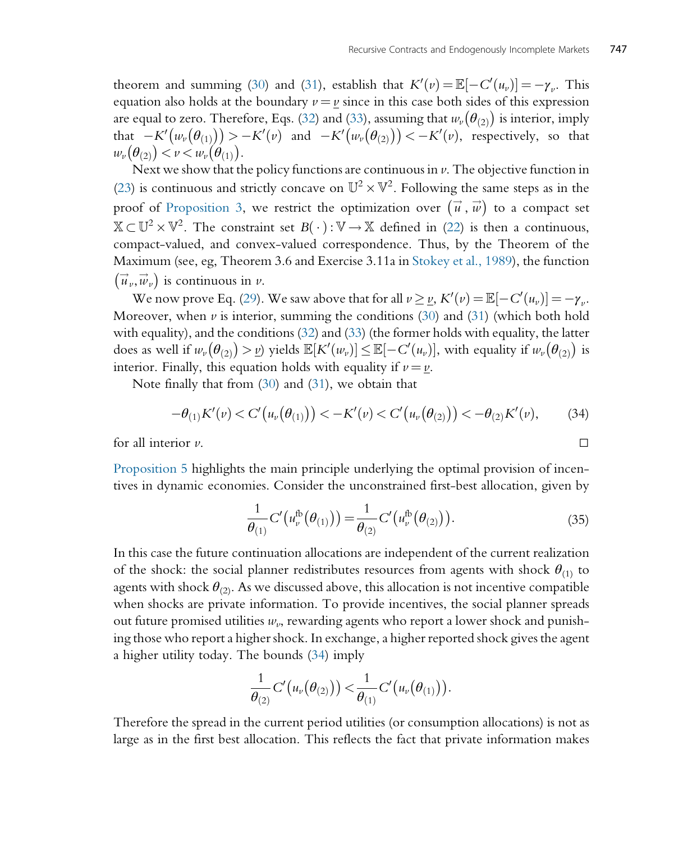theorem and summing ([30\)](#page-21-0) and [\(31\)](#page-21-0), establish that  $K'(v) = \mathbb{E}[-C'(u_v)] = -\gamma_v$ . This equation also holds at the boundary  $v = v$  since in this case both sides of this expression are equal to zero. Therefore, Eqs. ([32](#page-21-0)) and ([33](#page-21-0)), assuming that  $w_v(\theta_{(2)})$  is interior, imply that  $-K'(w_v(\theta_{(1)})) > -K'(v)$  and  $-K'(w_v(\theta_{(2)})) < -K'(v)$ , respectively, so that  $w_{\nu}(\theta_{(2)}) < \nu < w_{\nu}(\theta_{(1)})$ .

Next we show that the policy functions are continuous in  $\nu$ . The objective function in [\(23\)](#page-13-0) is continuous and strictly concave on  $\mathbb{U}^2 \times \mathbb{V}^2$ . Following the same steps as in the proof of Proposition 3, we restrict the optimization over  $(\vec{u}, \vec{w})$  to a compact set  $\mathbb{X} \subset \mathbb{U}^2 \times \mathbb{V}^2$ . The constraint set  $B(\cdot): \mathbb{V} \to \mathbb{X}$  defined in [\(22](#page-13-0)) is then a continuous,<br>compact valued, and convex valued correspondence. Thus, by the Theorem of the compact-valued, and convex-valued correspondence. Thus, by the Theorem of the Maximum (see, eg, Theorem 3.6 and Exercise 3.11a in [Stokey et al., 1989](#page-116-0)), the function  $(\vec{u}_v, \vec{w}_v)$  is continuous in  $v$ .

We now prove Eq. [\(29](#page-20-0)). We saw above that for all  $v \geq v, K'(v) = \mathbb{E}[-C'(u_v)] = -\gamma_v$ . Moreover, when  $\nu$  is interior, summing the conditions ([30](#page-21-0)) and ([31\)](#page-21-0) (which both hold with equality), and the conditions [\(32\)](#page-21-0) and ([33](#page-21-0)) (the former holds with equality, the latter does as well if  $w_v(\theta_{(2)}) > v$  yields  $\mathbb{E}[K'(w_v)] \leq \mathbb{E}[-C'(u_v)]$ , with equality if  $w_v(\theta_{(2)})$  is<br>interior. Finally, this equation holds with equality if  $v-v$ . interior. Finally, this equation holds with equality if  $v = v$ .

Note finally that from [\(30\)](#page-21-0) and ([31](#page-21-0)), we obtain that

$$
-\theta_{(1)}K'(v) < C'\big(u_v(\theta_{(1)})\big) < -K'(v) < C'\big(u_v(\theta_{(2)})\big) < -\theta_{(2)}K'(v),\tag{34}
$$

for all interior  $\nu$ .  $\Box$ 

Proposition 5 highlights the main principle underlying the optimal provision of incentives in dynamic economies. Consider the unconstrained first-best allocation, given by

$$
\frac{1}{\theta_{(1)}} C'(u_v^{fb}(\theta_{(1)})) = \frac{1}{\theta_{(2)}} C'(u_v^{fb}(\theta_{(2)})).
$$
\n(35)

In this case the future continuation allocations are independent of the current realization of the shock: the social planner redistributes resources from agents with shock  $\theta_{(1)}$  to agents with shock  $\theta_{(2)}$ . As we discussed above, this allocation is not incentive compatible when shocks are private information. To provide incentives, the social planner spreads out future promised utilities  $w_{\nu}$ , rewarding agents who report a lower shock and punishing those who report a higher shock. In exchange, a higher reported shock gives the agent a higher utility today. The bounds (34) imply

$$
\frac{1}{\theta_{(2)}}C'(u_{\nu}(\theta_{(2)})) < \frac{1}{\theta_{(1)}}C'(u_{\nu}(\theta_{(1)})).
$$

Therefore the spread in the current period utilities (or consumption allocations) is not as large as in the first best allocation. This reflects the fact that private information makes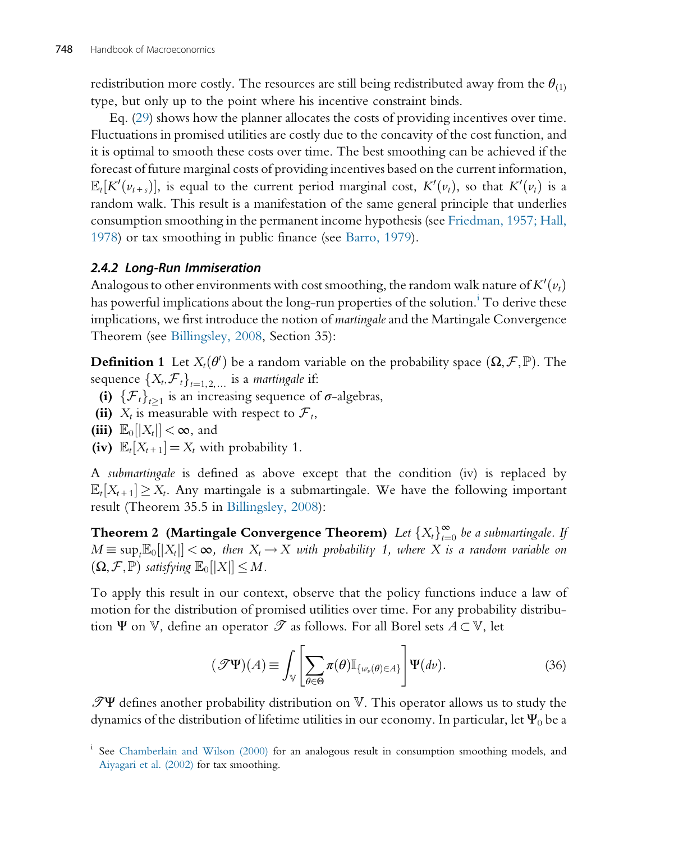redistribution more costly. The resources are still being redistributed away from the  $\theta_{(1)}$ type, but only up to the point where his incentive constraint binds.

Eq. [\(29](#page-20-0)) shows how the planner allocates the costs of providing incentives over time. Fluctuations in promised utilities are costly due to the concavity of the cost function, and it is optimal to smooth these costs over time. The best smoothing can be achieved if the forecast of future marginal costs of providing incentives based on the current information,  $\mathbb{E}_t[K'(v_t, s)]$ , is equal to the current period marginal cost,  $K'(v_t)$ , so that  $K'(v_t)$  is a random walk. This result is a manifestation of the same general principle that underlies random walk. This result is a manifestation of the same general principle that underlies consumption smoothing in the permanent income hypothesis (see [Friedman, 1957; Hall,](#page-114-0) [1978](#page-114-0)) or tax smoothing in public finance (see [Barro, 1979](#page-112-0)).

## 2.4.2 Long-Run Immiseration

Analogous to other environments with cost smoothing, the random walk nature of  $K'(\nu_t)$ <br>has powerful implications about the long-run properties of the solution <sup>i</sup> To derive these has powerful implications about the long-run properties of the solution.  $^{\rm i}$  To derive these implications, we first introduce the notion of *martingale* and the Martingale Convergence Theorem (see [Billingsley, 2008](#page-113-0), Section 35):

**Definition 1** Let  $X_t(\theta^t)$  be a random variable on the probability space  $(\Omega, \mathcal{F}, \mathbb{P})$ . The sequence  $\{X_t, \mathcal{F}_t\}_{t=1,2,\ldots}$  is a *martingale* if:

- (i)  $\{\mathcal{F}_t\}_{t>1}$  is an increasing sequence of  $\sigma$ -algebras,
- (ii)  $X_t$  is measurable with respect to  $\mathcal{F}_t$ ,
- (iii)  $\mathbb{E}_0[|X_t|] < \infty$ , and
- (iv)  $\mathbb{E}_{t}[X_{t+1}] = X_{t}$  with probability 1.

A submartingale is defined as above except that the condition (iv) is replaced by  $\mathbb{E}_{t}|X_{t+1}| \geq X_{t}$ . Any martingale is a submartingale. We have the following important result (Theorem 35.5 in [Billingsley, 2008\)](#page-113-0):

**Theorem 2 (Martingale Convergence Theorem)** Let  $\{X_t\}_{t=0}^{\infty}$  be a submartingale. If  $M = \sup_{\mathbb{R}} \mathbb{E}_t[|X|] \geq \infty$ , then  $X \to X$  with probability 1, where X is a random variable on  $M \equiv \sup_{\iota} \mathbb{E}_0[|X_{\iota}|] < \infty$ , then  $X_{\iota} \to X$  with probability 1, where X is a random variable on  $O \subseteq \mathbb{F}$   $\mathbb{P}$ ) satisfying  $\mathbb{E} \cup [X \cup X] < M$  $(\Omega, \mathcal{F}, \mathbb{P})$  satisfying  $\mathbb{E}_0[|X|] \leq M$ .

To apply this result in our context, observe that the policy functions induce a law of motion for the distribution of promised utilities over time. For any probability distribution Ψ on V, define an operator  $\mathscr T$  as follows. For all Borel sets  $A\subset V$ , let

$$
(\mathscr{T}\Psi)(A) \equiv \int_{\mathbb{V}} \left[ \sum_{\theta \in \Theta} \pi(\theta) \mathbb{I}_{\{\omega_v(\theta) \in A\}} \right] \Psi(dv).
$$
 (36)

 $\mathscr{I}\Psi$  defines another probability distribution on V. This operator allows us to study the dynamics of the distribution of lifetime utilities in our economy. In particular, let  $\Psi_0$  be a

<sup>&</sup>lt;sup>i</sup> See [Chamberlain and Wilson \(2000\)](#page-113-0) for an analogous result in consumption smoothing models, and [Aiyagari et al. \(2002\)](#page-112-0) for tax smoothing.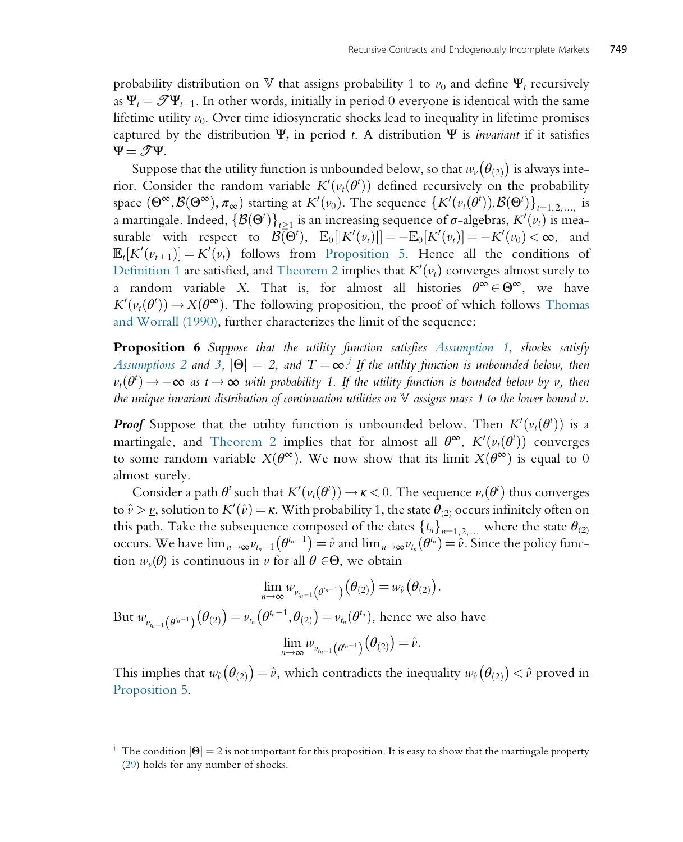probability distribution on V that assigns probability 1 to  $\nu_0$  and define  $\Psi_t$  recursively as  $\Psi_t = \mathscr{F} \Psi_{t-1}$ . In other words, initially in period 0 everyone is identical with the same lifetime utility  $v_0$ . Over time idiosyncratic shocks lead to inequality in lifetime promises captured by the distribution  $\Psi_t$  in period t. A distribution  $\Psi$  is *invariant* if it satisfies  $\Psi = \mathscr{T}\Psi$ .

Suppose that the utility function is unbounded below, so that  $w_v(\theta_{(2)})$  is always inte-<br>Consider the number weights  $V'(\mu_{(d)}(t))$  defined accomingly an the numberline rior. Consider the random variable  $K'(v_t(\theta^t))$  defined recursively on the probability space  $(\mathbf{\Theta}^{\infty}, \mathcal{B}(\mathbf{\Theta}^{\infty}), \pi_{\infty})$  starting at  $K'(v_0)$ . The sequence  $\{K'(v_t(\theta^t)), \mathcal{B}(\mathbf{\Theta}^t)\}_{t=1,2,\dots}$  is a martingale. Indeed,  $\{\mathcal{B}(\Theta^t)\}_{t\geq 1}$  is an increasing sequence of  $\sigma$ -algebras,  $K'(\nu_t)$  is mea-<br>surable with respect to  $\mathcal{B}(\Theta^t)$   $\mathbb{E}[[K'(\nu_t)]] = -\mathbb{E}_\sigma[K'(\nu_t) - K'(\nu_t)] < \infty$  and surable with respect to  $\mathcal{B}(\Theta')$ ,  $\mathbb{E}_0[[K'(v_t)]] = -\mathbb{E}_0[K'(v_t)] = -K'(v_0) < \infty$ , and  $\mathbb{E}_t[K'(\nu_{t+1})] = K'(\nu_t)$  follows from Proposition 5. Hence all the conditions of Definition 1 are satisfied, and Theorem 2 implies that  $K'(v_t)$  converges almost surely to  $v_t$  and  $\Delta w$  with  $\Delta w$  and  $\Delta w$  and  $\Delta w$  and  $\Delta w$ a random variable X. That is, for almost all histories  $\theta^{\infty} \in \Theta^{\infty}$ , we have  $K'(v_t(\theta^t)) \to X(\theta^{\infty})$ . The following proposition, the proof of which follows [Thomas](#page-116-0) [and Worrall](#page-116-0) (1990), further characterizes the limit of the sequence:

**Proposition 6** Suppose that the utility function satisfies Assumption 1, shocks satisfy Assumptions 2 and 3,  $|\Theta| = 2$ , and  $T = \infty$ .<sup>*j*</sup> If the utility function is unbounded below, then  $\mu(\theta^t) \rightarrow -\infty$  as  $t \rightarrow \infty$  with probability 1. If the utility function is hounded below by u, then  $v_t(\theta') \to -\infty$  as  $t \to \infty$  with probability 1. If the utility function is bounded below by y, then the unique invariant distribution of continuation utilities on  $\mathbb {V}$  assigns mass 1 to the lower bound  $\underline{\nu}$ .

**Proof** Suppose that the utility function is unbounded below. Then  $K'(v_t(\theta'))$  is a martingale, and Theorem 2 implies that for almost all  $\theta^{\infty}$ ,  $K'(v_t(\theta^t))$  converges to some random variable  $X(\theta^{\infty})$ . We now show that its limit  $X(\theta^{\infty})$  is equal to 0 almost surely.

Consider a path  $\theta^t$  such that  $K'(v_t(\theta^t)) \to \kappa < 0$ . The sequence  $v_t(\theta^t)$  thus converges to  $\hat{v} > \underline{v}$ , solution to  $K'(\hat{v}) = \kappa$ . With probability 1, the state  $\theta_{(2)}$  occurs infinitely often on this path. Take the subsequence composed of the dates  $\hat{u}$  where the state  $\theta_{\text{av}}$ this path. Take the subsequence composed of the dates  $\{t_n\}_{n=1,2,...}$  where the state  $\theta_{(2)}$ occurs. We have  $\lim_{n\to\infty} \nu_{t_n-1} (\theta^{t_n-1}) = \hat{\nu}$  and  $\lim_{n\to\infty} \nu_{t_n} (\theta^{t_n}) = \hat{\nu}$ . Since the policy function  $w_{\nu}(\theta)$  is continuous in  $\nu$  for all  $\theta \in \Theta$ , we obtain

$$
\lim_{n \to \infty} w_{\nu_{t_{n-1}}(\theta^{t_{n-1}})}(\theta_{(2)}) = w_{\hat{\nu}}(\theta_{(2)}).
$$
  
But  $w_{\nu_{t_{n-1}}(\theta^{t_{n-1}})}(\theta_{(2)}) = \nu_{t_n}(\theta^{t_{n-1}}, \theta_{(2)}) = \nu_{t_n}(\theta^{t_n}),$  hence we also have  

$$
\lim_{n \to \infty} w_{\nu_{t_{n-1}}(\theta^{t_{n-1}})}(\theta_{(2)}) = \hat{\nu}.
$$

This implies that  $w_{\hat{v}}(\theta_{(2)}) = \hat{v}$ , which contradicts the inequality  $w_{\hat{v}}(\theta_{(2)}) < \hat{v}$  proved in Proposition 5. Proposition 5.

<sup>&</sup>lt;sup>j</sup> The condition  $|\Theta| = 2$  is not important for this proposition. It is easy to show that the martingale property [\(29\)](#page-20-0) holds for any number of shocks.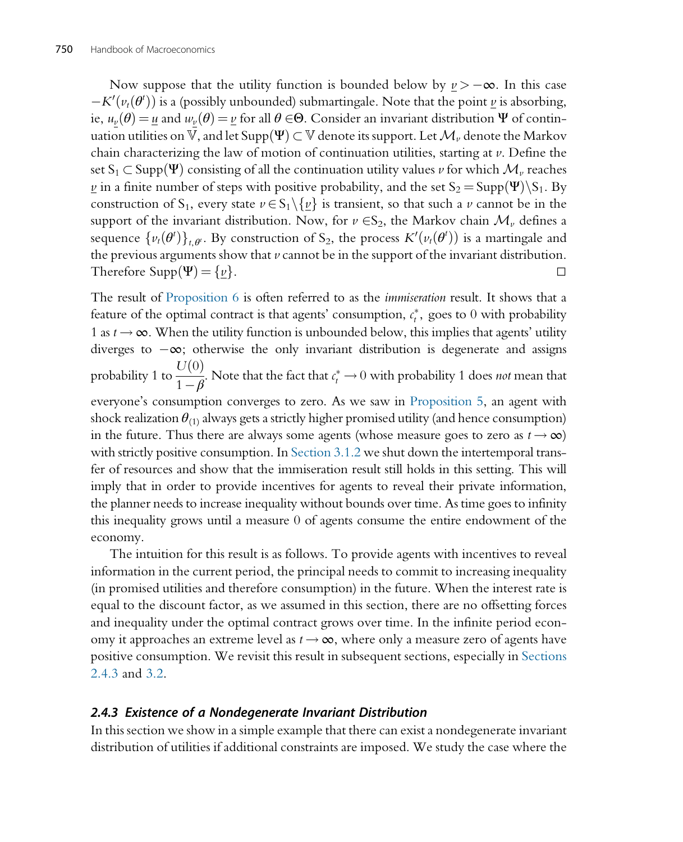Now suppose that the utility function is bounded below by  $\underline{v} > -\infty$ . In this case  $-K'(v_t(\theta^t))$  is a (possibly unbounded) submartingale. Note that the point v is absorbing, ie,  $u_v(\theta) = \underline{u}$  and  $w_v(\theta) = \underline{v}$  for all  $\theta \in \Theta$ . Consider an invariant distribution  $\Psi$  of continuation utilities on  $V$ , and let Supp $(\Psi) \subset V$  denote its support. Let  $\mathcal{M}_{\nu}$  denote the Markov chain characterizing the law of motion of continuation utilities, starting at  $\nu$ . Define the set  $S_1 \subset \text{Supp}(\Psi)$  consisting of all the continuation utility values v for which  $\mathcal{M}_{\nu}$  reaches  $\underline{v}$  in a finite number of steps with positive probability, and the set  $S_2 = Supp(\Psi)\S_1$ . By construction of S<sub>1</sub>, every state  $\nu \in S_1 \setminus {\{\underline{\nu}\}}$  is transient, so that such a  $\nu$  cannot be in the support of the invariant distribution. Now, for  $v \in S_2$ , the Markov chain  $\mathcal{M}_v$  defines a sequence  $\{v_t(\theta^t)\}_{t,\theta^t}$ . By construction of S<sub>2</sub>, the process  $K'(v_t(\theta^t))$  is a martingale and the previous arguments show that  $\nu$  cannot be in the support of the invariant distribution. Therefore  $\text{Supp}(\Psi) = {\{\varrho\}}$ .

The result of Proposition 6 is often referred to as the *immiseration* result. It shows that a feature of the optimal contract is that agents' consumption,  $c_t^*$ , goes to 0 with probability 1 as  $t \rightarrow \infty$ . When the utility function is unbounded below, this implies that agents' utility diverges to  $-\infty$ ; otherwise the only invariant distribution is degenerate and assigns probability 1 to  $\frac{U(0)}{1-\rho}$  $\frac{1-\beta}{1-\beta}$ . Note that the fact that  $c_t^* \to 0$  with probability 1 does *not* mean that unntion converges to zero. As we saw in Proposition 5, an agent with everyone's consumption converges to zero. As we saw in Proposition 5, an agent with shock realization  $\theta_{(1)}$  always gets a strictly higher promised utility (and hence consumption) in the future. Thus there are always some agents (whose measure goes to zero as  $t \to \infty$ ) with strictly positive consumption. In [Section 3.1.2](#page-53-0) we shut down the intertemporal transfer of resources and show that the immiseration result still holds in this setting. This will imply that in order to provide incentives for agents to reveal their private information, the planner needs to increase inequality without bounds over time. As time goes to infinity this inequality grows until a measure 0 of agents consume the entire endowment of the economy.

The intuition for this result is as follows. To provide agents with incentives to reveal information in the current period, the principal needs to commit to increasing inequality (in promised utilities and therefore consumption) in the future. When the interest rate is equal to the discount factor, as we assumed in this section, there are no offsetting forces and inequality under the optimal contract grows over time. In the infinite period economy it approaches an extreme level as  $t \rightarrow \infty$ , where only a measure zero of agents have positive consumption. We revisit this result in subsequent sections, especially in Sections 2.4.3 and [3.2](#page-62-0).

#### 2.4.3 Existence of a Nondegenerate Invariant Distribution

In this section we show in a simple example that there can exist a nondegenerate invariant distribution of utilities if additional constraints are imposed. We study the case where the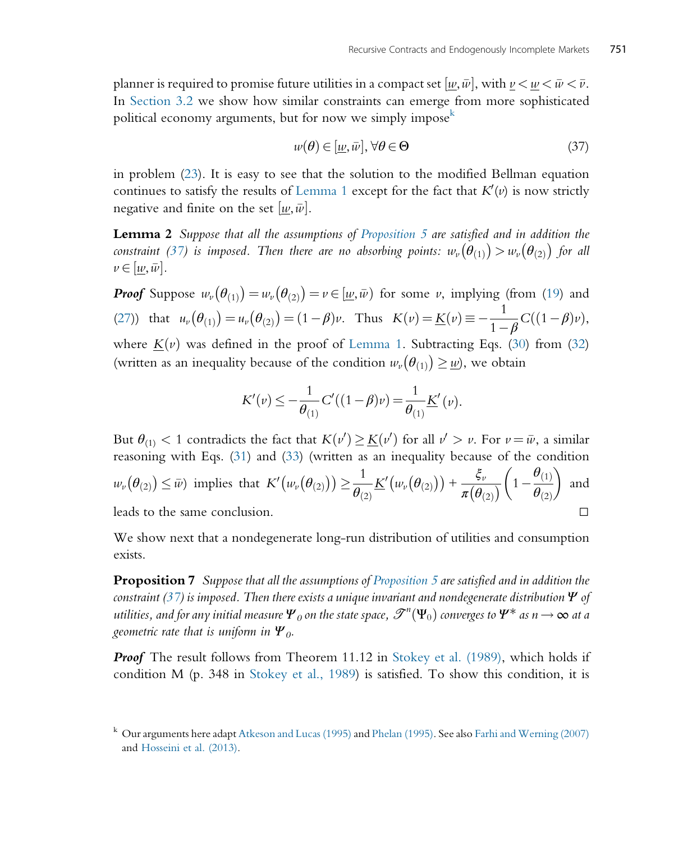<span id="page-26-0"></span>planner is required to promise future utilities in a compact set  $[\underline{w}, \overline{w}]$ , with  $\underline{v} \le \underline{w} \le \overline{w} \le \overline{v}$ .<br>In Section 3.2 we show how similar constraints can emerge from more sophisticated In [Section 3.2](#page-62-0) we show how similar constraints can emerge from more sophisticated political economy arguments, but for now we simply impose<sup> $k$ </sup>

$$
w(\theta) \in [\underline{w}, \overline{w}], \forall \theta \in \Theta \tag{37}
$$

in problem ([23\)](#page-13-0). It is easy to see that the solution to the modified Bellman equation continues to satisfy the results of Lemma 1 except for the fact that  $K^{\prime}(\nu)$  is now strictly negative and finite on the set  $[\underline{w}, \bar{w}]$ .

**Lemma 2** Suppose that all the assumptions of Proposition 5 are satisfied and in addition the constraint (37) is imposed. Then there are no absorbing points:  $w_{\nu}(\theta_{(1)}) > w_{\nu}(\theta_{(2)})$  for all  $v \in [\underline{w}, \overline{w}].$ 

**Proof** Suppose  $w_v(\theta_{(1)}) = w_v(\theta_{(2)}) = v \in [\underline{w}, \overline{w})$  for some v, implying (from [\(19\)](#page-11-0) and ([27\)](#page-20-0)) that  $u_v(\theta_{(1)}) = u_v(\theta_{(2)}) = (1 - \beta)v$ . Thus  $K(v) = \underline{K}(v) \equiv -\frac{1}{1 - \beta}C((1 - \beta)v)$ ,<br>where  $K(v)$  was defined in the proof of Lemma 1. Subtracting Eqs. (30) from (32) where  $K(v)$  was defined in the proof of Lemma 1. Subtracting Eqs. [\(30\)](#page-21-0) from [\(32\)](#page-21-0) (written as an inequality because of the condition  $w_{\nu}(\theta_{(1)}) \geq \underline{\omega}$ ), we obtain

$$
K'(v) \leq -\frac{1}{\theta_{(1)}} C'((1-\beta)v) = \frac{1}{\theta_{(1)}} \underline{K}'(v).
$$

But  $\theta_{(1)} < 1$  contradicts the fact that  $K(v') \geq K(v')$  for all  $v' > v$ . For  $v = \bar{w}$ , a similar reasoning with Eqs. (31) and (33) (written as an inequality because of the condition reasoning with Eqs. ([31](#page-21-0)) and [\(33\)](#page-21-0) (written as an inequality because of the condition  $\displaystyle{ w_{\nu}\big(\theta_{(2)}\big)\leq \bar w)}$  implies that  $K'\big(w_{\nu}\big(\theta_{(2)}\big)\big)\geq \frac{1}{\theta_{(2)}}$  $\frac{1}{\theta_{(2)}}\underline{K}'\big(w_\nu\big(\theta_{(2)}\big)\big)+\frac{\xi_\nu}{\pi\big(\theta_{(2)}\big)}$  $\frac{\xi_v}{\pi(\theta_{(2)})}\bigg(1-\frac{\theta_{(1)}}{\theta_{(2)}}\bigg)$  $\left( \begin{array}{cc} \theta_{(1)} \end{array} \right)$ and leads to the same conclusion. □

We show next that a nondegenerate long-run distribution of utilities and consumption exists.

**Proposition 7** Suppose that all the assumptions of Proposition 5 are satisfied and in addition the constraint (37) is imposed. Then there exists a unique invariant and nondegenerate distribution  $\Psi$  of utilities, and for any initial measure  $\Psi_0$  on the state space,  $\mathscr{T}^n(\Psi_0)$  converges to  $\Psi^*$  as  $n\to\infty$  at a<br>geometric rate that is uniform in  $\Psi$  . geometric rate that is uniform in  $\Psi_0$ .

**Proof** The result follows from Theorem 11.12 in [Stokey et al. \(1989\),](#page-116-0) which holds if condition M (p. 348 in [Stokey et al., 1989](#page-116-0)) is satisfied. To show this condition, it is

<sup>&</sup>lt;sup>k</sup> Our arguments here adapt [Atkeson and Lucas \(1995\)](#page-112-0) and [Phelan \(1995\).](#page-115-0) See also [Farhi and Werning \(2007\)](#page-113-0) and [Hosseini et al. \(2013\).](#page-114-0)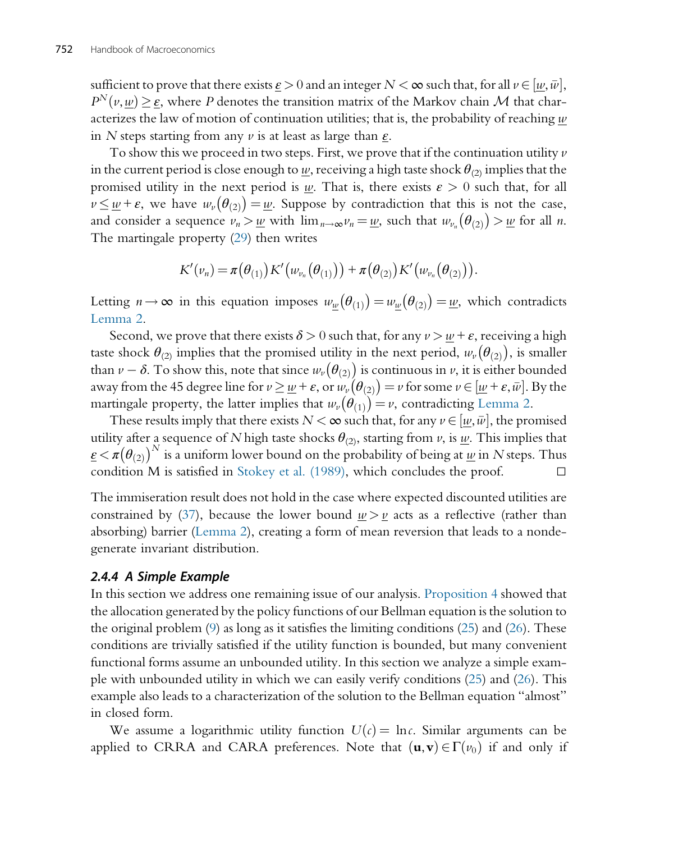sufficient to prove that there exists  $\underline{\varepsilon} > 0$  and an integer  $N < \infty$  such that, for all  $v \in [\underline{w}, \overline{w}]$ ,<br> $D^N(u, w) > \varepsilon$ , where *P* denotes the transition matrix of the Markov chain *M* that char  $P^N(\nu,\omega)\geq \varepsilon$ , where P denotes the transition matrix of the Markov chain M that characterizes the law of motion of continuation utilities; that is, the probability of reaching  $w$ in N steps starting from any  $\nu$  is at least as large than  $\underline{\varepsilon}$ .

To show this we proceed in two steps. First, we prove that if the continuation utility  $\nu$ in the current period is close enough to w, receiving a high taste shock  $\theta_{(2)}$  implies that the promised utility in the next period is  $\underline{w}$ . That is, there exists  $\varepsilon > 0$  such that, for all  $v \leq \underline{w} + \varepsilon$ , we have  $w_v(\theta_{(2)}) = \underline{w}$ . Suppose by contradiction that this is not the case, and consider a sequence  $v_n > w$  with  $\lim_{n \to \infty} v_n = w$ , such that  $w_{v_n}(\theta_{(2)}) > w$  for all *n*.<br>The martingale property (29) then writes The martingale property [\(29\)](#page-20-0) then writes

$$
K'(v_n) = \pi(\theta_{(1)}) K'(\omega_{v_n}(\theta_{(1)})) + \pi(\theta_{(2)}) K'(\omega_{v_n}(\theta_{(2)})).
$$

Letting  $n \to \infty$  in this equation imposes  $w_{\underline{w}}(\theta_{(1)}) = w_{\underline{w}}(\theta_{(2)}) = \underline{w}$ , which contradicts Lemma 2.

Second, we prove that there exists  $\delta > 0$  such that, for any  $\nu > \underline{w} + \varepsilon$ , receiving a high taste shock  $\theta_{(2)}$  implies that the promised utility in the next period,  $w_{\nu}(\theta_{(2)})$ , is smaller than  $\nu - \delta$ . To show this, note that since  $w_{\nu}(\theta_{(2)})$  is continuous in  $\nu$ , it is either bounded<br>away from the 45 decree line for  $\mu > \mu + \epsilon$ , or  $\mu(\theta_{\nu}) = \mu$  for some  $\mu \in [m + \epsilon, \bar{m}]$ . By the away from the 45 degree line for  $v \geq \underline{w} + \varepsilon$ , or  $w_v(\theta_{(2)}) = v$  for some  $v \in [\underline{w} + \varepsilon, \overline{w}]$ . By the martingale property, the latter implies that  $w(\theta_{(2)}) = v$  contradicting Lemma 2 martingale property, the latter implies that  $w_v(\theta_{(1)}) = v$ , contradicting Lemma 2.<br>These results imply that there exists  $N \le \infty$  such that, for any  $u \in [u, \bar{w}]$ , the pro

These results imply that there exists  $N < \infty$  such that, for any  $\nu \in [\underline{w}, \bar{w}]$ , the promised<br>ity after a sequence of N bigh taste shocks  $\theta_{\infty}$ , starting from  $v$  is  $w$ . This implies that utility after a sequence of N high taste shocks  $\theta_{(2)}$ , starting from  $\nu$ , is  $\underline{\nu}$ . This implies that  $\underline{\varepsilon} < \pi(\theta_{(2)})^N$  is a uniform lower bound on the probability of being at w in N steps. Thus condition M is satisfied in Stokey et al.  $(1989)$ , which concludes the proof.  $\Box$ 

The immiseration result does not hold in the case where expected discounted utilities are constrained by [\(37\)](#page-26-0), because the lower bound  $w > v$  acts as a reflective (rather than absorbing) barrier (Lemma 2), creating a form of mean reversion that leads to a nondegenerate invariant distribution.

## 2.4.4 A Simple Example

In this section we address one remaining issue of our analysis. Proposition 4 showed that the allocation generated by the policy functions of our Bellman equation is the solution to the original problem ([9\)](#page-8-0) as long as it satisfies the limiting conditions ([25\)](#page-18-0) and ([26\)](#page-18-0). These conditions are trivially satisfied if the utility function is bounded, but many convenient functional forms assume an unbounded utility. In this section we analyze a simple example with unbounded utility in which we can easily verify conditions ([25](#page-18-0)) and [\(26](#page-18-0)). This example also leads to a characterization of the solution to the Bellman equation "almost" in closed form.

We assume a logarithmic utility function  $U(c) = \ln c$ . Similar arguments can be applied to CRRA and CARA preferences. Note that  $(\mathbf{u}, \mathbf{v}) \in \Gamma(v_0)$  if and only if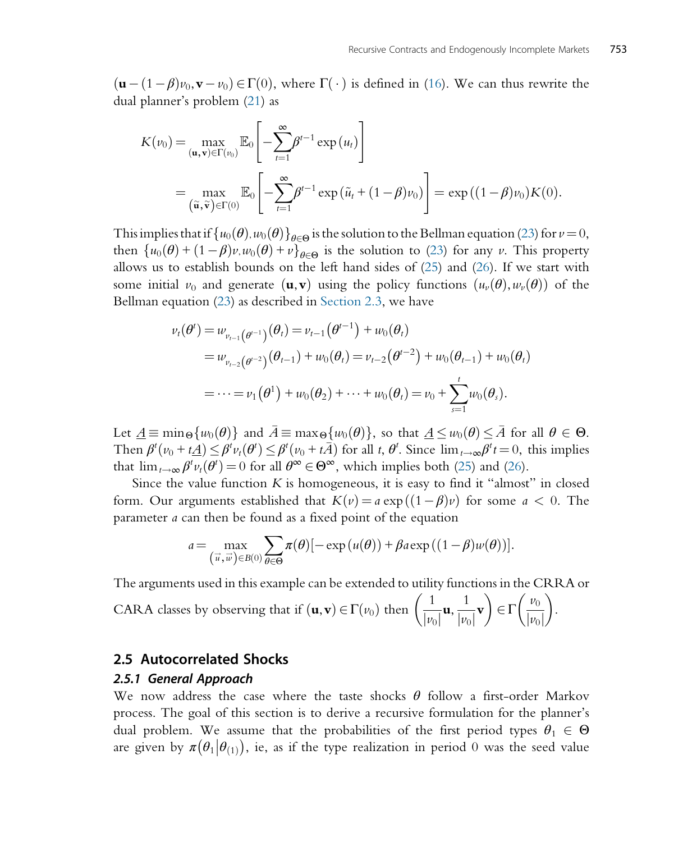<span id="page-28-0"></span> $(\mathbf{u} - (1-\beta)v_0, \mathbf{v}-v_0) \in \Gamma(0)$ , where  $\Gamma(\cdot)$  is defined in ([16](#page-11-0)). We can thus rewrite the dual planner's problem ([21](#page-13-0)) as

$$
K(\nu_0) = \max_{(\mathbf{u}, \mathbf{v}) \in \Gamma(\nu_0)} \mathbb{E}_0 \left[ -\sum_{t=1}^{\infty} \beta^{t-1} \exp(u_t) \right]
$$
  
= 
$$
\max_{(\widetilde{\mathbf{u}}, \widetilde{\mathbf{v}}) \in \Gamma(0)} \mathbb{E}_0 \left[ -\sum_{t=1}^{\infty} \beta^{t-1} \exp(\widetilde{u}_t + (1-\beta)\nu_0) \right] = \exp((1-\beta)\nu_0)K(0).
$$

This implies that if  $\{u_0(\theta),w_0(\theta)\}_{\theta\in\Theta}$  is the solution to the Bellman equation [\(23\)](#page-13-0) for  $v=0$ , then  $\{u_0(\theta)+(1-\beta)v,w_0(\theta)+v\}_{\theta\in\Theta}$  is the solution to [\(23\)](#page-13-0) for any v. This property allows us to establish bounds on the left hand sides of  $(25)$  $(25)$  and  $(26)$  $(26)$  $(26)$ . If we start with some initial  $v_0$  and generate  $(\mathbf{u}, \mathbf{v})$  using the policy functions  $(u_v(\theta), w_v(\theta))$  of the Bellman equation ([23\)](#page-13-0) as described in [Section 2.3](#page-9-0), we have

$$
\nu_t(\theta^t) = \nu_{\nu_{t-1}(\theta^{t-1})}(\theta_t) = \nu_{t-1}(\theta^{t-1}) + \nu_0(\theta_t)
$$
  
=  $\nu_{\nu_{t-2}(\theta^{t-2})}(\theta_{t-1}) + \nu_0(\theta_t) = \nu_{t-2}(\theta^{t-2}) + \nu_0(\theta_{t-1}) + \nu_0(\theta_t)$   
=  $\cdots = \nu_1(\theta^1) + \nu_0(\theta_2) + \cdots + \nu_0(\theta_t) = \nu_0 + \sum_{s=1}^t \nu_0(\theta_s).$ 

Let  $\underline{A} \equiv \min_{\Theta} \{ w_0(\theta) \}$  and  $\overline{A}$ <br>Then  $B^t(u_1 + tA) < B^t(u_1/\theta) <$  $\equiv \max_{\Theta} \{w_0(\theta)\}\$ , so that  $\underline{A} \leq w_0(\theta) \leq \overline{A}$  for all  $\theta \in \Theta$ .<br>  $\theta^{t}(w + t\overline{A})$  for all  $t\theta^{t}$ . Since  $\lim_{\theta^{t}\to 0} \theta^{t}t = 0$ , this implies Then  $\beta^t(v_0 + t\underline{A}) \leq \beta^t v_t(\theta^t) \leq \beta^t (v_0 + t\overline{A})$  for all t,  $\theta^t$ . Since  $\lim_{t\to\infty} \beta^t t = 0$ , this implies that  $\lim_{t\to\infty} \beta^t v_t(\theta^t) = 0$  for all  $\theta^{\infty} \in \Theta^{\infty}$  which implies both (25) and (26) that  $\lim_{t\to\infty} \beta^t v_t(\theta^t) = 0$  for all  $\theta^{\infty} \in \Theta^{\infty}$ , which implies both [\(25](#page-18-0)) and ([26](#page-18-0)).<br>Since the value function K is homogeneous, it is easy to find it "almost

Since the value function  $K$  is homogeneous, it is easy to find it "almost" in closed form. Our arguments established that  $K(v) = a \exp((1 - \beta)v)$  for some  $a < 0$ . The parameter a can then be found as a fixed point of the equation

$$
a = \max_{(\vec{u}, \vec{w}) \in B(0)} \sum_{\theta \in \Theta} \pi(\theta) [-\exp(u(\theta)) + \beta a \exp((1-\beta)w(\theta))].
$$

The arguments used in this example can be extended to utility functions in the CRRA or

CARA classes by observing that if 
$$
(\mathbf{u}, \mathbf{v}) \in \Gamma(v_0)
$$
 then  $\left(\frac{1}{|v_0|} \mathbf{u}, \frac{1}{|v_0|} \mathbf{v}\right) \in \Gamma\left(\frac{v_0}{|v_0|}\right)$ .

#### 2.5 Autocorrelated Shocks

#### 2.5.1 General Approach

We now address the case where the taste shocks  $\theta$  follow a first-order Markov process. The goal of this section is to derive a recursive formulation for the planner's dual problem. We assume that the probabilities of the first period types  $\theta_1 \in \Theta$ are given by  $\pi(\theta_1|\theta_{(1)})$ , ie, as if the type realization in period 0 was the seed value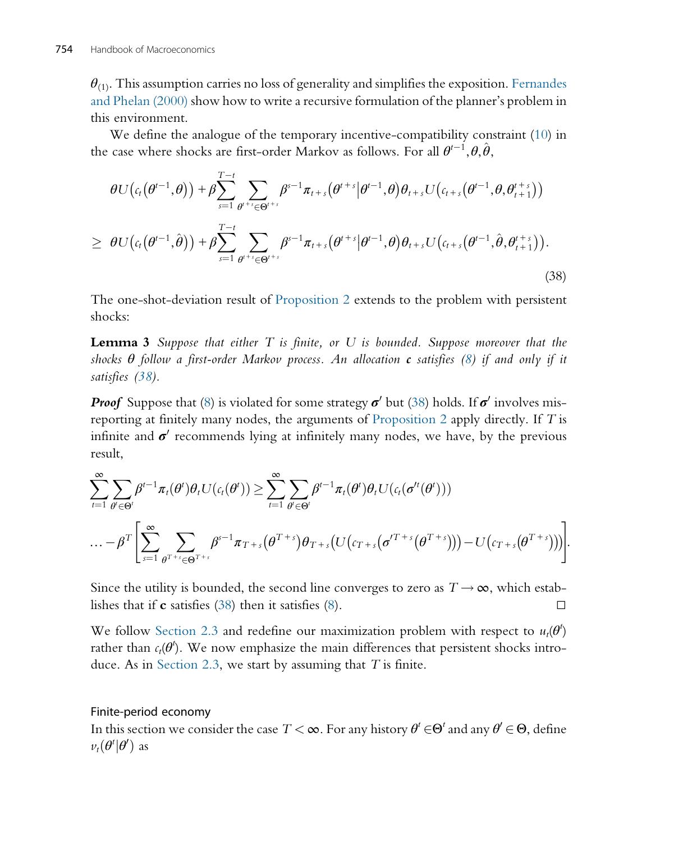<span id="page-29-0"></span> $\theta$ <sub>(1)</sub>. This assumption carries no loss of generality and simplifies the exposition. [Fernandes](#page-113-0) [and Phelan](#page-113-0) (2000) show how to write a recursive formulation of the planner's problem in this environment.

We define the analogue of the temporary incentive-compatibility constraint ([10](#page-9-0)) in the case where shocks are first-order Markov as follows. For all  $\theta^{t-1}, \theta, \hat{\theta},$ 

$$
\theta U(c_{t}(\theta^{t-1},\theta)) + \beta \sum_{s=1}^{T-t} \sum_{\theta^{t+s} \in \Theta^{t+s}} \beta^{s-1} \pi_{t+s}(\theta^{t+s}|\theta^{t-1},\theta) \theta_{t+s} U(c_{t+s}(\theta^{t-1},\theta,\theta^{t+s}_{t+1}))
$$
  
\n
$$
\geq \theta U(c_{t}(\theta^{t-1},\hat{\theta})) + \beta \sum_{s=1}^{T-t} \sum_{\theta^{t+s} \in \Theta^{t+s}} \beta^{s-1} \pi_{t+s}(\theta^{t+s}|\theta^{t-1},\theta) \theta_{t+s} U(c_{t+s}(\theta^{t-1},\hat{\theta},\theta^{t+s}_{t+1})).
$$
\n(38)

The one-shot-deviation result of Proposition 2 extends to the problem with persistent shocks:

**Lemma 3** Suppose that either  $T$  is finite, or  $U$  is bounded. Suppose moreover that the shocks  $\theta$  follow a first-order Markov process. An allocation c satisfies [\(8](#page-8-0)) if and only if it satisfies (38).

**Proof** Suppose that [\(8\)](#page-8-0) is violated for some strategy  $\sigma'$  but (38) holds. If  $\sigma'$  involves misreporting at finitely many nodes, the arguments of Proposition 2 apply directly. If T is infinite and  $\sigma'$  recommends lying at infinitely many nodes, we have, by the previous result,

$$
\sum_{t=1}^{\infty} \sum_{\theta' \in \Theta'} \beta^{t-1} \pi_t(\theta^t) \theta_t U(c_t(\theta^t)) \geq \sum_{t=1}^{\infty} \sum_{\theta' \in \Theta'} \beta^{t-1} \pi_t(\theta^t) \theta_t U(c_t(\sigma'^t(\theta^t)))
$$
  
 
$$
\dots - \beta^T \left[ \sum_{s=1}^{\infty} \sum_{\theta^{T+s} \in \Theta^{T+s}} \beta^{s-1} \pi_{T+s}(\theta^{T+s}) \theta_{T+s} \left( U(c_{T+s}(\sigma'^{T+s}(\theta^{T+s}))) - U(c_{T+s}(\theta^{T+s}))) \right) \right].
$$

Since the utility is bounded, the second line converges to zero as  $T \rightarrow \infty$ , which estab-<br>lishes that if **c** satisfies (38) then it satisfies (8). lishes that if  $c$  satisfies (38) then it satisfies [\(8\)](#page-8-0).

We follow [Section](#page-9-0) 2.3 and redefine our maximization problem with respect to  $u_t(\theta)$ rather than  $c_t(\theta')$ . We now emphasize the main differences that persistent shocks intro-duce. As in [Section 2.3](#page-9-0), we start by assuming that  $T$  is finite.

#### Finite-period economy

In this section we consider the case  $T < \infty$ . For any history  $\theta^t \in \Theta^t$  and any  $\theta' \in \Theta$ , define  $\theta^t(\theta^t)$  $\nu_t(\theta^t|\theta')$  as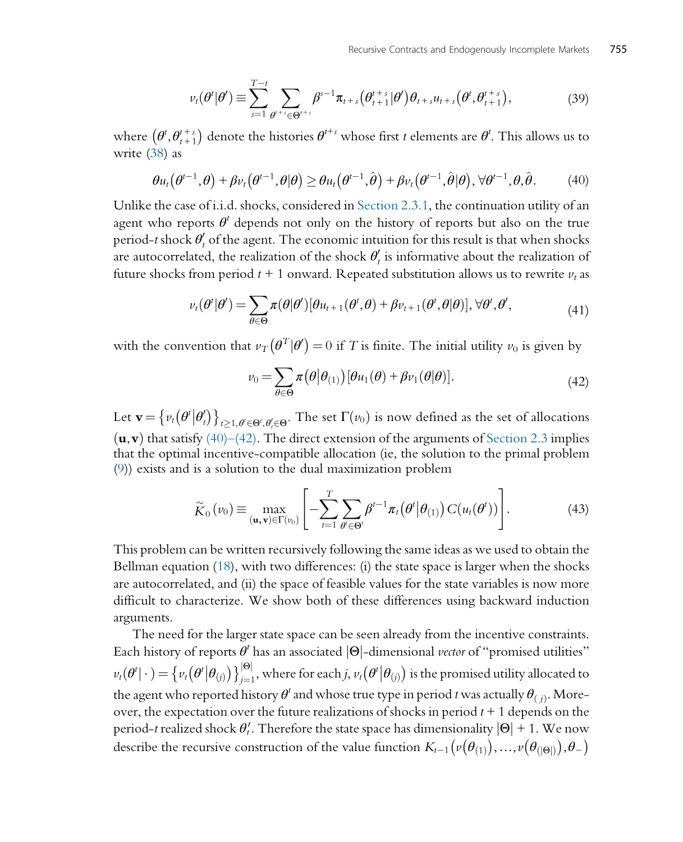$$
\nu_t(\theta^t|\theta^t) \equiv \sum_{s=1}^{T-t} \sum_{\theta^{t+s} \in \Theta^{t+s}} \beta^{s-1} \pi_{t+s}(\theta_{t+1}^{t+s}|\theta^t) \theta_{t+s} u_{t+s}(\theta^t, \theta_{t+1}^{t+s}), \tag{39}
$$

<span id="page-30-0"></span>where  $\left(\theta^t,\theta^{t+s}_{t+1}\right)$  denote the histories  $\theta^{t+s}$  whose first  $t$  elements are  $\theta^t$ . This allows us to write ([38\)](#page-29-0) as

$$
\theta u_t(\theta^{t-1},\theta) + \beta v_t(\theta^{t-1},\theta|\theta) \ge \theta u_t(\theta^{t-1},\hat{\theta}) + \beta v_t(\theta^{t-1},\hat{\theta}|\theta), \forall \theta^{t-1},\theta,\hat{\theta}.
$$
 (40)

Unlike the case of i.i.d. shocks, considered in [Section 2.3.1](#page-9-0), the continuation utility of an agent who reports  $\theta^t$  depends not only on the history of reports but also on the true period-t shock  $\theta_t'$  of the agent. The economic intuition for this result is that when shocks are autocorrelated, the realization of the shock  $\theta'_t$  is informative about the realization of future shocks from period  $t + 1$  onward. Repeated substitution allows us to rewrite  $v_t$  as

$$
\nu_t(\theta^t|\theta') = \sum_{\theta \in \Theta} \pi(\theta|\theta') [\theta u_{t+1}(\theta^t, \theta) + \beta v_{t+1}(\theta^t, \theta|\theta)], \forall \theta^t, \theta', \tag{41}
$$

with the convention that  $\nu_T(\theta^T|\theta') = 0$  if T is finite. The initial utility  $\nu_0$  is given by

$$
\nu_0 = \sum_{\theta \in \Theta} \pi(\theta | \theta_{(1)}) [\theta u_1(\theta) + \beta v_1(\theta | \theta)]. \tag{42}
$$

Let  $\mathbf{v} = \{v_t(\theta^t | \theta_t)\}_{t \ge 1, \theta^t \in \Theta^t, \theta_t^t \in \Theta}$ . The set  $\Gamma(v_0)$  is now defined as the set of allocations  $(\mathbf{u}, \mathbf{v})$  that satisfy (40)–(42). The direct extension of the arguments of [Section 2.3](#page-9-0) implies that the optimal incentive-compatible allocation (ie, the solution to the primal problem ([9](#page-8-0))) exists and is a solution to the dual maximization problem

$$
\widetilde{K}_0(\nu_0) \equiv \max_{(\mathbf{u}, \mathbf{v}) \in \Gamma(\nu_0)} \left[ -\sum_{t=1}^T \sum_{\theta' \in \Theta'} \beta^{t-1} \pi_t(\theta' | \theta_{(1)}) C(u_t(\theta')) \right]. \tag{43}
$$

This problem can be written recursively following the same ideas as we used to obtain the Bellman equation ([18](#page-11-0)), with two differences: (i) the state space is larger when the shocks are autocorrelated, and (ii) the space of feasible values for the state variables is now more difficult to characterize. We show both of these differences using backward induction arguments.

The need for the larger state space can be seen already from the incentive constraints. Each history of reports  $\theta^t$  has an associated  $|\Theta|$ -dimensional vector of "promised utilities"  $v_t(\theta^t|\cdot) = \big\{v_t(\theta^t|\theta_{(j)})\big\}_{j=1}^{|\Theta|}$ , where for each j,  $v_t(\theta^t|\theta_{(j)})$  is the promised utility allocated to the agent who reported history  $\theta^t$  and whose true type in period  $t$  was actually  $\theta_{(j)}.$  Moreover, the expectation over the future realizations of shocks in period  $t + 1$  depends on the period-t realized shock  $\theta'_t$ . Therefore the state space has dimensionality  $|\Theta| + 1$ . We now describe the recursive construction of the value function  $K_{t-1} \big( v(\theta_{(1)}), ..., v(\theta_{(|\Theta|)}) , \theta_{-} \big)$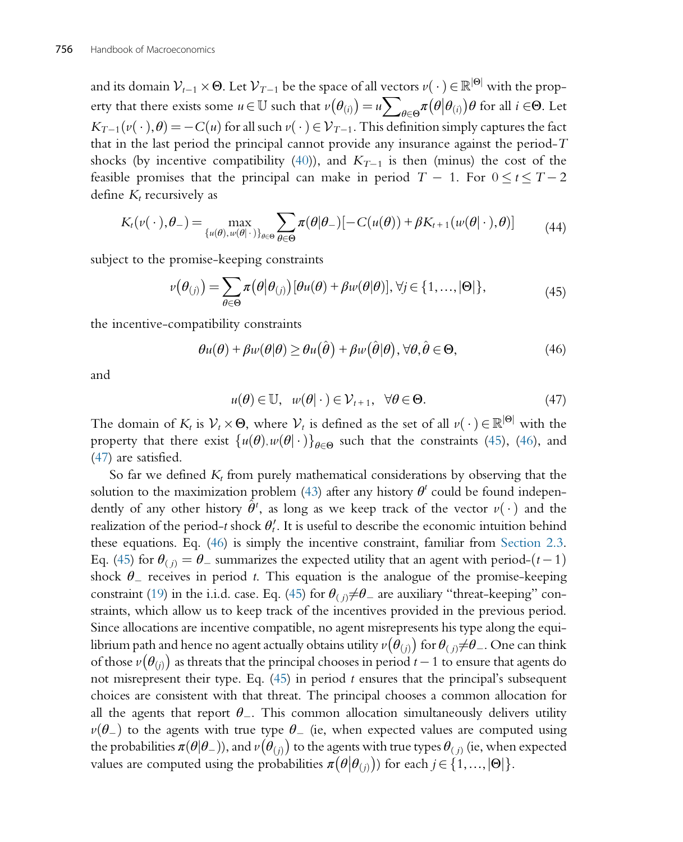<span id="page-31-0"></span>and its domain  $V_{t-1} \times \Theta$ . Let  $V_{T-1}$  be the space of all vectors  $v(\cdot) \in \mathbb{R}^{|\Theta|}$  with the property that there exists some  $u \in \mathbb{U}$  such that  $v(\theta_{(i)}) = u \sum_{\theta \in \Theta} \pi(\theta | \theta_{(i)}) \theta$  for all  $i \in \Theta$ . Let  $K_{T-1}(\nu(\cdot),\theta) = -C(\mu)$  for all such  $\nu(\cdot) \in \mathcal{V}_{T-1}$ . This definition simply captures the fact that in the last period the principal cannot provide any insurance against the period- $T$ shocks (by incentive compatibility ([40](#page-30-0))), and  $K_{T-1}$  is then (minus) the cost of the feasible promises that the principal can make in period  $T - 1$ . For  $0 \le t \le T - 2$ define  $K_t$  recursively as

$$
K_t(\nu(\,\cdot\,),\theta_{-})=\max_{\{u(\theta),w(\theta|\,\cdot\,)\}_{\theta\in\Theta}}\sum_{\theta\in\Theta}\pi(\theta|\theta_{-})[-C(u(\theta))+\beta K_{t+1}(w(\theta|\,\cdot\,),\theta)]\tag{44}
$$

subject to the promise-keeping constraints

$$
\nu(\theta_{(j)}) = \sum_{\theta \in \Theta} \pi(\theta | \theta_{(j)}) [\theta u(\theta) + \beta w(\theta | \theta)], \forall j \in \{1, ..., |\Theta|\},
$$
\n(45)

the incentive-compatibility constraints

$$
\theta u(\theta) + \beta w(\theta|\theta) \ge \theta u(\hat{\theta}) + \beta w(\hat{\theta}|\theta), \forall \theta, \hat{\theta} \in \Theta,
$$
\n(46)

and

$$
u(\theta) \in \mathbb{U}, \quad w(\theta|\cdot) \in \mathcal{V}_{t+1}, \quad \forall \theta \in \Theta.
$$
 (47)

The domain of  $K_t$  is  $V_t \times \Theta$ , where  $V_t$  is defined as the set of all  $v(\cdot) \in \mathbb{R}^{|\Theta|}$  with the property that there exist  $\{u(\theta), u(\theta), \cdot\}$  and that the constraints (45) (46) and property that there exist  $\{u(\theta), w(\theta|\cdot)\}_{\theta \in \Theta}$  such that the constraints (45), (46), and (47) are satisfied.

So far we defined  $K_t$  from purely mathematical considerations by observing that the solution to the maximization problem [\(43\)](#page-30-0) after any history  $\theta^t$  could be found independently of any other history  $\hat{\theta}^t$ , as long as we keep track of the vector  $v(\cdot)$  and the realization of the period t shock  $\theta'$ . It is useful to describe the economic intuition behind realization of the period-t shock  $\theta'_t$ . It is useful to describe the economic intuition behind these equations. Eq. (46) is simply the incentive constraint, familiar from [Section 2.3](#page-9-0). Eq. (45) for  $\theta_{(i)} = \theta_{-}$  summarizes the expected utility that an agent with period- $(t-1)$ shock  $\theta$  receives in period t. This equation is the analogue of the promise-keeping constraint [\(19\)](#page-11-0) in the i.i.d. case. Eq. (45) for  $\theta_{(i)}\neq\theta_{-}$  are auxiliary "threat-keeping" constraints, which allow us to keep track of the incentives provided in the previous period. Since allocations are incentive compatible, no agent misrepresents his type along the equilibrium path and hence no agent actually obtains utility  $\nu(\theta_{(j)})$  for  $\theta_{(j)}\neq\theta_-\,$ . One can think of those  $\nu(\theta_{(k)})$  as threats that the principal chooses in period  $t-1$  to ensure that agents do of those  $\nu(\theta_{(j)})$  as threats that the principal chooses in period  $t-1$  to ensure that agents do<br>not mixengeent their time. Eq. (45) in period t ensures that the principal's subsequent not misrepresent their type. Eq.  $(45)$  in period t ensures that the principal's subsequent choices are consistent with that threat. The principal chooses a common allocation for all the agents that report  $\theta_{-}$ . This common allocation simultaneously delivers utility  $\nu(\theta)$  to the agents with true type  $\theta$  (ie, when expected values are computed using the probabilities  $\pi(\theta|\theta_{-})$ ), and  $\nu(\theta_{(j)})$  to the agents with true types  $\theta_{(j)}$  (ie, when expected values are computed using the probabilities  $\pi(\theta|\theta_{\infty})$ ) for each  $i \in I_1$  [6]  $\lambda$ values are computed using the probabilities  $\pi(\theta | \theta_{(j)}))$  for each  $j \in \{1, ..., |\Theta|\}$ .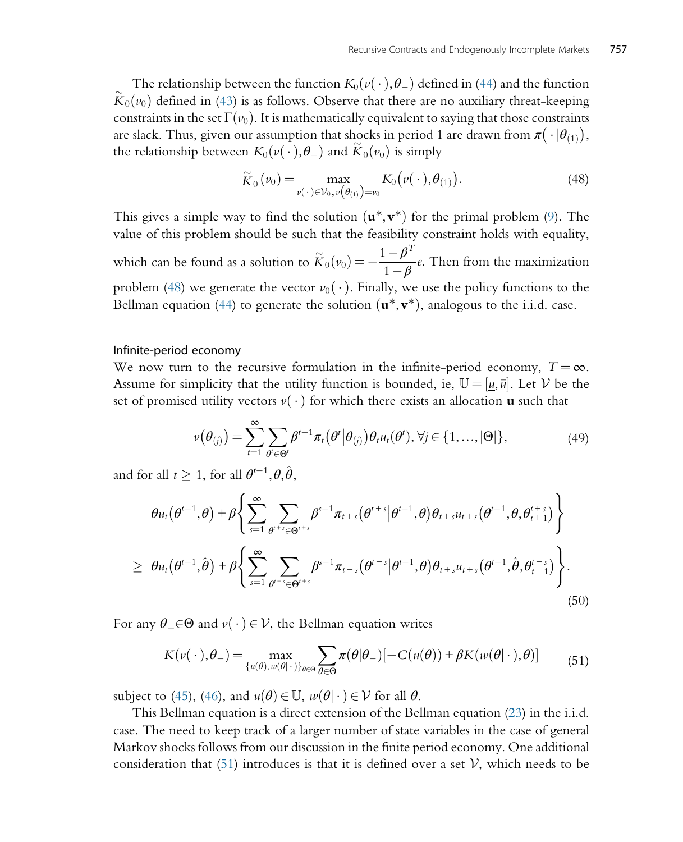<span id="page-32-0"></span>The relationship between the function  $K_0(\nu(\cdot), \theta)$  defined in [\(44\)](#page-31-0) and the function  $K_0(v_0)$  defined in ([43](#page-30-0)) is as follows. Observe that there are no auxiliary threat-keeping<br>constraints in the set  $\Gamma(v_0)$ . It is mathematically equivalent to saying that those constraints constraints in the set  $\Gamma(v_0)$ . It is mathematically equivalent to saying that those constraints are slack. Thus, given our assumption that shocks in period 1 are drawn from  $\pi(\cdot|\theta_{(1)}),$ <br>the relationship between  $K_{\tau}(y(\cdot), \theta_{\tau})$  and  $\widetilde{K}_{\tau}(y_{\tau})$  is simply the relationship between  $K_0(\nu(\cdot), \theta_-)$  and  $K_0(\nu_0)$  is simply

$$
\widetilde{K}_0(\nu_0) = \max_{\nu(\cdot) \in \mathcal{V}_0, \nu(\theta_{(1)}) = \nu_0} K_0(\nu(\cdot), \theta_{(1)}).
$$
\n(48)

This gives a simple way to find the solution  $(\mathbf{u}^*, \mathbf{v}^*)$  for the primal problem [\(9\)](#page-8-0). The value of this problem should be such that the feasibility constraint holds with equality, which can be found as a solution to  $\widetilde{K}_0(\nu_0) = -\frac{1-\beta^T}{1-\beta}$  $\frac{P}{1-\beta}e$ . Then from the maximization<br>ly we use the policy functions to the problem (48) we generate the vector  $v_0(\cdot)$ . Finally, we use the policy functions to the Bellman equation ([44\)](#page-31-0) to generate the solution  $(\mathbf{u}^*, \mathbf{v}^*)$ , analogous to the i.i.d. case.

#### Infinite-period economy

We now turn to the recursive formulation in the infinite-period economy,  $T = \infty$ . Assume for simplicity that the utility function is bounded, ie,  $\mathbb{U} = [\underline{u}, \overline{u}]$ . Let  $\mathcal{V}$  be the set of promised utility vectors  $u(x)$  for which there exists an allocation **u** such that set of promised utility vectors  $v(\cdot)$  for which there exists an allocation **u** such that

$$
\nu(\theta_{(j)}) = \sum_{t=1}^{\infty} \sum_{\theta' \in \Theta'} \beta^{t-1} \pi_t(\theta^t | \theta_{(j)}) \theta_t u_t(\theta'), \forall j \in \{1, ..., |\Theta|\},
$$
\n(49)

and for all  $t \geq 1$ , for all  $\theta^{t-1}, \theta, \hat{\theta},$ 

$$
\theta u_t(\theta^{t-1},\theta) + \beta \Bigg\{ \sum_{s=1}^{\infty} \sum_{\theta^{t+s} \in \Theta^{t+s}} \beta^{s-1} \pi_{t+s}(\theta^{t+s}|\theta^{t-1},\theta) \theta_{t+s} u_{t+s}(\theta^{t-1},\theta, \theta_{t+1}^{t+s}) \Bigg\}\geq \theta u_t(\theta^{t-1},\hat{\theta}) + \beta \Bigg\{ \sum_{s=1}^{\infty} \sum_{\theta^{t+s} \in \Theta^{t+s}} \beta^{s-1} \pi_{t+s}(\theta^{t+s}|\theta^{t-1},\theta) \theta_{t+s} u_{t+s}(\theta^{t-1},\hat{\theta},\theta_{t+1}^{t+s}) \Bigg\}.
$$
\n(50)

For any  $\theta_{-} \in \Theta$  and  $v(\cdot) \in V$ , the Bellman equation writes

$$
K(\nu(\,\cdot\,),\theta_{-}) = \max_{\{u(\theta),w(\theta|\,\cdot\,)\}_{\theta\in\Theta}} \sum_{\theta\in\Theta} \pi(\theta|\theta_{-})[-C(u(\theta)) + \beta K(w(\theta|\,\cdot\,),\theta)] \tag{51}
$$

subject to [\(45](#page-31-0)), ([46\)](#page-31-0), and  $u(\theta) \in \mathbb{U}$ ,  $w(\theta | \cdot) \in \mathcal{V}$  for all  $\theta$ .

This Bellman equation is a direct extension of the Bellman equation [\(23\)](#page-13-0) in the i.i.d. case. The need to keep track of a larger number of state variables in the case of general Markov shocks follows from our discussion in the finite period economy. One additional consideration that (51) introduces is that it is defined over a set V, which needs to be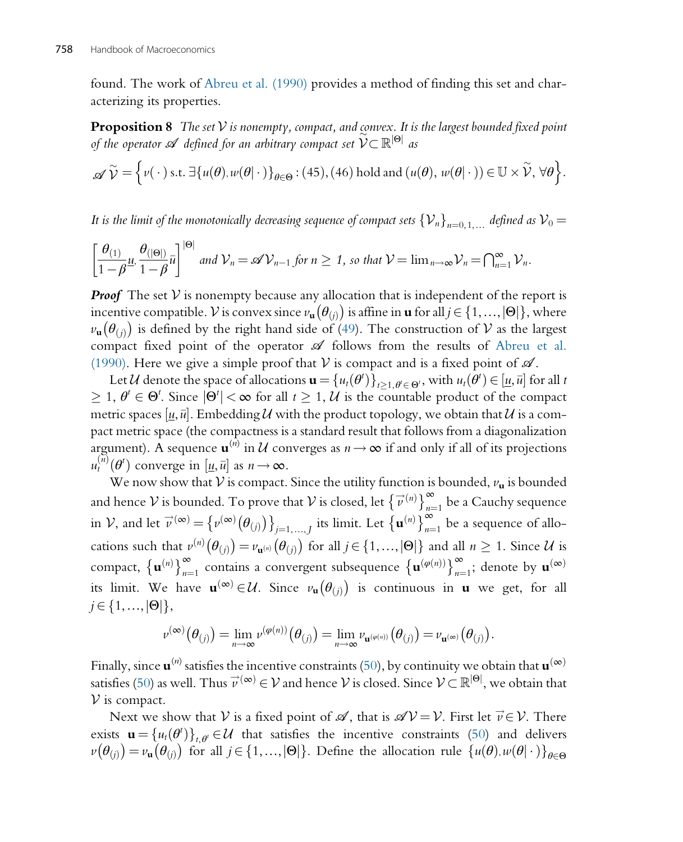found. The work of [Abreu et al. \(1990\)](#page-112-0) provides a method of finding this set and characterizing its properties.

**Proposition 8** The set V is nonempty, compact, and convex. It is the largest bounded fixed point of the operator  $\mathscr A$  defined for an arbitrary compact set  $\mathcal V\!\subset\!\mathbb R^{|\Theta|}$  as

$$
\mathscr{A}\widetilde{\mathcal{V}} = \Big\{v(\cdot) \text{ s.t. } \exists \{u(\theta), w(\theta|\cdot)\}_{\theta \in \Theta} : (45), (46) \text{ hold and } (u(\theta), w(\theta|\cdot)) \in \mathbb{U} \times \widetilde{\mathcal{V}}, \forall \theta\Big\}.
$$

It is the limit of the monotonically decreasing sequence of compact sets  ${\{\mathcal{V}_n\}}_{n=0,1,\ldots}$  defined as  $\mathcal{V}_0 =$ 

$$
\left[\frac{\theta_{(1)}}{1-\beta}\underline{u},\frac{\theta_{(|\Theta|)}}{1-\beta}\overline{u}\right]^{|\Theta|} \text{ and } \mathcal{V}_n = \mathscr{A} \mathcal{V}_{n-1} \text{ for } n \geq 1, \text{ so that } \mathcal{V} = \lim_{n \to \infty} \mathcal{V}_n = \bigcap_{n=1}^{\infty} \mathcal{V}_n.
$$

**Proof** The set  $V$  is nonempty because any allocation that is independent of the report is incentive compatible. V is convex since  $v_{\mathbf{u}}(\theta_{(j)})$  is affine in **u** for all  $j \in \{1, ..., |\Theta|\}$ , where  $u_{\Theta}(t)$  is defined by the right hand side of (49). The construction of  $\mathcal{V}$  as the largest  $v_{\mathbf{u}}(\theta_{(j)})$  is defined by the right hand side of [\(49\)](#page-32-0). The construction of V as the largest<br>compact fixed point of the operator of follows from the results of Abreu et al. compact fixed point of the operator  $\mathscr A$  follows from the results of [Abreu et al.](#page-112-0) [\(1990\).](#page-112-0) Here we give a simple proof that V is compact and is a fixed point of  $\mathscr A$ .

Let U denote the space of allocations  $\mathbf{u} = \{u_t(\theta^t)\}_{t \geq 1, \theta^t \in \Theta^t}$ , with  $u_t(\theta^t) \in [\underline{u}, \overline{u}]$  for all t<br> $\theta^t \in \Theta^t$ . Since  $|\Theta^t| < \infty$  for all  $t > 1$ , It is the countable product of the connect  $\geq 1, \theta^t \in \Theta^t$ . Since  $|\Theta^t| < \infty$  for all  $t \geq 1, U$  is the countable product of the compact<br>metric spaces  $[u, \bar{u}]$ . Embedding *U* with the product topology, we obtain that *U* is a commetric spaces  $[\underline{u}, \overline{u}]$ . Embedding  $\mathcal U$  with the product topology, we obtain that  $\mathcal U$  is a com-<br>pact metric space (the compactness is a standard result that follows from a diagonalization pact metric space (the compactness is a standard result that follows from a diagonalization argument). A sequence  $\mathbf{u}^{(n)}$  in U converges as  $n \to \infty$  if and only if all of its projections  $u_t^{(\tilde{n})}(\theta^t)$  converge in  $[\underline{u}, \overline{u}]$  as  $n \to \infty$ .<br>We now show that V is compact.

We now show that V is compact. Since the utility function is bounded,  $v_{\mathbf{u}}$  is bounded and hence V is bounded. To prove that V is closed, let  $\left\{\vec{v}^{(n)}\right\}_{n=1}^{\infty}$  be a Cauchy sequence in V, and let  $\vec{v}^{(\infty)} = \{v^{(\infty)}(\theta_{(j)})\}_{j=1,\dots,J}$  its limit. Let  $\{u^{(n)}\}_{n=1}^{\infty}$  be a sequence of allocations such that  $v^{(n)}(\theta_{(j)}) = v_{\mathbf{u}^{(n)}}(\theta_{(j)})$  for all  $j \in \{1, ..., |\Theta|\}$  and all  $n \ge 1$ . Since  $\mathcal{U}$  is compact,  ${\bf u}^{(n)}\}_{n=1}^{\infty}$  contains a convergent subsequence  ${\bf u}^{(\varphi(n))}\}_{n=1}^{\infty}$ ; denote by  ${\bf u}^{(\infty)}$ its limit. We have  $\mathbf{u}^{(\infty)} \in \mathcal{U}$ . Since  $\nu_{\mathbf{u}}(\theta_{(j)})$  is continuous in **u** we get, for all  $i \in [1, \dots, |\mathbf{u}|]$  $j \in \{1, \ldots, |\Theta|\},\$ 

$$
\nu^{(\infty)}(\theta_{(j)}) = \lim_{n \to \infty} \nu^{(\varphi(n))}(\theta_{(j)}) = \lim_{n \to \infty} \nu_{\mathbf{u}^{(\varphi(n))}}(\theta_{(j)}) = \nu_{\mathbf{u}^{(\infty)}}(\theta_{(j)}).
$$

Finally, since  $\mathbf{u}^{(n)}$  satisfies the incentive constraints ([50](#page-32-0)), by continuity we obtain that  $\mathbf{u}^{(\infty)}$ <br>satisfies (50) as well. Thus  $\vec{u}^{(\infty)} \in \mathcal{V}$  and bance V is closed. Since  $\mathcal{V} \subset \mathbb{P}^{|\Theta|}$ , we obt satisfies [\(50\)](#page-32-0) as well. Thus  $\overrightarrow{\nu}^{(\infty)} \in \mathcal{V}$  and hence  $\mathcal{V}$  is closed. Since  $\mathcal{V} \subset \mathbb{R}^{|\Theta|}$ , we obtain that  $\mathcal{V}$  is compact  $V$  is compact.

Next we show that V is a fixed point of  $\mathscr{A}$ , that is  $\mathscr{A}V = V$ . First let  $\vec{v} \in V$ . There exists  $\mathbf{u} = \{u_t(\theta^t)\}_{t,\theta^t} \in \mathcal{U}$  that satisfies the incentive constraints [\(50\)](#page-32-0) and delivers  $\nu(\theta_{(j)}) = \nu_{\mathbf{u}}(\theta_{(j)})$  for all  $j \in \{1, ..., |\Theta|\}$ . Define the allocation rule  $\{u(\theta), w(\theta|\cdot)\}_{\theta \in \Theta}$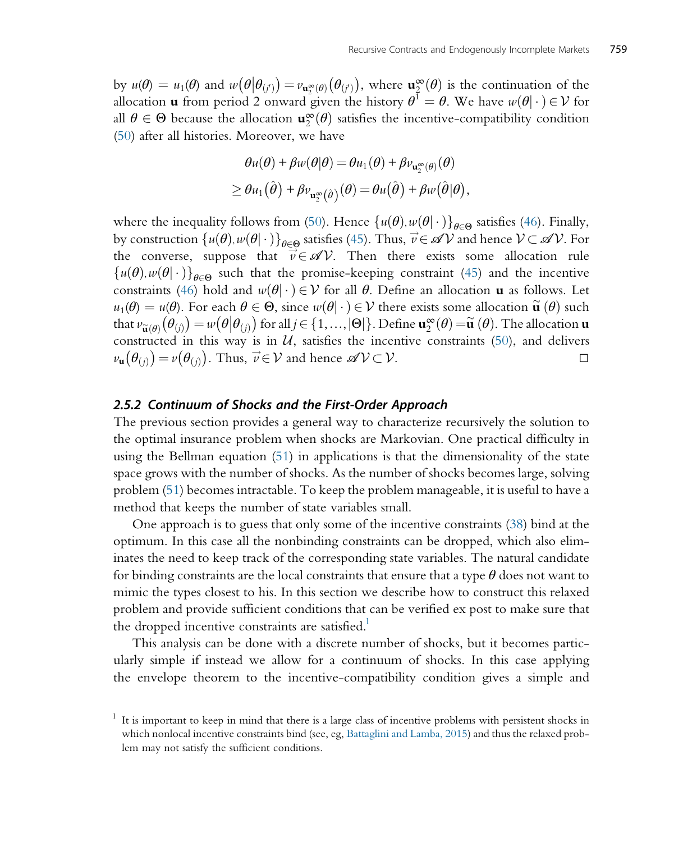<span id="page-34-0"></span>by  $u(\theta) = u_1(\theta)$  and  $w(\theta | \theta_{(i)}) = v_{\mathbf{u}_i^{\infty}(\theta)}(\theta_{(i)})$ , where  $\mathbf{u}_i^{\infty}(\theta)$  is the continuation of the allocation **u** from period 2 onward given the history  $\theta_1^1 - \theta$ . We have  $w(\theta | \cdot) \in \mathcal{V}$  for allocation **u** from period 2 onward given the history  $\theta^1 = \theta$ . We have  $w(\theta|\cdot) \in V$  for all  $\theta \in \Theta$  because the allocation  $\mathbf{u}^{\infty}(\theta)$  satisfies the incentive compatibility condition all  $\theta \in \Theta$  because the allocation  $\mathbf{u}_2^{\infty}(\theta)$  satisfies the incentive-compatibility condition (50) after all histories. Moreover, we have [\(50\)](#page-32-0) after all histories. Moreover, we have

$$
\theta u(\theta) + \beta w(\theta|\theta) = \theta u_1(\theta) + \beta v_{\mathbf{u}_2^{\infty}(\theta)}(\theta)
$$
  
\n
$$
\geq \theta u_1(\hat{\theta}) + \beta v_{\mathbf{u}_2^{\infty}(\hat{\theta})}(\theta) = \theta u(\hat{\theta}) + \beta w(\hat{\theta}|\theta),
$$

where the inequality follows from ([50\)](#page-32-0). Hence  $\{u(\theta), w(\theta|\cdot)\}_{\theta \in \Theta}$  satisfies [\(46](#page-31-0)). Finally, by construction  $\{u(\theta), w(\theta|\cdot)\}_{\theta \in \Theta}$  satisfies [\(45\)](#page-31-0). Thus,  $\vec{v} \in \mathscr{AV}$  and hence  $V \subset \mathscr{AV}$ . For the converse, suppose that  $\vec{v} \in \mathcal{AV}$ . Then there exists some allocation rule  $f_u(\theta)$   $u(\theta)$ .  $\{u(\theta), w(\theta|\cdot)\}_{\theta\in\Theta}$  such that the promise-keeping constraint ([45](#page-31-0)) and the incentive constraints ([46](#page-31-0)) hold and  $w(\theta|\cdot) \in V$  for all  $\theta$ . Define an allocation **u** as follows. Let  $u_1(\theta) = u(\theta)$ . For each  $\theta \in \Theta$ , since  $w(\theta | \cdot) \in \mathcal{V}$  there exists some allocation  $\tilde{u}(\theta)$  such that  $u_1, \theta(\theta) = w(\theta | \theta_0)$  for all  $i \in I_1$  [[o]]. Define  $u^\infty(\theta) = \tilde{u}(\theta)$  The allocation  $u$ that  $\nu_{\tilde{\mathbf{u}}(\theta)}(\theta_{(j)}) = w(\theta | \theta_{(j)})$  for all  $j \in \{1, ..., |\Theta|\}$ . Define  $\mathbf{u}_2^{\infty}(\theta) = \tilde{\mathbf{u}}(\theta)$ . The allocation  $\mathbf{u}$ <br>constructed in this way is in  $\mathcal{U}$  satisfies the incentive constraints (50), and delivers constructed in this way is in U, satisfies the incentive constraints ([50](#page-32-0)), and delivers  $u(\theta_{\alpha}) = u(\theta_{\alpha})$ . Thus  $\vec{u} \in \mathcal{V}$  and hance  $\mathcal{A}\mathcal{V} \subset \mathcal{V}$ .  $v_{\mathbf{u}}(\theta_{(j)}) = v(\theta_{(j)})$ . Thus,  $\vec{v} \in \mathcal{V}$  and hence  $\mathscr{AV} \subset \mathcal{V}$ .

#### 2.5.2 Continuum of Shocks and the First-Order Approach

The previous section provides a general way to characterize recursively the solution to the optimal insurance problem when shocks are Markovian. One practical difficulty in using the Bellman equation [\(51\)](#page-32-0) in applications is that the dimensionality of the state space grows with the number of shocks. As the number of shocks becomes large, solving problem ([51](#page-32-0)) becomes intractable. To keep the problem manageable, it is useful to have a method that keeps the number of state variables small.

One approach is to guess that only some of the incentive constraints [\(38\)](#page-29-0) bind at the optimum. In this case all the nonbinding constraints can be dropped, which also eliminates the need to keep track of the corresponding state variables. The natural candidate for binding constraints are the local constraints that ensure that a type  $\theta$  does not want to mimic the types closest to his. In this section we describe how to construct this relaxed problem and provide sufficient conditions that can be verified ex post to make sure that the dropped incentive constraints are satisfied.<sup>1</sup>

This analysis can be done with a discrete number of shocks, but it becomes particularly simple if instead we allow for a continuum of shocks. In this case applying the envelope theorem to the incentive-compatibility condition gives a simple and

 $\frac{1}{1}$  It is important to keep in mind that there is a large class of incentive problems with persistent shocks in which nonlocal incentive constraints bind (see, eg, [Battaglini and Lamba, 2015\)](#page-112-0) and thus the relaxed problem may not satisfy the sufficient conditions.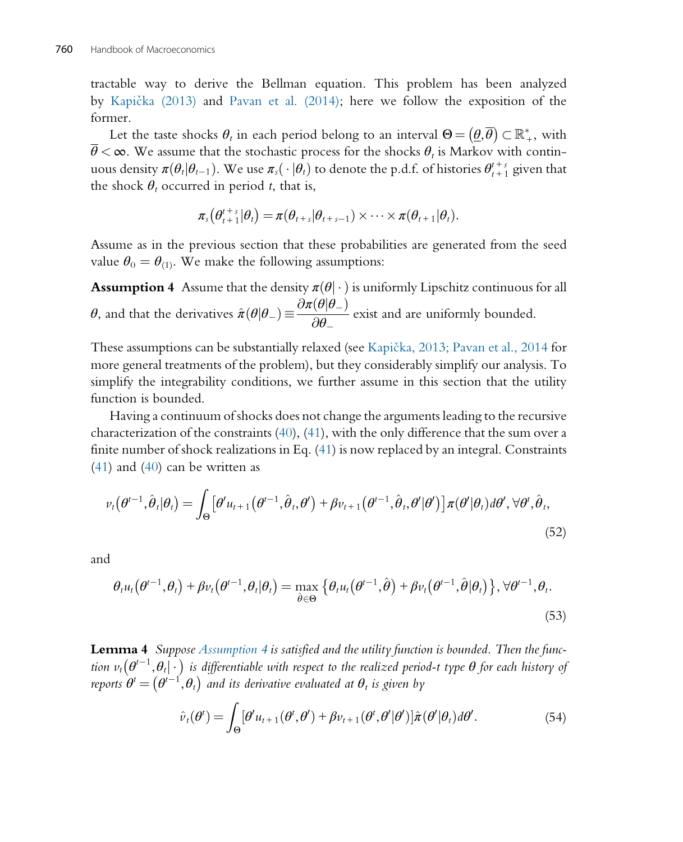tractable way to derive the Bellman equation. This problem has been analyzed by Kapička  $(2013)$  and Pavan et al.  $(2014)$ ; here we follow the exposition of the former.

Let the taste shocks  $\theta_t$  in each period belong to an interval  $\Theta = (\underline{\theta}, \overline{\theta}) \subset \mathbb{R}^*_+$ , with  $\theta < \infty$ . We assume that the stochastic process for the shocks  $\theta_t$  is Markov with continuous density  $\pi(\theta_t|\theta_{t-1})$ . We use  $\pi_s(\cdot|\theta_t)$  to denote the p.d.f. of histories  $\theta_{t+1}^{t+s}$  given that the shock  $\theta_t$  occurred in period t, that is,

$$
\pi_s(\theta^{t+s}_{t+1}|\theta_t)=\pi(\theta_{t+s}|\theta_{t+s-1})\times\cdots\times\pi(\theta_{t+1}|\theta_t).
$$

Assume as in the previous section that these probabilities are generated from the seed value  $\theta_0 = \theta_{(1)}$ . We make the following assumptions:

**Assumption 4** Assume that the density  $\pi(\theta|\cdot)$  is uniformly Lipschitz continuous for all  $\theta$ , and that the derivatives  $\hat{\pi}(\theta | \theta_{-}) \equiv \frac{\partial \pi(\theta | \theta_{-})}{\partial \theta_{-}}$  $\frac{\partial \theta}{\partial \theta}$  exist and are uniformly bounded.

These assumptions can be substantially relaxed (see Kapička, [2013; Pavan et al., 2014](#page-114-0) for more general treatments of the problem), but they considerably simplify our analysis. To simplify the integrability conditions, we further assume in this section that the utility function is bounded.

Having a continuum of shocks does not change the arguments leading to the recursive characterization of the constraints ([40](#page-30-0)), [\(41\)](#page-30-0), with the only difference that the sum over a finite number of shock realizations in Eq. [\(41\)](#page-30-0) is now replaced by an integral. Constraints  $(41)$  and  $(40)$  $(40)$  can be written as

$$
\nu_t(\theta^{t-1},\hat{\theta}_t|\theta_t) = \int_{\Theta} \left[ \theta' u_{t+1}(\theta^{t-1},\hat{\theta}_t,\theta') + \beta \nu_{t+1}(\theta^{t-1},\hat{\theta}_t,\theta'|\theta') \right] \pi(\theta'|\theta_t) d\theta', \forall \theta^t, \hat{\theta}_t,
$$
\n(52)

and

$$
\theta_t u_t \big(\theta^{t-1}, \theta_t\big) + \beta v_t \big(\theta^{t-1}, \theta_t | \theta_t\big) = \max_{\hat{\theta} \in \Theta} \left\{ \theta_t u_t \big(\theta^{t-1}, \hat{\theta}\big) + \beta v_t \big(\theta^{t-1}, \hat{\theta} | \theta_t\big) \right\}, \forall \theta^{t-1}, \theta_t.
$$
\n(53)

**Lemma 4** Suppose Assumption 4 is satisfied and the utility function is bounded. Then the function  $v_t(\theta^{t-1}, \theta_t|\cdot)$  is differentiable with respect to the realized period-t type  $\theta$  for each history of<br>reports  $\theta^t - (\theta^{t-1}, \theta)$  and its derivative evaluated at  $\theta$  is given by reports  $\hat{\theta}^t = (\theta^{t-1}, \theta_t)$  and its derivative evaluated at  $\theta_t$  is given by

$$
\hat{\nu}_t(\theta^t) = \int_{\Theta} [\theta' u_{t+1}(\theta^t, \theta') + \beta v_{t+1}(\theta^t, \theta' | \theta')]\hat{\pi}(\theta' | \theta_t) d\theta'.
$$
\n(54)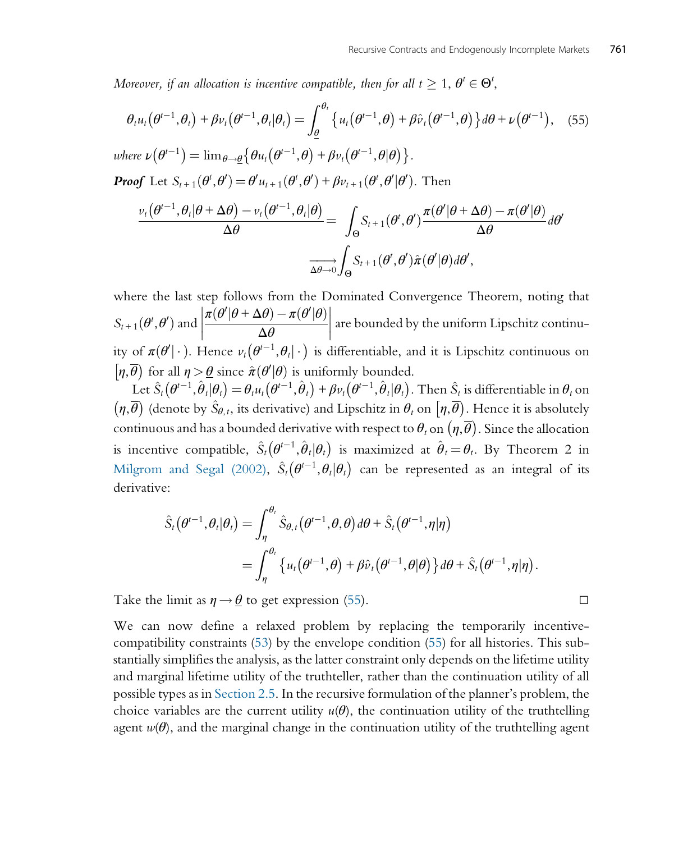<span id="page-36-0"></span>Moreover, if an allocation is incentive compatible, then for all  $t \geq 1$ ,  $\theta^t \in \Theta^t$ ,

$$
\theta_t u_t \big(\theta^{t-1}, \theta_t\big) + \beta v_t \big(\theta^{t-1}, \theta_t | \theta_t\big) = \int_{\underline{\theta}}^{\theta_t} \left\{ u_t \big(\theta^{t-1}, \theta\big) + \beta \hat{v}_t \big(\theta^{t-1}, \theta\big) \right\} d\theta + \nu \big(\theta^{t-1}\big), \quad (55)
$$

where  $\nu(\theta^{t-1}) = \lim_{\theta \to \theta} \big\{ \theta u_t(\theta^{t-1}, \theta) + \beta v_t(\theta^{t-1}, \theta | \theta) \big\}.$ **Proof** Let  $S_{t+1}(\theta^t, \theta') = \theta' u_{t+1}(\theta^t, \theta') + \beta v_{t+1}(\theta^t, \theta'|\theta')$ . Then

$$
\frac{\nu_t(\theta^{t-1},\theta_t|\theta+\Delta\theta)-\nu_t(\theta^{t-1},\theta_t|\theta)}{\Delta\theta}=\int_{\Theta}S_{t+1}(\theta',\theta')\frac{\pi(\theta'|\theta+\Delta\theta)-\pi(\theta'|\theta)}{\Delta\theta}d\theta'
$$
\n
$$
\frac{1}{\Delta\theta\to 0}\int_{\Theta}S_{t+1}(\theta',\theta')\hat{\pi}(\theta'|\theta)d\theta',
$$

where the last step follows from the Dominated Convergence Theorem, noting that  $S_{t+1}(\theta^t, \theta^t)$  and  $\left| \frac{\pi(\theta^t | \theta + \Delta \theta) - \pi(\theta^t | \theta)}{\Delta \theta} \right|$   $\begin{array}{c} \hline \end{array}$ are bounded by the uniform Lipschitz continuity of  $\pi(\theta'|\cdot)$ . Hence  $\nu_t(\theta^{t-1}, \theta_t|\cdot)$  is differentiable, and it is Lipschitz continuous on  $[\eta, \overline{\theta}]$  for all  $\eta > \theta$  since  $\hat{\pi}(\theta'|\theta)$  is uniformly bounded.

Let  $\hat{S}_t (\theta^{t-1}, \hat{\theta}_t | \theta_t) = \theta_t u_t (\theta^{t-1}, \hat{\theta}_t) + \beta v_t (\theta^{t-1}, \hat{\theta}_t | \theta_t)$ . Then  $\hat{S}_t$  is differentiable in  $\theta_t$  on  $\overline{\theta}$ .  $(\eta, \overline{\theta})$  (denote by  $\hat{S}_{\theta,t}$ , its derivative) and Lipschitz in  $\theta_t$  on  $[\eta, \overline{\theta})$ . Hence it is absolutely continuous and has a bounded derivative with respect to  $\theta_t$  on  $(\eta, \overline{\theta})$ . Since the allocation is incentive compatible,  $\hat{S}_t (\theta^{t-1}, \hat{\theta}_t | \theta_t)$  is maximized at  $\hat{\theta}_t = \theta_t$ . By Theorem 2 in [Milgrom and Segal \(2002\),](#page-115-0)  $\hat{S}_t (\theta^{t-1}, \theta_t | \theta_t)$  can be represented as an integral of its derivative:

$$
\hat{S}_t(\theta^{t-1}, \theta_t | \theta_t) = \int_{\eta}^{\theta_t} \hat{S}_{\theta, t}(\theta^{t-1}, \theta, \theta) d\theta + \hat{S}_t(\theta^{t-1}, \eta | \eta) \n= \int_{\eta}^{\theta_t} \left\{ u_t(\theta^{t-1}, \theta) + \beta \hat{v}_t(\theta^{t-1}, \theta | \theta) \right\} d\theta + \hat{S}_t(\theta^{t-1}, \eta | \eta).
$$

Take the limit as  $\eta \rightarrow \theta$  to get expression (55). □

We can now define a relaxed problem by replacing the temporarily incentivecompatibility constraints ([53](#page-35-0)) by the envelope condition (55) for all histories. This substantially simplifies the analysis, as the latter constraint only depends on the lifetime utility and marginal lifetime utility of the truthteller, rather than the continuation utility of all possible types as in [Section 2.5.](#page-28-0) In the recursive formulation of the planner's problem, the choice variables are the current utility  $u(\theta)$ , the continuation utility of the truthtelling agent  $w(\theta)$ , and the marginal change in the continuation utility of the truthtelling agent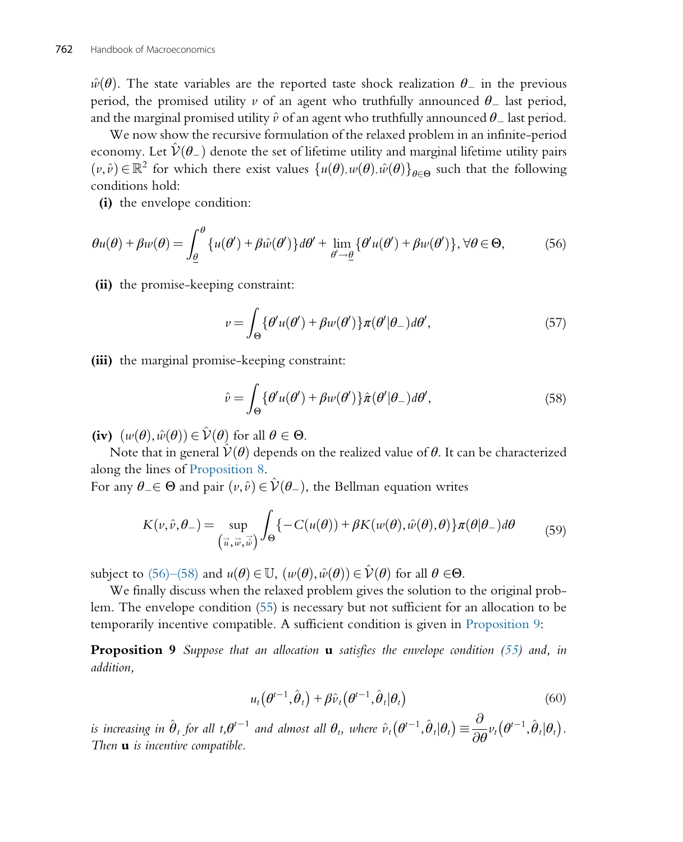<span id="page-37-0"></span> $\hat{w}(\theta)$ . The state variables are the reported taste shock realization  $\theta$  in the previous period, the promised utility v of an agent who truthfully announced  $\theta_{-}$  last period, and the marginal promised utility  $\hat{v}$  of an agent who truthfully announced  $\theta_{\perp}$  last period.

We now show the recursive formulation of the relaxed problem in an infinite-period economy. Let  $V(\theta_-)$  denote the set of lifetime utility and marginal lifetime utility pairs  $(v,\hat{v}) \in \mathbb{R}^2$  for which there exist values  $\{u(\theta),w(\theta),\hat{w}(\theta)\}_{\theta \in \Theta}$  such that the following conditions hold:

(i) the envelope condition:

$$
\theta u(\theta) + \beta w(\theta) = \int_{\underline{\theta}}^{\theta} \left\{ u(\theta') + \beta \hat{w}(\theta') \right\} d\theta' + \lim_{\theta' \to \underline{\theta}} \left\{ \theta' u(\theta') + \beta w(\theta') \right\}, \forall \theta \in \Theta, \tag{56}
$$

(ii) the promise-keeping constraint:

$$
\nu = \int_{\Theta} {\{\theta' u(\theta') + \beta w(\theta')\} \pi(\theta'|\theta_{-}) d\theta'},
$$
\n(57)

(iii) the marginal promise-keeping constraint:

$$
\hat{v} = \int_{\Theta} {\{\theta' u(\theta') + \beta w(\theta')\} \hat{\pi}(\theta'|\theta_{-}) d\theta'},
$$
\n(58)

(iv)  $(w(\theta), \hat{w}(\theta)) \in \hat{\mathcal{V}}(\theta)$  for all  $\theta \in \Theta$ .

Note that in general  $V(\theta)$  depends on the realized value of  $\theta$ . It can be characterized along the lines of Proposition 8.

For any  $\theta_{-} \in \Theta$  and pair  $(v, \hat{v}) \in \hat{V}(\theta_{-})$ , the Bellman equation writes

$$
K(\nu,\hat{\nu},\theta_{-}) = \sup_{(\vec{u},\vec{w},\vec{\hat{\nu}})} \int_{\Theta} \{-C(u(\theta)) + \beta K(\nu(\theta),\hat{\nu}(\theta),\theta)\} \pi(\theta|\theta_{-}) d\theta
$$
(59)

subject to (56)–(58) and  $u(\theta) \in \mathbb{U}$ ,  $(w(\theta), \hat{w}(\theta)) \in \hat{\mathcal{V}}(\theta)$  for all  $\theta \in \Theta$ .

We finally discuss when the relaxed problem gives the solution to the original problem. The envelope condition ([55](#page-36-0)) is necessary but not sufficient for an allocation to be temporarily incentive compatible. A sufficient condition is given in Proposition 9:

**Proposition 9** Suppose that an allocation **u** satisfies the envelope condition ([55\)](#page-36-0) and, in addition,

$$
u_t(\theta^{t-1}, \hat{\theta}_t) + \beta \hat{\nu}_t(\theta^{t-1}, \hat{\theta}_t | \theta_t)
$$
\n(60)

is increasing in  $\hat{\theta}_t$  for all t, $\theta^{t-1}$  and almost all  $\theta_t$ , where  $\hat{v}_t \big(\theta^{t-1}, \hat{\theta}_t | \theta_t \big) \equiv \frac{\partial}{\partial t}$  $\frac{\partial}{\partial \theta} \nu_t \big( \theta^{t-1}, \hat{\theta}_t | \theta_t \big).$ Then  $\mathbf u$  is incentive compatible.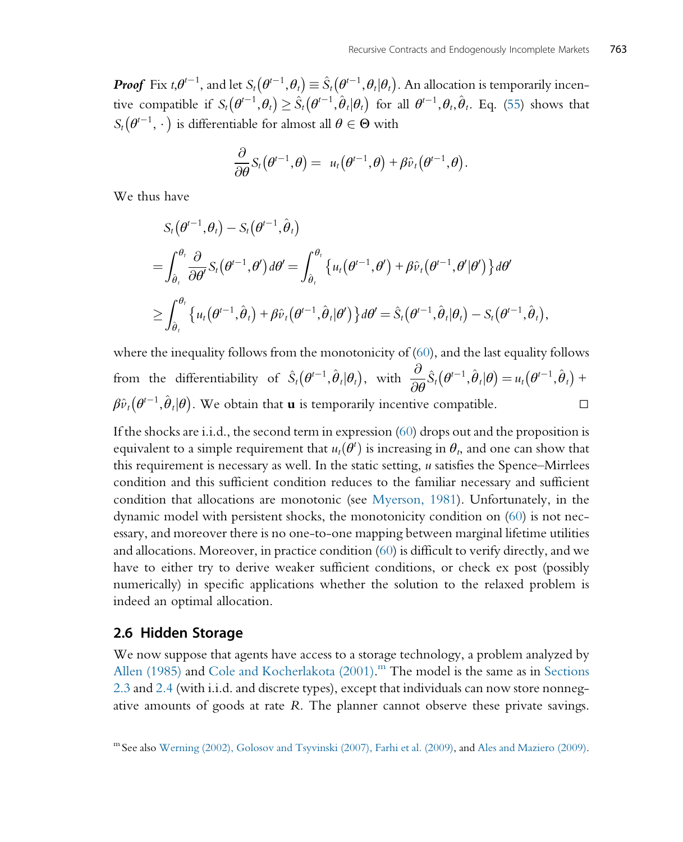**Proof** Fix  $t, \theta^{t-1}$ , and let  $S_t(\theta^{t-1}, \theta_t) \equiv \hat{S}_t(\theta^{t-1}, \theta_t | \theta_t)$ . An allocation is temporarily incentive compatible if  $S_t(\theta^{t-1}, \theta_t) \ge \hat{S}_t(\theta^{t-1}, \hat{\theta}_t | \theta_t)$  for all  $\theta^{t-1}, \theta_t, \hat{\theta}_t$ . Eq. [\(55\)](#page-36-0) shows that  $S_t(\theta^{t-1},\cdot)$  is differentiable for almost all  $\theta \in \Theta$  with

$$
\frac{\partial}{\partial \theta} S_t(\theta^{t-1},\theta) = u_t(\theta^{t-1},\theta) + \beta \hat{v}_t(\theta^{t-1},\theta).
$$

We thus have

$$
S_t(\theta^{t-1}, \theta_t) - S_t(\theta^{t-1}, \hat{\theta}_t)
$$
  
= 
$$
\int_{\hat{\theta}_t}^{\theta_t} \frac{\partial}{\partial \theta} S_t(\theta^{t-1}, \theta') d\theta' = \int_{\hat{\theta}_t}^{\theta_t} \left\{ u_t(\theta^{t-1}, \theta') + \beta \hat{v}_t(\theta^{t-1}, \theta' | \theta') \right\} d\theta'
$$
  

$$
\geq \int_{\hat{\theta}_t}^{\theta_t} \left\{ u_t(\theta^{t-1}, \hat{\theta}_t) + \beta \hat{v}_t(\theta^{t-1}, \hat{\theta}_t | \theta') \right\} d\theta' = \hat{S}_t(\theta^{t-1}, \hat{\theta}_t | \theta_t) - S_t(\theta^{t-1}, \hat{\theta}_t),
$$

where the inequality follows from the monotonicity of  $(60)$  $(60)$ , and the last equality follows from the differentiability of  $\hat{S}_t (\theta^{t-1}, \hat{\theta}_t | \theta_t)$ , with  $\frac{\partial}{\partial \theta} \hat{S}_t (\theta^{t-1}, \hat{\theta}_t | \theta) = u_t (\theta^{t-1}, \hat{\theta}_t) +$  $\beta \hat{v}_t (\theta^{t-1}, \hat{\theta}_t | \theta)$ . We obtain that **u** is temporarily incentive compatible.  $\Box$ 

If the shocks are i.i.d., the second term in expression  $(60)$  $(60)$  drops out and the proposition is equivalent to a simple requirement that  $u_t(\theta^t)$  is increasing in  $\theta_t$ , and one can show that this requirement is necessary as well. In the static setting, u satisfies the Spence–Mirrlees condition and this sufficient condition reduces to the familiar necessary and sufficient condition that allocations are monotonic (see [Myerson, 1981](#page-115-0)). Unfortunately, in the dynamic model with persistent shocks, the monotonicity condition on ([60](#page-37-0)) is not necessary, and moreover there is no one-to-one mapping between marginal lifetime utilities and allocations. Moreover, in practice condition [\(60\)](#page-37-0) is difficult to verify directly, and we have to either try to derive weaker sufficient conditions, or check ex post (possibly numerically) in specific applications whether the solution to the relaxed problem is indeed an optimal allocation.

### 2.6 Hidden Storage

We now suppose that agents have access to a storage technology, a problem analyzed by [Allen \(1985\)](#page-112-0) and [Cole and Kocherlakota \(2001\)](#page-113-0). <sup>m</sup> The model is the same as in [Sections](#page-9-0) [2.3](#page-9-0) and [2.4](#page-20-0) (with i.i.d. and discrete types), except that individuals can now store nonnegative amounts of goods at rate R. The planner cannot observe these private savings.

<sup>m</sup> See also [Werning \(2002\), Golosov and Tsyvinski \(2007\), Farhi et al. \(2009\),](#page-116-0) and [Ales and Maziero \(2009\).](#page-112-0)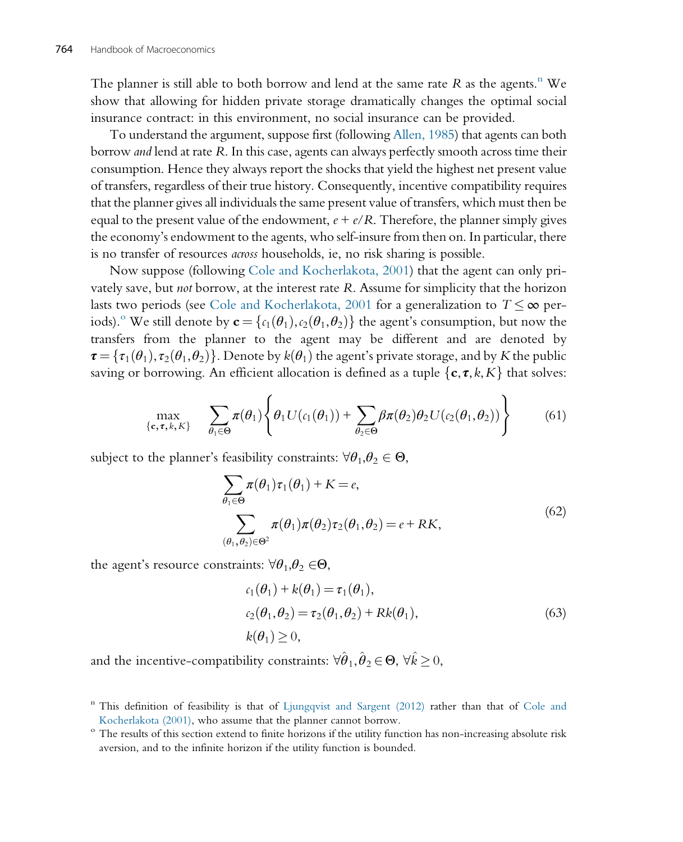<span id="page-39-0"></span>The planner is still able to both borrow and lend at the same rate  $R$  as the agents.<sup>n</sup> We show that allowing for hidden private storage dramatically changes the optimal social insurance contract: in this environment, no social insurance can be provided.

To understand the argument, suppose first (following [Allen, 1985\)](#page-112-0) that agents can both borrow *and* lend at rate R. In this case, agents can always perfectly smooth across time their consumption. Hence they always report the shocks that yield the highest net present value of transfers, regardless of their true history. Consequently, incentive compatibility requires that the planner gives all individuals the same present value of transfers, which must then be equal to the present value of the endowment,  $e + e/R$ . Therefore, the planner simply gives the economy's endowment to the agents, who self-insure from then on. In particular, there is no transfer of resources across households, ie, no risk sharing is possible.

Now suppose (following [Cole and Kocherlakota, 2001](#page-113-0)) that the agent can only privately save, but not borrow, at the interest rate R. Assume for simplicity that the horizon lasts two periods (see [Cole and Kocherlakota, 2001](#page-113-0) for a generalization to  $T \leq \infty$  periods).<sup>o</sup> We still denote by  $\mathbf{c} = \{c_1(\theta_1), c_2(\theta_1, \theta_2)\}\$ the agent's consumption, but now the transfers from the planner to the agent may be different and are denoted by  $\tau = {\tau_1(\theta_1), \tau_2(\theta_1, \theta_2)}$ . Denote by  $k(\theta_1)$  the agent's private storage, and by K the public saving or borrowing. An efficient allocation is defined as a tuple  $\{\mathbf{c}, \tau, k, K\}$  that solves:

$$
\max_{\{\mathbf{c},\mathbf{r},k,K\}} \quad \sum_{\theta_1 \in \Theta} \pi(\theta_1) \left\{ \theta_1 U(c_1(\theta_1)) + \sum_{\theta_2 \in \Theta} \beta \pi(\theta_2) \theta_2 U(c_2(\theta_1, \theta_2)) \right\} \tag{61}
$$

subject to the planner's feasibility constraints:  $\forall \theta_1, \theta_2 \in \Theta$ ,

$$
\sum_{\theta_1 \in \Theta} \pi(\theta_1) \tau_1(\theta_1) + K = e,
$$
\n
$$
\sum_{(\theta_1, \theta_2) \in \Theta^2} \pi(\theta_1) \pi(\theta_2) \tau_2(\theta_1, \theta_2) = e + RK,
$$
\n(62)

the agent's resource constraints:  $\forall \theta_1, \theta_2 \in \Theta$ ,

$$
c_1(\theta_1) + k(\theta_1) = \tau_1(\theta_1),
$$
  
\n
$$
c_2(\theta_1, \theta_2) = \tau_2(\theta_1, \theta_2) + Rk(\theta_1),
$$
  
\n
$$
k(\theta_1) \ge 0,
$$
  
\n(63)

and the incentive-compatibility constraints:  $\forall \hat{\theta}_1, \hat{\theta}_2 \in \Theta, \forall \hat{k} \geq 0$ ,

<sup>n</sup> This definition of feasibility is that of [Ljungqvist and Sargent \(2012\)](#page-115-0) rather than that of [Cole and](#page-113-0) [Kocherlakota \(2001\)](#page-113-0), who assume that the planner cannot borrow.<br><sup>o</sup> The results of this section extend to finite horizons if the utility function has non-increasing absolute risk

aversion, and to the infinite horizon if the utility function is bounded.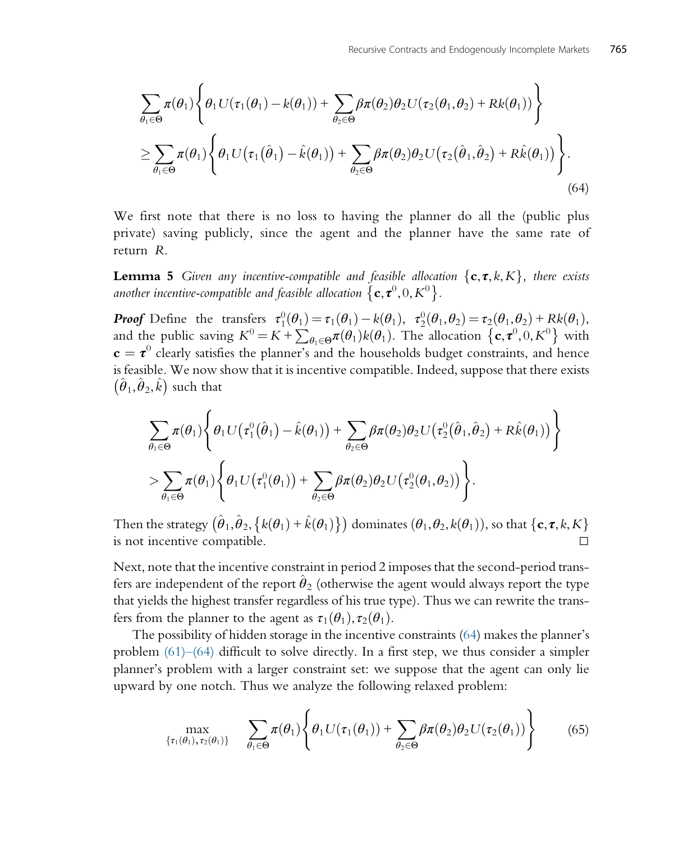<span id="page-40-0"></span>
$$
\sum_{\theta_1 \in \Theta} \pi(\theta_1) \left\{ \theta_1 U(\tau_1(\theta_1) - k(\theta_1)) + \sum_{\theta_2 \in \Theta} \beta \pi(\theta_2) \theta_2 U(\tau_2(\theta_1, \theta_2) + Rk(\theta_1)) \right\}
$$
\n
$$
\geq \sum_{\theta_1 \in \Theta} \pi(\theta_1) \left\{ \theta_1 U(\tau_1(\hat{\theta}_1) - \hat{k}(\theta_1)) + \sum_{\theta_2 \in \Theta} \beta \pi(\theta_2) \theta_2 U(\tau_2(\hat{\theta}_1, \hat{\theta}_2) + R\hat{k}(\theta_1)) \right\}.
$$
\n(64)

We first note that there is no loss to having the planner do all the (public plus private) saving publicly, since the agent and the planner have the same rate of return R.

**Lemma 5** Given any incentive-compatible and feasible allocation  $\{\mathbf{c}, \mathbf{r}, k, K\}$ , there exists another incentive-compatible and feasible allocation  $\left\{\mathbf{c},\mathbf{r}^0,0,K^0\right\}$  .

**Proof** Define the transfers  $\tau_1^0(\theta_1) = \tau_1(\theta_1) - k(\theta_1)$ ,  $\tau_2^0(\theta_1, \theta_2) = \tau_2(\theta_1, \theta_2) + Rk(\theta_1)$ ,<br>and the public saving  $K^0 = K + \sum_{\pi(\theta_1)} k(\theta_1)$ . The allocation  $\int_C \tau_2^0 = K^0 \int_C \text{ with }$ and the public saving  $K^0 = K + \sum_{\theta_1 \in \Theta} \pi(\theta_1) k(\theta_1)$ . The allocation  $\{\mathbf{c}, \tau^0, 0, K^0\}$  with  $\mathbf{c} = \tau^0$  clearly satisfies the planner's and the bouseholds budget constraints, and hence  $c = \tau^0$  clearly satisfies the planner's and the households budget constraints, and hence is feasible. We now show that it is incentive compatible. Indeed, suppose that there exists  $(\hat{\theta}_1,\hat{\theta}_2,\hat{k})$  such that

$$
\sum_{\theta_1 \in \Theta} \pi(\theta_1) \Bigg\{ \theta_1 U(\tau_1^0(\hat{\theta}_1) - \hat{k}(\theta_1)) + \sum_{\theta_2 \in \Theta} \beta \pi(\theta_2) \theta_2 U(\tau_2^0(\hat{\theta}_1, \hat{\theta}_2) + R\hat{k}(\theta_1)) \Bigg\} > \sum_{\theta_1 \in \Theta} \pi(\theta_1) \Bigg\{ \theta_1 U(\tau_1^0(\theta_1)) + \sum_{\theta_2 \in \Theta} \beta \pi(\theta_2) \theta_2 U(\tau_2^0(\theta_1, \theta_2)) \Bigg\}.
$$

Then the strategy  $(\hat{\theta}_1, \hat{\theta}_2, \{k(\theta_1) + \hat{k}(\theta_1)\})$  dominates  $(\theta_1, \theta_2, k(\theta_1))$ , so that  $\{\mathbf{c}, \mathbf{\tau}, k, K\}$ is not incentive compatible. □

Next, note that the incentive constraint in period 2 imposes that the second-period transfers are independent of the report  $\theta_2$  (otherwise the agent would always report the type that yields the highest transfer regardless of his true type). Thus we can rewrite the transfers from the planner to the agent as  $\tau_1(\theta_1), \tau_2(\theta_1)$ .

The possibility of hidden storage in the incentive constraints (64) makes the planner's problem (61)–[\(64\)](#page-39-0) difficult to solve directly. In a first step, we thus consider a simpler planner's problem with a larger constraint set: we suppose that the agent can only lie upward by one notch. Thus we analyze the following relaxed problem:

$$
\max_{\{\tau_1(\theta_1),\tau_2(\theta_1)\}} \quad \sum_{\theta_1 \in \Theta} \pi(\theta_1) \left\{ \theta_1 U(\tau_1(\theta_1)) + \sum_{\theta_2 \in \Theta} \beta \pi(\theta_2) \theta_2 U(\tau_2(\theta_1)) \right\} \tag{65}
$$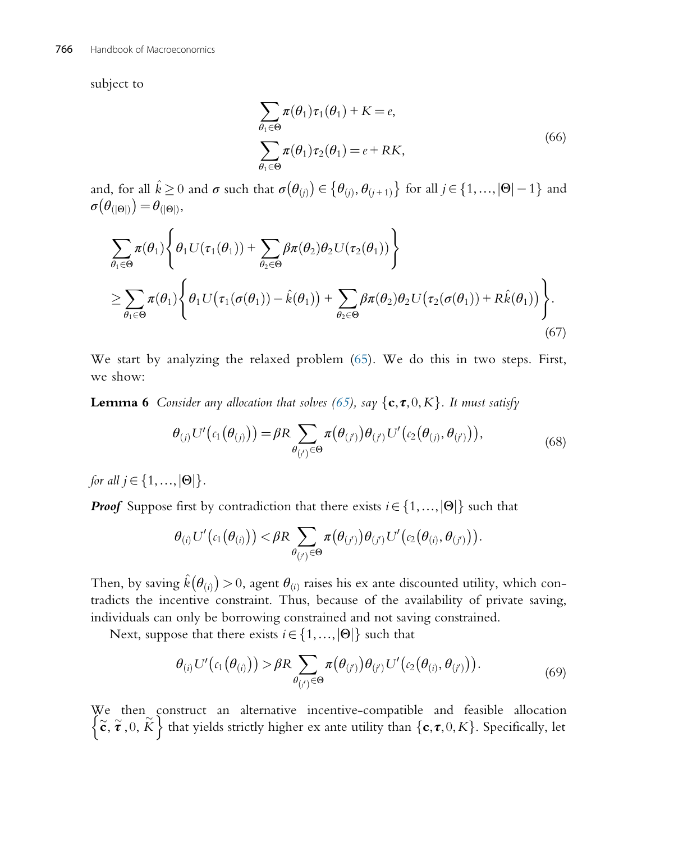<span id="page-41-0"></span>subject to

$$
\sum_{\theta_1 \in \Theta} \pi(\theta_1) \tau_1(\theta_1) + K = e,
$$
\n
$$
\sum_{\theta_1 \in \Theta} \pi(\theta_1) \tau_2(\theta_1) = e + RK,
$$
\n(66)

and, for all  $\hat{k} \ge 0$  and  $\sigma$  such that  $\sigma(\theta_{(j)}) \in \big\{\theta_{(j)}, \theta_{(j+1)}\big\}$  for all  $j \in \{1, ..., |\Theta| - 1\}$  and  $\sigma(\theta_{(j)}) = \theta_{(j)}$  $\sigma\big(\theta_{\left(\vert\Theta\vert\right)}\big) = \theta_{\left(\vert\Theta\vert\right)},$ 

$$
\sum_{\theta_1 \in \Theta} \pi(\theta_1) \left\{ \theta_1 U(\tau_1(\theta_1)) + \sum_{\theta_2 \in \Theta} \beta \pi(\theta_2) \theta_2 U(\tau_2(\theta_1)) \right\} \n\geq \sum_{\theta_1 \in \Theta} \pi(\theta_1) \left\{ \theta_1 U(\tau_1(\sigma(\theta_1)) - \hat{k}(\theta_1)) + \sum_{\theta_2 \in \Theta} \beta \pi(\theta_2) \theta_2 U(\tau_2(\sigma(\theta_1)) + R\hat{k}(\theta_1)) \right\}.
$$
\n(67)

We start by analyzing the relaxed problem [\(65](#page-40-0)). We do this in two steps. First, we show:

**Lemma 6** Consider any allocation that solves [\(65](#page-40-0)), say  $\{c, \tau, 0, K\}$ . It must satisfy

$$
\theta_{(j)} U'(c_1(\theta_{(j)})) = \beta R \sum_{\theta_{(j')} \in \Theta} \pi(\theta_{(j')}) \theta_{(j')} U' (c_2(\theta_{(j)}, \theta_{(j')})), \qquad (68)
$$

for all  $j \in \{1, ..., |\Theta|\}$ .

**Proof** Suppose first by contradiction that there exists  $i \in \{1, ..., |\Theta|\}$  such that

$$
\theta_{(i)} U' \big( c_1 \big( \theta_{(i)} \big) \big) < \beta R \sum_{\theta_{(j')} \in \Theta} \pi \big( \theta_{(j')} \big) \theta_{(j')} U' \big( c_2 \big( \theta_{(i)}, \theta_{(j')} \big) \big).
$$

Then, by saving  $\hat{k}(\theta_{(i)}) > 0$ , agent  $\theta_{(i)}$  raises his ex ante discounted utility, which contradicts the incentive constraint. Thus, because of the availability of private saving, individuals can only be borrowing constrained and not saving constrained.

Next, suppose that there exists  $i \in \{1, ..., |\Theta|\}$  such that

$$
\theta_{(i)} U' \big( c_1 \big( \theta_{(i)} \big) \big) > \beta R \sum_{\theta_{(j')} \in \Theta} \pi \big( \theta_{(j')} \big) \theta_{(j')} U' \big( c_2 \big( \theta_{(i)}, \theta_{(j')} \big) \big).
$$
\n(69)

We then construct an alternative incentive-compatible and feasible allocation  $\{\tilde{\mathbf{c}}, \tilde{\mathbf{r}}, 0, \tilde{K}\}$  that yields strictly higher ex ante utility than  $\{\mathbf{c}, \mathbf{r}, 0, K\}$ . Specifically, let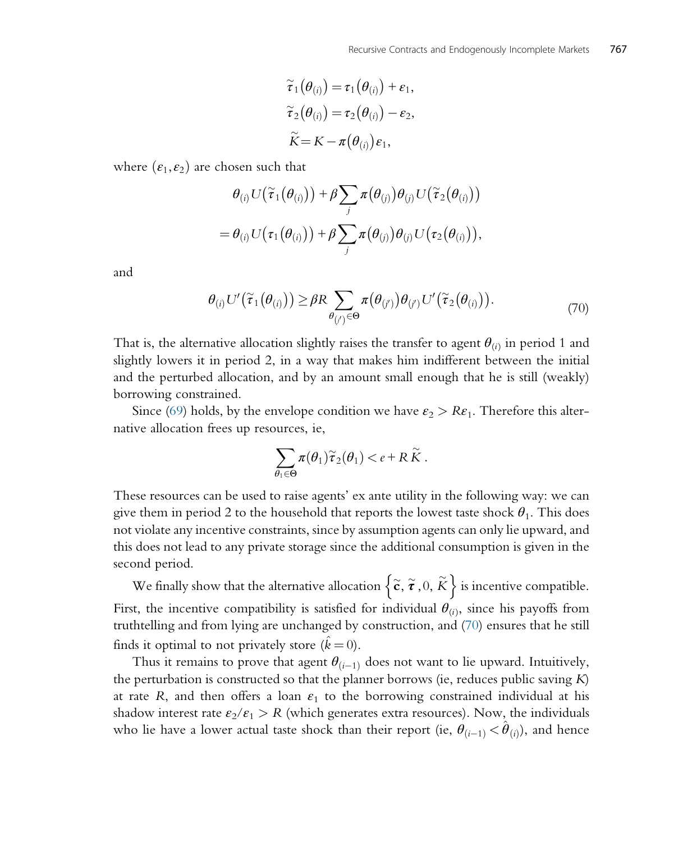$$
\widetilde{\tau}_1(\theta_{(i)}) = \tau_1(\theta_{(i)}) + \varepsilon_1,\n\widetilde{\tau}_2(\theta_{(i)}) = \tau_2(\theta_{(i)}) - \varepsilon_2,\n\widetilde{K} = K - \pi(\theta_{(i)}) \varepsilon_1,
$$

where  $(\varepsilon_1, \varepsilon_2)$  are chosen such that

$$
\theta_{(i)} U(\widetilde{\tau}_1(\theta_{(i)}))+\beta \sum_j \pi(\theta_{(j)}) \theta_{(j)} U(\widetilde{\tau}_2(\theta_{(i)}))
$$
  
=  $\theta_{(i)} U(\tau_1(\theta_{(i)}))+\beta \sum_j \pi(\theta_{(j)}) \theta_{(j)} U(\tau_2(\theta_{(i)})),$ 

and

$$
\theta_{(i)} U'(\widetilde{\tau}_1(\theta_{(i)})) \geq \beta R \sum_{\theta_{(j')} \in \Theta} \pi(\theta_{(j')}) \theta_{(j')} U'(\widetilde{\tau}_2(\theta_{(i)})). \tag{70}
$$

That is, the alternative allocation slightly raises the transfer to agent  $\theta_{(i)}$  in period 1 and slightly lowers it in period 2, in a way that makes him indifferent between the initial and the perturbed allocation, and by an amount small enough that he is still (weakly) borrowing constrained.

Since [\(69\)](#page-41-0) holds, by the envelope condition we have  $\varepsilon_2 > R\varepsilon_1$ . Therefore this alternative allocation frees up resources, ie,

$$
\sum_{\theta_1\in\Theta}\pi(\theta_1)\widetilde{\tau}_2(\theta_1)<\mathrm{e}+R\widetilde{K}\,.
$$

These resources can be used to raise agents' ex ante utility in the following way: we can give them in period 2 to the household that reports the lowest taste shock  $\theta_1$ . This does not violate any incentive constraints, since by assumption agents can only lie upward, and this does not lead to any private storage since the additional consumption is given in the second period.

We finally show that the alternative allocation  $\left\{ \widetilde{\mathbf{c}}, \widetilde{\mathbf{r}}, 0, \widetilde{K} \right\}$  is incentive compatible. First, the incentive compatibility is satisfied for individual  $\theta_{(i)}$ , since his payoffs from truthtelling and from lying are unchanged by construction, and (70) ensures that he still finds it optimal to not privately store  $(\hat{k} = 0)$ .<br>Thus it remains to prove that agent  $\theta_{(k)}$ .

Thus it remains to prove that agent  $\theta_{(i-1)}$  does not want to lie upward. Intuitively, the perturbation is constructed so that the planner borrows (ie, reduces public saving  $K$ ) at rate R, and then offers a loan  $\varepsilon_1$  to the borrowing constrained individual at his shadow interest rate  $\varepsilon_2/\varepsilon_1 > R$  (which generates extra resources). Now, the individuals who lie have a lower actual taste shock than their report (ie,  $\theta_{(i-1)} < \theta_{(i)}$ ), and hence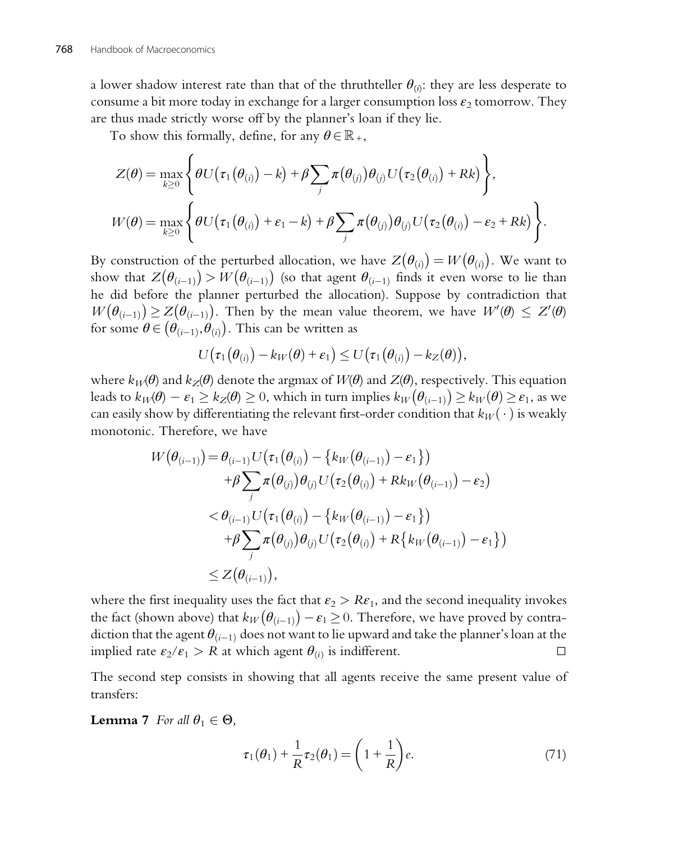<span id="page-43-0"></span>a lower shadow interest rate than that of the thruthteller  $\theta_{(i)}$ : they are less desperate to consume a bit more today in exchange for a larger consumption loss  $\varepsilon_2$  tomorrow. They are thus made strictly worse off by the planner's loan if they lie.

To show this formally, define, for any  $\theta \in \mathbb{R}_+$ ,

$$
Z(\theta) = \max_{k \geq 0} \left\{ \theta U(\tau_1(\theta_{(i)}) - k) + \beta \sum_j \pi(\theta_{(j)}) \theta_{(j)} U(\tau_2(\theta_{(i)}) + Rk) \right\},
$$
  

$$
W(\theta) = \max_{k \geq 0} \left\{ \theta U(\tau_1(\theta_{(i)}) + \varepsilon_1 - k) + \beta \sum_j \pi(\theta_{(j)}) \theta_{(j)} U(\tau_2(\theta_{(i)}) - \varepsilon_2 + Rk) \right\}.
$$

By construction of the perturbed allocation, we have  $Z(\theta_{(i)}) = W(\theta_{(i)})$ . We want to show that  $Z(\theta_{(i)}) > W(\theta_{(i)})$  (so that agent  $\theta_{(i)}$ ) finds it even worse to lie than show that  $Z(\theta_{(i-1)}) > W(\theta_{(i-1)})$  (so that agent  $\theta_{(i-1)}$  finds it even worse to lie than he did before the planner perturbed the allocation). Suppose by contradiction that  $W(\theta_{(i-1)}) \geq Z(\theta_{(i-1)})$ . Then by the mean value theorem, we have  $W'(\theta) \leq Z'(\theta)$ <br>for some  $\theta \in (\theta_{(i-1)}, \theta_{(i)})$ . This can be written as for some  $\theta \in (\theta_{(i-1)}, \theta_{(i)})$ . This can be written as

$$
U(\tau_1(\theta_{(i)})-k_W(\theta)+\varepsilon_1)\leq U(\tau_1(\theta_{(i)})-k_Z(\theta)),
$$

where  $k_W(\theta)$  and  $k_Z(\theta)$  denote the argmax of  $W(\theta)$  and  $Z(\theta)$ , respectively. This equation leads to  $k_W(\theta) - \varepsilon_1 \geq k_Z(\theta) \geq 0$ , which in turn implies  $k_W(\theta_{i-1}) \geq k_W(\theta) \geq \varepsilon_1$ , as we can easily show by differentiating the relevant first-order condition that  $k_W(\cdot)$  is weakly monotonic. Therefore, we have

$$
W(\theta_{(i-1)}) = \theta_{(i-1)} U(\tau_1(\theta_{(i)}) - \{k_W(\theta_{(i-1)}) - \varepsilon_1\})
$$
  
+  $\beta \sum_j \pi(\theta_{(j)}) \theta_{(j)} U(\tau_2(\theta_{(i)}) + Rk_W(\theta_{(i-1)}) - \varepsilon_2)$   
<  $\theta_{(i-1)} U(\tau_1(\theta_{(i)}) - \{k_W(\theta_{(i-1)}) - \varepsilon_1\})$   
+  $\beta \sum_j \pi(\theta_{(j)}) \theta_{(j)} U(\tau_2(\theta_{(i)}) + R\{k_W(\theta_{(i-1)}) - \varepsilon_1\})$   
 $\leq Z(\theta_{(i-1)}),$ 

where the first inequality uses the fact that  $\varepsilon_2 > R\varepsilon_1$ , and the second inequality invokes the fact (shown above) that  $k_W(\theta_{(i-1)}) - \varepsilon_1 \geq 0$ . Therefore, we have proved by contra-<br>diction that the agent  $\theta_{(i)}$  of does not want to lie unward and take the planner's loan at the diction that the agent  $\theta_{(i-1)}$  does not want to lie upward and take the planner's loan at the implied rate  $\varepsilon_2/\varepsilon_1 > R$  at which agent  $\theta_{(i)}$  is indifferent. implied rate  $\varepsilon_2/\varepsilon_1 > R$  at which agent  $\theta_{(i)}$  is indifferent.

The second step consists in showing that all agents receive the same present value of transfers:

**Lemma 7** For all  $\theta_1 \in \Theta$ ,

$$
\tau_1(\theta_1) + \frac{1}{R}\tau_2(\theta_1) = \left(1 + \frac{1}{R}\right)e.
$$
\n(71)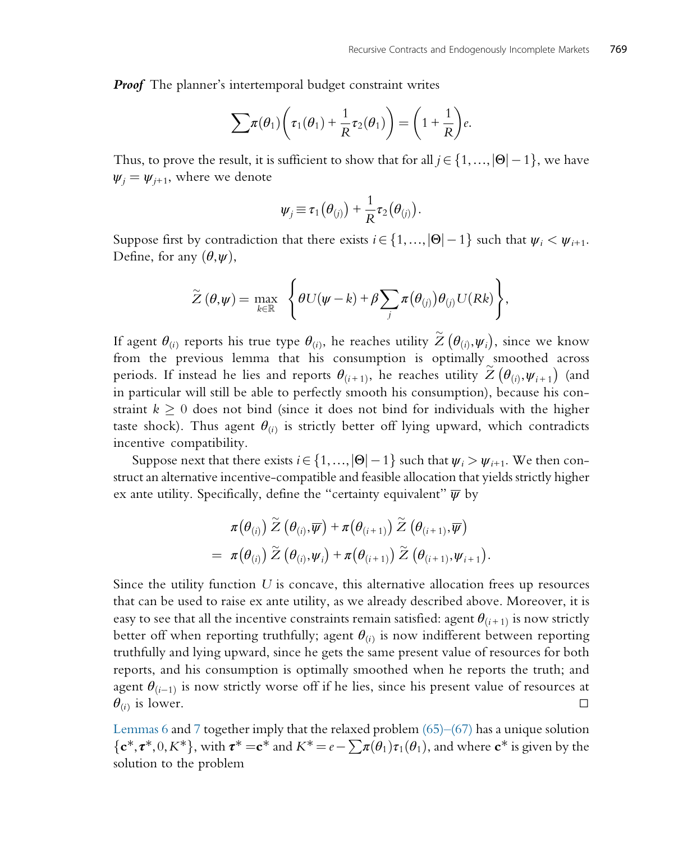**Proof** The planner's intertemporal budget constraint writes

$$
\sum \pi(\theta_1) \bigg(\tau_1(\theta_1) + \frac{1}{R} \tau_2(\theta_1)\bigg) = \bigg(1 + \frac{1}{R}\bigg)e.
$$

Thus, to prove the result, it is sufficient to show that for all  $j \in \{1, ..., |\Theta| - 1\}$ , we have  $\psi_i = \psi_{i+1}$ , where we denote

$$
\psi_j \equiv \tau_1(\theta_{(j)}) + \frac{1}{R} \tau_2(\theta_{(j)}).
$$

Suppose first by contradiction that there exists  $i \in \{1, ..., |\Theta| - 1\}$  such that  $\psi_i < \psi_{i+1}$ . Define, for any  $(\theta, \psi)$ ,

$$
\widetilde{Z}(\theta,\psi) = \max_{k \in \mathbb{R}} \left\{ \theta U(\psi - k) + \beta \sum_j \pi(\theta_{(j)}) \theta_{(j)} U(Rk) \right\},\
$$

If agent  $\theta_{(i)}$  reports his true type  $\theta_{(i)}$ , he reaches utility  $\tilde{Z}(\theta_{(i)}, \psi_i)$ , since we know from the previous lemma that his consumption is optimally smoothed across periods. If instead he lies and reports  $\theta_{(i+1)}$ , he reaches utility  $\tilde{Z}(\theta_{(i)}, \psi_{i+1})$  (and in particular will still be able to perfectly smooth his consumption), because his constraint  $k \geq 0$  does not bind (since it does not bind for individuals with the higher taste shock). Thus agent  $\theta_{(i)}$  is strictly better off lying upward, which contradicts incentive compatibility.

Suppose next that there exists  $i \in \{1, ..., |\Theta| - 1\}$  such that  $\psi_i > \psi_{i+1}$ . We then construct an alternative incentive-compatible and feasible allocation that yields strictly higher ex ante utility. Specifically, define the "certainty equivalent"  $\overline{\psi}$  by

$$
\pi(\theta_{(i)}) \overset{\sim}{Z} (\theta_{(i)}, \overline{\psi}) + \pi(\theta_{(i+1)}) \overset{\sim}{Z} (\theta_{(i+1)}, \overline{\psi})
$$
  
= 
$$
\pi(\theta_{(i)}) \overset{\sim}{Z} (\theta_{(i)}, \psi_i) + \pi(\theta_{(i+1)}) \overset{\sim}{Z} (\theta_{(i+1)}, \psi_{i+1}).
$$

Since the utility function  $U$  is concave, this alternative allocation frees up resources that can be used to raise ex ante utility, as we already described above. Moreover, it is easy to see that all the incentive constraints remain satisfied: agent  $\theta_{(i+1)}$  is now strictly better off when reporting truthfully; agent  $\theta_{(i)}$  is now indifferent between reporting truthfully and lying upward, since he gets the same present value of resources for both reports, and his consumption is optimally smoothed when he reports the truth; and agent  $\theta_{(i-1)}$  is now strictly worse off if he lies, since his present value of resources at  $\theta_{(i)}$  is lower.  $\theta_{(i)}$  is lower.

Lemmas 6 and 7 together imply that the relaxed problem (65)–[\(67\)](#page-40-0) has a unique solution  $\{\mathbf c^*, \mathbf r^*, 0, K^*\}$ , with  $\mathbf r^* = \mathbf c^*$  and  $K^* = e - \sum \pi(\theta_1) \tau_1(\theta_1)$ , and where  $\mathbf c^*$  is given by the solution to the problem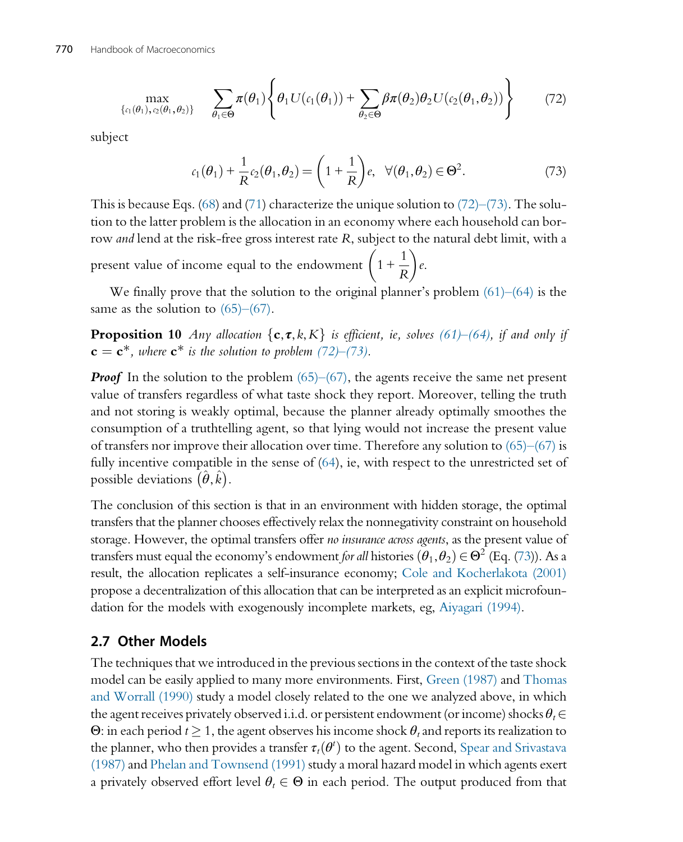<span id="page-45-0"></span>
$$
\max_{\{\epsilon_1(\theta_1),\epsilon_2(\theta_1,\theta_2)\}} \quad \sum_{\theta_1 \in \Theta} \pi(\theta_1) \left\{ \theta_1 U(\epsilon_1(\theta_1)) + \sum_{\theta_2 \in \Theta} \beta \pi(\theta_2) \theta_2 U(\epsilon_2(\theta_1,\theta_2)) \right\} \tag{72}
$$

subject

$$
c_1(\theta_1) + \frac{1}{R}c_2(\theta_1, \theta_2) = \left(1 + \frac{1}{R}\right)e, \quad \forall (\theta_1, \theta_2) \in \Theta^2.
$$
 (73)

This is because Eqs. ([68\)](#page-41-0) and ([71](#page-43-0)) characterize the unique solution to (72)–(73). The solution to the latter problem is the allocation in an economy where each household can borrow *and* lend at the risk-free gross interest rate R, subject to the natural debt limit, with a

present value of income equal to the endowment  $\left(1 + \frac{1}{n}\right)$ R  $(1, 1)$ e.

We finally prove that the solution to the original planner's problem  $(61)$ – $(64)$  is the same as the solution to  $(65)$ – $(67)$ .

**Proposition 10** Any allocation  $\{\mathbf{c}, \mathbf{\tau}, k, K\}$  is efficient, ie, solves [\(61\)](#page-39-0)–(64), if and only if  $\mathbf{c} = \mathbf{c}^*$ , where  $\mathbf{c}^*$  is the solution to problem (72)–(73).

**Proof** In the solution to the problem  $(65)$ – $(67)$ , the agents receive the same net present value of transfers regardless of what taste shock they report. Moreover, telling the truth and not storing is weakly optimal, because the planner already optimally smoothes the consumption of a truthtelling agent, so that lying would not increase the present value of transfers nor improve their allocation over time. Therefore any solution to  $(65)–(67)$  $(65)–(67)$  is fully incentive compatible in the sense of ([64](#page-40-0)), ie, with respect to the unrestricted set of possible deviations  $\big(\hat{\theta},\hat{k}\big).$ 

The conclusion of this section is that in an environment with hidden storage, the optimal transfers that the planner chooses effectively relax the nonnegativity constraint on household storage. However, the optimal transfers offer no insurance across agents, as the present value of transfers must equal the economy's endowment for all histories  $(\theta_1, \theta_2) \in \Theta^2$  (Eq. (73)). As a result, the allocation replicates a self-insurance economy; [Cole and Kocherlakota \(2001\)](#page-113-0) propose a decentralization of this allocation that can be interpreted asan explicit microfoundation for the models with exogenously incomplete markets, eg, [Aiyagari \(1994\)](#page-112-0).

# 2.7 Other Models

The techniques that we introduced in the previous sections in the context of the taste shock model can be easily applied to many more environments. First, [Green \(1987\)](#page-114-0) and [Thomas](#page-116-0) and [Worrall \(1990\)](#page-116-0) study a model closely related to the one we analyzed above, in which the agent receives privately observed i.i.d. or persistent endowment (or income) shocks  $\theta_t \in$ Θ: in each period  $t \geq 1$ , the agent observes his income shock  $\theta_t$  and reports its realization to the planner, who then provides a transfer  $\tau_t(\theta^t)$  to the agent. Second, [Spear and Srivastava](#page-115-0)  $(1987)$  and Phelan and Townsend  $(1991)$  study a moral hazard model in which agents exert a privately observed effort level  $\theta_t \in \Theta$  in each period. The output produced from that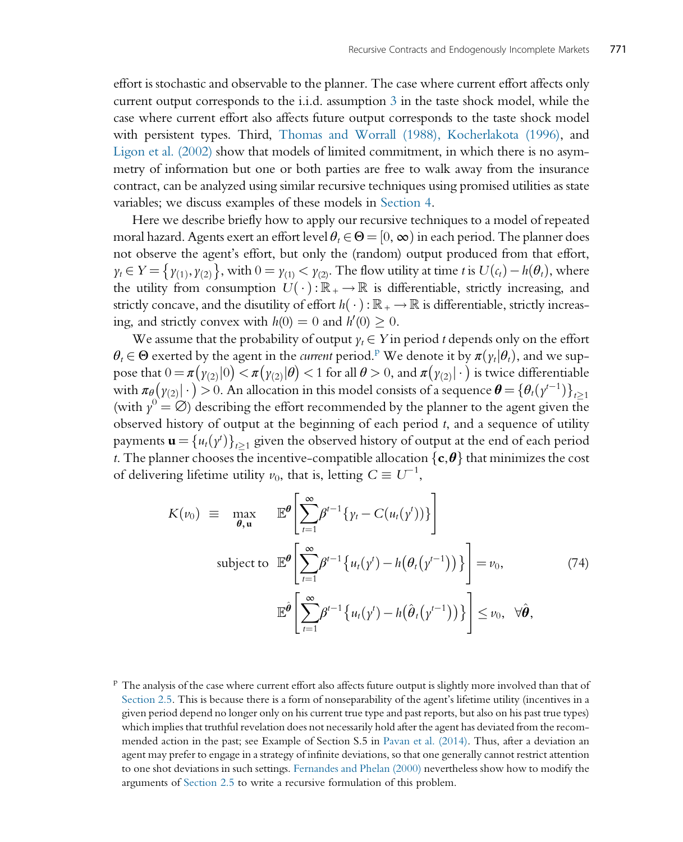effort is stochastic and observable to the planner. The case where current effort affects only current output corresponds to the i.i.d. assumption 3 in the taste shock model, while the case where current effort also affects future output corresponds to the taste shock model with persistent types. Third, [Thomas and Worrall \(1988\), Kocherlakota \(1996\),](#page-116-0) and [Ligon et al. \(2002\)](#page-115-0) show that models of limited commitment, in which there is no asymmetry of information but one or both parties are free to walk away from the insurance contract, can be analyzed using similar recursive techniques using promised utilities as state variables; we discuss examples of these models in [Section 4](#page-85-0).

Here we describe briefly how to apply our recursive techniques to a model of repeated moral hazard. Agents exert an effort level  $\theta_t \in \Theta = [0, \infty)$  in each period. The planner does not observe the agent's effort, but only the (random) output produced from that effort,  $y_t \in Y = \{y_{(1)}, y_{(2)}\}$ , with  $0 = y_{(1)} < y_{(2)}$ . The flow utility at time t is  $U(\epsilon_t) - h(\theta_t)$ , where the utility from consumption  $U(\cdot): \mathbb{R}_+ \to \mathbb{R}$  is differentiable, strictly increasing, and strictly concave, and the disutility of effort  $h(\cdot): \mathbb{R}_+ \to \mathbb{R}$  is differentiable, strictly increasing, and strictly convex with  $h(0) = 0$  and  $h'(0) \ge 0$ .<br>We assume that the probability of output  $y \in \mathcal{X}$  in

We assume that the probability of output  $y_t \in Y$  in period t depends only on the effort  $\theta_t \in \Theta$  exerted by the agent in the *current* period.<sup>p</sup> We denote it by  $\pi(\gamma_t | \theta_t)$ , and we suppose that  $0 = \pi(\gamma_{(2)}|0) < \pi(\gamma_{(2)}|\theta) < 1$  for all  $\theta > 0$ , and  $\pi(\gamma_{(2)}|\cdot)$  is twice differentiable with  $\pi_{\theta}(y_{(2)}|\cdot) > 0$ . An allocation in this model consists of a sequence  $\theta = {\theta_t(y^{t-1})}_{t>1}$ (with  $y^0 = \emptyset$ ) describing the effort recommended by the planner to the agent given the observed bistory of output at the beginning of each period t, and a sequence of utility observed history of output at the beginning of each period  $t$ , and a sequence of utility payments  $\mathbf{u} = \{u_t(y^t)\}_{t>1}$  given the observed history of output at the end of each period t. The planner chooses the incentive-compatible allocation  $\{\mathbf{c}, \boldsymbol{\theta}\}\)$  that minimizes the cost of delivering lifetime utility  $v_0$ , that is, letting  $C \equiv U^{-1}$ ,

$$
K(\nu_0) \equiv \max_{\theta, \mathbf{u}} \mathbb{E}^{\theta} \left[ \sum_{t=1}^{\infty} \beta^{t-1} \{ \gamma_t - C(u_t(\gamma^t)) \} \right]
$$
  
subject to 
$$
\mathbb{E}^{\theta} \left[ \sum_{t=1}^{\infty} \beta^{t-1} \{ u_t(\gamma^t) - h(\theta_t(\gamma^{t-1})) \} \right] = \nu_0,
$$
 (74)  

$$
\mathbb{E}^{\hat{\theta}} \left[ \sum_{t=1}^{\infty} \beta^{t-1} \{ u_t(\gamma^t) - h(\hat{\theta}_t(\gamma^{t-1})) \} \right] \leq \nu_0, \quad \forall \hat{\theta},
$$

<sup>p</sup> The analysis of the case where current effort also affects future output is slightly more involved than that of [Section 2.5](#page-28-0). This is because there is a form of nonseparability of the agent's lifetime utility (incentives in a given period depend no longer only on his current true type and past reports, but also on his past true types) which implies that truthful revelation does not necessarily hold after the agent has deviated from the recommended action in the past; see Example of Section S.5 in [Pavan et al. \(2014\).](#page-115-0) Thus, after a deviation an agent may prefer to engage in a strategy of infinite deviations, so that one generally cannot restrict attention to one shot deviations in such settings. [Fernandes and Phelan \(2000\)](#page-113-0) nevertheless show how to modify the arguments of [Section](#page-28-0) 2.5 to write a recursive formulation of this problem.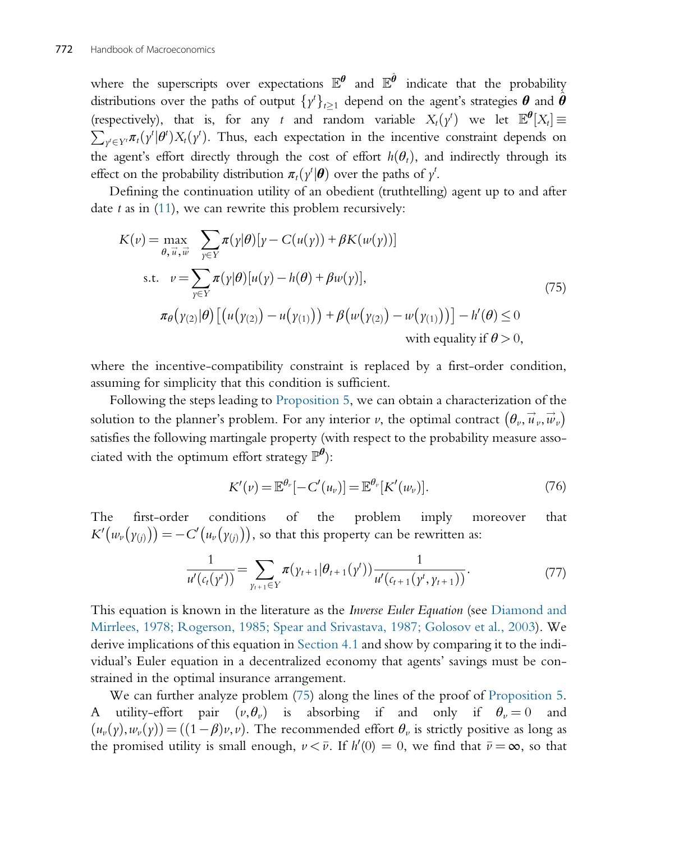where the superscripts over expectations  $\mathbb{E}^{\theta}$  and  $\mathbb{E}^{\tilde{\theta}}$  indicate that the probability distributions over the paths of output  $\{y^t\}_{t\geq 1}$  depend on the agent's strategies  $\theta$  and  $\hat{\theta}$ (respectively), that is, for any t and random variable  $X_t(y^t)$  we let  $\mathbb{E}^{\theta}[X_t] \equiv$  $y' \in Y'$ ,  $\pi_t(y'|\theta') X_t(y')$ . Thus, each expectation in the incentive constraint depends on the agent's effort directly through the cost of effort  $h(\theta_t)$ , and indirectly through its effect on the probability distribution  $\pi_t(y^t|\boldsymbol{\theta})$  over the paths of  $y^t$ .<br>Defining the continuation utility of an obedient (truthfolling

Defining the continuation utility of an obedient (truthtelling) agent up to and after date t as in  $(11)$ , we can rewrite this problem recursively:

$$
K(v) = \max_{\theta, \vec{u}, \vec{w}} \sum_{y \in Y} \pi(y|\theta)[y - C(u(y)) + \beta K(w(y))]
$$
  
s.t.  $v = \sum_{y \in Y} \pi(y|\theta)[u(y) - h(\theta) + \beta w(y)],$   

$$
\pi_{\theta}(y_{(2)}|\theta) [(u(y_{(2)}) - u(y_{(1)})) + \beta(w(y_{(2)}) - w(y_{(1)}))] - h'(\theta) \le 0
$$
  
with equality if  $\theta > 0$ ,

where the incentive-compatibility constraint is replaced by a first-order condition, assuming for simplicity that this condition is sufficient.

Following the steps leading to Proposition 5, we can obtain a characterization of the solution to the planner's problem. For any interior  $v$ , the optimal contract  $\left(\theta_v,\vec{u}_v,\vec{w}_v\right)$ satisfies the following martingale property (with respect to the probability measure associated with the optimum effort strategy  $\mathbb{P}^{\boldsymbol{\theta}}$ ):

$$
K'(v) = \mathbb{E}^{\theta_v}[-C'(u_v)] = \mathbb{E}^{\theta_v}[K'(w_v)].
$$
\n(76)

The first-order conditions of the problem imply moreover that  $K'(w_v(y_{(j)})) = -C'(u_v(y_{(j)}))$ , so that this property can be rewritten as:

$$
\frac{1}{u'(c_t(\gamma^t))} = \sum_{\gamma_{t+1} \in Y} \pi(\gamma_{t+1}|\theta_{t+1}(\gamma^t)) \frac{1}{u'(c_{t+1}(\gamma^t, \gamma_{t+1}))}.
$$
(77)

This equation is known in the literature as the *Inverse Euler Equation* (see [Diamond and](#page-113-0) Mirrlees, 1978; [Rogerson, 1985; Spear and Srivastava, 1987; Golosov et al., 2003](#page-113-0)). We derive implications of this equation in [Section 4.1](#page-85-0) and show by comparing it to the individual's Euler equation in a decentralized economy that agents' savings must be constrained in the optimal insurance arrangement.

We can further analyze problem  $(75)$  along the lines of the proof of Proposition 5. A utility-effort pair  $(v, \theta_v)$  is absorbing if and only if  $\theta_v = 0$  and  $(u_v(y), w_v(y)) = ((1 - \beta)v, v)$ . The recommended effort  $\theta_v$  is strictly positive as long as the promised utility is small enough,  $\nu < \bar{\nu}$ . If  $h'(0) = 0$ , we find that  $\bar{\nu} = \infty$ , so that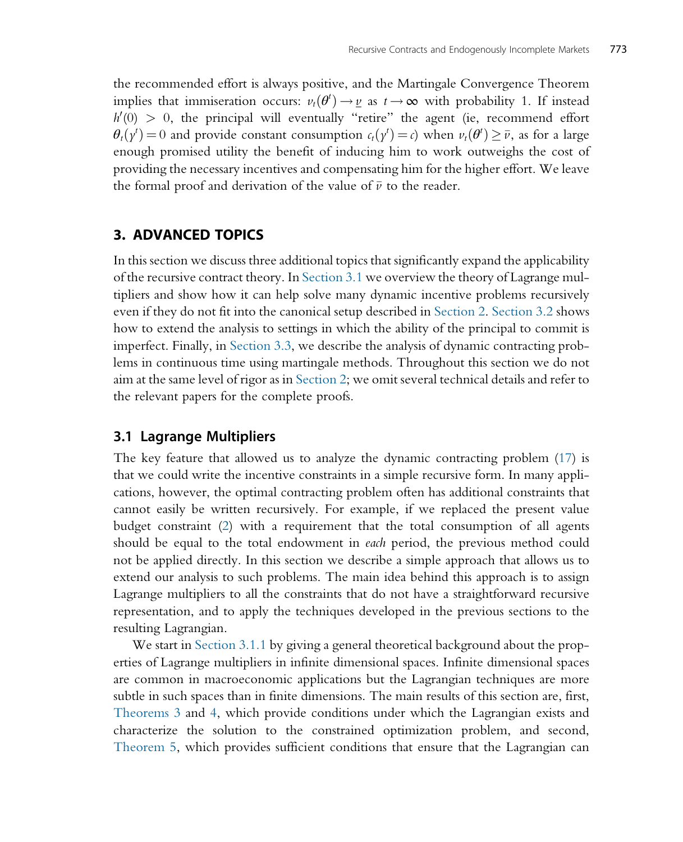<span id="page-48-0"></span>the recommended effort is always positive, and the Martingale Convergence Theorem implies that immiseration occurs:  $v_t(\theta^t) \to \nu$  as  $t \to \infty$  with probability 1. If instead  $h'(0) > 0$ , the principal will eventually "retire" the agent (ie, recommend effort  $\theta_t(y^t) = 0$  and provide constant consumption  $c_t(y^t) = c$ ) when  $v_t(\theta^t) \ge \bar{v}$ , as for a large<br>enough promised utility the benefit of inducing him to work outwaight the cost of enough promised utility the benefit of inducing him to work outweighs the cost of providing the necessary incentives and compensating him for the higher effort. We leave the formal proof and derivation of the value of  $\bar{\nu}$  to the reader.

# 3. ADVANCED TOPICS

In this section we discuss three additional topics that significantly expand the applicability of the recursive contract theory. In Section 3.1 we overview the theory of Lagrange multipliers and show how it can help solve many dynamic incentive problems recursively even if they do not fit into the canonical setup described in [Section 2.](#page-3-0) [Section 3.2](#page-62-0) shows how to extend the analysis to settings in which the ability of the principal to commit is imperfect. Finally, in [Section 3.3](#page-71-0), we describe the analysis of dynamic contracting problems in continuous time using martingale methods. Throughout this section we do not aim at the same level of rigor as in [Section 2;](#page-3-0) we omit several technical details and refer to the relevant papers for the complete proofs.

## 3.1 Lagrange Multipliers

The key feature that allowed us to analyze the dynamic contracting problem ([17\)](#page-11-0) is that we could write the incentive constraints in a simple recursive form. In many applications, however, the optimal contracting problem often has additional constraints that cannot easily be written recursively. For example, if we replaced the present value budget constraint ([2](#page-5-0)) with a requirement that the total consumption of all agents should be equal to the total endowment in each period, the previous method could not be applied directly. In this section we describe a simple approach that allows us to extend our analysis to such problems. The main idea behind this approach is to assign Lagrange multipliers to all the constraints that do not have a straightforward recursive representation, and to apply the techniques developed in the previous sections to the resulting Lagrangian.

We start in [Section 3.1.1](#page-49-0) by giving a general theoretical background about the properties of Lagrange multipliers in infinite dimensional spaces. Infinite dimensional spaces are common in macroeconomic applications but the Lagrangian techniques are more subtle in such spaces than in finite dimensions. The main results of this section are, first, Theorems 3 and 4, which provide conditions under which the Lagrangian exists and characterize the solution to the constrained optimization problem, and second, Theorem 5, which provides sufficient conditions that ensure that the Lagrangian can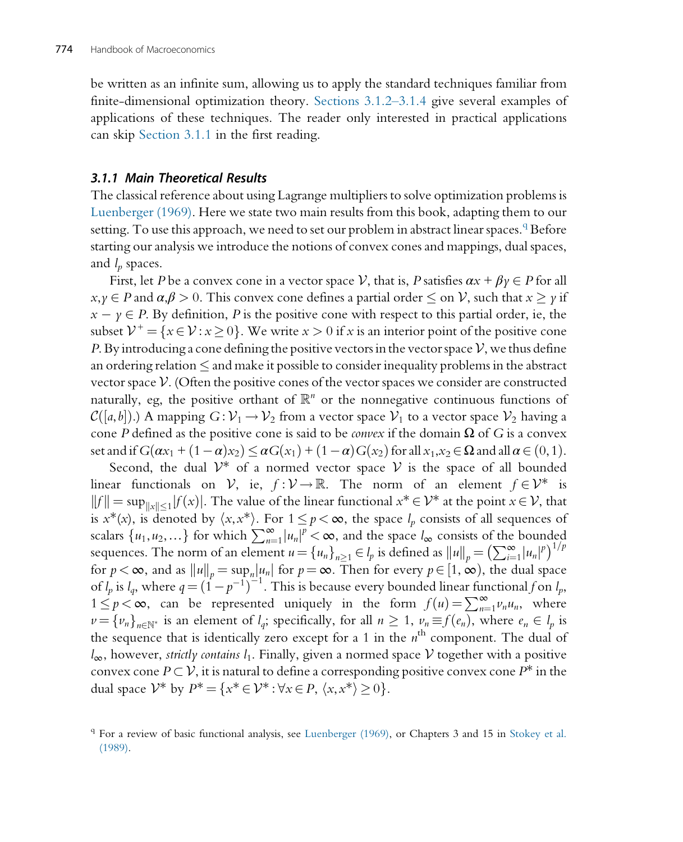<span id="page-49-0"></span>be written as an infinite sum, allowing us to apply the standard techniques familiar from finite-dimensional optimization theory. [Sections 3.1.2](#page-53-0)–3.1.4 give several examples of applications of these techniques. The reader only interested in practical applications can skip Section 3.1.1 in the first reading.

### 3.1.1 Main Theoretical Results

The classical reference about using Lagrange multipliers to solve optimization problems is [Luenberger \(1969\).](#page-115-0) Here we state two main results from this book, adapting them to our setting. To use this approach, we need to set our problem in abstract linear spaces.<sup>q</sup> Before starting our analysis we introduce the notions of convex cones and mappings, dual spaces, and  $l_p$  spaces.

First, let P be a convex cone in a vector space V, that is, P satisfies  $\alpha x + \beta y \in P$  for all  $x,y \in P$  and  $\alpha,\beta > 0$ . This convex cone defines a partial order  $\leq$  on V, such that  $x \geq \gamma$  if  $x - y \in P$ . By definition, P is the positive cone with respect to this partial order, ie, the subset  $V^+ = \{x \in V : x \ge 0\}$ . We write  $x > 0$  if x is an interior point of the positive cone P. By introducing a cone defining the positive vectors in the vector space  $\mathcal{V}$ , we thus define an ordering relation  $\leq$  and make it possible to consider inequality problems in the abstract vector space  $V$ . (Often the positive cones of the vector spaces we consider are constructed naturally, eg, the positive orthant of  $\mathbb{R}^n$  or the nonnegative continuous functions of  $\mathcal{C}([a,b])$ .) A mapping  $G: \mathcal{V}_1 \to \mathcal{V}_2$  from a vector space  $\mathcal{V}_1$  to a vector space  $\mathcal{V}_2$  having a cone P defined as the positive cone is said to be *convex* if the domain  $\Omega$  of G is a convex set and if  $G(\alpha x_1 + (1-\alpha)x_2) \le \alpha G(x_1) + (1-\alpha)G(x_2)$  for all  $x_1, x_2 \in \Omega$  and all  $\alpha \in (0,1)$ .

Second, the dual  $V^*$  of a normed vector space V is the space of all bounded linear functionals on V, ie,  $f : V \to \mathbb{R}$ . The norm of an element  $f \in V^*$  is  $||f|| = \sup_{||x|| \leq 1} |f(x)|$ . The value of the linear functional  $x^* \in \mathcal{V}^*$  at the point  $x \in \mathcal{V}$ , that is  $x^*(x)$ , is denoted by  $\langle x,x^* \rangle$ . For  $1 \leq p < \infty$ , the space  $l_p$  consists of all sequences of scalars  $\{u_1, u_2, ...\}$  for which  $\sum_{n=1}^{\infty} |u_n|^p < \infty$ , and the space  $l_{\infty}$  consists of the bounded sequences. The norm of an element  $u = \{u_n\}_{n\geq 1} \in l_p$  is defined as  $||u||_p = \left(\sum_{i=1}^{\infty} |u_n|^p\right)^{1/p}$ for  $p < \infty$ , and as  $||u||_p = \sup_n |u_n|$  for  $p = \infty$ . Then for every  $p \in [1, \infty)$ , the dual space of  $l_p$  is  $l_q$ , where  $q = (1 - p^{-1})^{-1}$ . This is because every bounded linear functional f on  $l_p$ ,  $1 \leq p < \infty$ , can be represented uniquely in the form  $f(u) = \sum_{n=1}^{\infty} v_n u_n$ , where  $v = \{v_n\}_{n \in \mathbb{N}}$  is an element of  $l_q$ ; specifically, for all  $n \geq 1$ ,  $v_n \equiv f(e_n)$ , where  $e_n \in l_p$  is the sequence that is identically zero except for a 1 in the  $v^{\text{th}}$  component. The dual of the sequence that is identically zero except for a 1 in the  $n^{\text{th}}$  component. The dual of  $l_{\infty}$ , however, *strictly contains*  $l_1$ . Finally, given a normed space V together with a positive convex cone  $P \subset V$ , it is natural to define a corresponding positive convex cone  $P^*$  in the dual space  $\mathcal{V}^*$  by  $P^* = \{x^* \in \mathcal{V}^* : \forall x \in P, \langle x, x^* \rangle \ge 0 \}.$ 

 $q$  For a review of basic functional analysis, see [Luenberger \(1969\),](#page-115-0) or Chapters 3 and 15 in [Stokey et al.](#page-116-0) [\(1989\)](#page-116-0).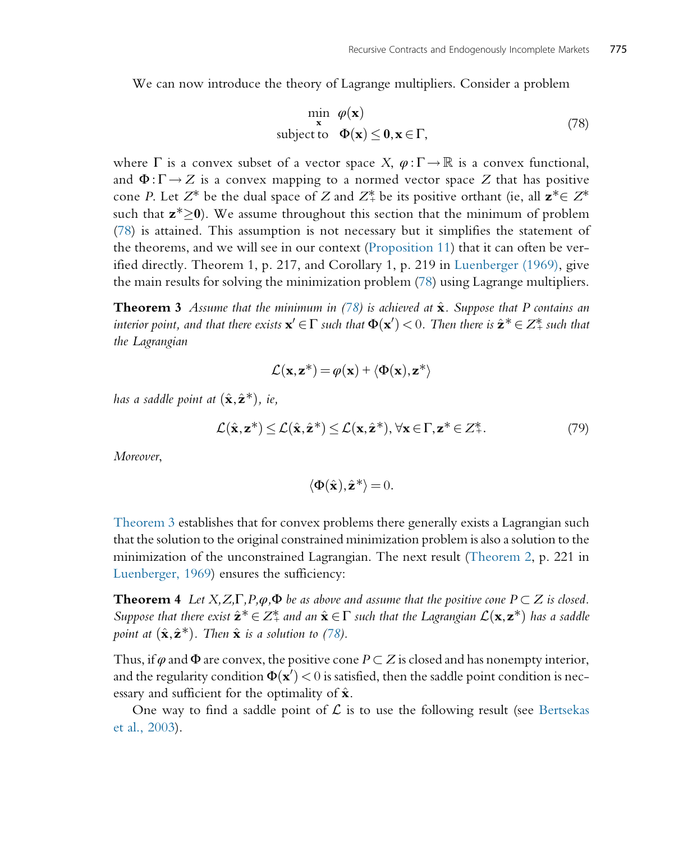<span id="page-50-0"></span>We can now introduce the theory of Lagrange multipliers. Consider a problem

$$
\min_{\mathbf{x}} \varphi(\mathbf{x})
$$
\nsubject to  $\Phi(\mathbf{x}) \leq \mathbf{0}, \mathbf{x} \in \Gamma,$ \n(78)

where  $\Gamma$  is a convex subset of a vector space X,  $\varphi : \Gamma \to \mathbb{R}$  is a convex functional, and  $\Phi: \Gamma \to Z$  is a convex mapping to a normed vector space Z that has positive cone P. Let  $Z^*$  be the dual space of  $Z$  and  $Z^*$  be its positive orthant (ie, all  $\mathbf{z}^* \in Z^*$ <br>such that  $\mathbf{z}^* > 0$ ). We assume throughout this section that the minimum of problem such that  $z^*\geq 0$ . We assume throughout this section that the minimum of problem (78) is attained. This assumption is not necessary but it simplifies the statement of the theorems, and we will see in our context (Proposition 11) that it can often be verified directly. Theorem 1, p. 217, and Corollary 1, p. 219 in [Luenberger \(1969\),](#page-115-0) give the main results for solving the minimization problem (78) using Lagrange multipliers.

**Theorem 3** Assume that the minimum in (78) is achieved at  $\hat{\mathbf{x}}$ . Suppose that P contains an interior point, and that there exists  $\mathbf{x}' \in \Gamma$  such that  $\Phi(\mathbf{x}') < 0$ . Then there is  $\hat{\mathbf{z}}^* \in Z^*_+$  such that<br>the Lagrangian the Lagrangian

$$
\mathcal{L}(\mathbf{x}, \mathbf{z}^*) = \varphi(\mathbf{x}) + \langle \Phi(\mathbf{x}), \mathbf{z}^* \rangle
$$

has a saddle point at  $(\hat{\mathbf{x}}, \hat{\mathbf{z}}^*)$ , ie,

$$
\mathcal{L}(\hat{\mathbf{x}}, \mathbf{z}^*) \le \mathcal{L}(\hat{\mathbf{x}}, \hat{\mathbf{z}}^*) \le \mathcal{L}(\mathbf{x}, \hat{\mathbf{z}}^*), \forall \mathbf{x} \in \Gamma, \mathbf{z}^* \in Z^*_{+}.
$$
 (79)

Moreover,

$$
\langle \Phi(\hat{\mathbf{x}}), \hat{\mathbf{z}}^* \rangle = 0.
$$

Theorem 3 establishes that for convex problems there generally exists a Lagrangian such that the solution to the original constrained minimization problem is also a solution to the minimization of the unconstrained Lagrangian. The next result (Theorem 2, p. 221 in [Luenberger, 1969\)](#page-115-0) ensures the sufficiency:

**Theorem 4** Let  $X, Z, \Gamma, P, \varphi, \Phi$  be as above and assume that the positive cone  $P \subset Z$  is closed. Suppose that there exist  $\hat{\mathbf{z}}^* \in Z^*_+$  and an  $\hat{\mathbf{x}} \in \Gamma$  such that the Lagrangian  $\mathcal{L}(\mathbf{x},\mathbf{z}^*)$  has a saddle point at  $(\hat{\mathbf{x}}, \hat{\mathbf{z}}^*)$ . Then  $\hat{\mathbf{x}}$  is a solution to (7.8) point at  $(\hat{\mathbf{x}}, \hat{\mathbf{z}}^*)$ . Then  $\hat{\mathbf{x}}$  is a solution to (78).

Thus, if  $\varphi$  and  $\Phi$  are convex, the positive cone  $P \subset Z$  is closed and has nonempty interior, and the regularity condition  $\Phi(\mathbf{x}') < 0$  is satisfied, then the saddle point condition is necessary and sufficient for the optimality of  $\hat{\mathbf{x}}$ .

One way to find a saddle point of  $\mathcal L$  is to use the following result (see [Bertsekas](#page-112-0) et al., [2003](#page-112-0)).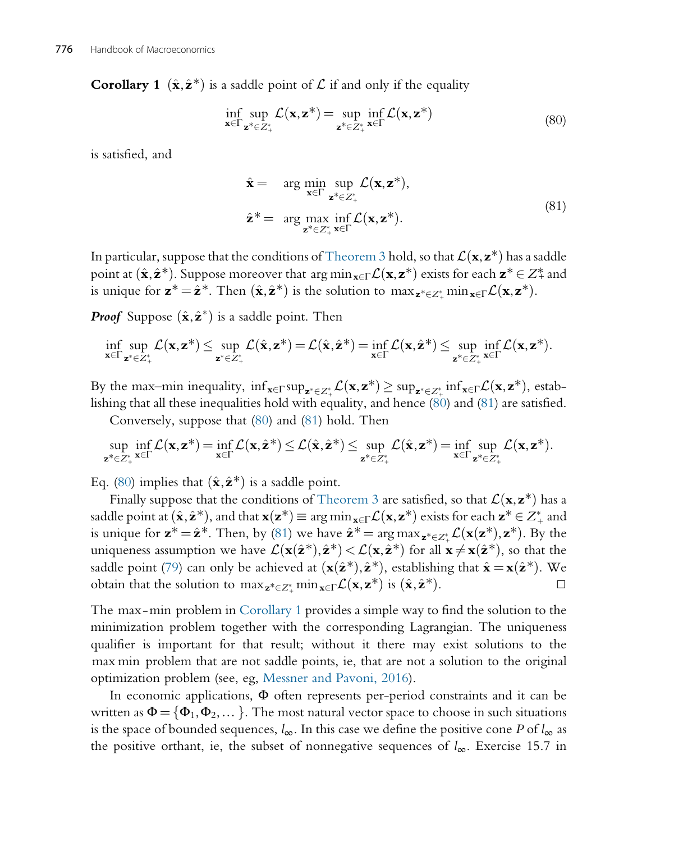**Corollary 1**  $(\hat{\mathbf{x}}, \hat{\mathbf{z}}^*)$  is a saddle point of  $\mathcal L$  if and only if the equality

$$
\inf_{\mathbf{x}\in\Gamma_{\mathbf{z}^*}\in Z^*_+} \sup_{\mathbf{z}^* \in Z^*_+} \mathcal{L}(\mathbf{x}, \mathbf{z}^*) = \sup_{\mathbf{z}^* \in Z^*_+} \inf_{\mathbf{x}\in\Gamma} \mathcal{L}(\mathbf{x}, \mathbf{z}^*)
$$
\n(80)

is satisfied, and

$$
\hat{\mathbf{x}} = \arg \min_{\mathbf{x} \in \Gamma} \sup_{\mathbf{z}^* \in Z_+^*} \mathcal{L}(\mathbf{x}, \mathbf{z}^*),
$$
  
\n
$$
\hat{\mathbf{z}}^* = \arg \max_{\mathbf{z}^* \in Z_+^*} \inf_{\mathbf{x} \in \Gamma} \mathcal{L}(\mathbf{x}, \mathbf{z}^*).
$$
\n(81)

In particular, suppose that the conditions of Theorem 3 hold, so that  $\mathcal{L}(\mathbf{x},\mathbf{z}^*)$  has a saddle point at  $(\hat{\mathbf{x}}, \hat{\mathbf{z}}^*)$ . Suppose moreover that arg min  $_{\mathbf{x}\in\Gamma}\mathcal{L}(\mathbf{x},\mathbf{z}^*)$  exists for each  $\mathbf{z}^*\in Z_+^*$  and is unique for  $\mathbf{z}^* = \hat{\mathbf{z}}^*$ . Then  $(\hat{\mathbf{x}}\cdot\hat{\mathbf{z}}^*)$  is the solution to max  $* = \min_{$ is unique for  $z^* = \hat{z}^*$ . Then  $(\hat{x}, \hat{z}^*)$  is the solution to  $\max_{z^* \in Z^*_+} \min_{x \in \Gamma} \mathcal{L}(x, z^*)$ .

*Proof* Suppose  $(\hat{\mathbf{x}}, \hat{\mathbf{z}}^*)$  is a saddle point. Then

$$
\inf_{\mathbf{x}\in\Gamma_{\mathbf{z}^*}\in\mathcal{Z}_+^*}\sup_{\mathbf{z}^*\in\mathcal{Z}_+^*}\mathcal{L}(\mathbf{x},\mathbf{z}^*)\leq \sup_{\mathbf{z}^*\in\mathcal{Z}_+^*}\mathcal{L}(\hat{\mathbf{x}},\mathbf{z}^*)=\mathcal{L}(\hat{\mathbf{x}},\hat{\mathbf{z}}^*)=\inf_{\mathbf{x}\in\Gamma}\mathcal{L}(\mathbf{x},\hat{\mathbf{z}}^*)\leq \sup_{\mathbf{z}^*\in\mathcal{Z}_+^*}\inf_{\mathbf{x}\in\Gamma}\mathcal{L}(\mathbf{x},\mathbf{z}^*).
$$

By the max–min inequality,  $\inf_{\mathbf{x} \in \Gamma} \sup_{\mathbf{z}^*}$ By the max-infirmeduanty,  $\max_{\mathbf{z} \in \Gamma} \sup_{\mathbf{z}^* \in Z^*_+} \mathcal{L}(\mathbf{x}, \mathbf{z}^*) \leq \sup_{\mathbf{z}^* \in Z^*_+} \min_{\mathbf{x} \in \Gamma} \mathcal{L}(\mathbf{x}, \mathbf{z}^*)$ , establishing that all these inequalities hold with equality, and hence (80) and (81) ar  $\mathcal{L}(\mathbf{x}, \mathbf{z}^*) \ge \sup_{\mathbf{z}^*}$ +  $\inf_{\mathbf{x} \in \Gamma} \mathcal{L}(\mathbf{x}, \mathbf{z}^*)$ , estab-<br>(0) and (81) are satisfied.

Conversely, suppose that (80) and (81) hold. Then

$$
\sup_{\mathbf{z}^* \in Z^*_+} \inf_{\mathbf{x} \in \Gamma} \mathcal{L}(\mathbf{x}, \mathbf{z}^*) = \inf_{\mathbf{x} \in \Gamma} \mathcal{L}(\mathbf{x}, \hat{\mathbf{z}}^*) \leq \mathcal{L}(\hat{\mathbf{x}}, \hat{\mathbf{z}}^*) \leq \sup_{\mathbf{z}^* \in Z^*_+} \mathcal{L}(\hat{\mathbf{x}}, \mathbf{z}^*) = \inf_{\mathbf{x} \in \Gamma} \sup_{\mathbf{z}^* \in Z^*_+} \mathcal{L}(\mathbf{x}, \mathbf{z}^*).
$$

Eq. (80) implies that  $(\hat{\mathbf{x}}, \hat{\mathbf{z}}^*)$  is a saddle point.

Finally suppose that the conditions of Theorem 3 are satisfied, so that  $\mathcal{L}(\mathbf{x},\mathbf{z}^*)$  has a saddle point at  $(\hat{\mathbf{x}}, \hat{\mathbf{z}}^*)$ , and that  $\mathbf{x}(\mathbf{z}^*) \equiv \arg \min_{\mathbf{x} \in \Gamma} \mathcal{L}(\mathbf{x}, \mathbf{z}^*)$  exists for each  $\mathbf{z}^* \in Z_+^*$  and  $\limsup_{\mathbf{x} \to \infty} f(\mathbf{x}(\mathbf{z}^*))$  arg max  $\mathbf{x} \in \mathcal{L}(\mathbf{x}(\mathbf{z}^*))$ . By the is unique for  $z^* = \hat{z}^*$ . Then, by (81) we have  $\hat{z}^* = \arg \max_{z^* \in Z^*} \mathcal{L}(\mathbf{x}(z^*), z^*)$ . By the uniqueness assumption we have  $\mathcal{L}(\mathbf{x}(\hat{\mathbf{z}}^*),\hat{\mathbf{z}}^*) < \mathcal{L}(\mathbf{x},\hat{\mathbf{z}}^*)$  for all  $\mathbf{x} \neq \mathbf{x}(\hat{\mathbf{z}}^*)$ , so that the saddle point ([79](#page-50-0)) can only be achieved at  $(\mathbf{x}(\hat{\mathbf{z}}^*), \hat{\mathbf{z}}^*)$ , establishing that  $\hat{\mathbf{x}} = \mathbf{x}(\hat{\mathbf{z}}^*)$ . We obtain that the solution to  $\max_{\mathbf{x} \in \mathcal{X}^*} \min_{\mathbf{x} \in \mathcal{F}} \mathcal{L}(\mathbf{x}, \mathbf{z}^*)$  is  $(\hat{\mathbf{x}}, \hat{\mathbf$ obtain that the solution to  $\max_{\mathbf{z}^*\in Z^*_+}\min_{\mathbf{x}\in \Gamma} \mathcal{L}(\mathbf{x}, \mathbf{z}^*)$  is  $(\hat{\mathbf{x}}, \hat{\mathbf{z}}^*)$ .

The max -min problem in Corollary 1 provides a simple way to find the solution to the minimization problem together with the corresponding Lagrangian. The uniqueness qualifier is important for that result; without it there may exist solutions to the max min problem that are not saddle points, ie, that are not a solution to the original optimization problem (see, eg, [Messner and Pavoni, 2016](#page-115-0)).

In economic applications, Φ often represents per-period constraints and it can be written as  $\Phi = {\Phi_1, \Phi_2, \dots}$ . The most natural vector space to choose in such situations is the space of bounded sequences,  $l_{\infty}$ . In this case we define the positive cone P of  $l_{\infty}$  as the positive orthant, ie, the subset of nonnegative sequences of  $l_{\infty}$ . Exercise 15.7 in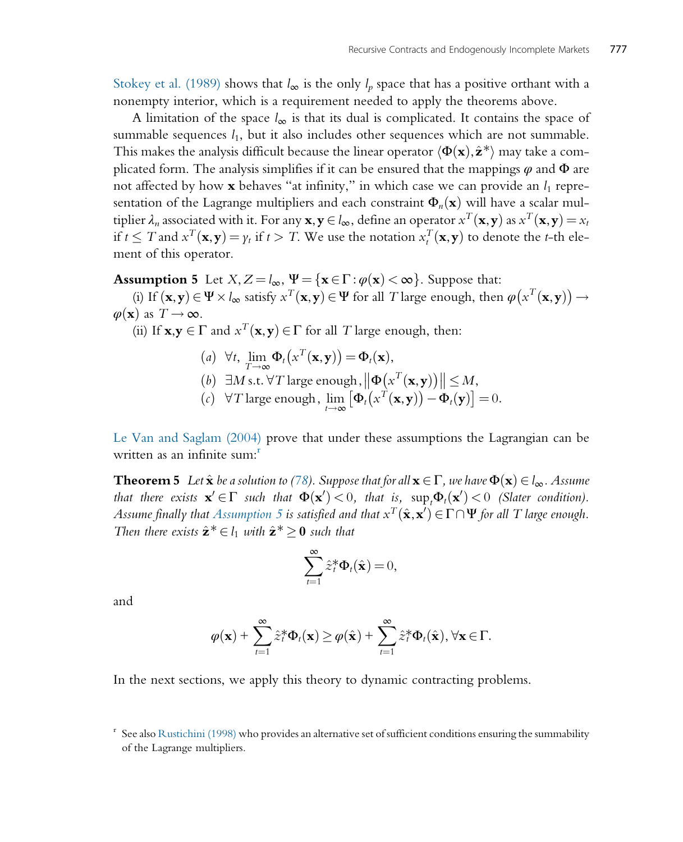[Stokey et al. \(1989\)](#page-116-0) shows that  $l_{\infty}$  is the only  $l_p$  space that has a positive orthant with a nonempty interior, which is a requirement needed to apply the theorems above.

A limitation of the space  $l_{\infty}$  is that its dual is complicated. It contains the space of summable sequences  $l_1$ , but it also includes other sequences which are not summable. This makes the analysis difficult because the linear operator  $\langle \Phi(\mathbf{x}), \hat{\mathbf{z}}^* \rangle$  may take a complicated form. The analysis simplifies if it can be ensured that the mappings  $\varphi$  and  $\Phi$  are not affected by how **x** behaves "at infinity," in which case we can provide an  $l_1$  representation of the Lagrange multipliers and each constraint  $\Phi_n(\mathbf{x})$  will have a scalar multiplier  $\lambda_n$  associated with it. For any  $\mathbf{x}, \mathbf{y} \in l_\infty$ , define an operator  $x^T(\mathbf{x}, \mathbf{y})$  as  $x^T(\mathbf{x}, \mathbf{y}) = x_t$ if  $t \leq T$  and  $x^T(\mathbf{x}, \mathbf{y}) = \gamma_t$  if  $t > T$ . We use the notation  $x_t^T(\mathbf{x}, \mathbf{y})$  to denote the *t*-th element of this operator.

**Assumption 5** Let  $X, Z = l_{\infty}, \Psi = {\mathbf{x} \in \Gamma : \varphi(\mathbf{x}) < \infty}$ . Suppose that:

(i) If  $(\mathbf{x}, \mathbf{y}) \in \Psi \times l_{\infty}$  satisfy  $x^T(\mathbf{x}, \mathbf{y}) \in \Psi$  for all T large enough, then  $\varphi(x^T(\mathbf{x}, \mathbf{y})) \rightarrow$  $\varphi(\mathbf{x})$  as  $T \to \infty$ .

(ii) If  $\mathbf{x}, \mathbf{y} \in \Gamma$  and  $x^T(\mathbf{x}, \mathbf{y}) \in \Gamma$  for all T large enough, then:

- (a)  $\forall t, \lim_{T \to \infty} \Phi_t(x^T(\mathbf{x}, \mathbf{y})) = \Phi_t(\mathbf{x}),$
- (b)  $\exists M$  s.t.  $\forall T$  large enough,  $\|\Phi(x^T(\mathbf{x}, \mathbf{y}))\| \leq M$ ,<br>(c)  $\forall T$  large enough,  $\lim_{\epsilon \to 0} [\Phi(x^T(\mathbf{x}, \mathbf{y})) \Phi(x)]$
- (*c*)  $\forall T$  large enough,  $\lim_{t \to \infty} [\Phi_t(x^T(\mathbf{x}, \mathbf{y})) \Phi_t(\mathbf{y})] = 0.$

[Le Van and Saglam \(2004\)](#page-114-0) prove that under these assumptions the Lagrangian can be written as an infinite sum: $\cdot$ 

**Theorem 5** Let  $\hat{\mathbf{x}}$  be a solution to [\(78\)](#page-50-0). Suppose that for all  $\mathbf{x} \in \Gamma$ , we have  $\Phi(\mathbf{x}) \in l_{\infty}$ . Assume that there exists  $\mathbf{x}' \in \Gamma$  such that  $\Phi(\mathbf{x}') < 0$ , that is,  $\sup_{\mathbf{x}} \Phi_t(\mathbf{x}') < 0$  (Slater condition).<br>Assume finally that Assumption 5 is satisfied and that  $\mathbf{x}^T(\hat{\mathbf{x}} | \mathbf{x}') \in \Gamma \cap \Psi$  for all T large enough Assume finally that Assumption 5 is satisfied and that  $x^T(\hat{\mathbf{x}}, \mathbf{x}') \in \Gamma \cap \Psi$  for all T large enough. Then there exists  $\hat{\mathbf{z}}^* \in l_1$  with  $\hat{\mathbf{z}}^* \geq 0$  such that

$$
\sum_{t=1}^{\infty} \hat{z}_t^* \Phi_t(\hat{\mathbf{x}}) = 0,
$$

and

$$
\varphi(\mathbf{x}) + \sum_{t=1}^{\infty} \hat{z}_t^* \Phi_t(\mathbf{x}) \ge \varphi(\hat{\mathbf{x}}) + \sum_{t=1}^{\infty} \hat{z}_t^* \Phi_t(\hat{\mathbf{x}}), \forall \mathbf{x} \in \Gamma.
$$

In the next sections, we apply this theory to dynamic contracting problems.

<sup>r</sup> See also [Rustichini \(1998\)](#page-115-0) who provides an alternative set of sufficient conditions ensuring the summability of the Lagrange multipliers.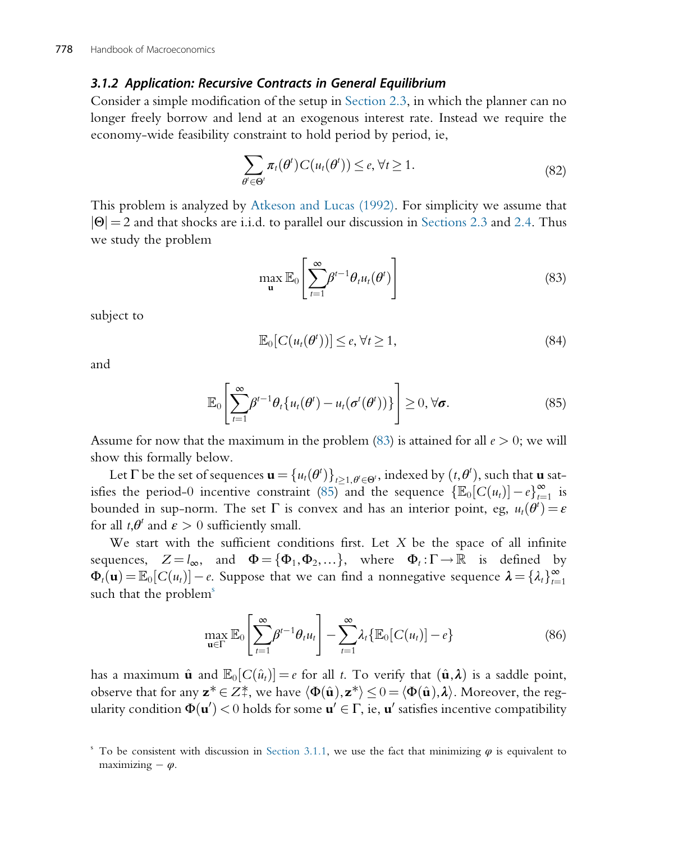#### <span id="page-53-0"></span>3.1.2 Application: Recursive Contracts in General Equilibrium

Consider a simple modification of the setup in [Section 2.3,](#page-9-0) in which the planner can no longer freely borrow and lend at an exogenous interest rate. Instead we require the economy-wide feasibility constraint to hold period by period, ie,

$$
\sum_{\theta' \in \Theta'} \pi_t(\theta^t) C(u_t(\theta^t)) \le e, \forall t \ge 1.
$$
\n(82)

This problem is analyzed by [Atkeson and Lucas \(1992\).](#page-112-0) For simplicity we assume that  $|\Theta| = 2$  and that shocks are i.i.d. to parallel our discussion in [Sections 2.3](#page-9-0) and [2.4](#page-20-0). Thus we study the problem

$$
\max_{\mathbf{u}} \mathbb{E}_0 \left[ \sum_{t=1}^{\infty} \beta^{t-1} \theta_t u_t(\theta^t) \right]
$$
(83)

subject to

$$
\mathbb{E}_0[C(u_t(\theta^t))] \le e, \forall t \ge 1,
$$
\n(84)

and

$$
\mathbb{E}_0\left[\sum_{t=1}^{\infty}\beta^{t-1}\theta_t\{u_t(\theta^t)-u_t(\sigma^t(\theta^t))\}\right]\geq 0, \forall \sigma.
$$
\n(85)

Assume for now that the maximum in the problem (83) is attained for all  $e > 0$ ; we will show this formally below.

Let  $\Gamma$  be the set of sequences  $\mathbf{u} = \{u_t(\theta^t)\}_{t\geq 1, \theta^t \in \Theta^t}$ , indexed by  $(t, \theta^t)$ , such that **u** satisfies the period-0 incentive constraint (85) and the sequence  $\{\mathbb{E}_{0}[C(u_{t})] - e\}_{t=1}^{\infty}$  is<br>bounded in sup norm. The set  $\Gamma$  is convex and bas an interior point, eq.  $u(\theta^{t}) = e$ bounded in sup-norm. The set  $\Gamma$  is convex and has an interior point, eg,  $u_t(\theta^t) = \varepsilon$ for all  $t,\theta^t$  and  $\epsilon > 0$  sufficiently small.

We start with the sufficient conditions first. Let  $X$  be the space of all infinite sequences,  $Z = l_{\infty}$ , and  $\Phi = {\Phi_1, \Phi_2, \dots}$ , where  $\Phi_t : \Gamma \to \mathbb{R}$  is defined by  $\Phi_t(\mathbf{u}) = \mathbb{E}_0[C(u_t)] - e$ . Suppose that we can find a nonnegative sequence  $\lambda = \{\lambda_t\}_{t=1}^{\infty}$ such that the problem<sup>3</sup>

$$
\max_{\mathbf{u}\in\Gamma}\mathbb{E}_0\left[\sum_{t=1}^{\infty}\beta^{t-1}\theta_t u_t\right]-\sum_{t=1}^{\infty}\lambda_t\{\mathbb{E}_0[C(u_t)]-e\}\tag{86}
$$

has a maximum  $\hat{\mathbf{u}}$  and  $\mathbb{E}_0[C(\hat{u}_t)] = e$  for all t. To verify that  $(\hat{\mathbf{u}},\lambda)$  is a saddle point, observe that for any  $z^* \in Z^*_+$ , we have  $\langle \Phi(\hat{\mathbf{u}}), z^* \rangle \leq 0 = \langle \Phi(\hat{\mathbf{u}}), \lambda \rangle$ . Moreover, the regularity condition  $\Phi(\mathbf{u}') < 0$  holds for some  $\mathbf{u}' \in \Gamma$ , ie,  $\mathbf{u}'$  satisfies incentive compatibility

<sup>&</sup>lt;sup>s</sup> To be consistent with discussion in [Section 3.1.1](#page-49-0), we use the fact that minimizing  $\varphi$  is equivalent to maximizing  $-\varphi$ .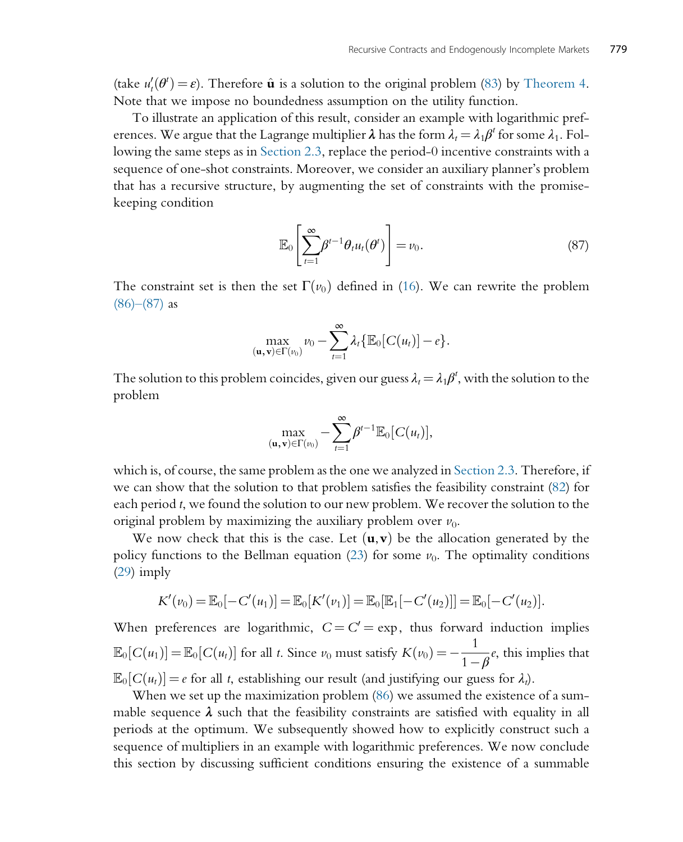(take  $u'_t(\theta') = \varepsilon$ ). Therefore  $\hat{\mathbf{u}}$  is a solution to the original problem [\(83](#page-53-0)) by Theorem 4.<br>Note that we impose no boundedness assumption on the utility function. Note that we impose no boundedness assumption on the utility function.

To illustrate an application of this result, consider an example with logarithmic preferences. We argue that the Lagrange multiplier  $\lambda$  has the form  $\lambda_t = \lambda_1 \beta^t$  for some  $\lambda_1$ . Fol-<br>lowing the same steps as in Section 2.3, replace the period. 0 incentive constraints with a lowing the same steps as in [Section 2.3](#page-9-0), replace the period-0 incentive constraints with a sequence of one-shot constraints. Moreover, we consider an auxiliary planner's problem that has a recursive structure, by augmenting the set of constraints with the promisekeeping condition

$$
\mathbb{E}_0\left[\sum_{t=1}^{\infty}\beta^{t-1}\theta_t u_t(\theta^t)\right] = \nu_0.
$$
\n(87)

The constraint set is then the set  $\Gamma(v_0)$  defined in [\(16\)](#page-11-0). We can rewrite the problem  $(86)$ – $(87)$  as

$$
\max_{(\mathbf{u},\mathbf{v})\in\Gamma(v_0)}v_0-\sum_{t=1}^\infty\lambda_t\{\mathbb{E}_0[C(u_t)]-e\}.
$$

The solution to this problem coincides, given our guess  $\lambda_t = \lambda_1 \beta^t$ , with the solution to the problem problem

$$
\max_{(\mathbf{u},\mathbf{v})\in\Gamma(v_0)} - \sum_{t=1}^{\infty} \beta^{t-1} \mathbb{E}_0[C(u_t)],
$$

which is, of course, the same problem as the one we analyzed in [Section 2.3](#page-9-0). Therefore, if we can show that the solution to that problem satisfies the feasibility constraint ([82\)](#page-53-0) for each period t, we found the solution to our new problem. We recover the solution to the original problem by maximizing the auxiliary problem over  $v_0$ .

We now check that this is the case. Let  $(\mathbf{u}, \mathbf{v})$  be the allocation generated by the policy functions to the Bellman equation [\(23\)](#page-13-0) for some  $\nu_0$ . The optimality conditions ([29\)](#page-20-0) imply

$$
K'(v_0) = \mathbb{E}_0[-C'(u_1)] = \mathbb{E}_0[K'(v_1)] = \mathbb{E}_0[\mathbb{E}_1[-C'(u_2)]] = \mathbb{E}_0[-C'(u_2)].
$$

When preferences are logarithmic,  $C = C' = \exp$ , thus forward induction implies  $\mathbb{E}_0[C(u_1)] = \mathbb{E}_0[C(u_t)]$  for all t. Since  $\nu_0$  must satisfy  $K(\nu_0) = -\frac{1}{1-\nu_0}$  $\frac{1}{1-\beta}$ e, this implies that  $\mathbb{E}_{0}[C(u_{t})] = e$  for all t, establishing our result (and justifying our guess for  $\lambda_{t}$ ).

When we set up the maximization problem ([86](#page-53-0)) we assumed the existence of a summable sequence  $\lambda$  such that the feasibility constraints are satisfied with equality in all periods at the optimum. We subsequently showed how to explicitly construct such a sequence of multipliers in an example with logarithmic preferences. We now conclude this section by discussing sufficient conditions ensuring the existence of a summable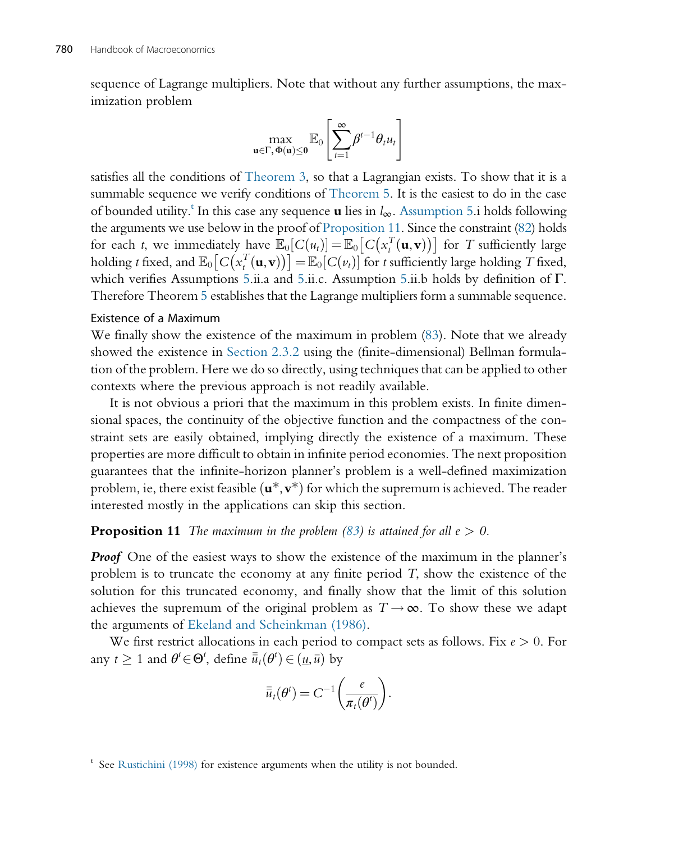sequence of Lagrange multipliers. Note that without any further assumptions, the maximization problem

$$
\max_{\mathbf{u}\in\Gamma,\,\Phi(\mathbf{u})\leq\mathbf{0}}\mathbb{E}_{0}\left[\sum_{t=1}^{\infty}\beta^{t-1}\theta_{t}u_{t}\right]
$$

satisfies all the conditions of Theorem 3, so that a Lagrangian exists. To show that it is a summable sequence we verify conditions of Theorem 5. It is the easiest to do in the case of bounded utility.<sup>t</sup> In this case any sequence **u** lies in  $l_{\infty}$ . Assumption 5.i holds following the arguments we use helow in the proof of Proposition 11. Since the constraint (82) holds the arguments we use below in the proof of Proposition 11. Since the constraint [\(82](#page-53-0)) holds for each t, we immediately have  $\mathbb{E}_0[C(u_t)] = \mathbb{E}_0[C(\mathbf{x}_t^T(\mathbf{u}, \mathbf{v}))]$  for T sufficiently large<br>holding t fixed, and  $\mathbb{E}_x[C(\mathbf{x}^T(\mathbf{u}, \mathbf{v}))] = \mathbb{E}_x[C(u)]$  for t sufficiently large holding T fixed holding t fixed, and  $\mathbb{E}_0\left[C\big(x_t^T(\mathbf{u}, \mathbf{v})\big)\right] = \mathbb{E}_0[C(v_t)]$  for t sufficiently large holding T fixed, which verifies Assumptions 5 ii a and 5 ii c. Assumption 5 ii h holds by definition of  $\Gamma$ . which verifies Assumptions 5.ii.a and 5.ii.c. Assumption 5.ii.b holds by definition of Γ. Therefore Theorem 5 establishes that the Lagrange multipliers form a summable sequence.

#### Existence of a Maximum

We finally show the existence of the maximum in problem [\(83](#page-53-0)). Note that we already showed the existence in [Section 2.3.2](#page-12-0) using the (finite-dimensional) Bellman formulation of the problem. Here we do so directly, using techniques that can be applied to other contexts where the previous approach is not readily available.

It is not obvious a priori that the maximum in this problem exists. In finite dimensional spaces, the continuity of the objective function and the compactness of the constraint sets are easily obtained, implying directly the existence of a maximum. These properties are more difficult to obtain in infinite period economies. The next proposition guarantees that the infinite-horizon planner's problem is a well-defined maximization problem, ie, there exist feasible  $(\mathbf{u}^*, \mathbf{v}^*)$  for which the supremum is achieved. The reader interested mostly in the applications can skip this section.

**Proposition 11** The maximum in the problem [\(83](#page-53-0)) is attained for all  $e > 0$ .

**Proof** One of the easiest ways to show the existence of the maximum in the planner's problem is to truncate the economy at any finite period  $T$ , show the existence of the solution for this truncated economy, and finally show that the limit of this solution achieves the supremum of the original problem as  $T \rightarrow \infty$ . To show these we adapt the arguments of [Ekeland and Scheinkman \(1986\).](#page-113-0)

We first restrict allocations in each period to compact sets as follows. Fix  $e > 0$ . For any  $t \ge 1$  and  $\theta^t \in \Theta^t$ , define  $\bar{\bar{u}}_t(\theta^t) \in (\underline{u}, \bar{u})$  by

$$
\bar{\bar{u}}_t(\theta^t) = C^{-1}\left(\frac{e}{\pi_t(\theta^t)}\right).
$$

 $t$  See [Rustichini \(1998\)](#page-115-0) for existence arguments when the utility is not bounded.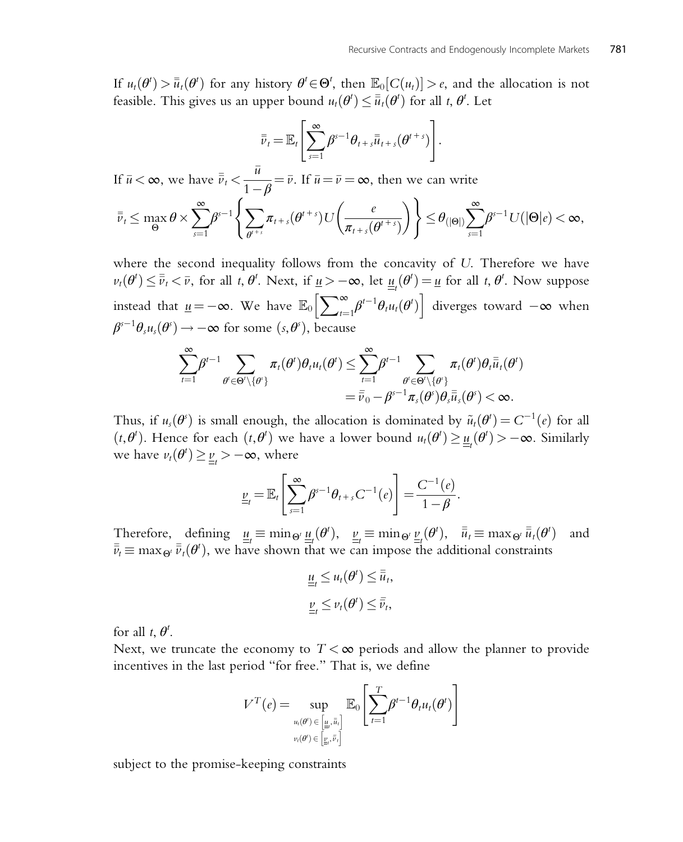If  $u_t(\theta^t) > \overline{\overline{u}}_t(\theta^t)$  for any history  $\theta^t \in \Theta^t$ , then  $\mathbb{E}_{0}[C(u_t)] > e$ , and the allocation is not feasible. This gives us an upper bound  $u(\theta^t) < \overline{\overline{u}}_t(\theta^t)$  for all  $t, \theta^t$ . Let feasible. This gives us an upper bound  $u_t(\theta^t) \le \overline{\overline{u}}_t(\theta^t)$  for all  $t, \theta^t$ . Let

$$
\bar{\bar{\nu}}_t = \mathbb{E}_t \left[ \sum_{s=1}^{\infty} \beta^{s-1} \theta_{t+s} \bar{\bar{u}}_{t+s} (\theta^{t+s}) \right].
$$

If  $\bar{u} < \infty$ , we have  $\bar{\bar{v}}_t < \frac{\bar{u}}{1-\beta} = \bar{v}$ . If  $\bar{u} = \bar{v} = \infty$ , then we can write

$$
\bar{\bar{\nu}}_t \leq \max_{\Theta} \theta \times \sum_{s=1}^{\infty} \beta^{s-1} \left\{ \sum_{\theta^{t+s}} \pi_{t+s}(\theta^{t+s}) U\left(\frac{e}{\pi_{t+s}(\theta^{t+s})}\right) \right\} \leq \theta_{(|\Theta|)} \sum_{s=1}^{\infty} \beta^{s-1} U(|\Theta|e) < \infty,
$$

where the second inequality follows from the concavity of U. Therefore we have  $v_t(\theta^t) \le \bar{\bar{v}}_t < \bar{v}$ , for all t,  $\theta^t$ . Next, if  $\underline{u} > -\infty$ , let  $\underline{u}_t(\theta^t) = \underline{u}$  for all t,  $\theta^t$ . Now suppose instead that  $\underline{u} = -\infty$ . We have  $\mathbb{E}_0 \left[ \sum_{t=1}^{\infty} \frac{1}{t} \right]$  $t=1$  $\left[\sum_{t=1}^{\infty} \beta^{t-1} \theta_t u_t(\theta^t)\right]$  diverges toward  $-\infty$  when  $\beta^{s-1}\theta_s u_s(\theta^s) \rightarrow -\infty$  for some  $(s,\theta^s)$ , because

$$
\sum_{t=1}^{\infty} \beta^{t-1} \sum_{\theta' \in \Theta' \setminus \{\theta^s\}} \pi_t(\theta') \theta_t u_t(\theta') \leq \sum_{t=1}^{\infty} \beta^{t-1} \sum_{\theta' \in \Theta' \setminus \{\theta^s\}} \pi_t(\theta') \theta_t \overline{u}_t(\theta')
$$
  
=  $\overline{v}_0 - \beta^{s-1} \pi_s(\theta^s) \theta_s \overline{u}_s(\theta^s) < \infty$ .

Thus, if  $u_s(\theta^s)$  is small enough, the allocation is dominated by  $\tilde{u}_t(\theta^t) = C^{-1}(e)$  for all  $(t, \theta^t)$ . Hence for each  $(t, \theta^t)$  we have a lower bound  $u(\theta^t) > u(\theta^t) > -\infty$ . Similarly  $(t, \theta^t)$ . Hence for each  $(t, \theta^t)$  we have a lower bound  $u_t(\theta^t) \ge \underline{u}_t(\theta^t) > -\infty$ . Similarly we have  $v_t(\theta^t) \geq \underline{v}_t > -\infty$ , where

$$
\underline{\underline{v}}_t = \mathbb{E}_t \left[ \sum_{s=1}^{\infty} \beta^{s-1} \theta_{t+s} C^{-1}(e) \right] = \frac{C^{-1}(e)}{1-\beta}.
$$

Therefore, defining  $\underline{u}_{\tau} \equiv \min_{\Theta'} \underline{u}_{\tau}(\theta'), \quad \underline{v}_{\tau} \equiv \min_{\Theta'} \underline{v}_{\tau}(\theta'), \quad \overline{\bar{u}}_{\tau} \equiv \max_{\Theta'} \overline{\bar{u}}_{\tau}(\theta')$  and  $\overline{\bar{u}} \equiv \max_{\Theta'} \overline{u}_{\tau}(\theta')$  we have shown that we can impose the additional constraints  $\overline{\overline{v}}_t \equiv \max_{\Theta'} \overline{\overline{v}}_t(\theta'),$  we have shown that we can impose the additional constraints

$$
\underline{\underline{u}}_t \leq u_t(\theta^t) \leq \overline{\overline{u}}_t, \underline{\underline{v}}_t \leq v_t(\theta^t) \leq \overline{\overline{v}}_t,
$$

for all  $t, \theta^t$ .

Next, we truncate the economy to  $T < \infty$  periods and allow the planner to provide incentives in the last period "for free." That is, we define

$$
V^{T}(e) = \sup_{u_t(\theta') \in [\underline{u}_t, \overline{u}_t] \atop v_t(\theta') \in [\underline{v}_t, \overline{v}_t]} \mathbb{E}_{0}\left[\sum_{t=1}^{T} \beta^{t-1} \theta_t u_t(\theta')\right]
$$

subject to the promise-keeping constraints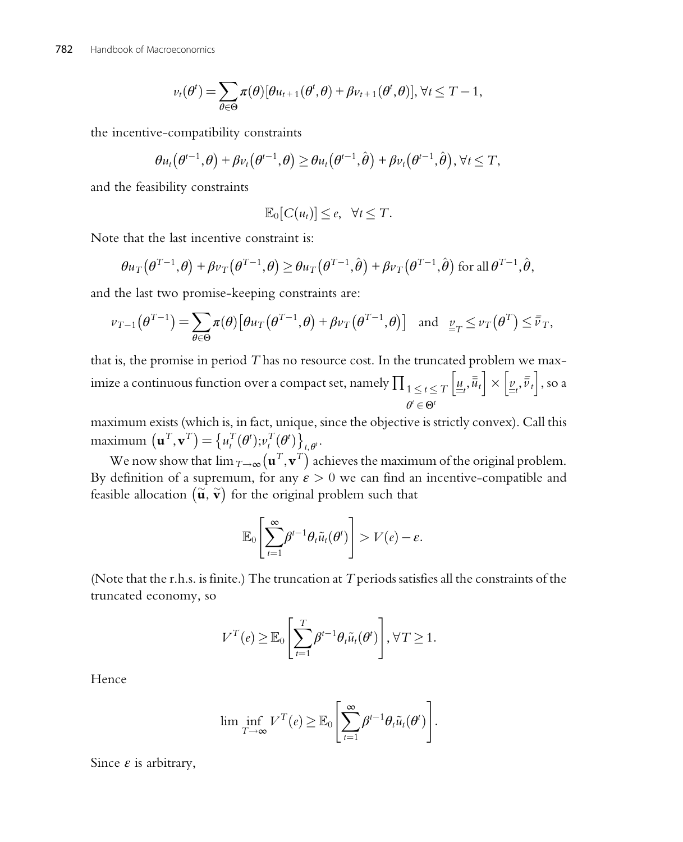$$
\nu_t(\theta^t) = \sum_{\theta \in \Theta} \pi(\theta) [\theta u_{t+1}(\theta^t, \theta) + \beta v_{t+1}(\theta^t, \theta)], \forall t \leq T-1,
$$

the incentive-compatibility constraints

$$
\theta u_t(\theta^{t-1},\theta) + \beta v_t(\theta^{t-1},\theta) \ge \theta u_t(\theta^{t-1},\hat{\theta}) + \beta v_t(\theta^{t-1},\hat{\theta}), \forall t \le T,
$$

and the feasibility constraints

$$
\mathbb{E}_0[C(u_t)] \leq e, \quad \forall t \leq T.
$$

Note that the last incentive constraint is:

$$
\theta u_T(\theta^{T-1},\theta) + \beta v_T(\theta^{T-1},\theta) \ge \theta u_T(\theta^{T-1},\hat{\theta}) + \beta v_T(\theta^{T-1},\hat{\theta}) \text{ for all } \theta^{T-1},\hat{\theta},
$$

and the last two promise-keeping constraints are:

$$
\nu_{T-1}(\theta^{T-1}) = \sum_{\theta \in \Theta} \pi(\theta) \left[ \theta u_T(\theta^{T-1}, \theta) + \beta v_T(\theta^{T-1}, \theta) \right] \text{ and } \underline{\nu}_T \leq \nu_T(\theta^T) \leq \overline{\bar{\nu}}_T,
$$

that is, the promise in period  $T$  has no resource cost. In the truncated problem we maximize a continuous function over a compact set, namely  $\prod_{1 \leq t \leq T} \left[ \underline{u}_t, \overline{\bar{u}}_t \right] \times \left[ \underline{v}_t, \overline{\bar{v}}_t \right]$ , so a  $\theta^t \in \Theta^t$ 

maximum exists (which is, in fact, unique, since the objective is strictly convex). Call this maximum  $(\mathbf{u}^T, \mathbf{v}^T) = \{u_t^T(\theta^t); v_t^T(\theta^t)\}_{t,\theta}.$ 

We now show that  $\lim_{T\to\infty} (\mathbf{u}^T, \mathbf{v}^T)$  achieves the maximum of the original problem.<br>definition of a supremum, for any  $\varepsilon > 0$  we can find an incentive compatible and By definition of a supremum, for any  $\varepsilon > 0$  we can find an incentive-compatible and feasible allocation  $(\widetilde{\mathbf{u}}, \widetilde{\mathbf{v}})$  for the original problem such that

$$
\mathbb{E}_0\left[\sum_{t=1}^{\infty}\beta^{t-1}\theta_t\tilde{u}_t(\theta^t)\right] > V(e) - \varepsilon.
$$

(Note that the r.h.s. is finite.) The truncation at  $T$  periods satisfies all the constraints of the truncated economy, so

$$
V^{T}(e) \geq \mathbb{E}_{0}\left[\sum_{t=1}^{T} \beta^{t-1} \theta_{t} \tilde{u}_{t}(\theta^{t})\right], \forall T \geq 1.
$$

Hence

$$
\lim \inf_{T \to \infty} V^T(e) \geq \mathbb{E}_0 \left[ \sum_{t=1}^{\infty} \beta^{t-1} \theta_t \tilde{u}_t(\theta^t) \right].
$$

Since  $\varepsilon$  is arbitrary,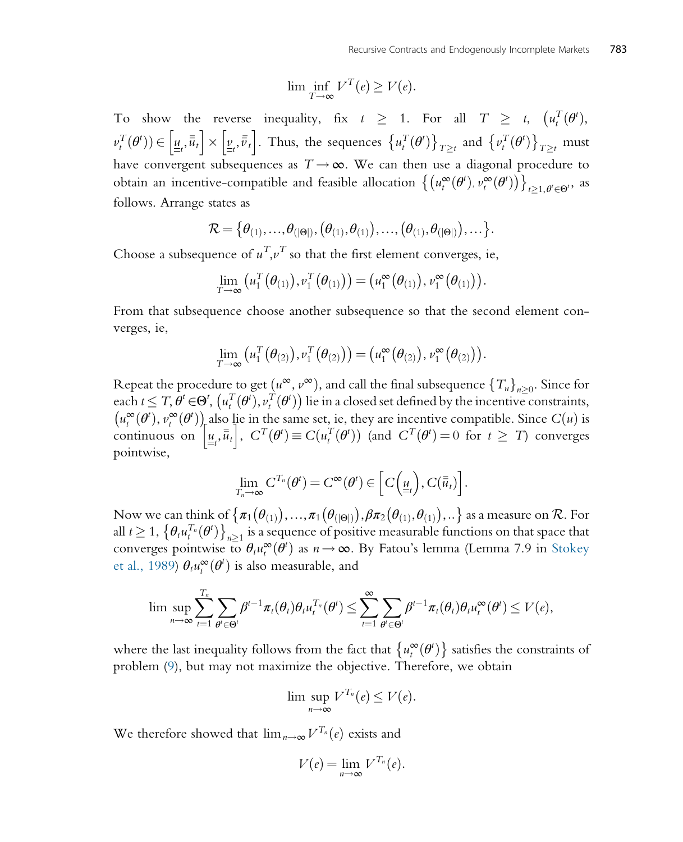$$
\lim \inf_{T \to \infty} V^T(e) \ge V(e).
$$

To show the reverse inequality, fix  $t \geq 1$ . For all  $T \geq t$ ,  $(u_t^T(\theta^t))$ ,  $v_t^T(\theta^t)$   $\in$   $\left[\underline{u}_t, \overline{\bar{u}}_t\right] \times \left[\underline{v}_t, \overline{\bar{v}}_t\right]$ . Thus, the sequences  $\left\{u_t^T(\theta^t)\right\}_{T \geq t}$  and  $\left\{v_t^T(\theta^t)\right\}_{T \geq t}$  must have convergent subsequences as  $T \rightarrow \infty$ . We can then use a diagonal procedure to obtain an incentive-compatible and feasible allocation  $\left\{ \left( u_t^{\infty}(\theta^t), v_t^{\infty}(\theta^t) \right) \right\}_{t \geq 1, \theta^t \in \Theta^t}$ , as follows. Arrange states as

$$
\mathcal{R} = \{\theta_{(1)},...,\theta_{(|\Theta|)},(\theta_{(1)},\theta_{(1)}),...,(\theta_{(1)},\theta_{(|\Theta|)}),...\}.
$$

Choose a subsequence of  $u^T$ , $v^T$  so that the first element converges, ie,

$$
\lim_{T\to\infty}\left(u_1^T(\theta_{(1)}),v_1^T(\theta_{(1)})\right)=\left(u_1^{\infty}(\theta_{(1)}),v_1^{\infty}(\theta_{(1)})\right).
$$

From that subsequence choose another subsequence so that the second element converges, ie,

$$
\lim_{T\to\infty}\left(u_1^T(\theta_{(2)}),v_1^T(\theta_{(2)})\right)=\left(u_1^{\infty}(\theta_{(2)}),v_1^{\infty}(\theta_{(2)})\right).
$$

Repeat the procedure to get  $(u^{\infty}, v^{\infty})$ , and call the final subsequence  $\{T_n\}_{n>0}$ . Since for each  $t \leq T$ ,  $\theta^t \in \Theta^t$ ,  $\left(u_t^T(\theta^t), v_t^T(\theta^t)\right)$  lie in a closed set defined by the incentive constraints,  $(u_t^{\infty}(\theta^t), v_t^{\infty}(\theta^t))$  also lie in the same set, ie, they are incentive compatible. Since  $C(u)$  is converged to  $\overline{u}$  of  $u = C(u^T(\theta^t))$  (and  $C^T(\theta^t) = 0$  for  $t > T$ ) converges continuous on  $\left[\underline{\underline{u}}_t, \overline{\overline{u}}_t\right]$ ,  $C^T(\theta^t) \equiv C(u_t^T(\theta^t))$  (and  $C^T(\theta^t) = 0$  for  $t \geq T$ ) converges pointwise,

$$
\lim_{T_n \to \infty} C^{T_n}(\theta^t) = C^{\infty}(\theta^t) \in \left[ C\left( \underline{u}_t \right), C(\overline{u}_t) \right].
$$

Now we can think of  $\{\pi_1(\theta_{(1)}), ..., \pi_1(\theta_{(|\Theta|)})$ ,  $\beta\pi_2(\theta_{(1)}, \theta_{(1)}), ...\}$  as a measure on  $\mathcal{R}$ . For all  $t \geq 1$ ,  $\left\{\theta_t u_t^{T_n}(\theta^t)\right\}_{n\geq 1}$  is a sequence of positive measurable functions on that space that converges pointwise to  $\theta_t u_t^{\infty}(\theta^t)$  as  $n \to \infty$ . By Fatou's lemma (Lemma 7.9 in [Stokey](#page-116-0) [et al.,](#page-116-0) 1989)  $\theta_t u_t^{\infty}(\theta^t)$  is also measurable, and

$$
\lim \sup_{n \to \infty} \sum_{t=1}^{T_n} \sum_{\theta' \in \Theta'} \beta^{t-1} \pi_t(\theta_t) \theta_t u_t^{T_n}(\theta') \leq \sum_{t=1}^{\infty} \sum_{\theta' \in \Theta'} \beta^{t-1} \pi_t(\theta_t) \theta_t u_t^{\infty}(\theta') \leq V(\epsilon),
$$

where the last inequality follows from the fact that  $\{u_i^{\infty}(\theta')\}$  satisfies the constraints of problem ([9\)](#page-8-0), but may not maximize the objective. Therefore, we obtain

$$
\lim \sup_{n \to \infty} V^{T_n}(e) \le V(e).
$$

We therefore showed that  $\lim_{n\to\infty}V^{T_n}(e)$  exists and

$$
V(e) = \lim_{n \to \infty} V^{T_n}(e).
$$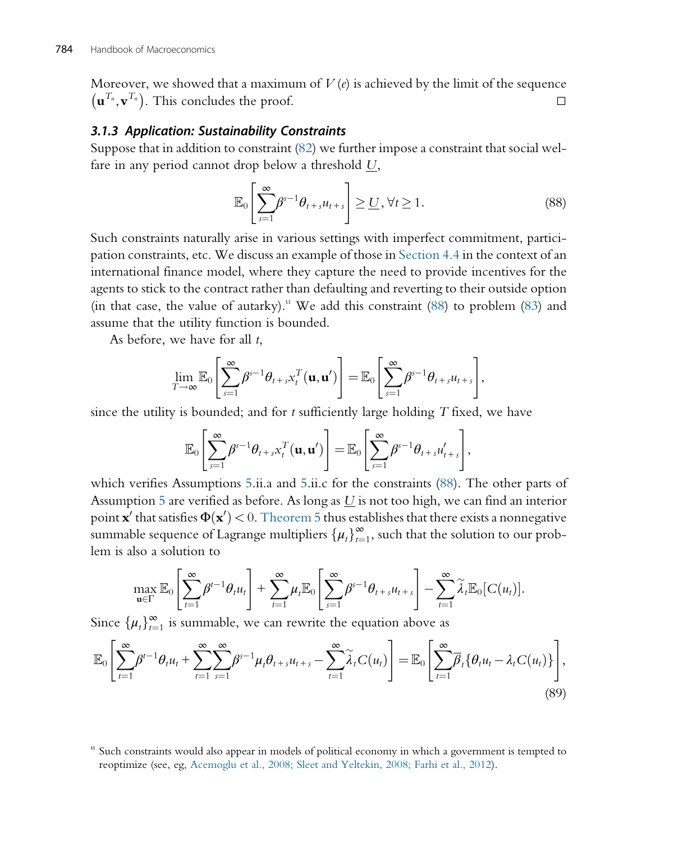<span id="page-59-0"></span>Moreover, we showed that a maximum of  $V(e)$  is achieved by the limit of the sequence  $(\mathbf{u}^{T_n}, \mathbf{v}^{T_n})$ . This concludes the proof.  $\Box$ 

### 3.1.3 Application: Sustainability Constraints

Suppose that in addition to constraint [\(82](#page-53-0)) we further impose a constraint that social welfare in any period cannot drop below a threshold  $U$ ,

$$
\mathbb{E}_0\left[\sum_{s=1}^{\infty}\beta^{s-1}\theta_{t+s}u_{t+s}\right] \geq \underline{U}, \forall t \geq 1.
$$
\n(88)

Such constraints naturally arise in various settings with imperfect commitment, participation constraints, etc. We discuss an example of those in [Section 4.4](#page-107-0) in the context of an international finance model, where they capture the need to provide incentives for the agents to stick to the contract rather than defaulting and reverting to their outside option (in that case, the value of autarky).<sup>u</sup> We add this constraint  $(88)$  to problem  $(83)$  $(83)$  and assume that the utility function is bounded.

As before, we have for all  $t$ ,

$$
\lim_{T\to\infty}\mathbb{E}_0\left[\sum_{s=1}^{\infty}\beta^{s-1}\theta_{t+s}x_t^T(\mathbf{u},\mathbf{u}')\right]=\mathbb{E}_0\left[\sum_{s=1}^{\infty}\beta^{s-1}\theta_{t+s}u_{t+s}\right],
$$

since the utility is bounded; and for  $t$  sufficiently large holding  $T$  fixed, we have

$$
\mathbb{E}_0\left[\sum_{s=1}^{\infty}\beta^{s-1}\theta_{t+s}x_t^T(\mathbf{u},\mathbf{u}')\right]=\mathbb{E}_0\left[\sum_{s=1}^{\infty}\beta^{s-1}\theta_{t+s}u'_{t+s}\right],
$$

which verifies Assumptions 5.ii.a and 5.ii.c for the constraints (88). The other parts of Assumption 5 are verified as before. As long as U is not too high, we can find an interior point  ${\bf x}'$  that satisfies  $\Phi({\bf x}') < 0$ . Theorem 5 thus establishes that there exists a nonnegative summable sequence of Lagrange multipliers  $\{\mu_t\}_{t=1}^{\infty}$ , such that the solution to our prob-<br>lem is also a solution to lem is also a solution to

$$
\max_{\mathbf{u}\in\Gamma}\mathbb{E}_0\left[\sum_{t=1}^{\infty}\beta^{t-1}\theta_t u_t\right]+\sum_{t=1}^{\infty}\mu_t\mathbb{E}_0\left[\sum_{s=1}^{\infty}\beta^{s-1}\theta_{t+s}u_{t+s}\right]-\sum_{t=1}^{\infty}\widetilde{\lambda}_t\mathbb{E}_0[C(u_t)].
$$

Since  $\{\mu_t\}_{t=1}^{\infty}$  is summable, we can rewrite the equation above as

$$
\mathbb{E}_0\left[\sum_{t=1}^{\infty}\beta^{t-1}\theta_t u_t + \sum_{t=1}^{\infty}\sum_{s=1}^{\infty}\beta^{s-1}\mu_t\theta_{t+s}u_{t+s} - \sum_{t=1}^{\infty}\widetilde{\lambda}_t C(u_t)\right] = \mathbb{E}_0\left[\sum_{t=1}^{\infty}\overline{\beta}_t\{\theta_t u_t - \lambda_t C(u_t)\}\right],
$$
\n(89)

<sup>&</sup>lt;sup>u</sup> Such constraints would also appear in models of political economy in which a government is tempted to reoptimize (see, eg, [Acemoglu et al., 2008; Sleet and Yeltekin, 2008; Farhi et al., 2012\)](#page-112-0).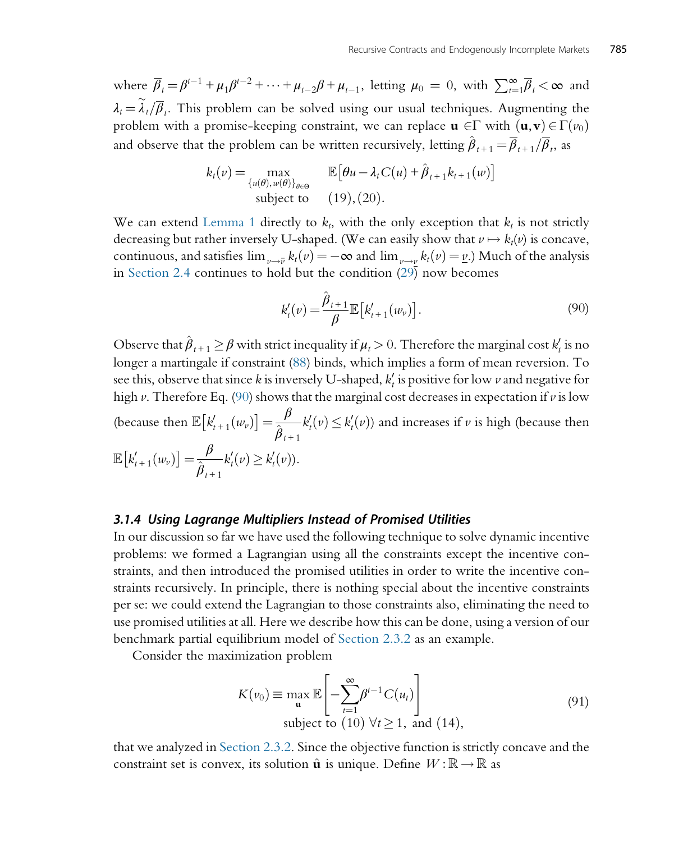<span id="page-60-0"></span>where  $\overline{\beta}_t = \beta^{t-1} + \mu_1 \beta^{t-2} + \dots + \mu_{t-2} \beta + \mu_{t-1}$ , letting  $\mu_0 = 0$ , with  $\sum_{t=1}^{\infty} \overline{\beta}_t < \infty$  and  $\lambda_t = \lambda_t / \overline{\beta}_t$ . This problem can be solved using our usual techniques. Augmenting the problem with a promise keeping constraint, we can replace  $\mathbf{u} \in \Gamma$  with  $(\mathbf{u}, \mathbf{v}) \in \Gamma(u_0)$ . problem with a promise-keeping constraint, we can replace  $\mathbf{u} \in \Gamma$  with  $(\mathbf{u}, \mathbf{v}) \in \Gamma(v_0)$ and observe that the problem can be written recursively, letting  $\hat{\beta}_{t+1} = \overline{\beta}_{t+1}/\overline{\beta}_t$ , as

$$
k_t(v) = \max_{\{u(\theta), w(\theta)\}_{\theta \in \Theta}} \mathbb{E}\big[\theta u - \lambda_t C(u) + \hat{\beta}_{t+1} k_{t+1}(w)\big]
$$
  
subject to (19), (20).

We can extend Lemma 1 directly to  $k_t$ , with the only exception that  $k_t$  is not strictly decreasing but rather inversely U-shaped. (We can easily show that  $v \mapsto k_t(v)$  is concave, continuous, and satisfies  $\lim_{\nu \to \bar{\nu}} k_t(\nu) = -\infty$  and  $\lim_{\nu \to \nu} k_t(\nu) = \nu$ .) Much of the analysis<br>in Section 2.4 continues to hold but the condition (29) now becomes in [Section 2.4](#page-20-0) continues to hold but the condition ([29\)](#page-20-0) now becomes

$$
k'_{t}(v) = \frac{\hat{\beta}_{t+1}}{\beta} \mathbb{E}\left[k'_{t+1}(w_{v})\right].
$$
\n(90)

Observe that  $\hat{\beta}_{t+1} \ge \beta$  with strict inequality if  $\mu_t > 0$ . Therefore the marginal cost  $k'_t$  is no longer a martingale if constraint (88) binds, which implies a form of mean reversion. To longer a martingale if constraint ([88](#page-59-0)) binds, which implies a form of mean reversion. To see this, observe that since k is inversely U-shaped,  $k'_t$  is positive for low  $\nu$  and negative for high v. Therefore Eq. (90) shows that the marginal cost decreases in expectation if v is low

(because then  $\mathbb{E}\big[k'_{t+1}(w_\nu)\big] = \frac{\beta}{\hat{\beta}_{t+1}} k'_t(v) \leq k'_t(v)$ ) and increases if  $\nu$  is high (because then  $\mathbb{E}\big[k'_{t+1}(w_{\nu})\big] = \frac{\beta}{\hat{\beta}_{t+1}}k'_{t}(\nu) \geq k'_{t}(\nu)$ .

#### 3.1.4 Using Lagrange Multipliers Instead of Promised Utilities

In our discussion so far we have used the following technique to solve dynamic incentive problems: we formed a Lagrangian using all the constraints except the incentive constraints, and then introduced the promised utilities in order to write the incentive constraints recursively. In principle, there is nothing special about the incentive constraints per se: we could extend the Lagrangian to those constraints also, eliminating the need to use promised utilities at all. Here we describe how this can be done, using a version of our benchmark partial equilibrium model of [Section 2.3.2](#page-12-0) as an example.

Consider the maximization problem

$$
K(v_0) \equiv \max_{\mathbf{u}} \mathbb{E}\left[-\sum_{t=1}^{\infty} \beta^{t-1} C(u_t)\right]
$$
  
subject to (10)  $\forall t \ge 1$ , and (14), (91)

that we analyzed in [Section 2.3.2](#page-12-0). Since the objective function is strictly concave and the constraint set is convex, its solution  $\hat{\mathbf{u}}$  is unique. Define  $W : \mathbb{R} \to \mathbb{R}$  as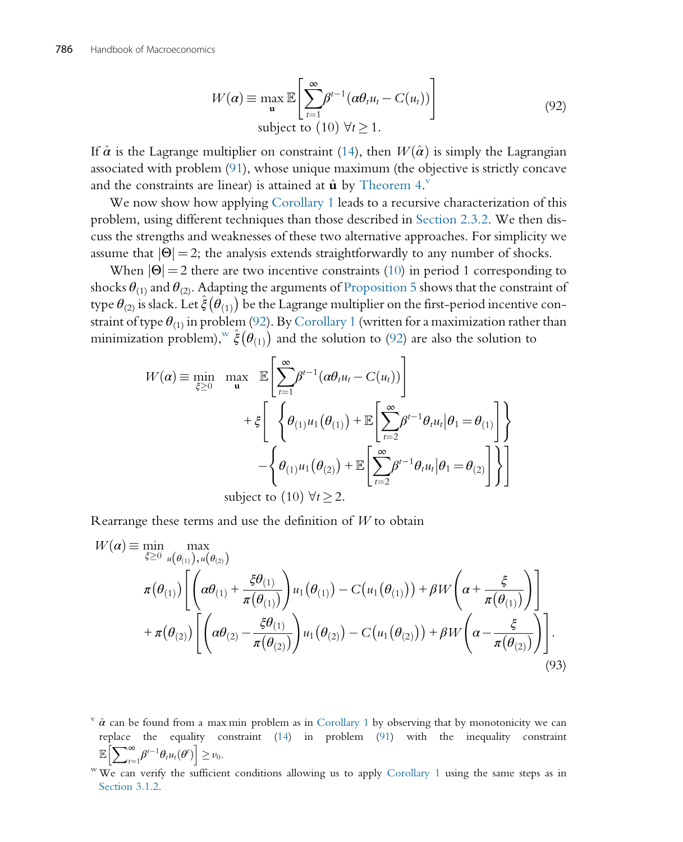$$
W(\alpha) \equiv \max_{\mathbf{u}} \mathbb{E}\left[\sum_{t=1}^{\infty} \beta^{t-1} (\alpha \theta_t u_t - C(u_t))\right]
$$
  
subject to (10)  $\forall t \ge 1$ . (92)

<span id="page-61-0"></span>If  $\hat{\alpha}$  is the Lagrange multiplier on constraint ([14\)](#page-11-0), then  $W(\hat{\alpha})$  is simply the Lagrangian associated with problem [\(91](#page-60-0)), whose unique maximum (the objective is strictly concave and the constraints are linear) is attained at  $\hat{u}$  by Theorem 4.<sup>v</sup>

We now show how applying Corollary 1 leads to a recursive characterization of this problem, using different techniques than those described in [Section 2.3.2](#page-12-0). We then discuss the strengths and weaknesses of these two alternative approaches. For simplicity we assume that  $|\Theta| = 2$ ; the analysis extends straightforwardly to any number of shocks.

When  $\left| \Theta \right| = 2$  there are two incentive constraints ([10](#page-9-0)) in period 1 corresponding to shocks  $\theta_{(1)}$  and  $\theta_{(2)}$ . Adapting the arguments of Proposition 5 shows that the constraint of type  $\theta_{(2)}$  is slack. Let  $\hat{\xi}(\theta_{(1)})$  be the Lagrange multiplier on the first-period incentive constraint of type  $\theta_{(1)}$  in problem (92). By Corollary 1 (written for a maximization rather than minimization problem), $\sqrt[w]{\hat{\xi}(\theta_{(1)})}$  and the solution to (92) are also the solution to

$$
W(\alpha) \equiv \min_{\xi \ge 0} \quad \max_{\mathbf{u}} \quad \mathbb{E}\left[\sum_{t=1}^{\infty} \beta^{t-1} (\alpha \theta_t u_t - C(u_t))\right]
$$

$$
+ \xi \left[\left\{\theta_{(1)} u_1(\theta_{(1)}) + \mathbb{E}\left[\sum_{t=2}^{\infty} \beta^{t-1} \theta_t u_t | \theta_1 = \theta_{(1)}\right]\right\}
$$

$$
- \left\{\theta_{(1)} u_1(\theta_{(2)}) + \mathbb{E}\left[\sum_{t=2}^{\infty} \beta^{t-1} \theta_t u_t | \theta_1 = \theta_{(2)}\right]\right\}
$$
subject to (10)  $\forall t \ge 2$ .

Rearrange these terms and use the definition of  $W$  to obtain

$$
W(\alpha) = \min_{\xi \geq 0} \max_{u(\theta_{(1)}), u(\theta_{(2)})} \frac{\pi(\theta_{(1)}) \left[ \left( \alpha \theta_{(1)} + \frac{\xi \theta_{(1)}}{\pi(\theta_{(1)})} \right) u_1(\theta_{(1)}) - C(u_1(\theta_{(1)})) + \beta W \left( \alpha + \frac{\xi}{\pi(\theta_{(1)})} \right) \right] + \pi(\theta_{(2)}) \left[ \left( \alpha \theta_{(2)} - \frac{\xi \theta_{(1)}}{\pi(\theta_{(2)})} \right) u_1(\theta_{(2)}) - C(u_1(\theta_{(2)})) + \beta W \left( \alpha - \frac{\xi}{\pi(\theta_{(2)})} \right) \right].
$$
\n(93)

 $\sqrt{\alpha}$  can be found from a max min problem as in Corollary 1 by observing that by monotonicity we can replace the equality constraint [\(14](#page-11-0)) in problem [\(91\)](#page-60-0) with the inequality constraint  $\mathbb{E}[\sum_{n}^{\infty}$  $t=1$  $\left[\sum_{t=1}^{\infty} \beta^{t-1} \theta_t u_t(\theta^t)\right] \geq v_0.$ 

<sup>w</sup> We can verify the sufficient conditions allowing us to apply Corollary 1 using the same steps as in [Section 3.1.2](#page-53-0).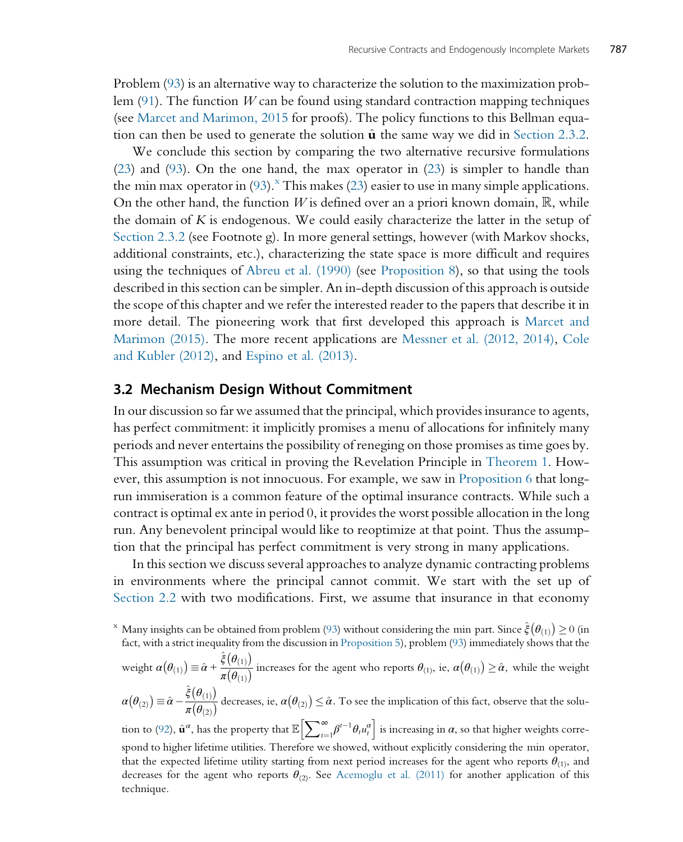<span id="page-62-0"></span>Problem [\(93\)](#page-61-0) is an alternative way to characterize the solution to the maximization problem  $(91)$  $(91)$ . The function W can be found using standard contraction mapping techniques (see [Marcet and Marimon, 2015](#page-115-0) for proofs). The policy functions to this Bellman equation can then be used to generate the solution  $\hat{u}$  the same way we did in [Section 2.3.2](#page-12-0).

We conclude this section by comparing the two alternative recursive formulations ([23\)](#page-13-0) and ([93\)](#page-61-0). On the one hand, the max operator in [\(23\)](#page-13-0) is simpler to handle than the min max operator in  $(93)$  $(93)$ .<sup>x</sup> This makes [\(23\)](#page-13-0) easier to use in many simple applications. On the other hand, the function W is defined over an a priori known domain,  $\mathbb{R}$ , while the domain of  $K$  is endogenous. We could easily characterize the latter in the setup of [Section 2.3.2](#page-12-0) (see Footnote g). In more general settings, however (with Markov shocks, additional constraints, etc.), characterizing the state space is more difficult and requires using the techniques of [Abreu et al. \(1990\)](#page-112-0) (see Proposition 8), so that using the tools described in this section can be simpler. An in-depth discussion of this approach is outside the scope of this chapter and we refer the interested reader to the papers that describe it in more detail. The pioneering work that first developed this approach is [Marcet and](#page-115-0) [Marimon](#page-115-0) (2015). The more recent applications are [Messner et al. \(2012, 2014\),](#page-115-0) [Cole](#page-113-0) [and Kubler](#page-113-0) (2012), and [Espino et al. \(2013\).](#page-113-0)

### 3.2 Mechanism Design Without Commitment

In our discussion so far we assumed that the principal, which provides insurance to agents, has perfect commitment: it implicitly promises a menu of allocations for infinitely many periods and never entertains the possibility of reneging on those promises as time goes by. This assumption was critical in proving the Revelation Principle in Theorem 1. However, this assumption is not innocuous. For example, we saw in Proposition 6 that longrun immiseration is a common feature of the optimal insurance contracts. While such a contract is optimal ex ante in period 0, it provides the worst possible allocation in the long run. Any benevolent principal would like to reoptimize at that point. Thus the assumption that the principal has perfect commitment is very strong in many applications.

In this section we discuss several approaches to analyze dynamic contracting problems in environments where the principal cannot commit. We start with the set up of [Section 2.2](#page-6-0) with two modifications. First, we assume that insurance in that economy

weight  $\alpha\big(\theta_{(1)}\big) \equiv \hat{\alpha} + \frac{\hat{\xi}\big(\theta_{(1)}\big)}{\pi\big(\theta_{(1)}\big)}$  $\frac{\mathbf{C}(\mathbf{C}(1))}{\pi(\theta_{(1)})}$  increases for the agent who reports  $\theta_{(1)}$ , ie,  $\alpha(\theta_{(1)}) \geq \hat{\alpha}$ , while the weight

 $\alpha(\theta_{(2)}) \equiv \hat{\alpha} - \frac{\hat{\xi} \big(\theta_{(1)}\big)}{\pi \big(\theta_{(2)}\big)}$  $\frac{\mathbf{S}(\mathbf{v}(1))}{\pi(\theta_{(2)})}$  decreases, ie,  $\alpha(\theta_{(2)}) \leq \hat{\alpha}$ . To see the implication of this fact, observe that the solu-

tion to [\(92](#page-61-0)),  $\hat{\mathbf{u}}^{\alpha}$ , has the property that  $\mathbb{E}\Big[\sum_{t=1}^{\infty} \beta^{t-1} \theta_t u_t^{\alpha}\Big]$  is increasing in  $\alpha$ , so that higher weights correspond to higher lifetime utilities. Therefore we showed, without explicitly considering the min operator, that the expected lifetime utility starting from next period increases for the agent who reports  $\theta_{(1)}$ , and decreases for the agent who reports  $\theta_{(2)}$ . See [Acemoglu et al. \(2011\)](#page-112-0) for another application of this technique.

x Many insights can be obtained from problem [\(93\)](#page-61-0) without considering the min part. Since  $\hat{\xi}(\theta_{(1)}) \ge 0$  (in foct with a strict inequality from the discussion in Proposition 5), problem (93) immediately shows that the fact, with a strict inequality from the discussion in Proposition 5), problem ([93\)](#page-61-0) immediately shows that the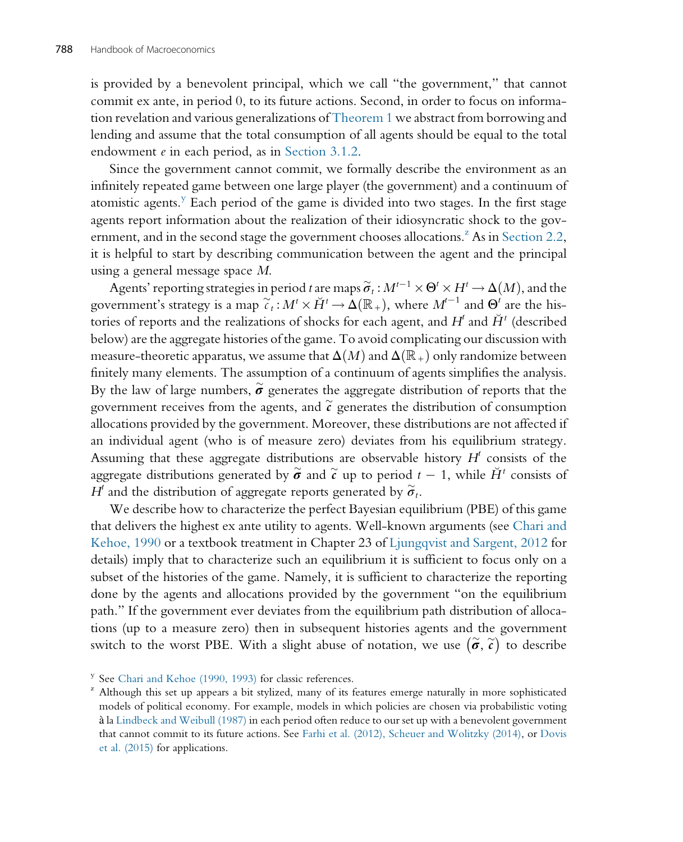is provided by a benevolent principal, which we call "the government," that cannot commit ex ante, in period 0, to its future actions. Second, in order to focus on information revelation and various generalizations of Theorem 1 we abstract from borrowing and lending and assume that the total consumption of all agents should be equal to the total endowment e in each period, as in [Section 3.1.2.](#page-53-0)

Since the government cannot commit, we formally describe the environment as an infinitely repeated game between one large player (the government) and a continuum of atomistic agents. $y$  Each period of the game is divided into two stages. In the first stage agents report information about the realization of their idiosyncratic shock to the government, and in the second stage the government chooses allocations.<sup> $z$ </sup> As in [Section 2.2](#page-6-0), it is helpful to start by describing communication between the agent and the principal using a general message space M.

Agents' reporting strategies in period t are maps  $\widetilde{\sigma}_t : M^{t-1} \times \Theta^t \times H^t \to \Delta(M)$ , and the comment's strategy is a map  $\widetilde{\sigma} : M^t \times \widetilde{H}^t \to \Delta(\mathbb{R}_+)$ , where  $M^{t-1}$  and  $\Theta^t$  are the his government's strategy is a map  $\widetilde{c}_t : M^t \times \breve{H}^t \to \Delta(\mathbb{R}_+),$  where  $M^{t-1}$  and  $\Theta^t$  are the histories of reports and the realizations of shocks for each agent, and  $H^t$  and  $\breve{H}^t$  (described below) are the aggregate histories of the game. To avoid complicating our discussion with measure-theoretic apparatus, we assume that  $\Delta(M)$  and  $\Delta(\mathbb{R}_+)$  only randomize between finitely many elements. The assumption of a continuum of agents simplifies the analysis. By the law of large numbers,  $\overset{\sim}{\sigma}$  generates the aggregate distribution of reports that the government receives from the agents, and  $\stackrel{\sim}{\epsilon}$  generates the distribution of consumption allocations provided by the government. Moreover, these distributions are not affected if an individual agent (who is of measure zero) deviates from his equilibrium strategy. Assuming that these aggregate distributions are observable history  $H<sup>t</sup>$  consists of the aggregate distributions generated by  $\tilde{\sigma}$  and  $\tilde{\epsilon}$  up to period  $t - 1$ , while  $\tilde{H}^t$  consists of  $H^t$  and the distribution of express reports generated by  $\tilde{\epsilon}$  $H^t$  and the distribution of aggregate reports generated by  $\widetilde{\sigma}_t$ .

We describe how to characterize the perfect Bayesian equilibrium (PBE) of this game that delivers the highest ex ante utility to agents. Well-known arguments (see [Chari and](#page-113-0) [Kehoe,](#page-113-0) 1990 or a textbook treatment in Chapter 23 of [Ljungqvist and Sargent, 2012](#page-115-0) for details) imply that to characterize such an equilibrium it is sufficient to focus only on a subset of the histories of the game. Namely, it is sufficient to characterize the reporting done by the agents and allocations provided by the government "on the equilibrium path." If the government ever deviates from the equilibrium path distribution of allocations (up to a measure zero) then in subsequent histories agents and the government switch to the worst PBE. With a slight abuse of notation, we use  $(\widetilde{\sigma},\,\widetilde{\epsilon})$  to describe

<sup>&</sup>lt;sup>y</sup> See [Chari and Kehoe \(1990, 1993\)](#page-113-0) for classic references.<br><sup>z</sup> Although this set up appears a bit stylized, many of its features emerge naturally in more sophisticated models of political economy. For example, models in which policies are chosen via probabilistic voting à la [Lindbeck and Weibull \(1987\)](#page-115-0) in each period often reduce to our set up with a benevolent government that cannot commit to its future actions. See [Farhi et al. \(2012\), Scheuer and Wolitzky \(2014\)](#page-113-0), or [Dovis](#page-113-0) et al. [\(2015\)](#page-113-0) for applications.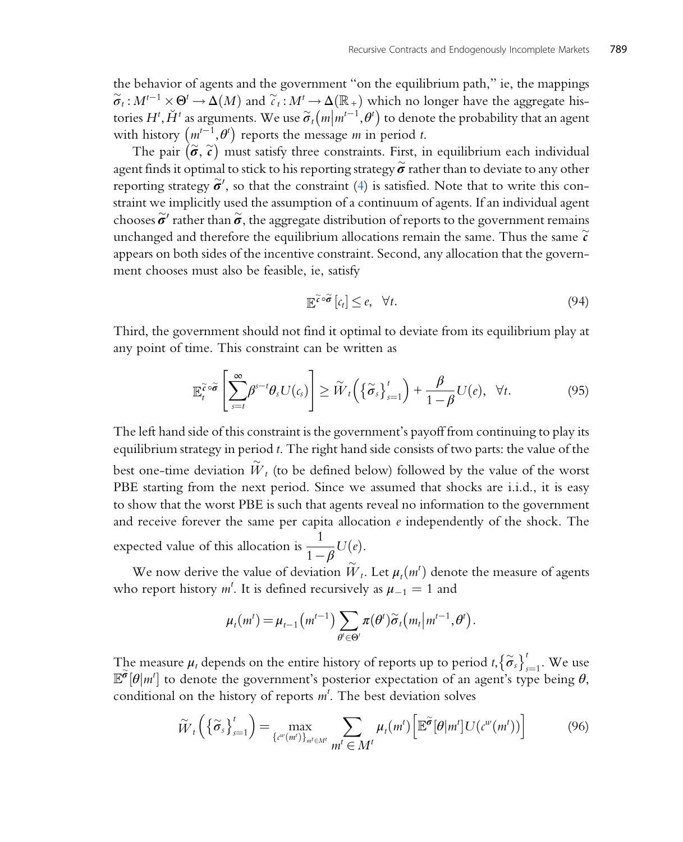<span id="page-64-0"></span>the behavior of agents and the government "on the equilibrium path," ie, the mappings  $\widetilde{\sigma}_t: M^{t-1} \times \Theta^t \to \Delta(M)$  and  $\widetilde{\epsilon}_t: M^t \to \Delta(\mathbb{R}_+)$  which no longer have the aggregate his-<br>tories  $H^t$ ,  $\widetilde{H}^t$  is arouments. We use  $\widetilde{\sigma}_t$  (where  $\widetilde{\sigma}^t$ ) to denote the probability that an agent tories  $H^t$ ,  $\breve{H}^t$  as arguments. We use  $\widetilde{\sigma}_t(m|m^{t-1},\theta^t)$  to denote the probability that an agent with history  $\left( m^{t-1}, \theta^t \right)$  reports the message m in period t.

The pair  $(\widetilde{\sigma},\,\widetilde{\epsilon})$  must satisfy three constraints. First, in equilibrium each individual agent finds it optimal to stick to his reporting strategy  $\overset{\sim}{\sigma}$  rather than to deviate to any other reporting strategy  $\overset{\sim}{\bm{o}}'$ , so that the constraint ([4\)](#page-6-0) is satisfied. Note that to write this constraint we implicitly used the assumption of a continuum of agents. If an individual agent chooses  $\widetilde{\bm{\sigma}}'$  rather than  $\widetilde{\bm{\sigma}}$ , the aggregate distribution of reports to the government remains unchanged and therefore the equilibrium allocations remain the same. Thus the same  $\stackrel{\sim}{{\mathfrak{c}}}$ appears on both sides of the incentive constraint. Second, any allocation that the government chooses must also be feasible, ie, satisfy

$$
\mathbb{E}^{\tilde{\mathfrak{c}} \circ \tilde{\boldsymbol{\sigma}}} [c_t] \leq e, \quad \forall t. \tag{94}
$$

Third, the government should not find it optimal to deviate from its equilibrium play at any point of time. This constraint can be written as

$$
\mathbb{E}_{t}^{\widetilde{c}\circ\widetilde{\sigma}}\left[\sum_{s=t}^{\infty}\beta^{s-t}\theta_{s}U(\mathbf{c}_{s})\right] \geq \widetilde{W}_{t}\left(\left\{\widetilde{\sigma}_{s}\right\}_{s=1}^{t}\right)+\frac{\beta}{1-\beta}U(\mathbf{e}), \quad \forall t.
$$
\n(95)

The left hand side of this constraint is the government's payoff from continuing to play its equilibrium strategy in period t. The right hand side consists of two parts: the value of the best one-time deviation  $\boldsymbol{W}_{t}$  (to be defined below) followed by the value of the worst PBE starting from the next period. Since we assumed that shocks are i.i.d., it is easy to show that the worst PBE is such that agents reveal no information to the government and receive forever the same per capita allocation  $e$  independently of the shock. The expected value of this allocation is  $\frac{1}{1}$  $\frac{1}{1-\beta}U(e).$ 

We now derive the value of deviation  $\tilde{W}_t$ . Let  $\mu_t(m^t)$  denote the measure of agents who report history  $m^t$ . It is defined recursively as  $\mu_{-1} = 1$  and

$$
\mu_t(m^t) = \mu_{t-1}(m^{t-1}) \sum_{\theta' \in \Theta^t} \pi(\theta^t) \widetilde{\sigma}_t(m_t|m^{t-1},\theta^t).
$$

The measure  $\mu_t$  depends on the entire history of reports up to period  $t, {\{\widetilde{\sigma}_s\}}_{s=1}^t$ . We use  $\mathbb{R}^{\widetilde{\sigma}}[{\theta|m^t}]$  to denote the government's posterior expectation of an agent's type being  $\theta$  $\mathbb{E}^{\tilde{\sigma}}[\theta|m^t]$  to denote the government's posterior expectation of an agent's type being  $\theta$ , conditional on the history of reports  $m<sup>t</sup>$ . The best deviation solves

$$
\widetilde{W}_t\left(\left\{\widetilde{\sigma}_s\right\}_{s=1}^t\right) = \max_{\left\{c^w(m^t)\right\}_{m^t \in M^t}} \sum_{m^t \in M^t} \mu_t(m^t) \left[\mathbb{E}^{\widetilde{\sigma}}[\theta|m^t] U(c^w(m^t))\right] \tag{96}
$$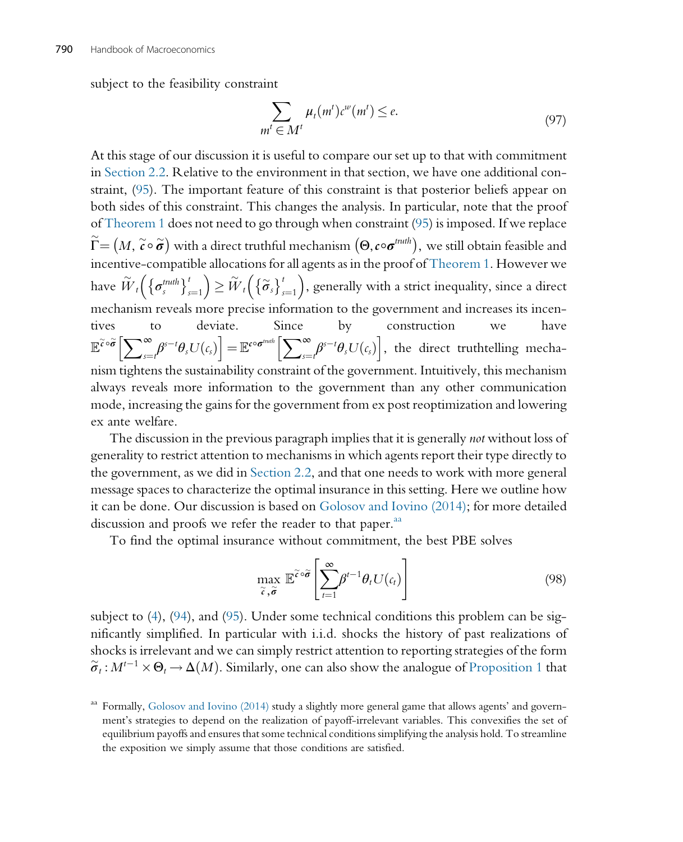<span id="page-65-0"></span>subject to the feasibility constraint

$$
\sum_{m^t \in M^t} \mu_t(m^t) c^w(m^t) \le e.
$$
\n(97)

At this stage of our discussion it is useful to compare our set up to that with commitment in [Section 2.2.](#page-6-0) Relative to the environment in that section, we have one additional constraint, [\(95](#page-64-0)). The important feature of this constraint is that posterior beliefs appear on both sides of this constraint. This changes the analysis. In particular, note that the proof of Theorem 1 does not need to go through when constraint ([95](#page-64-0)) is imposed. If we replace  $\widetilde{\Gamma} = \left( M, \, \widetilde{\mathfrak{c}} \circ \widetilde{\boldsymbol{\sigma}} \right)$  with a direct truthful mechanism  $\left( \Theta, c \circ \boldsymbol{\sigma}^{truth} \right),$  we still obtain feasible and<br>incentive, compatible ellections for ellections as in the proof of Theorem 1. However we incentive-compatible allocations for all agents as in the proof of Theorem 1. However we have  $\widetilde{W}_t \left( \left\{ \sigma_s^{truth} \right\}_s^t$  $s=1$  $\left(\left\{\boldsymbol{\sigma}_{s}^{truth}\right\}_{s=1}^{t}\right) \geq \widetilde{W}_{t}\left(\left\{\widetilde{\boldsymbol{\sigma}}_{s}\right\}_{s}^{t}\right)$  $s=1$  $\left(\{\widetilde{\sigma}_s\}_{s=1}^t\right)$ , generally with a strict inequality, since a direct mechanism reveals more precise information to the government and increases its incentives to deviate. Since by construction we have  $\mathbb{E}^{\widetilde{\epsilon}\circ\widetilde{\sigma}}\Big[\sum]^\infty$  $s = t$  $\left[\sum_{s=t}^{\infty}\beta^{s-t}\theta_s U(\mathfrak{c}_s)\right] = \mathbb{E}^{\mathfrak{c}\circ\sigma^{truth}}\left[\sum_{s=t}^{\infty}\right]$  $\left[\sum_{s=t}^{\infty}\beta^{s-t}\theta_sU(\zeta_s)\right]$ , the direct truthtelling mechanism tightens the sustainability constraint of the government. Intuitively, this mechanism always reveals more information to the government than any other communication mode, increasing the gains for the government from ex post reoptimization and lowering ex ante welfare.

The discussion in the previous paragraph implies that it is generally not without loss of generality to restrict attention to mechanisms in which agents report their type directly to the government, as we did in [Section 2.2](#page-6-0), and that one needs to work with more general message spaces to characterize the optimal insurance in this setting. Here we outline how it can be done. Our discussion is based on [Golosov and Iovino \(2014\)](#page-114-0); for more detailed discussion and proofs we refer the reader to that paper.<sup>aa</sup>

To find the optimal insurance without commitment, the best PBE solves

$$
\max_{\widetilde{\mathfrak{c}}, \widetilde{\sigma}} \mathbb{E}^{\widetilde{\mathfrak{c}} \circ \widetilde{\sigma}} \left[ \sum_{t=1}^{\infty} \beta^{t-1} \theta_t U(\mathfrak{c}_t) \right] \tag{98}
$$

subject to ([4\)](#page-6-0), [\(94](#page-64-0)), and ([95\)](#page-64-0). Under some technical conditions this problem can be significantly simplified. In particular with i.i.d. shocks the history of past realizations of shocks is irrelevant and we can simply restrict attention to reporting strategies of the form  $\widetilde{\sigma}_t$ :  $M^{t-1} \times \Theta_t \to \Delta(M)$ . Similarly, one can also show the analogue of Proposition 1 that

<sup>&</sup>lt;sup>aa</sup> Formally, [Golosov and Iovino \(2014\)](#page-114-0) study a slightly more general game that allows agents' and government's strategies to depend on the realization of payoff-irrelevant variables. This convexifies the set of equilibrium payoffs and ensures that some technical conditions simplifying the analysis hold. To streamline the exposition we simply assume that those conditions are satisfied.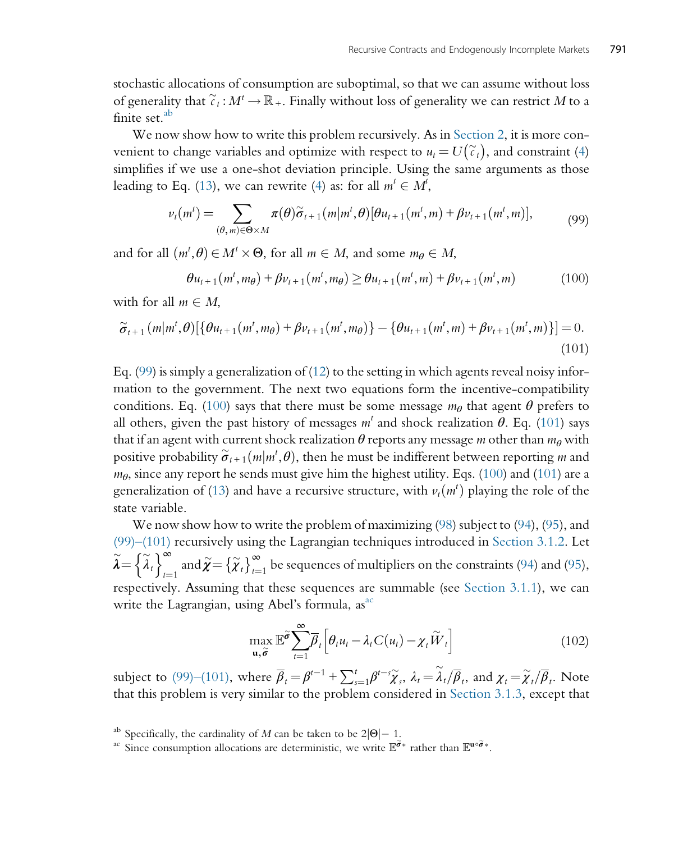<span id="page-66-0"></span>stochastic allocations of consumption are suboptimal, so that we can assume without loss of generality that  $\widetilde{c}_t : M^t \to \mathbb{R}_+$ . Finally without loss of generality we can restrict M to a finite set <sup>ab</sup> finite set.<sup>ab</sup>

We now show how to write this problem recursively. As in [Section 2,](#page-3-0) it is more convenient to change variables and optimize with respect to  $u_t = U(\tilde{\epsilon}_t)$ , and constraint ([4\)](#page-6-0) simplifies if we use a one shot deviation principle. Lising the same arguments as those simplifies if we use a one-shot deviation principle. Using the same arguments as those leading to Eq. [\(13](#page-11-0)), we can rewrite [\(4\)](#page-6-0) as: for all  $m^t \in M^t$ ,

$$
\nu_t(m^t) = \sum_{(\theta,m)\in\Theta\times M} \pi(\theta)\widetilde{\sigma}_{t+1}(m|m^t,\theta)[\theta u_{t+1}(m^t,m) + \beta \nu_{t+1}(m^t,m)],\tag{99}
$$

and for all  $(m^t, \theta) \in M^t \times \Theta$ , for all  $m \in M$ , and some  $m_\theta \in M$ ,

$$
\theta u_{t+1}(m^t, m_\theta) + \beta v_{t+1}(m^t, m_\theta) \ge \theta u_{t+1}(m^t, m) + \beta v_{t+1}(m^t, m) \tag{100}
$$

with for all  $m \in M$ ,

$$
\widetilde{\sigma}_{t+1}(m|m^t,\theta)[\{\theta u_{t+1}(m^t,m_\theta) + \beta v_{t+1}(m^t,m_\theta)\} - \{\theta u_{t+1}(m^t,m) + \beta v_{t+1}(m^t,m)\}] = 0.
$$
\n(101)

Eq.  $(99)$  is simply a generalization of  $(12)$  to the setting in which agents reveal noisy information to the government. The next two equations form the incentive-compatibility conditions. Eq. (100) says that there must be some message  $m_\theta$  that agent  $\theta$  prefers to all others, given the past history of messages  $m<sup>t</sup>$  and shock realization  $\theta$ . Eq. (101) says that if an agent with current shock realization  $\theta$  reports any message m other than  $m_{\theta}$  with positive probability  $\widetilde{\sigma}_{t+1}(m|m^t, \theta)$ , then he must be indifferent between reporting m and<br>the since any report be sends must give him the bighest utility. Eqs. (100) and (101) are a  $m_{\theta}$ , since any report he sends must give him the highest utility. Eqs. (100) and (101) are a generalization of ([13](#page-11-0)) and have a recursive structure, with  $v_t(m^t)$  playing the role of the state variable.

We now show how to write the problem of maximizing [\(98\)](#page-65-0) subject to ([94](#page-64-0)), ([95\)](#page-64-0), and (99)–(101) recursively using the Lagrangian techniques introduced in [Section 3.1.2.](#page-53-0) Let  $\widetilde{\lambda} = \left\{ \widetilde{\lambda}_t \right\}_{t=1}^{\infty}$  $t=1$ and  $\widetilde{\chi} = \left\{ \widetilde{\chi}_t \right\}_{t=1}^{\infty}$  be sequences of multipliers on the constraints ([94](#page-64-0)) and [\(95](#page-64-0)), respectively. Assuming that these sequences are summable (see [Section 3.1.1](#page-49-0)), we can write the Lagrangian, using Abel's formula, as<sup>ac</sup>

$$
\max_{\mathbf{u}, \widetilde{\boldsymbol{\sigma}}} \mathbb{E}^{\widetilde{\boldsymbol{\sigma}}} \sum_{t=1}^{\infty} \overline{\beta}_t \left[ \theta_t u_t - \lambda_t C(u_t) - \chi_t \widetilde{W}_t \right]
$$
(102)

subject to (99)–(101), where  $\overline{\beta}_t = \beta^{t-1} + \sum_{s=1}^t \beta^{t-s} \widetilde{\chi}_s$ ,  $\lambda_t = \widetilde{\lambda}_t / \overline{\beta}_t$ , and  $\chi_t = \widetilde{\chi}_t / \overline{\beta}_t$ . Note that this problem is very similar to the problem considered in [Section 3.1.3](#page-59-0), except that

<sup>&</sup>lt;sup>ab</sup> Specifically, the cardinality of M can be taken to be  $2|\Theta|-1$ .<br><sup>ac</sup> Since consumption allocations are deterministic, we write  $\mathbb{E}^{\widetilde{\sigma}^*}$  rather than  $\mathbb{E}^{\mathbf{u}\circ\widetilde{\sigma}^*}$ .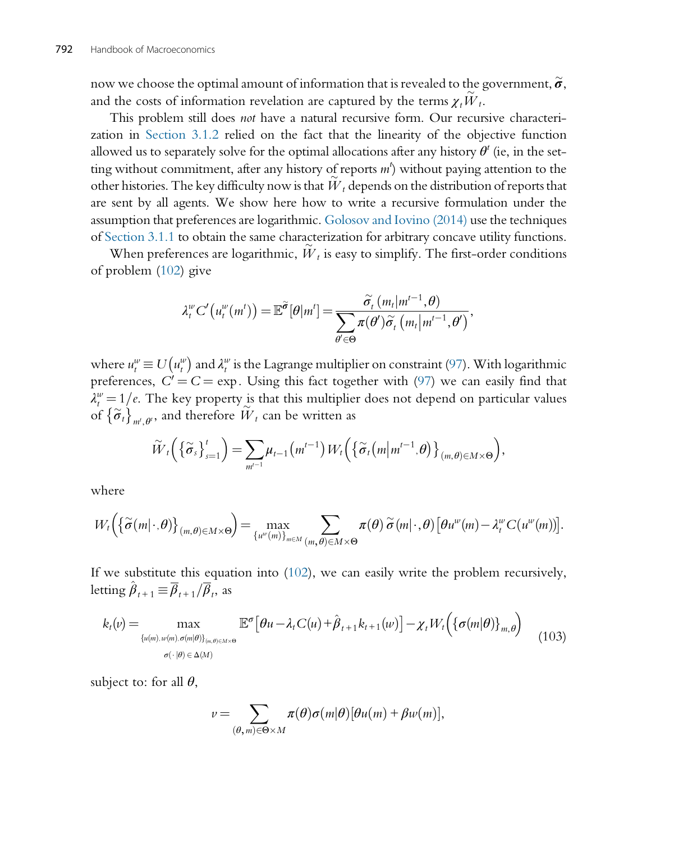<span id="page-67-0"></span>now we choose the optimal amount of information that is revealed to the government,  $\overset{\sim}{\sigma}$ , and the costs of information revelation are captured by the terms  $\chi_t W_t$ .

This problem still does *not* have a natural recursive form. Our recursive characterization in [Section 3.1.2](#page-53-0) relied on the fact that the linearity of the objective function allowed us to separately solve for the optimal allocations after any history  $\theta^t$  (ie, in the setting without commitment, after any history of reports  $m'$ ) without paying attention to the other histories. The key difficulty now is that  ${W}_t$  depends on the distribution of reports that are sent by all agents. We show here how to write a recursive formulation under the assumption that preferences are logarithmic. [Golosov and Iovino \(2014\)](#page-114-0) use the techniques of [Section 3.1.1](#page-49-0) to obtain the same characterization for arbitrary concave utility functions.

When preferences are logarithmic,  $W_t$  is easy to simplify. The first-order conditions of problem ([102\)](#page-66-0) give

$$
\lambda_t^w C'(u_t^w(m^t)) = \mathbb{E}^{\widetilde{\sigma}}[\theta|m^t] = \frac{\widetilde{\sigma}_t(m_t|m^{t-1},\theta)}{\sum_{\theta' \in \Theta} \pi(\theta')\widetilde{\sigma}_t(m_t|m^{t-1},\theta')},
$$

where  $u_t^w \equiv U(u_t^w)$  and  $\lambda_t^w$  is the Lagrange multiplier on constraint [\(97](#page-65-0)). With logarithmic<br>preferences  $C' - C = \exp$ . Using this fact together with (97) we can easily find that preferences,  $C' = C = \exp$ . Using this fact together with [\(97](#page-65-0)) we can easily find that  $\lambda_t^w = 1/e$ . The key property is that this multiplier does not depend on particular values of  $\left\lbrace\widetilde{\sigma}_{t}\right\rbrace_{m',\theta'}$ , and therefore  $\widetilde{W}_{t}$  can be written as

$$
\widetilde{W}_t\left(\left\{\widetilde{\sigma}_s\right\}_{s=1}^t\right)=\sum_{m^{t-1}}\mu_{t-1}\left(m^{t-1}\right)W_t\left(\left\{\widetilde{\sigma}_t\left(m\middle|m^{t-1},\theta\right)\right\}_{(m,\theta)\in M\times\Theta}\right),
$$

where

$$
W_t\Big(\big\{\widetilde{\sigma}(m|\cdot,\theta)\big\}_{(m,\theta)\in M\times\Theta}\Big)=\max_{\{u^w(m)\}_{m\in M}}\sum_{(m,\theta)\in M\times\Theta}\pi(\theta)\widetilde{\sigma}(m|\cdot,\theta)\big[\theta u^w(m)-\lambda_t^wC(u^w(m))\big].
$$

If we substitute this equation into  $(102)$  $(102)$ , we can easily write the problem recursively, letting  $\hat{\beta}_{t+1} \equiv \overline{\beta}_{t+1}/\overline{\beta}_t$ , as

$$
k_t(v) = \max_{\substack{\{u(m), w(m), \sigma(m|\theta)\}_{(m,\theta)\in M\times\Theta}}} \mathbb{E}^{\sigma} \left[\theta u - \lambda_t C(u) + \hat{\beta}_{t+1} k_{t+1}(w)\right] - \chi_t W_t \left(\{\sigma(m|\theta)\}_{m,\theta}\right)
$$
\n
$$
\sigma(\cdot|\theta) \in \Delta(M)
$$
\n(103)

subject to: for all  $\theta$ ,

$$
v = \sum_{(\theta,m)\in\Theta\times M} \pi(\theta)\sigma(m|\theta)[\theta u(m) + \beta w(m)],
$$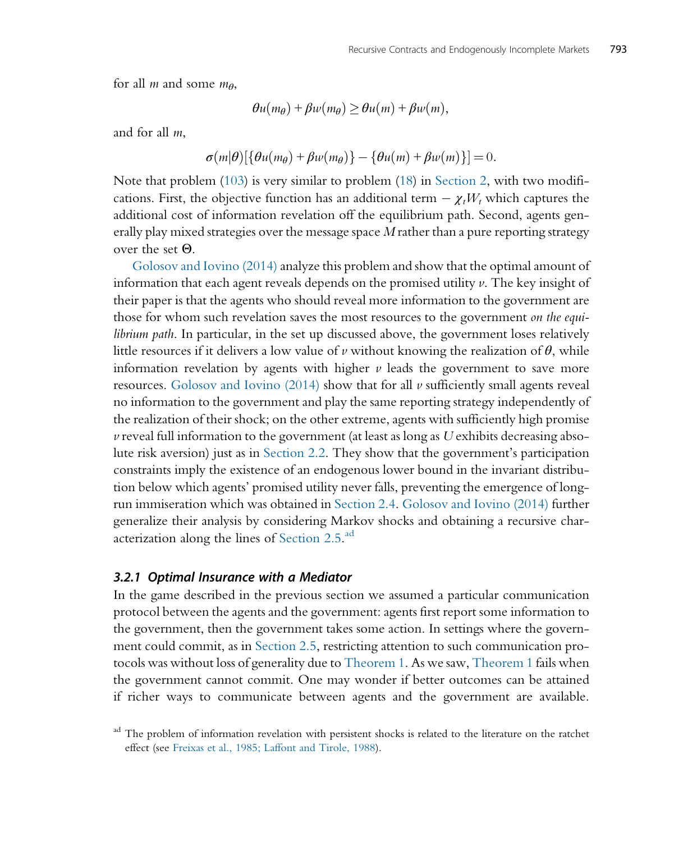<span id="page-68-0"></span>for all *m* and some  $m_{\theta}$ ,

$$
\theta u(m_{\theta}) + \beta w(m_{\theta}) \ge \theta u(m) + \beta w(m),
$$

and for all m,

$$
\sigma(m|\theta)[\{\theta u(m_{\theta}) + \beta w(m_{\theta})\} - \{\theta u(m) + \beta w(m)\}] = 0.
$$

Note that problem [\(103](#page-67-0)) is very similar to problem ([18\)](#page-11-0) in [Section 2,](#page-3-0) with two modifications. First, the objective function has an additional term  $-\chi_tW_t$  which captures the additional cost of information revelation off the equilibrium path. Second, agents generally play mixed strategies over the message space  $M$  rather than a pure reporting strategy over the set Θ.

[Golosov and Iovino \(2014\)](#page-114-0) analyze this problem and show that the optimal amount of information that each agent reveals depends on the promised utility  $\nu$ . The key insight of their paper is that the agents who should reveal more information to the government are those for whom such revelation saves the most resources to the government *on the equi*librium path. In particular, in the set up discussed above, the government loses relatively little resources if it delivers a low value of v without knowing the realization of  $\theta$ , while information revelation by agents with higher  $\nu$  leads the government to save more resources. Golosov and Iovino  $(2014)$  show that for all v sufficiently small agents reveal no information to the government and play the same reporting strategy independently of the realization of their shock; on the other extreme, agents with sufficiently high promise  $\nu$  reveal full information to the government (at least as long as U exhibits decreasing absolute risk aversion) just as in [Section 2.2](#page-6-0). They show that the government's participation constraints imply the existence of an endogenous lower bound in the invariant distribution below which agents' promised utility never falls, preventing the emergence of longrun immiseration which was obtained in [Section 2.4.](#page-20-0) [Golosov and Iovino \(2014\)](#page-114-0) further generalize their analysis by considering Markov shocks and obtaining a recursive char-acterization along the lines of [Section 2.5](#page-28-0).<sup>ad</sup>

#### 3.2.1 Optimal Insurance with a Mediator

In the game described in the previous section we assumed a particular communication protocol between the agents and the government: agents first report some information to the government, then the government takes some action. In settings where the government could commit, as in [Section 2.5](#page-28-0), restricting attention to such communication protocols was without loss of generality due to Theorem 1. As we saw, Theorem 1 fails when the government cannot commit. One may wonder if better outcomes can be attained if richer ways to communicate between agents and the government are available.

<sup>&</sup>lt;sup>ad</sup> The problem of information revelation with persistent shocks is related to the literature on the ratchet effect (see [Freixas et al., 1985; Laffont and Tirole, 1988\)](#page-114-0).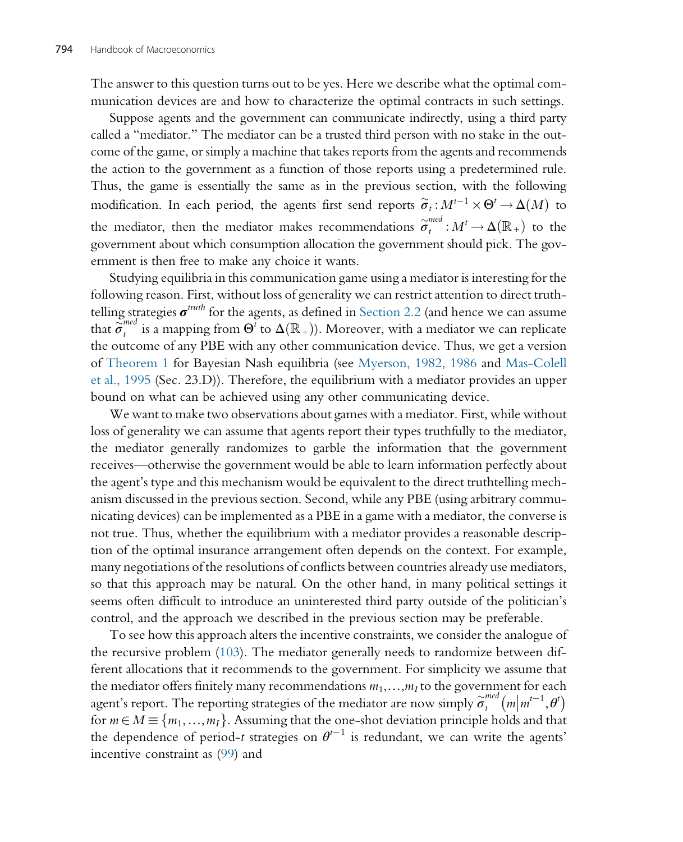The answer to this question turns out to be yes. Here we describe what the optimal communication devices are and how to characterize the optimal contracts in such settings.

Suppose agents and the government can communicate indirectly, using a third party called a "mediator." The mediator can be a trusted third person with no stake in the outcome of the game, or simply a machine that takes reports from the agents and recommends the action to the government as a function of those reports using a predetermined rule. Thus, the game is essentially the same as in the previous section, with the following modification. In each period, the agents first send reports  $\widetilde{\sigma}_t : M^{t-1} \times \Theta^t \to \Delta(M)$  to the mediator, then the mediator makes recommendations  $\tilde{\sigma}_t^{med} : M^t \to \Delta(\mathbb{R}_+)$  to the government about which consumption allocation the government should pick. The government is then free to make any choice it wants.

Studying equilibria in this communication game using a mediator is interesting for the following reason. First, without loss of generality we can restrict attention to direct truthtelling strategies  $\sigma^{truth}$  for the agents, as defined in [Section 2.2](#page-6-0) (and hence we can assume that  $\tilde{\sigma}_t^{med}$  is a mapping from  $\Theta^t$  to  $\Delta(\mathbb{R}_+)$ ). Moreover, with a mediator we can replicate the outcome of any PBE with any other communication device. Thus, we get a version of Theorem 1 for Bayesian Nash equilibria (see [Myerson, 1982, 1986](#page-115-0) and [Mas-Colell](#page-115-0) et al., [1995](#page-115-0) (Sec. 23.D)). Therefore, the equilibrium with a mediator provides an upper bound on what can be achieved using any other communicating device.

We want to make two observations about games with a mediator. First, while without loss of generality we can assume that agents report their types truthfully to the mediator, the mediator generally randomizes to garble the information that the government receives—otherwise the government would be able to learn information perfectly about the agent's type and this mechanism would be equivalent to the direct truthtelling mechanism discussed in the previous section. Second, while any PBE (using arbitrary communicating devices) can be implemented as a PBE in a game with a mediator, the converse is not true. Thus, whether the equilibrium with a mediator provides a reasonable description of the optimal insurance arrangement often depends on the context. For example, many negotiations of the resolutions of conflicts between countries already use mediators, so that this approach may be natural. On the other hand, in many political settings it seems often difficult to introduce an uninterested third party outside of the politician's control, and the approach we described in the previous section may be preferable.

To see how this approach alters the incentive constraints, we consider the analogue of the recursive problem ([103\)](#page-67-0). The mediator generally needs to randomize between different allocations that it recommends to the government. For simplicity we assume that the mediator offers finitely many recommendations  $m_1, \ldots, m_I$  to the government for each agent's report. The reporting strategies of the mediator are now simply  $\widetilde{\sigma}_t^{med}(m|m^{t-1},\theta^t)$ for  $m \in M \equiv \{m_1,...,m_I\}$ . Assuming that the one-shot deviation principle holds and that the dependence of period-t strategies on  $\theta^{t-1}$  is redundant, we can write the agents' incentive constraint as ([99](#page-66-0)) and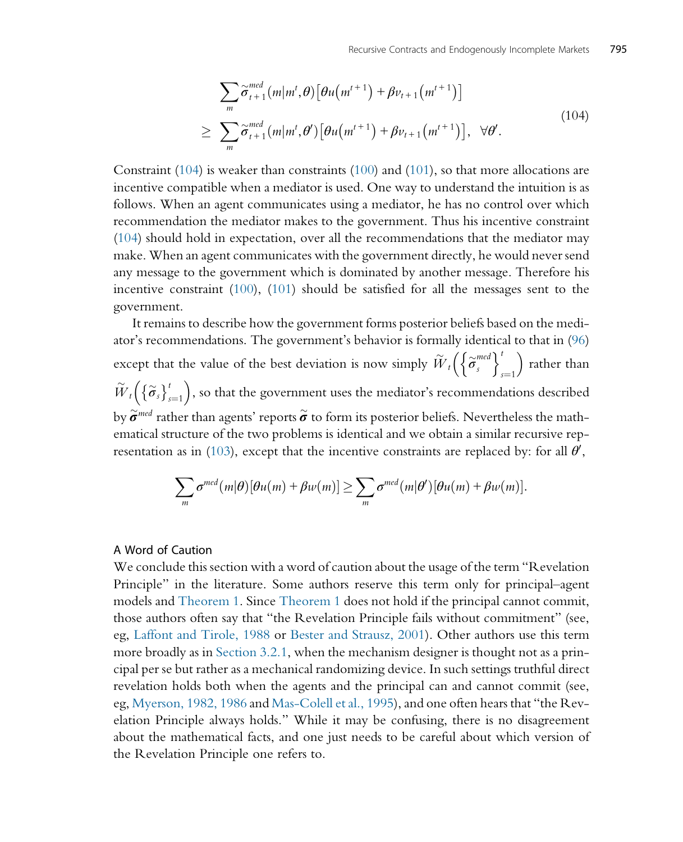$$
\sum_{m} \widetilde{\sigma}_{t+1}^{med}(m|m^{t},\theta) \left[\theta u(m^{t+1}) + \beta v_{t+1}(m^{t+1})\right]
$$
\n
$$
\geq \sum_{m} \widetilde{\sigma}_{t+1}^{med}(m|m^{t},\theta') \left[\theta u(m^{t+1}) + \beta v_{t+1}(m^{t+1})\right], \quad \forall \theta'.
$$
\n(104)

Constraint (104) is weaker than constraints [\(100](#page-66-0)) and ([101\)](#page-66-0), so that more allocations are incentive compatible when a mediator is used. One way to understand the intuition is as follows. When an agent communicates using a mediator, he has no control over which recommendation the mediator makes to the government. Thus his incentive constraint (104) should hold in expectation, over all the recommendations that the mediator may make. When an agent communicates with the government directly, he would never send any message to the government which is dominated by another message. Therefore his incentive constraint ([100\)](#page-66-0), ([101\)](#page-66-0) should be satisfied for all the messages sent to the government.

It remains to describe how the government forms posterior beliefs based on the mediator's recommendations. The government's behavior is formally identical to that in [\(96\)](#page-64-0) except that the value of the best deviation is now simply  $\widetilde{W}_t\left(\left\lbrace\widetilde{\sigma}^{med}_s\right\rbrace\right)^t$  $s=1$  $\left(\left\{\tilde{\sigma}_{s}^{med}\right\}^{t}\right)$  rather than  $\widetilde{W}_t\left(\left\lbrace \widetilde{\sigma}_s\right\rbrace \right)_s$  $s=1$  $\left(\left\{\widetilde{\sigma}_{s}\right\}_{s=1}^{t}\right)$ , so that the government uses the mediator's recommendations described by  $\widetilde{\bm{\sigma}}^{med}$  rather than agents' reports  $\widetilde{\bm{\sigma}}$  to form its posterior beliefs. Nevertheless the mathematical structure of the two problems is identical and we obtain a similar recursive rep-resentation as in [\(103](#page-67-0)), except that the incentive constraints are replaced by: for all  $\theta'$ ,

$$
\sum_{m} \sigma^{med}(m|\theta)[\theta u(m) + \beta w(m)] \ge \sum_{m} \sigma^{med}(m|\theta')[\theta u(m) + \beta w(m)].
$$

### A Word of Caution

We conclude this section with a word of caution about the usage of the term "Revelation Principle" in the literature. Some authors reserve this term only for principal–agent models and Theorem 1. Since Theorem 1 does not hold if the principal cannot commit, those authors often say that "the Revelation Principle fails without commitment" (see, eg, [Laffont and Tirole, 1988](#page-114-0) or [Bester and Strausz, 2001](#page-112-0)). Other authors use this term more broadly as in [Section 3.2.1](#page-68-0), when the mechanism designer is thought not as a principal per se but rather as a mechanical randomizing device. In such settings truthful direct revelation holds both when the agents and the principal can and cannot commit (see, eg, [Myerson, 1982, 1986](#page-115-0) and [Mas-Colell et al., 1995\)](#page-115-0), and one often hears that "the Revelation Principle always holds." While it may be confusing, there is no disagreement about the mathematical facts, and one just needs to be careful about which version of the Revelation Principle one refers to.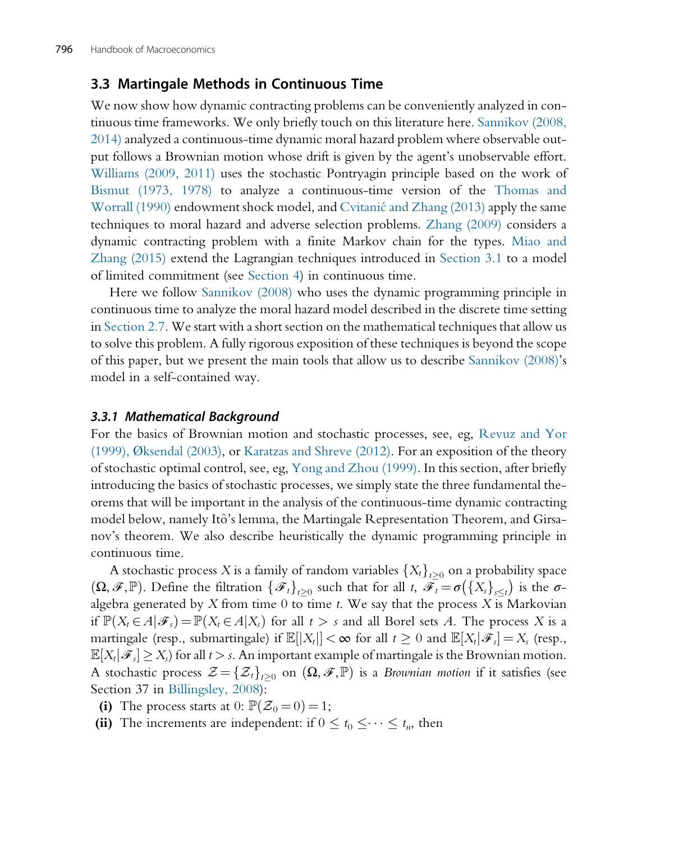## <span id="page-71-0"></span>3.3 Martingale Methods in Continuous Time

We now show how dynamic contracting problems can be conveniently analyzed in continuous time frameworks. We only briefly touch on this literature here. [Sannikov \(2008,](#page-115-0)  $2014$ ) analyzed a continuous-time dynamic moral hazard problem where observable output follows a Brownian motion whose drift is given by the agent's unobservable effort. [Williams \(2009, 2011\)](#page-116-0) uses the stochastic Pontryagin principle based on the work of [Bismut \(1973, 1978\)](#page-113-0) to analyze a continuous-time version of the [Thomas and](#page-116-0) [Worrall](#page-116-0) (1990) endowment shock model, and Cvitanić [and Zhang](#page-113-0) (2013) apply the same techniques to moral hazard and adverse selection problems. [Zhang \(2009\)](#page-116-0) considers a dynamic contracting problem with a finite Markov chain for the types. [Miao and](#page-115-0) Zhang [\(2015\)](#page-115-0) extend the Lagrangian techniques introduced in [Section 3.1](#page-48-0) to a model of limited commitment (see [Section 4](#page-85-0)) in continuous time.

Here we follow [Sannikov \(2008\)](#page-115-0) who uses the dynamic programming principle in continuous time to analyze the moral hazard model described in the discrete time setting in [Section 2.7](#page-45-0). We start with a short section on the mathematical techniques that allow us to solve this problem. A fully rigorous exposition of these techniques is beyond the scope of this paper, but we present the main tools that allow us to describe [Sannikov \(2008\)](#page-115-0)'s model in a self-contained way.

### 3.3.1 Mathematical Background

For the basics of Brownian motion and stochastic processes, see, eg, [Revuz and Yor](#page-115-0) [\(1999\),](#page-115-0) Ø[ksendal \(2003\)](#page-115-0), or [Karatzas and Shreve \(2012\)](#page-114-0). For an exposition of the theory of stochastic optimal control, see, eg, [Yong and Zhou \(1999\)](#page-116-0). In this section, after briefly introducing the basics of stochastic processes, we simply state the three fundamental theorems that will be important in the analysis of the continuous-time dynamic contracting model below, namely Ito's lemma, the Martingale Representation Theorem, and Girsa- ^ nov's theorem. We also describe heuristically the dynamic programming principle in continuous time.

A stochastic process X is a family of random variables  $\{X_t\}_{t>0}$  on a probability space  $(\Omega, \mathcal{F}, \mathbb{P})$ . Define the filtration  $\{\mathcal{F}_t\}_{t\geq 0}$  such that for all t,  $\mathcal{F}_t = \sigma(\{X_s\}_{s\leq t})$  is the  $\sigma$ algebra generated by  $X$  from time  $0$  to time  $t$ . We say that the process  $X$  is Markovian if  $\mathbb{P}(X_t \in A | \mathscr{F}_s) = \mathbb{P}(X_t \in A | X_s)$  for all  $t > s$  and all Borel sets A. The process X is a martingale (resp., submartingale) if  $\mathbb{E}[|X_t|] < \infty$  for all  $t \geq 0$  and  $\mathbb{E}[X_t|\mathscr{F}_s] = X_s$  (resp.,  $\mathbb{E}[X_t|\mathcal{F}_s] \geq X_s$  for all  $t > s$ . An important example of martingale is the Brownian motion. A stochastic process  $\mathcal{Z} = \{Z_t\}_{t>0}$  on  $(\Omega, \mathcal{F}, \mathbb{P})$  is a *Brownian motion* if it satisfies (see Section 37 in [Billingsley, 2008](#page-113-0)):

(i) The process starts at 0:  $\mathbb{P}(\mathcal{Z}_0 = 0) = 1$ ;

(ii) The increments are independent: if  $0 \le t_0 \le \cdots \le t_n$ , then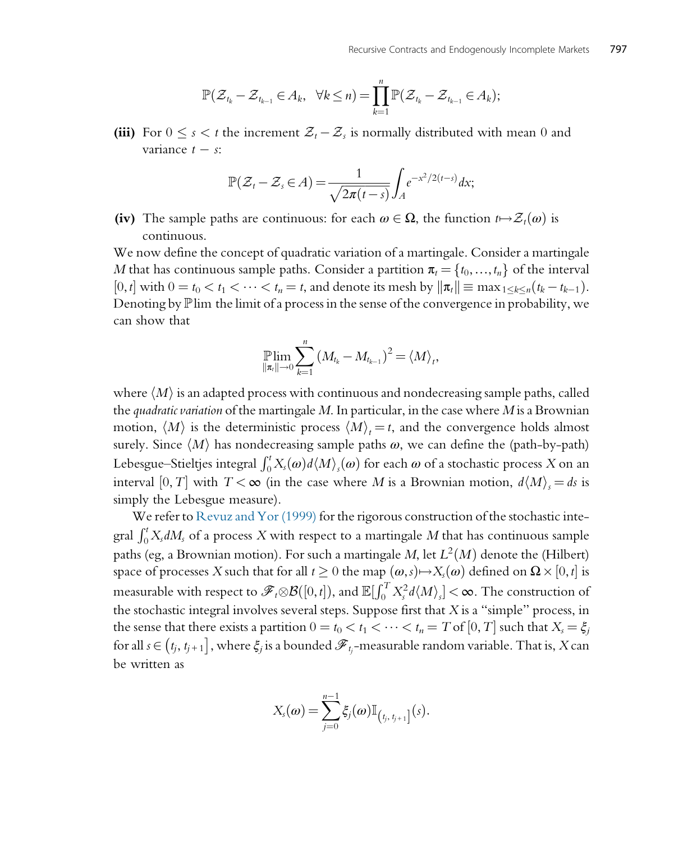$$
\mathbb{P}(\mathcal{Z}_{t_k}-\mathcal{Z}_{t_{k-1}}\in A_k,\ \ \forall k\leq n)=\prod_{k=1}^n\mathbb{P}(\mathcal{Z}_{t_k}-\mathcal{Z}_{t_{k-1}}\in A_k);
$$

(iii) For  $0 \leq s < t$  the increment  $\mathcal{Z}_t - \mathcal{Z}_s$  is normally distributed with mean 0 and variance  $t - s$ :

$$
\mathbb{P}(\mathcal{Z}_t - \mathcal{Z}_s \in A) = \frac{1}{\sqrt{2\pi(t-s)}} \int_A e^{-x^2/2(t-s)} dx;
$$

(iv) The sample paths are continuous: for each  $\omega \in \Omega$ , the function  $t \mapsto \mathcal{Z}_t(\omega)$  is continuous.

We now define the concept of quadratic variation of a martingale. Consider a martingale M that has continuous sample paths. Consider a partition  $\pi_t = \{t_0, \ldots, t_n\}$  of the interval  $[0, t]$  with  $0 = t_0 < t_1 < \cdots < t_n = t$ , and denote its mesh by  $\|\pi_t\| \equiv \max_{1 \leq k \leq n} (t_k - t_{k-1})$ . Denoting by  $\mathbb P$  lim the limit of a process in the sense of the convergence in probability, we can show that

$$
\mathbb{P}\lim_{\|\pi_t\|\to 0}\sum_{k=1}^n (M_{t_k}-M_{t_{k-1}})^2=\langle M\rangle_t,
$$

where  $\langle M \rangle$  is an adapted process with continuous and nondecreasing sample paths, called the *quadratic variation* of the martingale  $M$ . In particular, in the case where  $M$  is a Brownian motion,  $\langle M \rangle$  is the deterministic process  $\langle M \rangle_t = t$ , and the convergence holds almost surely. Since  $\langle M \rangle$  has nondecreasing sample paths  $\omega$ , we can define the (path-by-path) Lebesgue–Stieltjes integral  $\int_0^t X_s(\omega) d\langle M \rangle_s(\omega)$  for each  $\omega$  of a stochastic process X on an<br>integral [0, T], with  $T \leq \infty$  (in the case where M is a Brownian motion,  $d/M = d_0$  is interval [0, T] with  $T < \infty$  (in the case where M is a Brownian motion,  $d\langle M \rangle_s = ds$  is simply the Lebesgue measure).

We refer to [Revuz and Yor \(1999\)](#page-115-0) for the rigorous construction of the stochastic integral  $\int_0^t X_s dM_s$  of a process  $X$  with respect to a martingale  $M$  that has continuous sample paths (eg, a Brownian motion). For such a martingale M, let  $L^2(M)$  denote the (Hilbert) space of processes X such that for all  $t \geq 0$  the map  $(\omega, s) \mapsto X_s(\omega)$  defined on  $\Omega \times [0,t]$  is measurable with respect to  $\mathscr{F}_t \otimes \mathcal{B}([0,t])$ , and  $\mathbb{E}[\int_0^T X_s^2 d\langle M \rangle_s] < \infty$ . The construction of the stochastic integral involves several steps. Suppose first that  $X$  is a "simple" process, in the sense that there exists a partition  $0 = t_0 < t_1 < \cdots < t_n = T$  of  $[0, T]$  such that  $X_s = \xi_j$ for all  $s \in (t_j, t_{j+1}]$ , where  $\xi_j$  is a bounded  $\mathscr{F}_{t_j}$ -measurable random variable. That is, X can<br>he written as be written as

$$
X_{s}(\omega) = \sum_{j=0}^{n-1} \xi_{j}(\omega) \mathbb{I}_{(t_{j}, t_{j+1}]}(s).
$$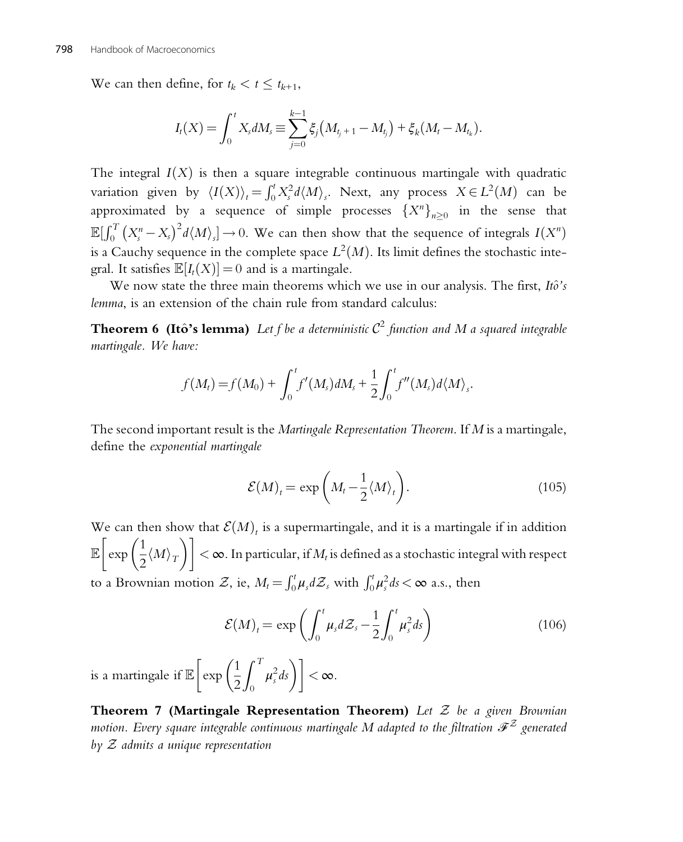<span id="page-73-0"></span>We can then define, for  $t_k < t \leq t_{k+1}$ ,

$$
I_t(X) = \int_0^t X_s dM_s \equiv \sum_{j=0}^{k-1} \xi_j \big(M_{t_j+1} - M_{t_j}\big) + \xi_k (M_t - M_{t_k}).
$$

The integral  $I(X)$  is then a square integrable continuous martingale with quadratic variation given by  $\langle I(X) \rangle_t = \int_0^t X_s^2 d\langle M \rangle_s$ . Next, any process  $X \in L^2(M)$  can be approximated by a sequence of simple processes  $\{X^n\}_{n\geq0}$  in the sense that  $\mathbb{E}[\int_0^T (X_s^n - X_s)^2 d\langle M \rangle_s] \to 0$ . We can then show that the sequence of integrals  $I(X^n)$ is a Cauchy sequence in the complete space  $L^2(M)$ . Its limit defines the stochastic integral. It satisfies  $\mathbb{E}[I_t(X)] = 0$  and is a martingale.

We now state the three main theorems which we use in our analysis. The first,  $I\hat{i}\hat{o}'s$ lemma, is an extension of the chain rule from standard calculus:

**Theorem 6 (Itô's lemma)** Let f be a deterministic  $C^2$  function and M a squared integrable martingale. We have:

$$
f(M_t) = f(M_0) + \int_0^t f'(M_s) dM_s + \frac{1}{2} \int_0^t f''(M_s) d\langle M \rangle_s.
$$

The second important result is the *Martingale Representation Theorem.* If  $M$  is a martingale, define the exponential martingale

$$
\mathcal{E}(M)_t = \exp\left(M_t - \frac{1}{2} \langle M \rangle_t\right). \tag{105}
$$

We can then show that  $\mathcal{E}(M)$ , is a supermartingale, and it is a martingale if in addition  $\mathbb{E}\left[\exp\left(\frac{1}{2}\right)\right]$  $\frac{1}{2}\langle M \rangle_T$  $\left[\exp\left(\frac{1}{2}\langle M\rangle_T\right)\right]<\infty$ . In particular, if  $M_t$  is defined as a stochastic integral with respect to a Brownian motion  $\mathcal{Z}$ , ie,  $M_t = \int_0^t \mu_s d\mathcal{Z}_s$  with  $\int_0^t \mu_s^2 ds < \infty$  a.s., then

$$
\mathcal{E}(M)_t = \exp\left(\int_0^t \mu_s d\mathcal{Z}_s - \frac{1}{2} \int_0^t \mu_s^2 ds\right)
$$
 (106)

is a martingale if  $\mathbb{E}\Big[\exp\Big(\frac{1}{2}\Big)$ 2  $\int_0^T$  $\mathbf{0}$  $\left[\exp\left(\frac{1}{2}\int^T \mu_s^2 ds\right)\right] < \infty.$ 

**Theorem 7 (Martingale Representation Theorem)** Let  $Z$  be a given Brownian motion. Every square integrable continuous martingale M adapted to the filtration  $\mathscr{F}^{\mathbb{Z}}$  generated by  $\mathcal Z$  admits a unique representation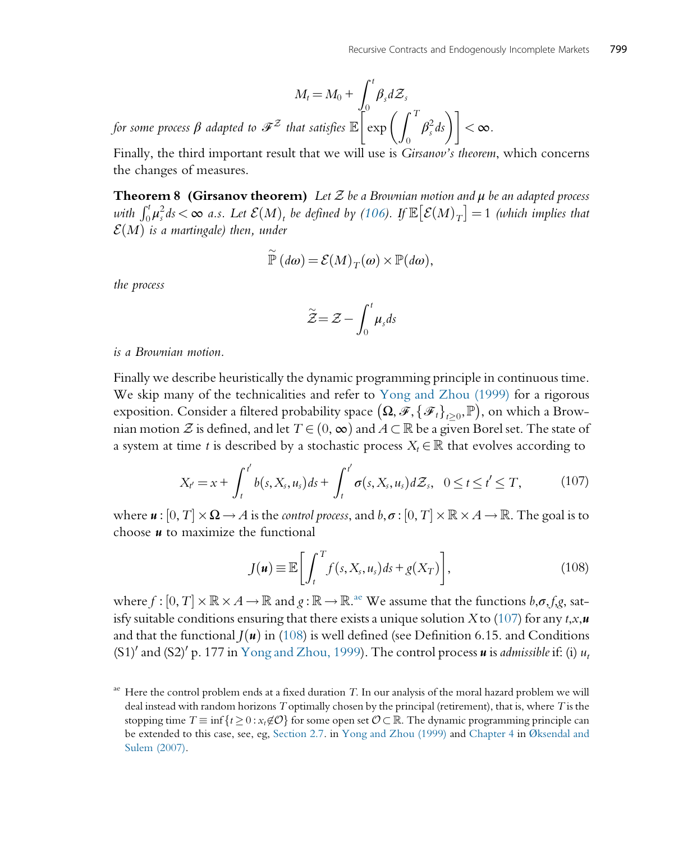<span id="page-74-0"></span>
$$
M_t = M_0 + \int_0^t \beta_s d\mathcal{Z}_s
$$
  
for some process  $\beta$  adapted to  $\mathscr{F}^{\mathbb{Z}}$  that satisfies  $\mathbb{E}\left[\exp\left(\int_0^T \beta_s^2 ds\right)\right] < \infty$ .

Finally, the third important result that we will use is Girsanov's theorem, which concerns the changes of measures.

**Theorem 8 (Girsanov theorem)** Let  $\mathcal{Z}$  be a Brownian motion and  $\mu$  be an adapted process with  $\int_0^t \mu_s^2 ds < \infty$  a.s. Let  $\mathcal{E}(M)_t$  be defined by ([106](#page-73-0)). If  $\mathbb{E}[\mathcal{E}(M)_T] = 1$  (which implies that  $\mathcal{E}(M)$  is a maximale) then under  $\mathcal{E}(M)$  is a martingale) then, under

$$
\mathbb{P}\left(d\omega\right) = \mathcal{E}(M)_T(\omega) \times \mathbb{P}(d\omega),
$$

the process

$$
\widetilde{\mathcal{Z}} = \mathcal{Z} - \int_0^t \mu_s ds
$$

is a Brownian motion.

Finally we describe heuristically the dynamic programming principle in continuous time. We skip many of the technicalities and refer to [Yong and Zhou \(1999\)](#page-116-0) for a rigorous exposition. Consider a filtered probability space  $(\Omega,\mathscr{F},\{\mathscr{F}_t\}_{t>0},\mathbb{P})$ , on which a Brownian motion  $\mathcal Z$  is defined, and let  $T \in (0, \infty)$  and  $A \subset \mathbb R$  be a given Borel set. The state of a system at time t is described by a stochastic process  $X_t \in \mathbb{R}$  that evolves according to

$$
X_{t'} = x + \int_{t}^{t'} b(s, X_s, u_s) ds + \int_{t}^{t'} \sigma(s, X_s, u_s) d\mathcal{Z}_s, \ \ 0 \le t \le t' \le T,
$$
 (107)

where  $u : [0, T] \times \Omega \to A$  is the *control process*, and  $b, \sigma : [0, T] \times \mathbb{R} \times A \to \mathbb{R}$ . The goal is to choose  $\boldsymbol{u}$  to maximize the functional

$$
J(\boldsymbol{u}) \equiv \mathbb{E}\bigg[\int_t^T f(s, X_s, u_s) ds + g(X_T)\bigg],\tag{108}
$$

where  $f : [0, T] \times \mathbb{R} \times A \to \mathbb{R}$  and  $g : \mathbb{R} \to \mathbb{R}^{2e}$ . We assume that the functions  $b, \sigma, f, g$ , satisfy suitable conditions ensuring that there exists a unique solution  $X$  to (107) for any t x the isfy suitable conditions ensuring that there exists a unique solution X to (107) for any  $t, x, u$ and that the functional  $J(\boldsymbol{u})$  in (108) is well defined (see Definition 6.15. and Conditions (S1)<sup> $\prime$ </sup> and (S2)<sup> $\prime$ </sup> p. 177 in [Yong and Zhou, 1999](#page-116-0)). The control process **u** is admissible if: (i)  $u_t$ 

<sup>&</sup>lt;sup>ae</sup> Here the control problem ends at a fixed duration T. In our analysis of the moral hazard problem we will deal instead with random horizons T optimally chosen by the principal (retirement), that is, where T is the stopping time  $T \equiv \inf \{ t \geq 0 : x_t \notin \mathcal{O} \}$  for some open set  $\mathcal{O} \subset \mathbb{R}$ . The dynamic programming principle can be extended to this case, see, eg, [Section 2.7](#page-45-0). in [Yong and Zhou \(1999\)](#page-116-0) and Chapter 4 in Ø[ksendal](#page-115-0) and Sulem [\(2007\).](#page-115-0)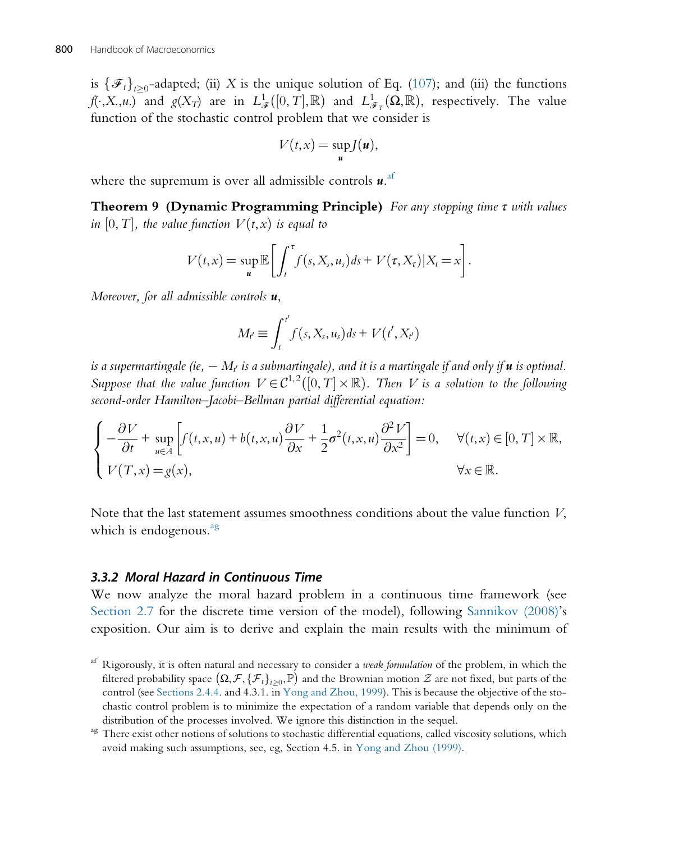<span id="page-75-0"></span>is  $\{\mathscr{F}_t\}_{t>0}$ -adapted; (ii) X is the unique solution of Eq. ([107\)](#page-74-0); and (iii) the functions  $f(\cdot, X, \mu)$  and  $g(X_T)$  are in  $L^1_{\mathscr{F}}([0, T], \mathbb{R})$  and  $L^1_{\mathscr{F}_T}(\Omega, \mathbb{R})$ , respectively. The value function of the stochastic control problem that we consider is

$$
V(t,x) = \sup_{\mathbf{u}} J(\mathbf{u}),
$$

where the supremum is over all admissible controls  $\boldsymbol{\mathit{u}}$ .<sup>af</sup>

**Theorem 9 (Dynamic Programming Principle)** For any stopping time  $\tau$  with values in [0, T], the value function  $V(t, x)$  is equal to

$$
V(t,x) = \sup_{u} \mathbb{E}\left[\int_{t}^{\tau} f(s,X_s,u_s)ds + V(\tau,X_{\tau})|X_t = x\right].
$$

Moreover, for all admissible controls  $\boldsymbol{u}$ ,

$$
M_{t'} \equiv \int_{t}^{t'} f(s, X_s, u_s) ds + V(t', X_{t'})
$$

is a supermartingale (ie,  $-M_t$  is a submartingale), and it is a martingale if and only if **u** is optimal.<br>Suppose that the value function  $V \in C^{1,2}([0, T] \times \mathbb{R})$ . Then V is a solution to the following Suppose that the value function  $V \in C^{1,2}([0,T] \times \mathbb{R})$ . Then V is a solution to the following<br>second order Hamilton–Lecohi–Bellman partial differential equation: second-order Hamilton–Jacobi–Bellman partial differential equation:

$$
\begin{cases}\n-\frac{\partial V}{\partial t} + \sup_{u \in A} \left[ f(t, x, u) + b(t, x, u) \frac{\partial V}{\partial x} + \frac{1}{2} \sigma^2(t, x, u) \frac{\partial^2 V}{\partial x^2} \right] = 0, & \forall (t, x) \in [0, T] \times \mathbb{R}, \\
V(T, x) = g(x), & \forall x \in \mathbb{R}.\n\end{cases}
$$

Note that the last statement assumes smoothness conditions about the value function V, which is endogenous. $48$ 

# 3.3.2 Moral Hazard in Continuous Time

We now analyze the moral hazard problem in a continuous time framework (see [Section 2.7](#page-45-0) for the discrete time version of the model), following [Sannikov \(2008\)](#page-115-0)'s exposition. Our aim is to derive and explain the main results with the minimum of

af Rigorously, it is often natural and necessary to consider a weak formulation of the problem, in which the filtered probability space  $(\Omega, \mathcal{F}, {\{\mathcal{F}_t\}}_{t>0}, \mathbb{P})$  and the Brownian motion  $\mathcal{Z}$  are not fixed, but parts of the control (see [Sections 2.4.4](#page-27-0). and 4.3.1. in [Yong and Zhou, 1999\)](#page-116-0). This is because the objective of the stochastic control problem is to minimize the expectation of a random variable that depends only on the

distribution of the processes involved. We ignore this distinction in the sequel.<br><sup>ag</sup> There exist other notions of solutions to stochastic differential equations, called viscosity solutions, which avoid making such assumptions, see, eg, Section 4.5. in [Yong and Zhou \(1999\)](#page-116-0).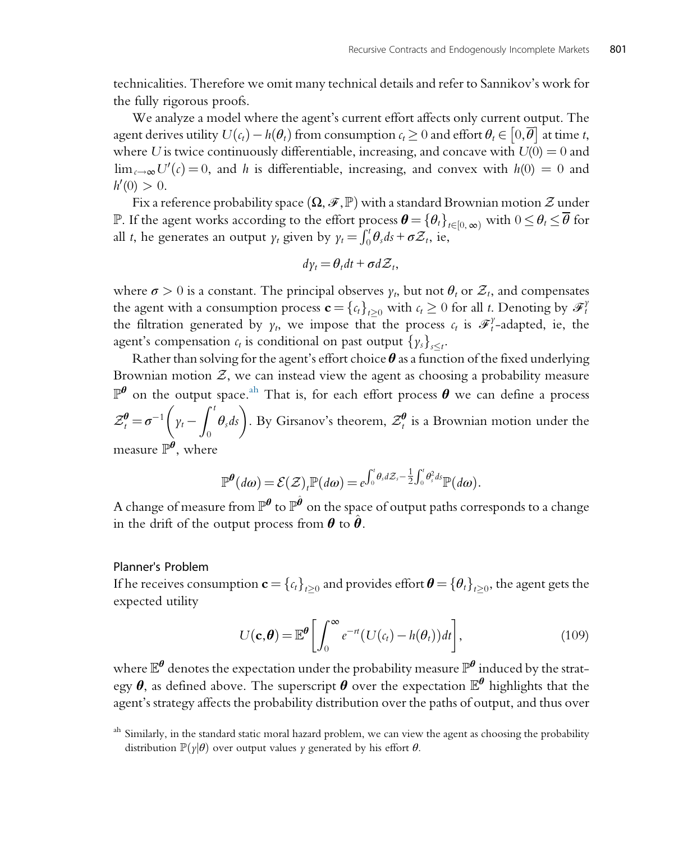technicalities. Therefore we omit many technical details and refer to Sannikov's work for the fully rigorous proofs.

We analyze a model where the agent's current effort affects only current output. The agent derives utility  $U(\mathfrak{c}_t)-h(\theta_t)$  from consumption  $\mathfrak{c}_t\geq 0$  and effort  $\theta_t\in [0,\theta]$  at time t, where U is twice continuously differentiable, increasing, and concave with  $U(0) = 0$  and  $\lim_{\epsilon \to \infty} U'(\epsilon) = 0$ , and h is differentiable, increasing, and convex with  $h(0) = 0$  and  $h'(0) > 0$  $h'(0) > 0.$ 

Fix a reference probability space  $(\Omega,\mathscr{F},\mathbb{P})$  with a standard Brownian motion  $\mathcal Z$  under **P**. If the agent works according to the effort process  $\boldsymbol{\theta} = {\theta_t}_{t \in [0,\infty)}$  with  $0 \le \theta_t \le \overline{\theta}$  for all *t*, he generates an output  $\gamma_t$  given by  $\gamma_t = \int_0^t \theta_s ds + \sigma Z_t$ , ie,

$$
dy_t = \theta_t dt + \sigma d\mathcal{Z}_t,
$$

where  $\sigma > 0$  is a constant. The principal observes  $\gamma_t$ , but not  $\theta_t$  or  $\mathcal{Z}_t$ , and compensates the agent with a consumption process  $\mathbf{c} = \{c_t\}_{t\geq 0}$  with  $c_t \geq 0$  for all t. Denoting by  $\mathcal{F}_t^y$  the filtration conserved by  $y$ , we impose that the process  $\zeta$  is  $\mathcal{F}_t^y$  adopted in the the filtration generated by  $\gamma_t$ , we impose that the process  $c_t$  is  $\mathscr{F}_t^{\gamma}$ -adapted, ie, the agent's compensation  $c_t$  is conditional on past output  $\{y_s\}_{s\leq t}$ .<br>But the solving for the agent's effort choice *A* as a function

Rather than solving for the agent's effort choice  $\theta$  as a function of the fixed underlying Brownian motion  $Z$ , we can instead view the agent as choosing a probability measure  $\mathbb{P}^{\theta}$  on the output space.<sup>ah</sup> That is, for each effort process  $\theta$  we can define a process  $\mathcal{Z}^{\boldsymbol{\theta}}_t = \sigma^{-1} \bigg( \gamma_t - \int_0^t$  $\theta$  $\left(\gamma_t - \int_0^t \theta_s ds\right)$ . By Girsanov's theorem,  $\mathcal{Z}_t^{\theta}$  is a Brownian motion under the measure  $\mathbb{P}^{\theta},$  where

$$
\mathbb{P}^{\theta}(d\omega) = \mathcal{E}(\mathcal{Z})_{t} \mathbb{P}(d\omega) = e^{\int_0^t \theta_s d\mathcal{Z}_s - \frac{1}{2} \int_0^t \theta_s^2 ds} \mathbb{P}(d\omega).
$$

A change of measure from  $\mathbb{P}^{\theta}$  to  $\mathbb{P}^{\hat{\theta}}$  on the space of output paths corresponds to a change in the drift of the output process from  $\theta$  to  $\theta$ .

#### Planner's Problem

If he receives consumption  $\mathbf{c} = \{c_t\}_{t>0}$  and provides effort  $\boldsymbol{\theta} = \{\theta_t\}_{t>0}$ , the agent gets the expected utility

$$
U(\mathbf{c}, \boldsymbol{\theta}) = \mathbb{E}^{\boldsymbol{\theta}} \bigg[ \int_0^{\infty} e^{-rt} (U(\mathbf{c}_t) - h(\boldsymbol{\theta}_t)) dt \bigg], \tag{109}
$$

where  $\mathbb{E}^{\theta}$  denotes the expectation under the probability measure  $\mathbb{P}^{\theta}$  induced by the strategy  $\theta$ , as defined above. The superscript  $\theta$  over the expectation  $\mathbb{E}^{\theta}$  highlights that the agent's strategy affects the probability distribution over the paths of output, and thus over

ah Similarly, in the standard static moral hazard problem, we can view the agent as choosing the probability distribution  $\mathbb{P}(\gamma|\theta)$  over output values y generated by his effort  $\theta$ .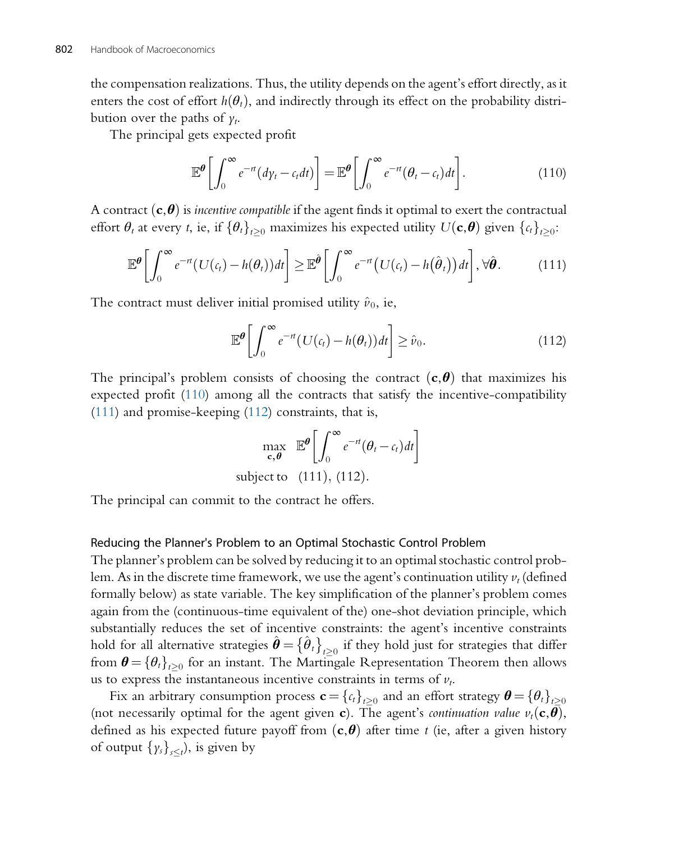<span id="page-77-0"></span>the compensation realizations. Thus, the utility depends on the agent's effort directly, as it enters the cost of effort  $h(\theta_t)$ , and indirectly through its effect on the probability distribution over the paths of  $\gamma_t$ .

The principal gets expected profit

$$
\mathbb{E}^{\theta}\bigg[\int_0^{\infty} e^{-rt} (d\gamma_t - c_t dt)\bigg] = \mathbb{E}^{\theta}\bigg[\int_0^{\infty} e^{-rt} (\theta_t - c_t) dt\bigg].
$$
 (110)

A contract  $(c, \theta)$  is *incentive compatible* if the agent finds it optimal to exert the contractual effort  $\theta_t$  at every t, ie, if  $\{\theta_t\}_{t>0}$  maximizes his expected utility  $U(\mathbf{c}, \theta)$  given  $\{\epsilon_t\}_{t>0}$ :

$$
\mathbb{E}^{\theta}\bigg[\int_0^{\infty} e^{-rt}(U(\mathfrak{c}_t)-h(\theta_t))dt\bigg] \geq \mathbb{E}^{\hat{\theta}}\bigg[\int_0^{\infty} e^{-rt}(U(\mathfrak{c}_t)-h(\hat{\theta}_t))dt\bigg], \forall \hat{\theta}.
$$
 (111)

The contract must deliver initial promised utility  $\hat{v}_0$ , ie,

$$
\mathbb{E}^{\theta}\bigg[\int_0^{\infty} e^{-rt}(U(\mathfrak{c}_t) - h(\theta_t))dt\bigg] \ge \hat{\nu}_0.
$$
\n(112)

The principal's problem consists of choosing the contract  $(c, \theta)$  that maximizes his expected profit (110) among all the contracts that satisfy the incentive-compatibility (111) and promise-keeping (112) constraints, that is,

$$
\max_{\mathbf{c}, \boldsymbol{\theta}} \mathbb{E}^{\boldsymbol{\theta}} \bigg[ \int_0^\infty e^{-rt} (\boldsymbol{\theta}_t - c_t) dt \bigg]
$$
\nsubject to (111), (112).

The principal can commit to the contract he offers.

## Reducing the Planner's Problem to an Optimal Stochastic Control Problem

The planner's problem can be solved by reducing it to an optimal stochastic control problem. As in the discrete time framework, we use the agent's continuation utility  $v_t$  (defined formally below) as state variable. The key simplification of the planner's problem comes again from the (continuous-time equivalent of the) one-shot deviation principle, which substantially reduces the set of incentive constraints: the agent's incentive constraints hold for all alternative strategies  $\hat{\boldsymbol{\theta}} = {\{\hat{\theta}_t\}}_{t \geq 0}$  if they hold just for strategies that differ<br>from  $\boldsymbol{\theta} = {\{\theta_t\}}$  for an instant. The Martingale B epresentation Theorem then allows from  $\boldsymbol{\theta} = {\theta_t}_{t \geq 0}$  for an instant. The Martingale Representation Theorem then allows us to express the instantaneous incentive constraints in terms of  $v_t$ .

Fix an arbitrary consumption process  $\mathbf{c} = \{c_t\}_{t>0}$  and an effort strategy  $\boldsymbol{\theta} = \{\theta_t\}_{t>0}$ (not necessarily optimal for the agent given c). The agent's *continuation value*  $v_t(\mathbf{c}, \theta)$ , defined as his expected future payoff from  $(c, \theta)$  after time t (ie, after a given history of output  $\{ \gamma_s \}_{s \le t}$ ), is given by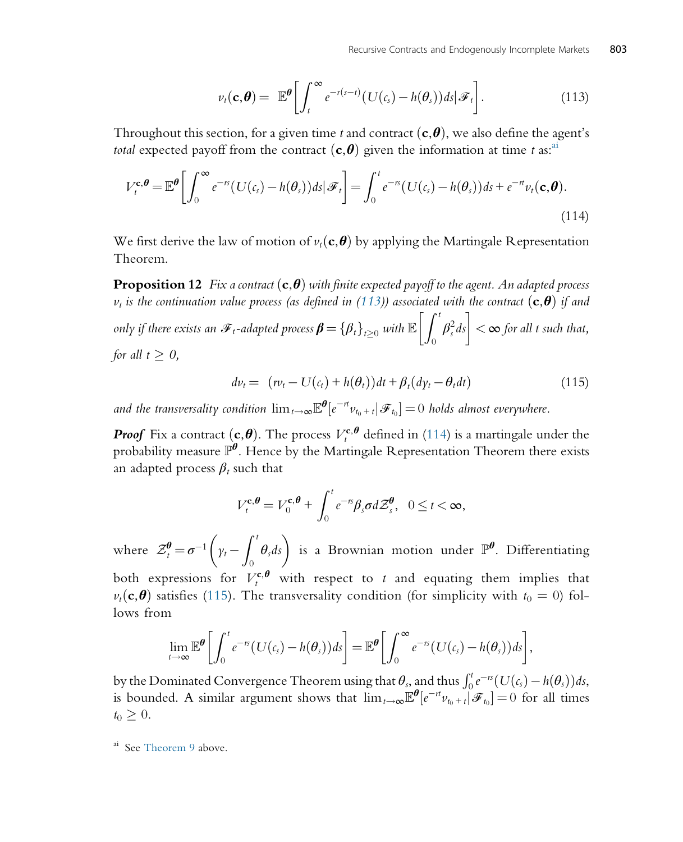$$
\nu_t(\mathbf{c}, \boldsymbol{\theta}) = \mathbb{E}^{\boldsymbol{\theta}} \bigg[ \int_t^{\infty} e^{-r(s-t)} \big( U(\mathbf{c}_s) - h(\boldsymbol{\theta}_s) \big) ds \big| \mathcal{F}_t \bigg]. \tag{113}
$$

<span id="page-78-0"></span>Throughout this section, for a given time t and contract  $(c, \theta)$ , we also define the agent's total expected payoff from the contract  $(c, \theta)$  given the information at time t as:<sup>ai</sup>

$$
V_t^{\mathbf{c},\theta} = \mathbb{E}^{\theta} \bigg[ \int_0^{\infty} e^{-rs} (U(\mathbf{c}_s) - h(\theta_s)) ds | \mathcal{F}_t \bigg] = \int_0^t e^{-rs} (U(\mathbf{c}_s) - h(\theta_s)) ds + e^{-rt} v_t(\mathbf{c}, \theta).
$$
\n(114)

We first derive the law of motion of  $v_t(\mathbf{c}, \theta)$  by applying the Martingale Representation Theorem.

**Proposition 12** Fix a contract  $(c, \theta)$  with finite expected payoff to the agent. An adapted process  $v_t$  is the continuation value process (as defined in (113)) associated with the contract  $(c,\theta)$  if and only if there exists an  $\mathscr{F}_t$ -adapted process  $\pmb{\beta} = {\{\beta_t\}}_{t\geq 0}$  with  $\mathbb E$  $\int_0^t$  $\mathbf{0}$  $\left\lceil \int^t \beta_s^2 ds \right\rceil < \infty$  for all t such that, for all  $t \geq 0$ ,

$$
dv_t = (rv_t - U(c_t) + h(\theta_t))dt + \beta_t (d\gamma_t - \theta_t dt)
$$
\n(115)

and the transversality condition  $\lim_{t\to\infty} \mathbb{E}^{\theta}[e^{-rt}v_{t_0+t}|\mathcal{F}_{t_0}] = 0$  holds almost everywhere.

**Proof** Fix a contract  $(c, \theta)$ . The process  $V_t^{c, \theta}$  defined in (114) is a martingale under the probability measure  $\mathbb{P}^{\theta}.$  Hence by the Martingale Representation Theorem there exists an adapted process  $\beta_t$  such that

$$
V_t^{\mathbf{c},\boldsymbol{\theta}}=V_0^{\mathbf{c},\boldsymbol{\theta}}+\int_0^t e^{-rs}\beta_s\sigma d\mathcal{Z}_s^{\boldsymbol{\theta}},\ \ 0\leq t<\infty,
$$

where  $\mathcal{Z}_t^{\theta} = \sigma^{-1} \left( \gamma_t - \int_0^t \gamma_t \right)$  $\theta$  $\left(\gamma_t-\int^t \theta_s ds\right)$  is a Brownian motion under  $\mathbb{P}^{\theta}$ . Differentiating both expressions for  $V_t^{\mathbf{c},\theta}$  with respect to t and equating them implies that  $v_t(\mathbf{c}, \theta)$  satisfies (115). The transversality condition (for simplicity with  $t_0 = 0$ ) follows from

$$
\lim_{t\to\infty}\mathbb{E}^{\theta}\bigg[\int_0^t e^{-rs}(U(\mathfrak{c}_s)-h(\theta_s))ds\bigg]=\mathbb{E}^{\theta}\bigg[\int_0^\infty e^{-rs}(U(\mathfrak{c}_s)-h(\theta_s))ds\bigg],
$$

by the Dominated Convergence Theorem using that  $\theta_s$ , and thus  $\int_0^t e^{-rs} (U(\zeta_s) - h(\theta_s)) ds$ , is bounded. A similar argument shows that  $\lim_{t\to\infty} \mathbb{E}^{\theta}[e^{-rt}v_{t_0+t}|\mathcal{F}_{t_0}] = 0$  for all times  $t_0 > 0$  $t_0 \geq 0.$ 

ai See Theorem 9 above.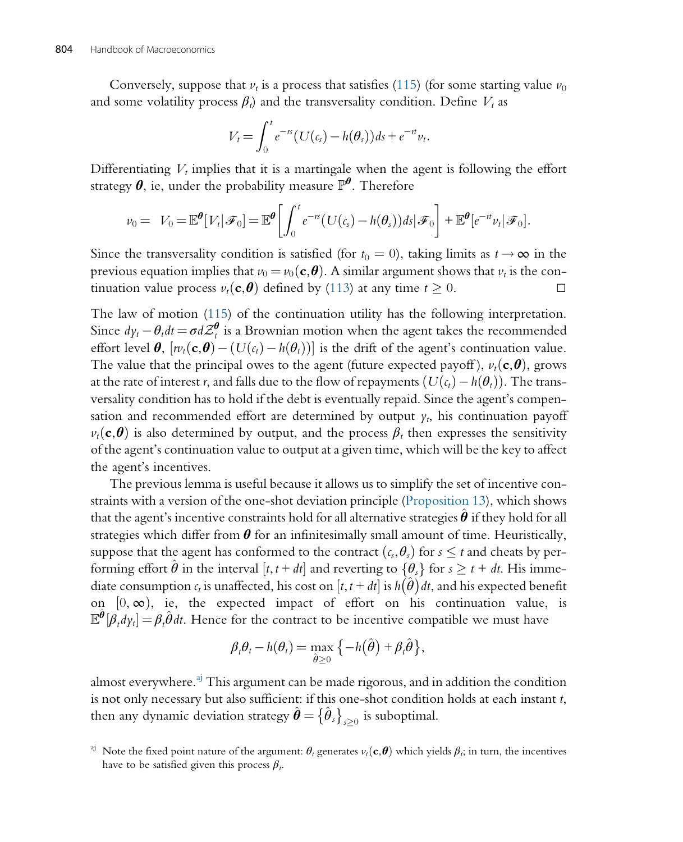Conversely, suppose that  $v_t$  is a process that satisfies ([115\)](#page-78-0) (for some starting value  $v_0$ and some volatility process  $\beta_t$ ) and the transversality condition. Define  $V_t$  as

$$
V_t = \int_0^t e^{-rs} (U(\zeta_s) - h(\theta_s)) ds + e^{-rt} \nu_t.
$$

Differentiating  $V_t$  implies that it is a martingale when the agent is following the effort strategy  $\pmb{\theta}$ , ie, under the probability measure  $\mathbb{P}^{\pmb{\theta}}.$  Therefore

$$
\nu_0 = V_0 = \mathbb{E}^{\boldsymbol{\theta}}[V_t | \mathscr{F}_0] = \mathbb{E}^{\boldsymbol{\theta}} \bigg[ \int_0^t e^{-rs} (U(\mathfrak{c}_s) - h(\boldsymbol{\theta}_s)) ds | \mathscr{F}_0 \bigg] + \mathbb{E}^{\boldsymbol{\theta}} [e^{-rt} \nu_t | \mathscr{F}_0].
$$

Since the transversality condition is satisfied (for  $t_0 = 0$ ), taking limits as  $t \rightarrow \infty$  in the previous equation implies that  $v_0 = v_0(\mathbf{c}, \mathbf{\theta})$ . A similar argument shows that  $v_t$  is the continuation value process  $v_t(\mathbf{c}, \mathbf{\theta})$  defined by (113) at any time  $t \geq 0$ . tinuation value process  $v_t(\mathbf{c}, \theta)$  defined by ([113\)](#page-78-0) at any time  $t \geq 0$ .

The law of motion [\(115](#page-78-0)) of the continuation utility has the following interpretation. Since  $dy_t - \theta_t dt = \sigma dZ_t^{\theta}$  is a Brownian motion when the agent takes the recommended<br>effort level  $\theta$  [m  $(\mathbf{c}, \theta) - (U(\mathbf{c}) - h(\theta))$ ] is the drift of the agent's continuation value. effort level  $\theta$ ,  $[r_{t}(\mathbf{c},\theta) - (U(\mathbf{c}_{t}) - h(\theta_{t}))]$  is the drift of the agent's continuation value. The value that the principal owes to the agent (future expected payoff),  $v_t(\mathbf{c}, \boldsymbol{\theta})$ , grows at the rate of interest r, and falls due to the flow of repayments  $(U(\epsilon_t) - h(\theta_t))$ . The transversality condition has to hold if the debt is eventually repaid. Since the agent's compensation and recommended effort are determined by output  $y_t$ , his continuation payoff  $v_t(\mathbf{c}, \theta)$  is also determined by output, and the process  $\beta_t$  then expresses the sensitivity of the agent's continuation value to output at a given time, which will be the key to affect the agent's incentives.

The previous lemma is useful because it allows us to simplify the set of incentive constraints with a version of the one-shot deviation principle (Proposition 13), which shows that the agent's incentive constraints hold for all alternative strategies  $\theta$  if they hold for all strategies which differ from  $\theta$  for an infinitesimally small amount of time. Heuristically, suppose that the agent has conformed to the contract  $(c_s, \theta_s)$  for  $s \leq t$  and cheats by performing effort  $\theta$  in the interval  $[t, t + dt]$  and reverting to  $\{\theta_{\zeta}\}\$  for  $s \geq t + dt$ . His immediate consumption  $c_t$  is unaffected, his cost on  $[t, t + dt]$  is  $h(\hat{\theta})dt$ , and his expected benefit on  $[0, \infty)$ , ie, the expected impact of effort on his continuation value, is  $\mathbb{E}^{\hat{\theta}}[\beta_t dy_t] = \beta_t \hat{\theta} dt$ . Hence for the contract to be incentive compatible we must have

$$
\beta_t \theta_t - h(\theta_t) = \max_{\hat{\theta} \ge 0} \left\{-h(\hat{\theta}) + \beta_t \hat{\theta}\right\},\
$$

almost everywhere. $a<sup>q</sup>$  This argument can be made rigorous, and in addition the condition is not only necessary but also sufficient: if this one-shot condition holds at each instant  $t$ , then any dynamic deviation strategy  $\hat{\theta} = \left\{\hat{\theta}_s\right\}_{s\geq 0}$  is suboptimal.

<sup>&</sup>lt;sup>aj</sup> Note the fixed point nature of the argument:  $\theta_t$  generates  $v_t(\mathbf{c}, \theta)$  which yields  $\beta_t$ ; in turn, the incentives have to be satisfied given this process  $\beta_t$ .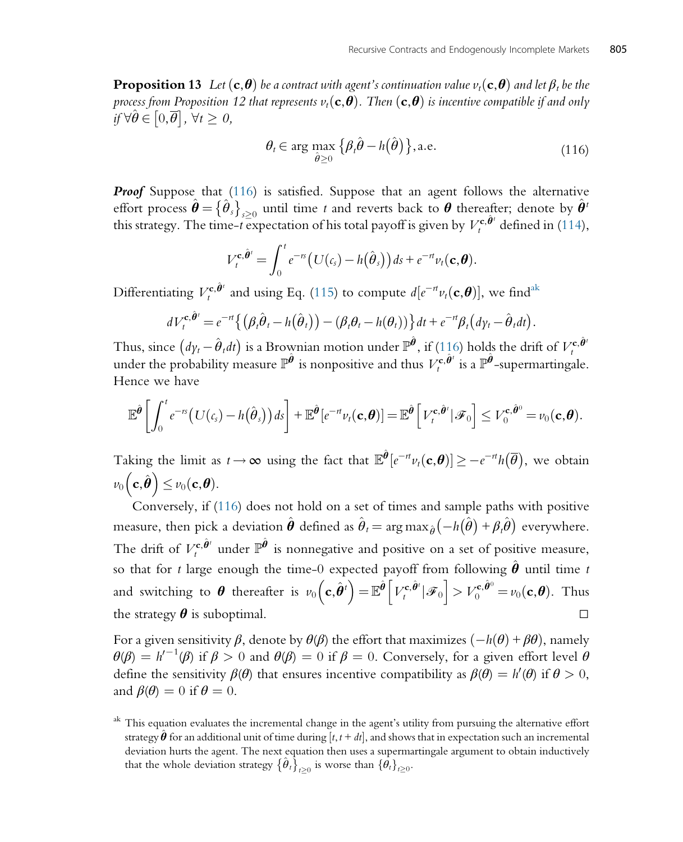**Proposition 13** Let  $(c, \theta)$  be a contract with agent's continuation value  $v_t(c, \theta)$  and let  $\beta_t$  be the process from Proposition 12 that represents  $v_t(\mathbf{c}, \theta)$ . Then  $(\mathbf{c}, \theta)$  is incentive compatible if and only  $if \forall \hat{\theta} \in [0, \overline{\theta}], \forall t \geq 0,$ 

$$
\theta_t \in \arg \max_{\hat{\theta} \ge 0} \{ \beta_t \hat{\theta} - h(\hat{\theta}) \}, \text{a.e.}
$$
 (116)

Proof Suppose that (116) is satisfied. Suppose that an agent follows the alternative effort process  $\hat{\boldsymbol{\theta}} = \{\hat{\theta}_s\}_{s \geq 0}$  until time t and reverts back to  $\boldsymbol{\theta}$  thereafter; denote by  $\hat{\boldsymbol{\theta}}^t$  this strategy. The time-t expectation of his total payoff is given by  $V_t^{\mathbf{e}, \hat{\boldsymbol{\theta}}^t}$  defined

$$
V_t^{\mathbf{c},\hat{\boldsymbol{\theta}}^t} = \int_0^t e^{-rs} \big( U(\mathbf{c}_s) - h(\hat{\boldsymbol{\theta}}_s) \big) ds + e^{-rt} v_t(\mathbf{c}, \boldsymbol{\theta}).
$$

Differentiating  $V_t^{\mathbf{c},\hat{\boldsymbol{\theta}}'}$  and using Eq. [\(115](#page-78-0)) to compute  $d[e^{-rt}v_t(\mathbf{c},\boldsymbol{\theta})]$ , we find<sup>ak</sup>

$$
dV_t^{\mathbf{c},\hat{\boldsymbol{\theta}}^t} = e^{-rt} \left\{ \left( \beta_t \hat{\boldsymbol{\theta}}_t - h(\hat{\boldsymbol{\theta}}_t) \right) - \left( \beta_t \theta_t - h(\theta_t) \right) \right\} dt + e^{-rt} \beta_t \left( d\gamma_t - \hat{\boldsymbol{\theta}}_t dt \right).
$$

Thus, since  $\left(d\gamma_t - \hat{\theta}_t dt\right)$  is a Brownian motion under  $\mathbb{P}^{\hat{\theta}}$ , if (116) holds the drift of  $V_t^{\mathbf{c},\hat{\theta}'}$  under the probability measure  $\mathbb{P}^{\hat{\theta}}$  is nonpositive and thus  $V_t^{\mathbf{c},\hat{\theta}'}$  is a  $\mathbb{P}^$ Hence we have

$$
\mathbb{E}^{\hat{\boldsymbol{\theta}}}\bigg[\int_0^t e^{-rs}\big(U(\mathfrak{c}_s)-h(\hat{\boldsymbol{\theta}}_s)\big)ds\bigg]+\mathbb{E}^{\hat{\boldsymbol{\theta}}}\big[e^{-rt}v_t(\mathbf{c},\boldsymbol{\theta})\big]=\mathbb{E}^{\hat{\boldsymbol{\theta}}}\bigg[V_t^{\mathbf{c},\hat{\boldsymbol{\theta}}'}|\mathscr{F}_0\bigg]\leq V_0^{\mathbf{c},\hat{\boldsymbol{\theta}}^0}=v_0(\mathbf{c},\boldsymbol{\theta}).
$$

Taking the limit as  $t \to \infty$  using the fact that  $\mathbb{E}^{\hat{\theta}}[e^{-rt}v_t(\mathbf{c}, \theta)] \geq -e^{-rt}h(\overline{\theta})$ , we obtain  $v_0\left(\mathbf{c},\hat{\boldsymbol{\theta}}\right) \leq v_0(\mathbf{c},\boldsymbol{\theta}).$ 

Conversely, if (116) does not hold on a set of times and sample paths with positive measure, then pick a deviation  $\hat{\boldsymbol{\theta}}$  defined as  $\hat{\theta}_t = \arg \max_{\hat{\theta}} \left( -h(\hat{\theta}) + \beta_t \hat{\theta} \right)$  everywhere. The drift of  $V_t^{\mathbf{c},\hat{\boldsymbol{\theta}}^t}$  under  $\mathbb{P}^{\hat{\boldsymbol{\theta}}}$  is nonnegative and positive on a set of positive measure, so that for t large enough the time-0 expected payoff from following  $\hat{\theta}$  until time t and switching to  $\boldsymbol{\theta}$  thereafter is  $v_0 \left( \mathbf{c}, \hat{\boldsymbol{\theta}}^t \right) = \mathbb{E}^{\hat{\boldsymbol{\theta}}} \left[ V_t^{\mathbf{c}, \hat{\boldsymbol{\theta}}^t} | \mathcal{F}_0 \right] > V_0^{\mathbf{c}, \hat{\boldsymbol{\theta}}^0} = v_0(\mathbf{c}, \boldsymbol{\theta}).$  Thus the strategy  $\theta$  is suboptimal.  $\square$ 

For a given sensitivity  $\beta$ , denote by  $\theta(\beta)$  the effort that maximizes  $(-h(\theta) + \beta\theta)$ , namely  $\theta(\beta) = h^{-1}(\beta)$  if  $\beta > 0$  and  $\theta(\beta) = 0$  if  $\beta = 0$ . Conversely, for a given effort level  $\theta$ <br>define the sensitivity  $\beta(\theta)$  that ensures incentive connatibility as  $\beta(\theta) = h'(\theta)$  if  $\theta > 0$ . define the sensitivity  $\beta(\theta)$  that ensures incentive compatibility as  $\beta(\theta) = h'(\theta)$  if  $\theta > 0$ ,<br>and  $\beta(\theta) = 0$  if  $\theta = 0$ and  $\beta(\theta) = 0$  if  $\theta = 0$ .

ak This equation evaluates the incremental change in the agent's utility from pursuing the alternative effort strategy  $\hat{\theta}$  for an additional unit of time during  $[t, t + dt]$ , and shows that in expectation such an incremental deviation hurts the agent. The next equation then uses a supermartingale argument to obtain inductively that the whole deviation strategy  $\left\{\hat{\theta}_t\right\}_{t\geq 0}$  is worse than  $\left\{\theta_t\right\}_{t\geq 0}$ .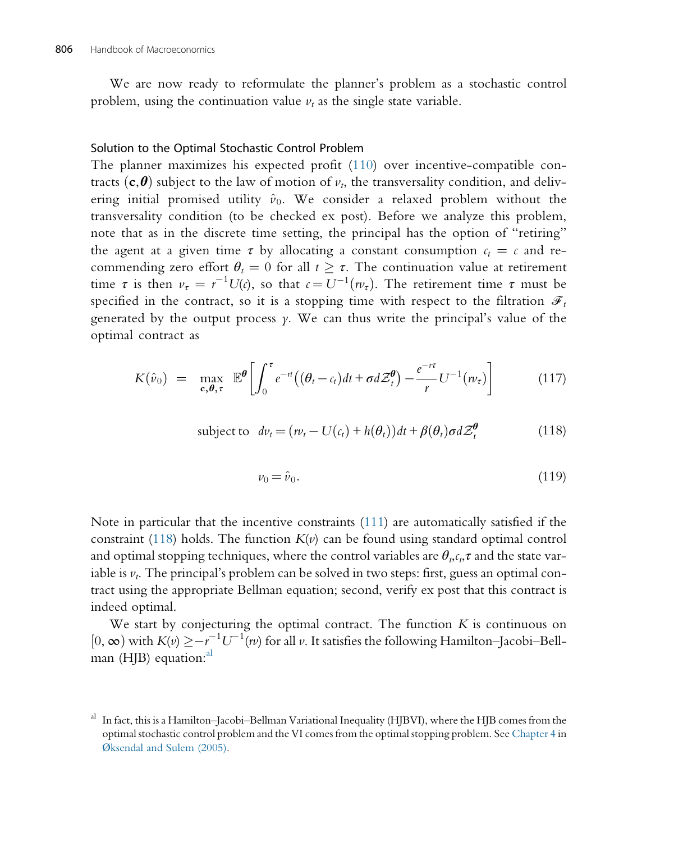<span id="page-81-0"></span>We are now ready to reformulate the planner's problem as a stochastic control problem, using the continuation value  $v_t$  as the single state variable.

#### Solution to the Optimal Stochastic Control Problem

The planner maximizes his expected profit ([110](#page-77-0)) over incentive-compatible contracts  $(c, \theta)$  subject to the law of motion of  $v_t$ , the transversality condition, and delivering initial promised utility  $\hat{v}_0$ . We consider a relaxed problem without the transversality condition (to be checked ex post). Before we analyze this problem, note that as in the discrete time setting, the principal has the option of "retiring" the agent at a given time  $\tau$  by allocating a constant consumption  $c_t = c$  and recommending zero effort  $\theta_t = 0$  for all  $t \geq \tau$ . The continuation value at retirement time  $\tau$  is then  $\nu_{\tau} = r^{-1}U(t)$ , so that  $\tau = U^{-1}(r\nu_{\tau})$ . The retirement time  $\tau$  must be specified in the contract so it is a stopping time with respect to the filtration  $\mathcal{F}$ . specified in the contract, so it is a stopping time with respect to the filtration  $\mathscr{F}_t$ generated by the output process  $\gamma$ . We can thus write the principal's value of the optimal contract as

$$
K(\hat{\nu}_0) = \max_{\mathbf{c}, \theta, \tau} \mathbb{E}^{\theta} \bigg[ \int_0^{\tau} e^{-rt} \big( (\theta_t - c_t) dt + \sigma d\mathcal{Z}_t^{\theta} \big) - \frac{e^{-r\tau}}{r} U^{-1}(r\nu_{\tau}) \bigg] \tag{117}
$$

subject to 
$$
dv_t = (rv_t - U(c_t) + h(\theta_t))dt + \beta(\theta_t)\sigma d\mathcal{Z}_t^{\theta}
$$
 (118)

$$
\nu_0 = \hat{\nu}_0. \tag{119}
$$

Note in particular that the incentive constraints ([111\)](#page-77-0) are automatically satisfied if the constraint (118) holds. The function  $K(v)$  can be found using standard optimal control and optimal stopping techniques, where the control variables are  $\theta_{t}, \tau$  and the state variable is  $v_t$ . The principal's problem can be solved in two steps: first, guess an optimal contract using the appropriate Bellman equation; second, verify ex post that this contract is indeed optimal.

We start by conjecturing the optimal contract. The function  $K$  is continuous on  $[0, \infty)$  with  $K(v) \ge -r^{-1}U^{-1}(v)$  for all v. It satisfies the following Hamilton–Jacobi–Bell-<br>man (HIB) equation<sup>-al</sup> man (HJB) equation:<sup>al</sup>

al In fact, this is a Hamilton–Jacobi–Bellman Variational Inequality (HJBVI), where the HJB comes from the optimal stochastic control problem and the VI comes from the optimal stopping problem. See Chapter 4 in Øksendal and [Sulem \(2005\)](#page-115-0).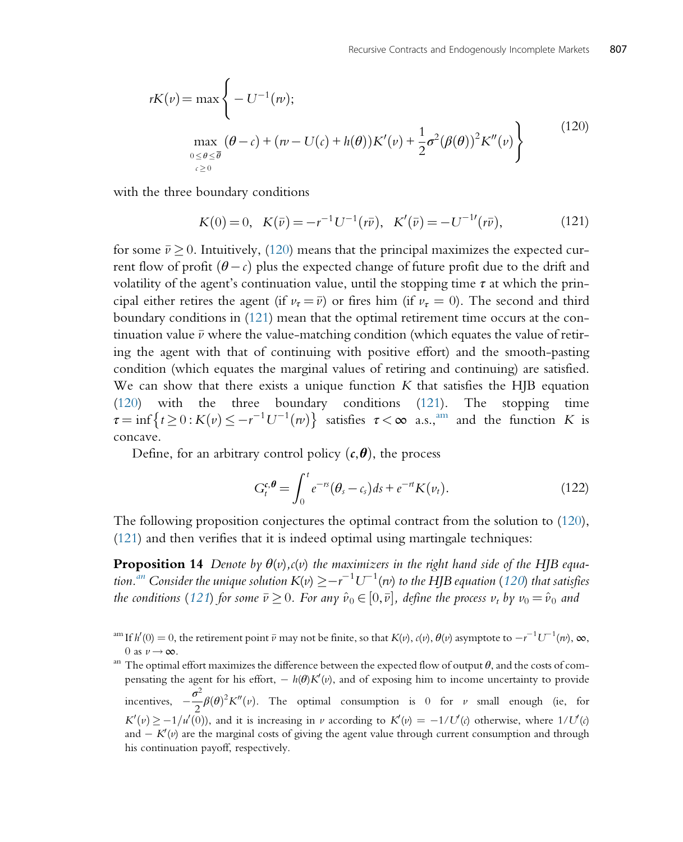<span id="page-82-0"></span>
$$
rK(v) = \max\left\{-U^{-1}(rv); \max_{\substack{0 \le \theta \le \overline{\theta} \\ \epsilon \ge 0}} (\theta - c) + (rv - U(c) + h(\theta))K'(v) + \frac{1}{2}\sigma^2(\beta(\theta))^2 K''(v)\right\}
$$
(120)

with the three boundary conditions

$$
K(0) = 0, \quad K(\bar{\nu}) = -r^{-1}U^{-1}(r\bar{\nu}), \quad K'(\bar{\nu}) = -U^{-1}(\bar{r}\bar{\nu}), \tag{121}
$$

for some  $\bar{v} \ge 0$ . Intuitively, (120) means that the principal maximizes the expected cur-<br>rent flow of profit  $(\theta - \epsilon)$  plus the expected change of future profit due to the drift and rent flow of profit  $(\theta - \epsilon)$  plus the expected change of future profit due to the drift and volatility of the agent's continuation value, until the stopping time  $\tau$  at which the principal either retires the agent (if  $v_{\tau} = \bar{v}$ ) or fires him (if  $v_{\tau} = 0$ ). The second and third<br>boundary conditions in (121) mean that the optimal retirement time occurs at the conboundary conditions in (121) mean that the optimal retirement time occurs at the continuation value  $\bar{\nu}$  where the value-matching condition (which equates the value of retiring the agent with that of continuing with positive effort) and the smooth-pasting condition (which equates the marginal values of retiring and continuing) are satisfied. We can show that there exists a unique function  $K$  that satisfies the HJB equation (120) with the three boundary conditions (121). The stopping time  $\tau = \inf \{ t \geq 0 : K(v) \leq -r^{-1}U^{-1}(v) \}$  satisfies  $\tau < \infty$  a.s.,<sup>am</sup> and the function K is concave.

Define, for an arbitrary control policy  $(c, \theta)$ , the process

$$
G_t^{\epsilon,\theta} = \int_0^t e^{-rs} (\theta_s - c_s) ds + e^{-rt} K(v_t).
$$
 (122)

The following proposition conjectures the optimal contract from the solution to (120), (121) and then verifies that it is indeed optimal using martingale techniques:

**Proposition 14** Denote by  $\theta(v)$ ,  $c(v)$  the maximizers in the right hand side of the HJB equation.<sup>an</sup> Consider the unique solution  $K(v) \ge -r^{-1}U^{-1}(rv)$  to the HJB equation (120) that satisfies<br>the conditions (121) for some  $\overline{v} > 0$ . For any  $\hat{v} \in [0, \overline{v}]$  define the process  $v$  by  $v_0 = \hat{v}$  and the conditions (121) for some  $\bar{v} \ge 0$ . For any  $\hat{v}_0 \in [0, \bar{v}]$ , define the process  $v_t$  by  $v_0 = \hat{v}_0$  and

pensating the agent for his effort,  $- h(\theta) K'(v)$ , and of exposing him to income uncertainty to provide incentives,  $-\frac{\sigma^2}{2}\beta(\theta)^2 K''(v)$ . The optimal consumption is 0 for v small enough (ie, for  $K'(v) \ge -1/u'(0)$ , and it is increasing in v according to  $K'(v) = -1/U'(c)$  otherwise, where  $1/U'(c)$ and  $-K'(v)$  are the marginal costs of giving the agent value through current consumption and through<br>his continuation payoff, respectively. his continuation payoff, respectively.

am If  $h'(0) = 0$ , the retirement point  $\bar{\nu}$  may not be finite, so that  $K(\nu)$ ,  $c(\nu)$ ,  $\theta(\nu)$  asymptote to  $-r^{-1}U^{-1}(n)$ ,  $\infty$ , 0 as *v* → ∞.<br><sup>an</sup> The optimal effort maximizes the difference between the expected flow of output θ, and the costs of com-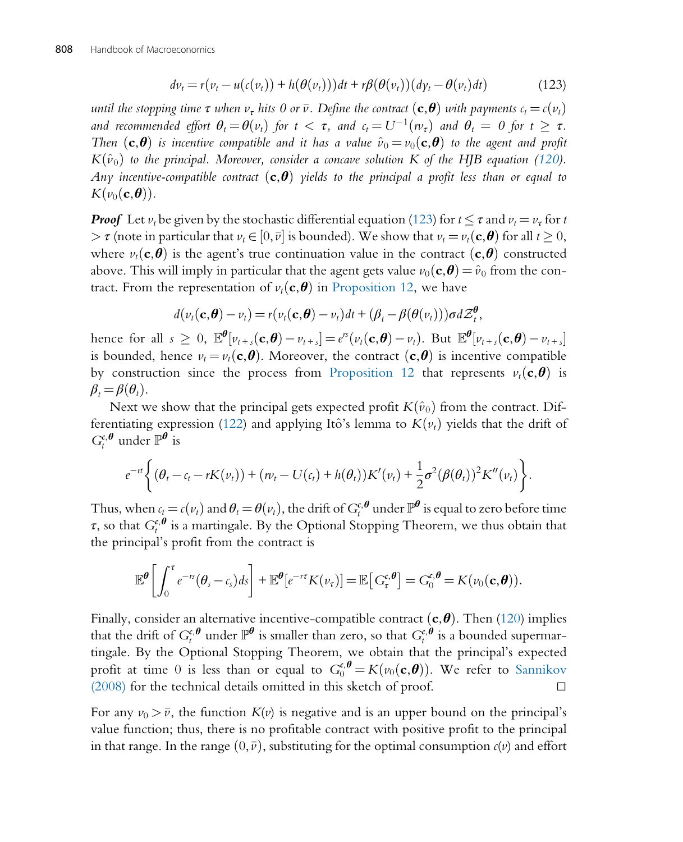$$
dv_t = r(v_t - u(c(v_t)) + h(\theta(v_t)))dt + r\beta(\theta(v_t))(dy_t - \theta(v_t)dt)
$$
\n(123)

until the stopping time  $\tau$  when  $v_{\tau}$  hits 0 or  $\bar{v}$ . Define the contract  $(\mathbf{c}, \boldsymbol{\theta})$  with payments  $c_t = c(v_t)$ <br>and recommended effort  $\theta - \theta(v_t)$  for  $t \leq \tau$  and  $c = U^{-1}(rv_t)$  and  $\theta = 0$  for  $t \geq \tau$ . and recommended effort  $\theta_t = \theta(v_t)$  for  $t < \tau$ , and  $c_t = U^{-1}(rv_{\tau})$  and  $\theta_t = 0$  for  $t \geq \tau$ . Then  $(c, \theta)$  is incentive compatible and it has a value  $\hat{v}_0 = v_0(c, \theta)$  to the agent and profit  $K(\hat{v}_0)$  to the principal. Moreover, consider a concave solution K of the HJB equation [\(120](#page-82-0)). Any incentive-compatible contract  $(c, \theta)$  yields to the principal a profit less than or equal to  $K(\nu_0(\mathbf{c},\boldsymbol{\theta}))$ .

**Proof** Let  $v_t$  be given by the stochastic differential equation (123) for  $t \leq \tau$  and  $v_t = v_\tau$  for t  $> \tau$  (note in particular that  $v_t \in [0, \bar{v}]$  is bounded). We show that  $v_t = v_t(\mathbf{c}, \boldsymbol{\theta})$  for all  $t \ge 0$ ,<br>where  $v(\mathbf{c}, \boldsymbol{\theta})$  is the contribution value in the contract  $(\mathbf{c}, \boldsymbol{\theta})$  contructed where  $v_t(\mathbf{c}, \theta)$  is the agent's true continuation value in the contract  $(\mathbf{c}, \theta)$  constructed above. This will imply in particular that the agent gets value  $v_0(\mathbf{c}, \boldsymbol{\theta}) = \hat{v}_0$  from the contract. From the representation of  $v_t(\mathbf{c}, \boldsymbol{\theta})$  in Proposition 12, we have

$$
d(v_t(\mathbf{c}, \boldsymbol{\theta}) - v_t) = r(v_t(\mathbf{c}, \boldsymbol{\theta}) - v_t)dt + (\beta_t - \beta(\theta(v_t)))\sigma d\mathcal{Z}_t^{\boldsymbol{\theta}},
$$

hence for all  $s \geq 0$ ,  $\mathbb{E}^{\theta}[v_{t+s}(\mathbf{c}, \theta) - v_{t+s}] = e^{rs}(v_t(\mathbf{c}, \theta) - v_t)$ . But  $\mathbb{E}^{\theta}[v_{t+s}(\mathbf{c}, \theta) - v_{t+s}]$ is bounded, hence  $v_t = v_t(\mathbf{c}, \boldsymbol{\theta})$ . Moreover, the contract  $(\mathbf{c}, \boldsymbol{\theta})$  is incentive compatible by construction since the process from Proposition 12 that represents  $v_t(\mathbf{c}, \theta)$  is  $\beta_t = \beta(\theta_t)$ .

Next we show that the principal gets expected profit  $K(\hat{\nu}_0)$  from the contract. Dif-ferentiating expression [\(122](#page-82-0)) and applying Itô's lemma to  $K (v_t)$  yields that the drift of  $G_t^{\mathfrak{c},\theta}$  under  $\mathbb{P}^{\theta}$  is

$$
e^{-rt}\bigg\{(\theta_t - c_t - rK(v_t)) + (rv_t - U(c_t) + h(\theta_t))K'(v_t) + \frac{1}{2}\sigma^2(\beta(\theta_t))^2K''(v_t)\bigg\}.
$$

Thus, when  $c_t = c(v_t)$  and  $\theta_t = \theta(v_t)$ , the drift of  $G_t^{c,\theta}$  under  $\mathbb{P}^{\theta}$  is equal to zero before time  $\tau$ , so that  $G_s^{c,\theta}$  is a martingale. By the Optional Stopping Theorem, we thus obtain that  $\tau$ , so that  $G_t^{\epsilon,\theta}$  is a martingale. By the Optional Stopping Theorem, we thus obtain that the principal's profit from the contract is

$$
\mathbb{E}^{\theta}\bigg[\int_0^{\tau} e^{-rs}(\theta_s-\epsilon_s)ds\bigg] + \mathbb{E}^{\theta}[e^{-r\tau}K(\nu_{\tau})] = \mathbb{E}\big[G_{\tau}^{\epsilon,\theta}\big] = G_0^{\epsilon,\theta} = K(\nu_0(\mathbf{c},\theta)).
$$

Finally, consider an alternative incentive-compatible contract  $(c, \theta)$ . Then ([120\)](#page-82-0) implies that the drift of  $G_t^{c,\theta}$  under  $\mathbb{P}^{\theta}$  is smaller than zero, so that  $G_t^{c,\theta}$  is a bounded supermartingale. By the Optional Stopping Theorem, we obtain that the principal's expected profit at time 0 is less than or equal to  $G_0^{\mathbf{c}, \theta} = K(v_0(\mathbf{c}, \theta))$ . We refer to [Sannikov](#page-115-0)  $(2008)$  for the technical details omitted in this sketch of proof.  $\Box$ 

For any  $v_0 > \bar{v}$ , the function  $K(v)$  is negative and is an upper bound on the principal's value function; thus, there is no profitable contract with positive profit to the principal in that range. In the range  $(0, \bar{\nu})$ , substituting for the optimal consumption  $c(\nu)$  and effort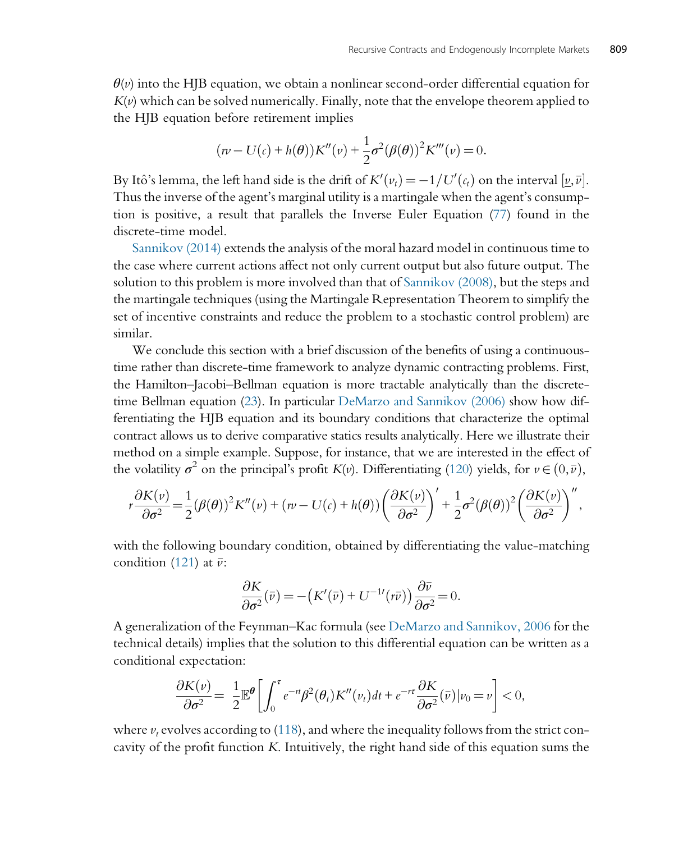$\theta(v)$  into the HJB equation, we obtain a nonlinear second-order differential equation for  $K(v)$  which can be solved numerically. Finally, note that the envelope theorem applied to the HJB equation before retirement implies

$$
(rv - U(c) + h(\theta))K''(v) + \frac{1}{2}\sigma^2(\beta(\theta))^2K'''(v) = 0.
$$

By Itô's lemma, the left hand side is the drift of  $K'(v_t) = -1/U'(c_t)$  on the interval  $[\underline{v}, \overline{v}]$ .<br>Thus the inverse of the agent's marginal utility is a martingale when the agent's consump Thus the inverse of the agent's marginal utility is a martingale when the agent's consumption is positive, a result that parallels the Inverse Euler Equation [\(77\)](#page-47-0) found in the discrete-time model.

[Sannikov](#page-115-0) (2014) extends the analysis of the moral hazard model in continuous time to the case where current actions affect not only current output but also future output. The solution to this problem is more involved than that of [Sannikov \(2008\)](#page-115-0), but the steps and the martingale techniques (using the Martingale Representation Theorem to simplify the set of incentive constraints and reduce the problem to a stochastic control problem) are similar.

We conclude this section with a brief discussion of the benefits of using a continuoustime rather than discrete-time framework to analyze dynamic contracting problems. First, the Hamilton–Jacobi–Bellman equation is more tractable analytically than the discretetime Bellman equation [\(23\)](#page-13-0). In particular [DeMarzo and Sannikov \(2006\)](#page-113-0) show how differentiating the HJB equation and its boundary conditions that characterize the optimal contract allows us to derive comparative statics results analytically. Here we illustrate their method on a simple example. Suppose, for instance, that we are interested in the effect of the volatility  $\sigma^2$  on the principal's profit  $K(v)$ . Differentiating [\(120\)](#page-82-0) yields, for  $v \in (0, \bar{v})$ ,

$$
r\frac{\partial K(v)}{\partial \sigma^2} = \frac{1}{2}(\beta(\theta))^2 K''(v) + (w - U(c) + h(\theta)) \left(\frac{\partial K(v)}{\partial \sigma^2}\right)' + \frac{1}{2}\sigma^2(\beta(\theta))^2 \left(\frac{\partial K(v)}{\partial \sigma^2}\right)'',
$$

with the following boundary condition, obtained by differentiating the value-matching condition [\(121](#page-82-0)) at  $\bar{v}$ :

$$
\frac{\partial K}{\partial \sigma^2}(\bar{v}) = -\left(K'(\bar{v}) + U^{-1'}(r\bar{v})\right) \frac{\partial \bar{v}}{\partial \sigma^2} = 0.
$$

A generalization of the Feynman–Kac formula (see [DeMarzo and Sannikov, 2006](#page-113-0) for the technical details) implies that the solution to this differential equation can be written as a conditional expectation:

$$
\frac{\partial K(v)}{\partial \sigma^2} = \frac{1}{2} \mathbb{E}^{\theta} \left[ \int_0^{\tau} e^{-rt} \beta^2(\theta_t) K''(v_t) dt + e^{-rt} \frac{\partial K}{\partial \sigma^2}(\bar{v}) |v_0 = v \right] < 0,
$$

where  $v_t$  evolves according to ([118\)](#page-81-0), and where the inequality follows from the strict concavity of the profit function  $K$ . Intuitively, the right hand side of this equation sums the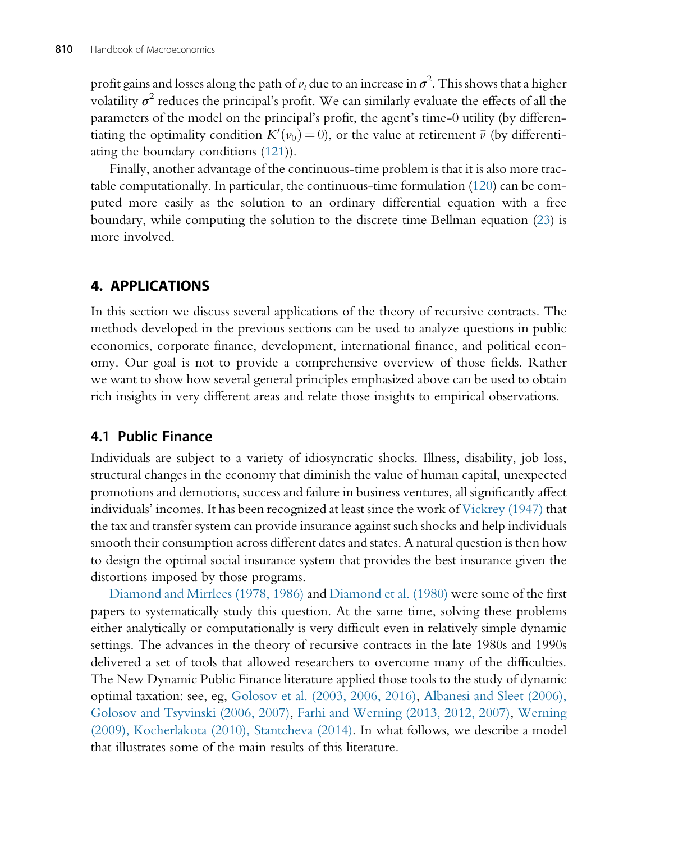profit gains and losses along the path of  $\nu_t$  due to an increase in  $\sigma^2.$  This shows that a higher volatility  $\sigma^2$  reduces the principal's profit. We can similarly evaluate the effects of all the parameters of the model on the principal's profit, the agent's time-0 utility (by differentiating the optimality condition  $K'(v_0) = 0$ ), or the value at retirement  $\bar{v}$  (by differenti-<br>ating the boundary conditions (121)) ating the boundary conditions [\(121](#page-82-0))).

Finally, another advantage of the continuous-time problem is that it is also more tractable computationally. In particular, the continuous-time formulation ([120\)](#page-82-0) can be computed more easily as the solution to an ordinary differential equation with a free boundary, while computing the solution to the discrete time Bellman equation ([23](#page-13-0)) is more involved.

# 4. APPLICATIONS

In this section we discuss several applications of the theory of recursive contracts. The methods developed in the previous sections can be used to analyze questions in public economics, corporate finance, development, international finance, and political economy. Our goal is not to provide a comprehensive overview of those fields. Rather we want to show how several general principles emphasized above can be used to obtain rich insights in very different areas and relate those insights to empirical observations.

# 4.1 Public Finance

Individuals are subject to a variety of idiosyncratic shocks. Illness, disability, job loss, structural changes in the economy that diminish the value of human capital, unexpected promotions and demotions, success and failure in business ventures, all significantly affect individuals' incomes. It has been recognized at least since the work of [Vickrey \(1947\)](#page-116-0) that the tax and transfer system can provide insurance against such shocks and help individuals smooth their consumption across different dates and states. A natural question is then how to design the optimal social insurance system that provides the best insurance given the distortions imposed by those programs.

[Diamond and Mirrlees \(1978, 1986\)](#page-113-0) and [Diamond et al. \(1980\)](#page-113-0) were some of the first papers to systematically study this question. At the same time, solving these problems either analytically or computationally is very difficult even in relatively simple dynamic settings. The advances in the theory of recursive contracts in the late 1980s and 1990s delivered a set of tools that allowed researchers to overcome many of the difficulties. The New Dynamic Public Finance literature applied those tools to the study of dynamic optimal taxation: see, eg, [Golosov et al. \(2003, 2006, 2016\)](#page-114-0), [Albanesi and Sleet \(2006\),](#page-112-0) Golosov and [Tsyvinski \(2006, 2007\)](#page-112-0), [Farhi and Werning \(2013, 2012, 2007\),](#page-113-0) [Werning](#page-116-0) (2009), Kocherlakota [\(2010\), Stantcheva \(2014\).](#page-116-0) In what follows, we describe a model that illustrates some of the main results of this literature.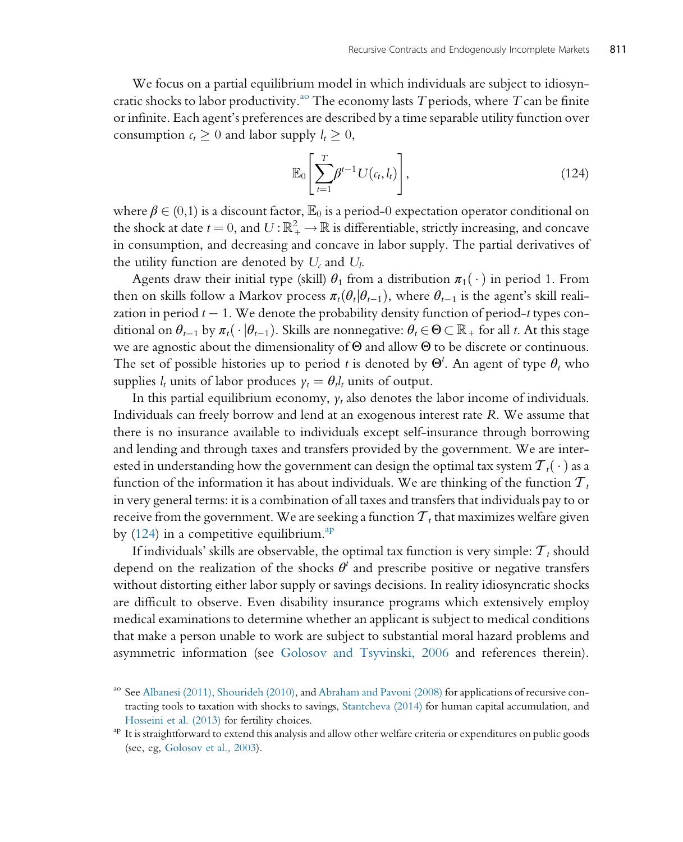<span id="page-86-0"></span>We focus on a partial equilibrium model in which individuals are subject to idiosyncratic shocks to labor productivity.<sup>40</sup> The economy lasts T periods, where T can be finite or infinite. Each agent's preferences are described by a time separable utility function over consumption  $c_t \geq 0$  and labor supply  $l_t \geq 0$ ,

$$
\mathbb{E}_0\left[\sum_{t=1}^T \beta^{t-1} U(c_t, l_t)\right],\tag{124}
$$

where  $\beta \in (0,1)$  is a discount factor,  $\mathbb{E}_0$  is a period-0 expectation operator conditional on the shock at date  $t = 0$ , and  $U : \mathbb{R}^2_+ \to \mathbb{R}$  is differentiable, strictly increasing, and concave<br>in concurration, and decreasing and concave in labor supply. The partial derivatives of in consumption, and decreasing and concave in labor supply. The partial derivatives of the utility function are denoted by  $U_c$  and  $U_l$ .

Agents draw their initial type (skill)  $\theta_1$  from a distribution  $\pi_1(\cdot)$  in period 1. From then on skills follow a Markov process  $\pi_t(\theta_t|\theta_{t-1})$ , where  $\theta_{t-1}$  is the agent's skill realization in period  $t - 1$ . We denote the probability density function of period-t types conditional on  $\theta_{t-1}$  by  $\pi_t(\cdot|\theta_{t-1})$ . Skills are nonnegative:  $\theta_t \in \Theta \subset \mathbb{R}_+$  for all t. At this stage we are agnostic about the dimensionality of  $\Theta$  and allow  $\Theta$  to be discrete or continuous. The set of possible histories up to period t is denoted by  $\Theta^t$ . An agent of type  $\theta_t$  who supplies  $l_t$  units of labor produces  $\gamma_t = \theta_t l_t$  units of output.

In this partial equilibrium economy,  $y_t$  also denotes the labor income of individuals. Individuals can freely borrow and lend at an exogenous interest rate R. We assume that there is no insurance available to individuals except self-insurance through borrowing and lending and through taxes and transfers provided by the government. We are interested in understanding how the government can design the optimal tax system  $\mathcal{T}_t(\cdot)$  as a function of the information it has about individuals. We are thinking of the function  $\mathcal{T}_t$ in very general terms: it is a combination of all taxes and transfers that individuals pay to or receive from the government. We are seeking a function  $\mathcal{T}_t$  that maximizes welfare given by  $(124)$  in a competitive equilibrium.<sup>ap</sup>

If individuals' skills are observable, the optimal tax function is very simple:  $\mathcal{T}_t$  should depend on the realization of the shocks  $\theta^t$  and prescribe positive or negative transfers without distorting either labor supply or savings decisions. In reality idiosyncratic shocks are difficult to observe. Even disability insurance programs which extensively employ medical examinations to determine whether an applicant is subject to medical conditions that make a person unable to work are subject to substantial moral hazard problems and asymmetric information (see [Golosov and Tsyvinski, 2006](#page-114-0) and references therein).

<sup>&</sup>lt;sup>ao</sup> See [Albanesi \(2011\), Shourideh \(2010\)](#page-112-0), and [Abraham and Pavoni \(2008\)](#page-112-0) for applications of recursive contracting tools to taxation with shocks to savings, [Stantcheva \(2014\)](#page-115-0) for human capital accumulation, and [Hosseini et al. \(2013\)](#page-114-0) for fertility choices.<br><sup>ap</sup> It is straightforward to extend this analysis and allow other welfare criteria or expenditures on public goods

<sup>(</sup>see, eg, [Golosov et al., 2003\)](#page-114-0).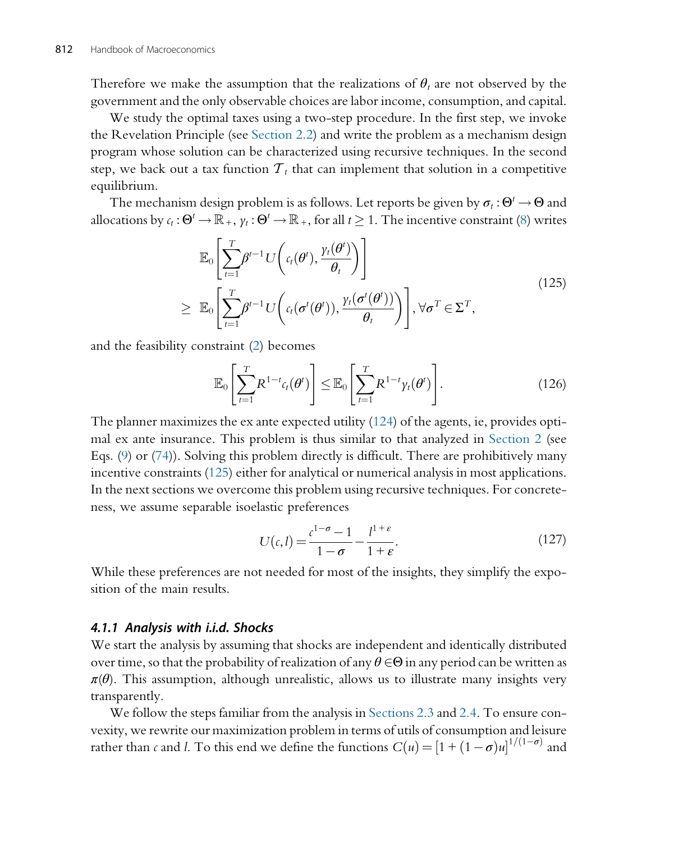Therefore we make the assumption that the realizations of  $\theta_t$  are not observed by the government and the only observable choices are labor income, consumption, and capital.

We study the optimal taxes using a two-step procedure. In the first step, we invoke the Revelation Principle (see [Section 2.2\)](#page-6-0) and write the problem as a mechanism design program whose solution can be characterized using recursive techniques. In the second step, we back out a tax function  $\mathcal{T}_t$  that can implement that solution in a competitive equilibrium.

The mechanism design problem is as follows. Let reports be given by  $\sigma_t : \Theta^t \to \Theta$  and allocations by  $c_t : \Theta^t \to \mathbb{R}_+$ ,  $\gamma_t : \Theta^t \to \mathbb{R}_+$ , for all  $t \geq 1$ . The incentive constraint [\(8\)](#page-8-0) writes

$$
\mathbb{E}_{0}\left[\sum_{t=1}^{T}\beta^{t-1}U\left(c_{t}(\theta^{t}),\frac{\gamma_{t}(\theta^{t})}{\theta_{t}}\right)\right]
$$
\n
$$
\geq \mathbb{E}_{0}\left[\sum_{t=1}^{T}\beta^{t-1}U\left(c_{t}(\sigma^{t}(\theta^{t})),\frac{\gamma_{t}(\sigma^{t}(\theta^{t}))}{\theta_{t}}\right)\right], \forall \sigma^{T} \in \Sigma^{T},
$$
\n(125)

and the feasibility constraint [\(2](#page-5-0)) becomes

$$
\mathbb{E}_0\left[\sum_{t=1}^T R^{1-t}c_t(\theta')\right] \leq \mathbb{E}_0\left[\sum_{t=1}^T R^{1-t}\gamma_t(\theta')\right].
$$
\n(126)

The planner maximizes the ex ante expected utility ([124\)](#page-86-0) of the agents, ie, provides optimal ex ante insurance. This problem is thus similar to that analyzed in [Section 2](#page-3-0) (see Eqs. ([9](#page-8-0)) or ([74\)](#page-46-0)). Solving this problem directly is difficult. There are prohibitively many incentive constraints (125) either for analytical or numerical analysis in most applications. In the next sections we overcome this problem using recursive techniques. For concreteness, we assume separable isoelastic preferences

$$
U(c, l) = \frac{c^{1-\sigma} - 1}{1 - \sigma} - \frac{l^{1+\epsilon}}{1+\epsilon}.
$$
\n(127)

While these preferences are not needed for most of the insights, they simplify the exposition of the main results.

## 4.1.1 Analysis with i.i.d. Shocks

We start the analysis by assuming that shocks are independent and identically distributed over time, so that the probability of realization of any  $\theta \in \Theta$  in any period can be written as  $\pi(\theta)$ . This assumption, although unrealistic, allows us to illustrate many insights very transparently.

We follow the steps familiar from the analysis in [Sections 2.3](#page-9-0) and [2.4](#page-20-0). To ensure convexity, we rewrite our maximization problem in terms of utils of consumption and leisure rather than c and l. To this end we define the functions  $C(u) = [1 + (1 - \sigma)u]^{1/(1 - \sigma)}$  and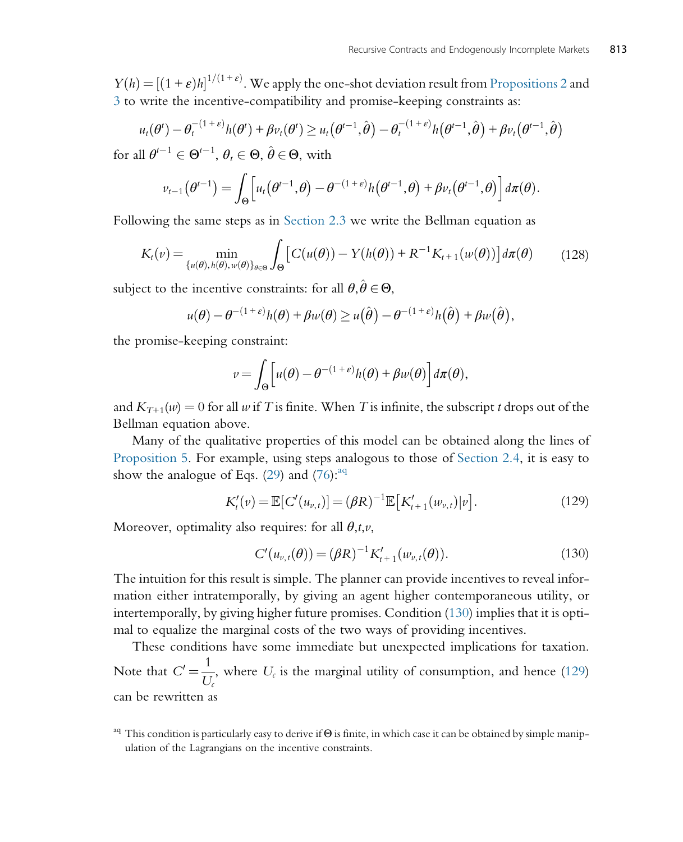<span id="page-88-0"></span> $Y(h) = [(1 + \varepsilon)h]^{1/(1 + \varepsilon)}$ . We apply the one-shot deviation result from Propositions 2 and 3 to write the incentive-compatibility and promise-keeping constraints as:

$$
u_t(\theta^t) - \theta_t^{-(1+\epsilon)} h(\theta^t) + \beta v_t(\theta^t) \ge u_t(\theta^{t-1}, \hat{\theta}) - \theta_t^{-(1+\epsilon)} h(\theta^{t-1}, \hat{\theta}) + \beta v_t(\theta^{t-1}, \hat{\theta})
$$

for all  $\theta^{t-1} \in \Theta^{t-1}$ ,  $\theta_t \in \Theta$ ,  $\hat{\theta} \in \Theta$ , with

$$
\nu_{t-1}(\theta^{t-1}) = \int_{\Theta} \left[ u_t(\theta^{t-1}, \theta) - \theta^{-(1+\epsilon)} h(\theta^{t-1}, \theta) + \beta \nu_t(\theta^{t-1}, \theta) \right] d\pi(\theta).
$$

Following the same steps as in [Section 2.3](#page-9-0) we write the Bellman equation as

$$
K_t(\nu) = \min_{\{u(\theta), h(\theta), w(\theta)\}_{\theta \in \Theta}} \int_{\Theta} \left[ C(u(\theta)) - Y(h(\theta)) + R^{-1} K_{t+1}(w(\theta)) \right] d\pi(\theta) \tag{128}
$$

subject to the incentive constraints: for all  $\theta, \hat{\theta} \in \Theta$ ,

$$
u(\theta) - \theta^{-(1+\varepsilon)}h(\theta) + \beta w(\theta) \ge u(\hat{\theta}) - \theta^{-(1+\varepsilon)}h(\hat{\theta}) + \beta w(\hat{\theta}),
$$

the promise-keeping constraint:

$$
v = \int_{\Theta} \left[ u(\theta) - \theta^{-(1+\varepsilon)} h(\theta) + \beta w(\theta) \right] d\pi(\theta),
$$

and  $K_{T+1}(w) = 0$  for all w if T is finite. When T is infinite, the subscript t drops out of the Bellman equation above.

Many of the qualitative properties of this model can be obtained along the lines of Proposition 5. For example, using steps analogous to those of [Section 2.4](#page-20-0), it is easy to show the analogue of Eqs.  $(29)$  $(29)$  and  $(76)$  $(76)$ :<sup>aq</sup>

$$
K'_{t}(v) = \mathbb{E}[C'(u_{v,t})] = (\beta R)^{-1} \mathbb{E}[K'_{t+1}(w_{v,t})|v].
$$
\n(129)

Moreover, optimality also requires: for all  $\theta, t, v$ ,

$$
C'(u_{\nu,t}(\theta)) = (\beta R)^{-1} K'_{t+1}(w_{\nu,t}(\theta)).
$$
\n(130)

The intuition for this result is simple. The planner can provide incentives to reveal information either intratemporally, by giving an agent higher contemporaneous utility, or intertemporally, by giving higher future promises. Condition (130) implies that it is optimal to equalize the marginal costs of the two ways of providing incentives.

These conditions have some immediate but unexpected implications for taxation. Note that  $C' = \frac{1}{U_c}$ , where  $U_c$  is the marginal utility of consumption, and hence (129) can be rewritten as

<sup>&</sup>lt;sup>aq</sup> This condition is particularly easy to derive if  $\Theta$  is finite, in which case it can be obtained by simple manipulation of the Lagrangians on the incentive constraints.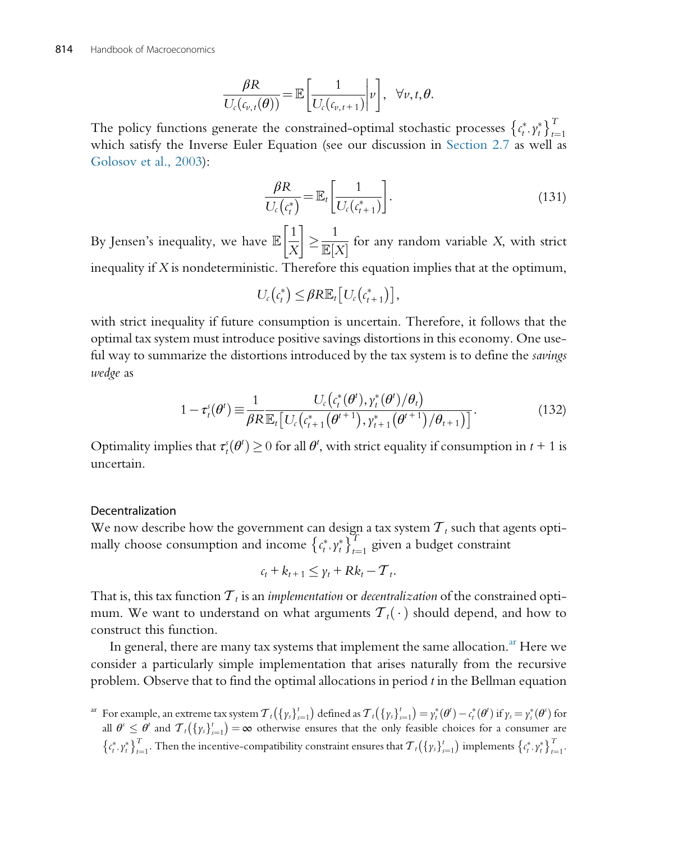$$
\frac{\beta R}{U_c(\mathfrak{c}_{v,t}(\theta))} = \mathbb{E}\bigg[\frac{1}{U_c(\mathfrak{c}_{v,t+1})}\bigg|v\bigg], \ \ \forall v,t,\theta.
$$

<span id="page-89-0"></span>The policy functions generate the constrained-optimal stochastic processes  $\left\{c_t^*, y_t^*\right\}_{t=1}^T$ The poncy functions generate the constrained optimal stochastic processes  $\{v_t, v_t\}_{t=1}$  which satisfy the Inverse Euler Equation (see our discussion in [Section 2.7](#page-45-0) as well as [Golosov et al., 2003](#page-114-0)):

$$
\frac{\beta R}{U_c \left( c_t^* \right)} = \mathbb{E}_t \left[ \frac{1}{U_c \left( c_{t+1}^* \right)} \right]. \tag{131}
$$

By Jensen's inequality, we have  $\mathbb{E}\bigg[\frac{1}{X}\bigg]$  $\lceil 1 \rceil$ Γ  $\frac{1}{\mathbb{E}[X]}$  for any random variable X, with strict<br>are this equation implies that at the optimum inequality if  $X$  is nondeterministic. Therefore this equation implies that at the optimum,

$$
U_{c}(\mathfrak{c}_{t}^{*}) \leq \beta R \mathbb{E}_{t} [U_{c}(\mathfrak{c}_{t+1}^{*})],
$$

with strict inequality if future consumption is uncertain. Therefore, it follows that the optimal tax system must introduce positive savings distortions in this economy. One useful way to summarize the distortions introduced by the tax system is to define the *savings* wedge as

$$
1 - \tau_t^s(\theta^t) \equiv \frac{1}{\beta R} \frac{U_c \left( c_t^*(\theta^t), \gamma_t^*(\theta^t) / \theta_t \right)}{\mathbb{E}_t \left[ U_c \left( c_{t+1}^*(\theta^{t+1}), \gamma_{t+1}^*(\theta^{t+1}) / \theta_{t+1} \right) \right]}.
$$
(132)

Optimality implies that  $\tau_t^s(\theta^t) \ge 0$  for all  $\theta^t$ , with strict equality if consumption in  $t + 1$  is uncertain.

#### Decentralization

We now describe how the government can design a tax system  $\mathcal{T}_t$  such that agents optimally choose consumption and income  $\{c_t^*, y_t^*\}_{t=1}^T$  given a budget constraint

$$
c_t + k_{t+1} \leq \gamma_t + Rk_t - \mathcal{T}_t.
$$

That is, this tax function  $\mathcal{T}_t$  is an *implementation* or *decentralization* of the constrained optimum. We want to understand on what arguments  $\mathcal{T}_t(\cdot)$  should depend, and how to construct this function.

In general, there are many tax systems that implement the same allocation.<sup>ar</sup> Here we consider a particularly simple implementation that arises naturally from the recursive problem. Observe that to find the optimal allocations in period  $t$  in the Bellman equation

ar For example, an extreme tax system  $T_t({y_s}_{s=1}^t)$  defined as  $T_t({y_s}_{s=1}^t) = y_t^*(\theta') - \epsilon_t^*(\theta')$  if  $y_s = y_s^*(\theta')$  for stated the case of and  $\mathcal{T}_t(\{y_s\}_{s=1}^t) = \infty$  otherwise ensures that the only feasible choices for a consumer are<br>  $\mathcal{A} = \begin{pmatrix} f(s) & f(s) \\ f(s) & f(s) \end{pmatrix}$  $\left\{ \zeta_t^*, y_t^* \right\}_{t=1}^T$ . Then the incentive-compatibility constraint ensures that  $\mathcal{T}_t \left\{ \{y_s\}_{s=1}^t \right\}$  implements  $\left\{ \zeta_t^*, y_t^* \right\}_{t=1}^T$ .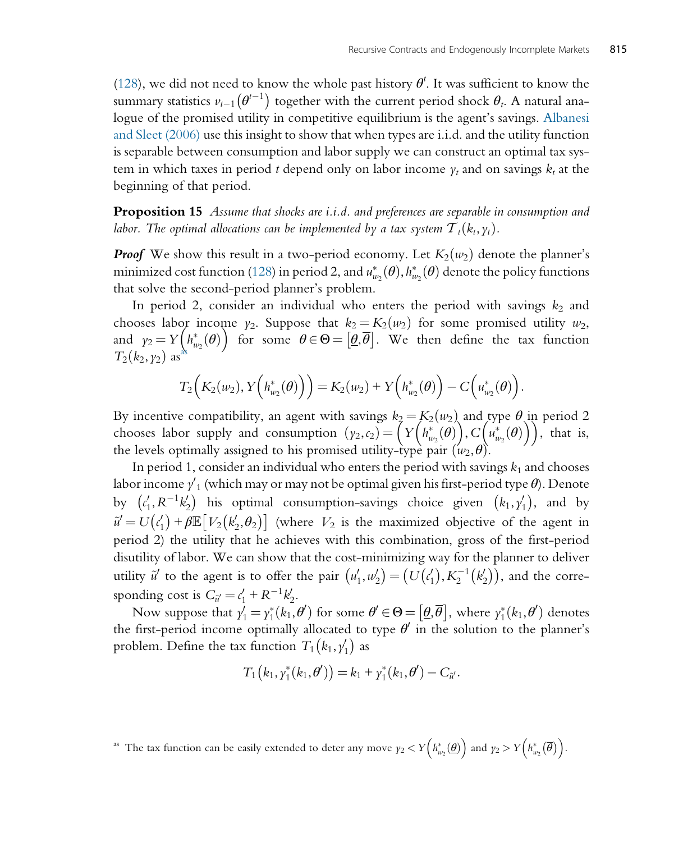([128](#page-88-0)), we did not need to know the whole past history  $\theta^t$ . It was sufficient to know the summary statistics  $v_{t-1} (\theta^{t-1})$  together with the current period shock  $\theta_t$ . A natural analogue of the promised utility in competitive equilibrium is the agent's savings. [Albanesi](#page-112-0) [and Sleet](#page-112-0) (2006) use this insight to show that when types are i.i.d. and the utility function is separable between consumption and labor supply we can construct an optimal tax system in which taxes in period t depend only on labor income  $y_t$  and on savings  $k_t$  at the beginning of that period.

Proposition 15 Assume that shocks are i.i.d. and preferences are separable in consumption and labor. The optimal allocations can be implemented by a tax system  $\mathcal{T}_t(k_t, y_t)$ .

**Proof** We show this result in a two-period economy. Let  $K_2(w_2)$  denote the planner's minimized cost function [\(128](#page-88-0)) in period 2, and  $u_{w_2}^*(\theta)$ ,  $h_{w_2}^*(\theta)$  denote the policy functions that solve the second period planner's problem that solve the second-period planner's problem.

In period 2, consider an individual who enters the period with savings  $k_2$  and chooses labor income  $\gamma_2$ . Suppose that  $k_2 = K_2(w_2)$  for some promised utility  $w_2$ , and  $y_2 = Y(h_{w_2}^*(\theta))$  for some  $\theta \in \Theta = [\underline{\theta}, \overline{\theta}]$ . We then define the tax function  $T_2(k_2, \gamma_2)$  as<sup>as</sup>

$$
T_2\Big(K_2(w_2), Y\Big(h_{w_2}^*(\theta)\Big)\Big) = K_2(w_2) + Y\Big(h_{w_2}^*(\theta)\Big) - C\Big(u_{w_2}^*(\theta)\Big).
$$

By incentive compatibility, an agent with savings  $k_2 = K_2(w_2)$  and type  $\theta$  in period 2<br>chooses labor supply and consumption  $(w_2 \circlearrowright) - \left(\frac{V}{k^*}(\theta)\right) C \left(\frac{k^*}{k^*}(\theta)\right)$ , that is chooses labor supply and consumption  $(y_2, c_2) = \left(Y\left(h_{w_2}^*(\theta)\right), C\left(u_{w_2}^*(\theta)\right)\right)$ , that is, the levels optimally assigned to his promised utility-type pair  $(w_2, \theta)$ .<br>In period 1, consider an individual who enters the period with savi

In period 1, consider an individual who enters the period with savings  $k_1$  and chooses labor income  $\gamma'{}_{1}$  (which may or may not be optimal given his first-period type  $\theta$ ). Denote by  $(c'_1, R^{-1}k'_2)$  his optimal consumption-savings choice given  $(k_1, y'_1)$ , and by  $\tilde{u}' = U(\ell_1') + \beta \mathbb{E} [V_2(k_2', \theta_2)]$  (where  $V_2$  is the maximized objective of the agent in period 2) the utility that he achieves with this combination, gross of the first-period disutility of labor. We can show that the cost-minimizing way for the planner to deliver utility  $\tilde{u}'$  to the agent is to offer the pair  $(u'_1, w'_2) = (U(\zeta'_1), K_2^{-1}(k'_2))$ , and the corresponding cost is  $C_{\tilde{u}} = c_1' + R^{-1}k_2'$ .<br>Now suppose that  $v_1' = v^*(h_1)$ 

Now suppose that  $y'_1 = y_1^*(k_1, \theta')$  for some  $\theta' \in \Theta = [\underline{\theta}, \overline{\theta}]$ , where  $y_1^*(k_1, \theta')$  denotes the first-period income optimally allocated to type  $\theta'$  in the solution to the planner's problem. Define the tax function  $T_1(k_1, y_1')$  as

$$
T_1(k_1, \gamma_1^*(k_1, \theta')) = k_1 + \gamma_1^*(k_1, \theta') - C_{\tilde{u}}'.
$$

as The tax function can be easily extended to deter any move  $y_2 < Y(h_{w_2}^*(\underline{\theta}))$  and  $y_2 > Y(h_{w_2}^*(\overline{\theta}))$ .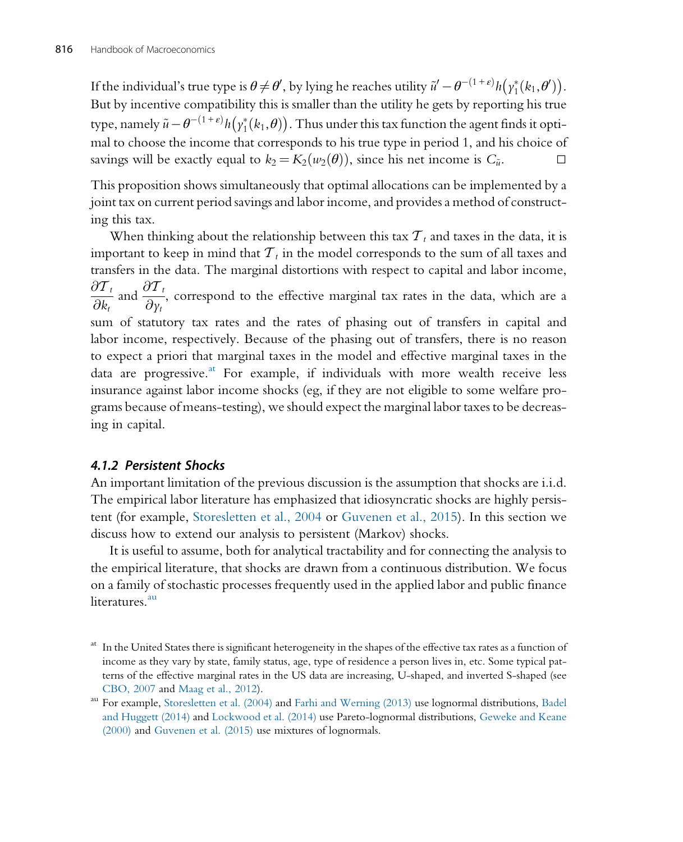If the individual's true type is  $\theta \neq \theta'$ , by lying he reaches utility  $\tilde{u}' - \theta^{-(1+\varepsilon)} h(\gamma_1^*(k_1, \theta')).$ But by incentive compatibility this is smaller than the utility he gets by reporting his true type, namely  $\tilde{u} - \theta^{-(1+\epsilon)} h(y_1^*(k_1, \theta))$ . Thus under this tax function the agent finds it opti-<br>mal to above the income that corresponds to his true type in period 1, and his above a f mal to choose the income that corresponds to his true type in period 1, and his choice of savings will be exactly equal to  $k_2 = K_2(w_2(\theta))$ , since his net income is  $C_{\tilde{u}}$ .  $\Box$ 

This proposition shows simultaneously that optimal allocations can be implemented by a joint tax on current period savings and labor income, and provides a method of constructing this tax.

When thinking about the relationship between this tax  $\mathcal{T}_t$  and taxes in the data, it is important to keep in mind that  $\mathcal{T}_t$  in the model corresponds to the sum of all taxes and transfers in the data. The marginal distortions with respect to capital and labor income,  $\frac{\partial \mathcal{T}_t}{\partial k_t}$  and  $\frac{\partial \mathcal{T}_t}{\partial y_t}$ , correspond to the effective marginal tax rates in the data, which are a sum of statutory tax rates and the rates of phasing out of transfers in capital and labor income, respectively. Because of the phasing out of transfers, there is no reason to expect a priori that marginal taxes in the model and effective marginal taxes in the data are progressive. $a$ <sup>t</sup> For example, if individuals with more wealth receive less insurance against labor income shocks (eg, if they are not eligible to some welfare programs because of means-testing), we should expect the marginal labor taxes to be decreasing in capital.

# 4.1.2 Persistent Shocks

An important limitation of the previous discussion is the assumption that shocks are i.i.d. The empirical labor literature has emphasized that idiosyncratic shocks are highly persistent (for example, [Storesletten et al., 2004](#page-116-0) or [Guvenen et al., 2015\)](#page-114-0). In this section we discuss how to extend our analysis to persistent (Markov) shocks.

It is useful to assume, both for analytical tractability and for connecting the analysis to the empirical literature, that shocks are drawn from a continuous distribution. We focus on a family of stochastic processes frequently used in the applied labor and public finance literatures.<sup>au</sup>

In the United States there is significant heterogeneity in the shapes of the effective tax rates as a function of income as they vary by state, family status, age, type of residence a person lives in, etc. Some typical patterns of the effective marginal rates in the US data are increasing, U-shaped, and inverted S-shaped (see

[CBO, 2007](#page-113-0) and [Maag et al., 2012](#page-115-0)). au For example, [Storesletten et al. \(2004\)](#page-116-0) and [Farhi and Werning \(2013\)](#page-113-0) use lognormal distributions, [Badel](#page-112-0) [and Huggett](#page-112-0) (2014) and [Lockwood et al. \(2014\)](#page-115-0) use Pareto-lognormal distributions, [Geweke and Keane](#page-114-0) [\(2000\)](#page-114-0) and [Guvenen et al. \(2015\)](#page-114-0) use mixtures of lognormals.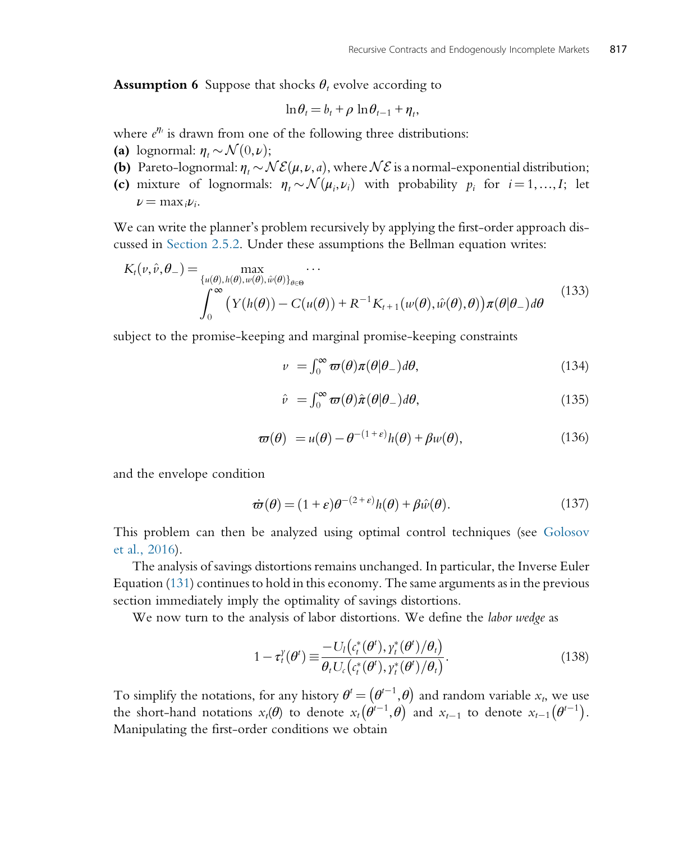**Assumption 6** Suppose that shocks  $\theta_t$  evolve according to

$$
\ln \theta_t = b_t + \rho \ln \theta_{t-1} + \eta_t,
$$

where  $e^{\eta_t}$  is drawn from one of the following three distributions:

- (a) lognormal:  $\eta_t \sim \mathcal{N}(0,\nu)$ ;
- (b) Pareto-lognormal:  $\eta_t \sim \mathcal{NE}(\mu,\nu, a)$ , where  $N\mathcal{E}$  is a normal-exponential distribution;
- (c) mixture of lognormals:  $\eta_t \sim \mathcal{N}(\mu_i, \nu_i)$  with probability  $p_i$  for  $i = 1, ..., I$ ; let  $\nu = \max_{i} \nu_{i}$ .

We can write the planner's problem recursively by applying the first-order approach discussed in [Section 2.5.2](#page-34-0). Under these assumptions the Bellman equation writes:

$$
K_t(\nu,\hat{\nu},\theta_-) = \max_{\{u(\theta),h(\theta),w(\theta),\hat{w}(\theta)\}_{\theta \in \Theta}} \cdots
$$
  

$$
\int_0^\infty \left(Y(h(\theta)) - C(u(\theta)) + R^{-1}K_{t+1}(w(\theta),\hat{w}(\theta),\theta)\right)\pi(\theta|\theta_-)d\theta
$$
 (133)

subject to the promise-keeping and marginal promise-keeping constraints

$$
\nu = \int_0^\infty \varpi(\theta) \pi(\theta | \theta_+) d\theta, \tag{134}
$$

$$
\hat{\nu} = \int_0^\infty \boldsymbol{\varpi}(\theta) \hat{\boldsymbol{\pi}}(\theta | \theta_-) d\theta, \tag{135}
$$

$$
\boldsymbol{\varpi}(\theta) = u(\theta) - \theta^{-(1+\epsilon)}h(\theta) + \beta w(\theta), \qquad (136)
$$

and the envelope condition

$$
\dot{\boldsymbol{\omega}}(\theta) = (1+\varepsilon)\theta^{-(2+\varepsilon)}h(\theta) + \beta\hat{\boldsymbol{\omega}}(\theta). \tag{137}
$$

This problem can then be analyzed using optimal control techniques (see [Golosov](#page-114-0) et al., [2016](#page-114-0)).

The analysis of savings distortions remains unchanged. In particular, the Inverse Euler Equation [\(131](#page-89-0)) continues to hold in this economy. The same arguments as in the previous section immediately imply the optimality of savings distortions.

We now turn to the analysis of labor distortions. We define the *labor wedge* as

$$
1 - \tau_t^{\gamma}(\theta^t) \equiv \frac{-U_l\left(c_t^*(\theta^t), y_t^*(\theta^t)/\theta_t\right)}{\theta_t U_c\left(c_t^*(\theta^t), y_t^*(\theta^t)/\theta_t\right)}.
$$
\n(138)

To simplify the notations, for any history  $\theta^t = (\theta^{t-1}, \theta)$  and random variable  $x_t$ , we use<br>the short hand notations  $x(\theta)$  to denote  $x(\theta^{t-1}, \theta)$  and  $x_t$ , to denote  $x(\theta^{t-1})$ the short-hand notations  $x_t(\theta)$  to denote  $x_t(\theta^{t-1}, \theta)$  and  $x_{t-1}$  to denote  $x_{t-1}(\theta^{t-1})$ . Manipulating the first-order conditions we obtain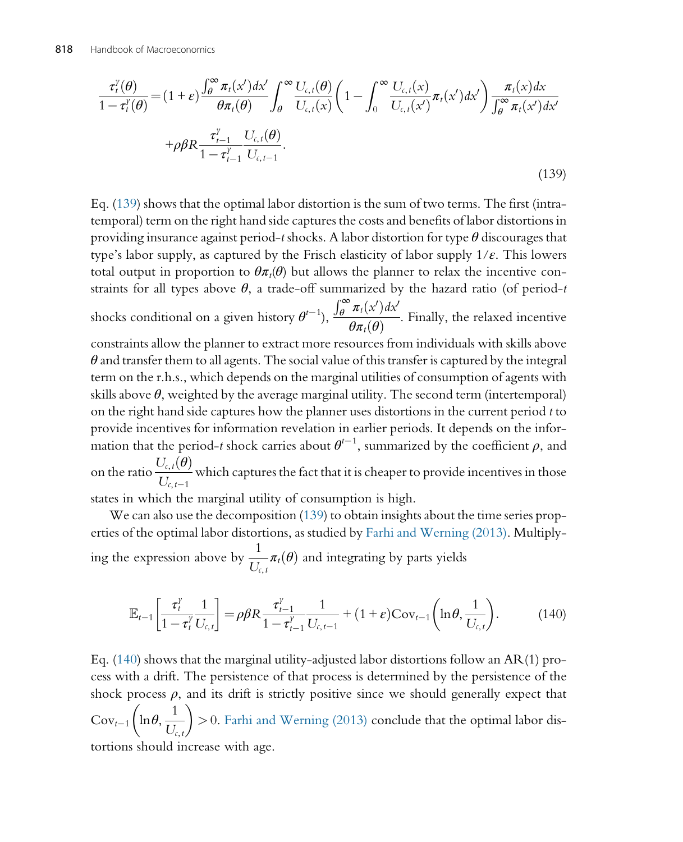<span id="page-93-0"></span>
$$
\frac{\tau_i^{\gamma}(\theta)}{1 - \tau_i^{\gamma}(\theta)} = (1 + \varepsilon) \frac{\int_{\theta}^{\infty} \pi_t(x') dx'}{\theta \pi_t(\theta)} \int_{\theta}^{\infty} \frac{U_{c,t}(\theta)}{U_{c,t}(x)} \left(1 - \int_0^{\infty} \frac{U_{c,t}(x)}{U_{c,t}(x')} \pi_t(x') dx'\right) \frac{\pi_t(x) dx'}{\int_{\theta}^{\infty} \pi_t(x') dx'} + \rho \beta R \frac{\tau_{t-1}^{\gamma}}{1 - \tau_{t-1}^{\gamma}} \frac{U_{c,t}(\theta)}{U_{c,t-1}}.
$$
\n(139)

Eq. (139) shows that the optimal labor distortion is the sum of two terms. The first (intratemporal) term on the right hand side captures the costs and benefits of labor distortions in providing insurance against period-t shocks. A labor distortion for type  $\theta$  discourages that type's labor supply, as captured by the Frisch elasticity of labor supply  $1/\varepsilon$ . This lowers total output in proportion to  $\theta \pi_t(\theta)$  but allows the planner to relax the incentive constraints for all types above  $\theta$ , a trade-off summarized by the hazard ratio (of period-t shocks conditional on a given history  $\theta^{t-1}$ ),  $\frac{\int_{\theta}^{\infty} \pi_t(x') dx'}{Q - (Q)}$  $\frac{\partial H_1(\theta)}{\partial \pi_t(\theta)}$ . Finally, the relaxed incentive<br>ources from individuals with skills above constraints allow the planner to extract more resources from individuals with skills above  $\theta$  and transfer them to all agents. The social value of this transfer is captured by the integral term on the r.h.s., which depends on the marginal utilities of consumption of agents with skills above  $\theta$ , weighted by the average marginal utility. The second term (intertemporal) on the right hand side captures how the planner uses distortions in the current period t to provide incentives for information revelation in earlier periods. It depends on the information that the period-t shock carries about  $\theta^{t-1}$ , summarized by the coefficient  $\rho$ , and on the ratio  $\frac{U_{c,t}(\theta)}{U_{c,t}(\theta)}$  $U_{c,t-1}$ <br> $U_{c,t-1}$  which captures the fact that it is cheaper to provide incentives in those states in which the marginal utility of consumption is high.

We can also use the decomposition (139) to obtain insights about the time series properties of the optimal labor distortions, as studied by [Farhi and Werning \(2013\)](#page-113-0). Multiplying the expression above by  $\frac{1}{\sqrt{1}}$  $\frac{1}{U_{c,t}}\pi_t(\theta)$  and integrating by parts yields

$$
\mathbb{E}_{t-1}\left[\frac{\tau_t^{\gamma}}{1-\tau_t^{\gamma}}\frac{1}{U_{c,t}}\right] = \rho \beta R \frac{\tau_{t-1}^{\gamma}}{1-\tau_{t-1}^{\gamma}}\frac{1}{U_{c,t-1}} + (1+\varepsilon)\text{Cov}_{t-1}\left(\ln \theta, \frac{1}{U_{c,t}}\right). \tag{140}
$$

Eq. (140) shows that the marginal utility-adjusted labor distortions follow an AR(1) process with a drift. The persistence of that process is determined by the persistence of the shock process  $\rho$ , and its drift is strictly positive since we should generally expect that  $\text{Cov}_{t-1} \bigg( \ln \theta, \frac{1}{U_{c,t}}$  $\left(\ln \theta, \frac{1}{\tau} \right) > 0$ . [Farhi and Werning \(2013\)](#page-113-0) conclude that the optimal labor distortions should increase with age.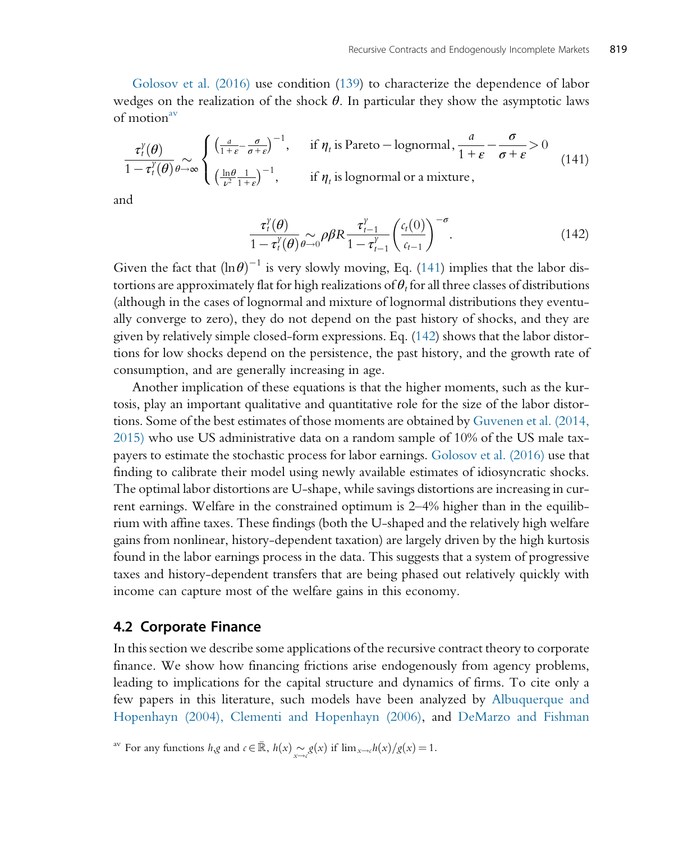[Golosov et al. \(2016\)](#page-114-0) use condition [\(139\)](#page-93-0) to characterize the dependence of labor wedges on the realization of the shock  $\theta$ . In particular they show the asymptotic laws of motion<sup>av</sup>

$$
\frac{\tau_t^{\gamma}(\theta)}{1 - \tau_t^{\gamma}(\theta)} \sim \sqrt{\frac{\left(\frac{a}{1 + \varepsilon} - \frac{\sigma}{\sigma + \varepsilon}\right)^{-1}}{\left(\frac{\ln \theta}{\nu^2} \frac{1}{1 + \varepsilon}\right)^{-1}}, \qquad \text{if } \eta_t \text{ is Pareto} - \text{lognormal}, \frac{a}{1 + \varepsilon} - \frac{\sigma}{\sigma + \varepsilon} > 0 \tag{141}
$$

and

$$
\frac{\tau_i^{\gamma}(\theta)}{1 - \tau_i^{\gamma}(\theta)} \underset{\theta \to 0}{\sim} \rho \beta R \frac{\tau_{t-1}^{\gamma}}{1 - \tau_{t-1}^{\gamma}} \left(\frac{c_t(0)}{c_{t-1}}\right)^{-\sigma}.
$$
\n(142)

Given the fact that  $(\ln \theta)^{-1}$  is very slowly moving, Eq. (141) implies that the labor dis-<br>tortions are approximately flat for high realizations of  $\theta$  for all three classes of distributions tortions are approximately flat for high realizations of  $\theta_t$  for all three classes of distributions (although in the cases of lognormal and mixture of lognormal distributions they eventually converge to zero), they do not depend on the past history of shocks, and they are given by relatively simple closed-form expressions. Eq. (142) shows that the labor distortions for low shocks depend on the persistence, the past history, and the growth rate of consumption, and are generally increasing in age.

Another implication of these equations is that the higher moments, such as the kurtosis, play an important qualitative and quantitative role for the size of the labor distortions. Some of the best estimates of those moments are obtained by [Guvenen et al. \(2014,](#page-114-0) [2015\)](#page-114-0) who use US administrative data on a random sample of 10% of the US male taxpayers to estimate the stochastic process for labor earnings. [Golosov et al. \(2016\)](#page-114-0) use that finding to calibrate their model using newly available estimates of idiosyncratic shocks. The optimal labor distortions are U-shape, while savings distortions are increasing in current earnings. Welfare in the constrained optimum is 2–4% higher than in the equilibrium with affine taxes. These findings (both the U-shaped and the relatively high welfare gains from nonlinear, history-dependent taxation) are largely driven by the high kurtosis found in the labor earnings process in the data. This suggests that a system of progressive taxes and history-dependent transfers that are being phased out relatively quickly with income can capture most of the welfare gains in this economy.

## 4.2 Corporate Finance

In this section we describe some applications of the recursive contract theory to corporate finance. We show how financing frictions arise endogenously from agency problems, leading to implications for the capital structure and dynamics of firms. To cite only a few papers in this literature, such models have been analyzed by [Albuquerque and](#page-112-0) Hopenhayn (2004), [Clementi and Hopenhayn \(2006\),](#page-112-0) and [DeMarzo and Fishman](#page-113-0)

av For any functions  $h,g$  and  $c \in \mathbb{R}$ ,  $h(x) \sim g(x)$  if  $\lim_{x \to c} h(x)/g(x) = 1$ .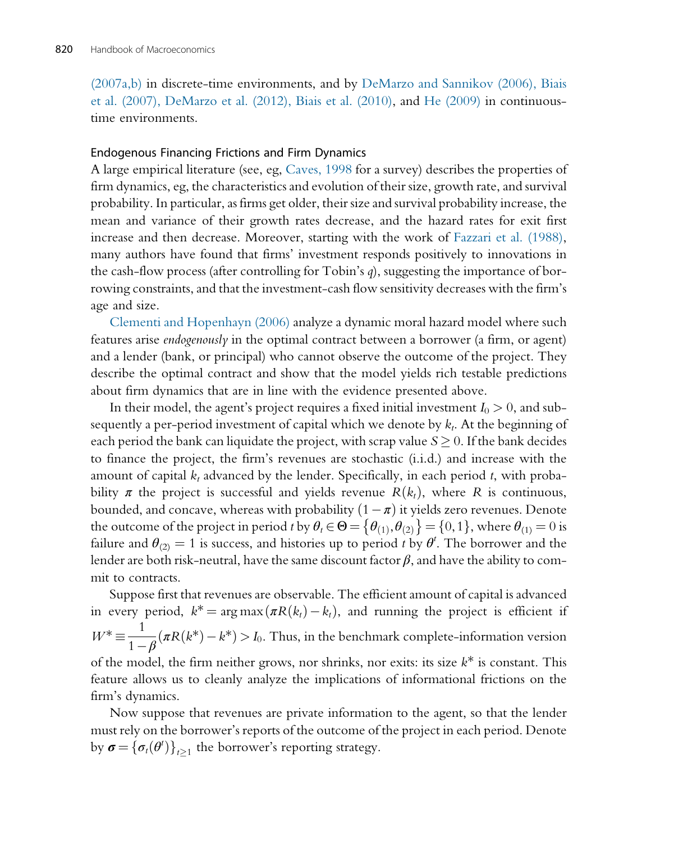[\(2007a,b\)](#page-113-0) in discrete-time environments, and by [DeMarzo and Sannikov \(2006\), Biais](#page-113-0) et al. [\(2007\), DeMarzo et al. \(2012\), Biais et al. \(2010\)](#page-113-0), and [He \(2009\)](#page-114-0) in continuoustime environments.

#### Endogenous Financing Frictions and Firm Dynamics

A large empirical literature (see, eg, [Caves, 1998](#page-113-0) for a survey) describes the properties of firm dynamics, eg, the characteristics and evolution of their size, growth rate, and survival probability. In particular, as firms get older, their size and survival probability increase, the mean and variance of their growth rates decrease, and the hazard rates for exit first increase and then decrease. Moreover, starting with the work of [Fazzari et al. \(1988\)](#page-113-0), many authors have found that firms' investment responds positively to innovations in the cash-flow process (after controlling for Tobin's  $q$ ), suggesting the importance of borrowing constraints, and that the investment-cash flow sensitivity decreases with the firm's age and size.

[Clementi and Hopenhayn \(2006\)](#page-113-0) analyze a dynamic moral hazard model where such features arise endogenously in the optimal contract between a borrower (a firm, or agent) and a lender (bank, or principal) who cannot observe the outcome of the project. They describe the optimal contract and show that the model yields rich testable predictions about firm dynamics that are in line with the evidence presented above.

In their model, the agent's project requires a fixed initial investment  $I_0 > 0$ , and subsequently a per-period investment of capital which we denote by  $k_t$ . At the beginning of each period the bank can liquidate the project, with scrap value  $S \geq 0$ . If the bank decides to finance the project, the firm's revenues are stochastic (i.i.d.) and increase with the amount of capital  $k_t$  advanced by the lender. Specifically, in each period t, with probability  $\pi$  the project is successful and yields revenue  $R(k_t)$ , where R is continuous, bounded, and concave, whereas with probability  $(1 - \pi)$  it yields zero revenues. Denote the outcome of the project in period t by  $\theta_t \in \Theta = \{\theta_{(1)}, \theta_{(2)}\} = \{0, 1\}$ , where  $\theta_{(1)} = 0$  is<br>failure and  $\theta_{(2)} = 1$  is success, and bistories up to period t by  $\theta^t$ . The borrower and the failure and  $\theta_{(2)} = 1$  is success, and histories up to period t by  $\theta^t$ . The borrower and the lender are both risk-neutral, have the same discount factor  $\beta$ , and have the ability to commit to contracts.

Suppose first that revenues are observable. The efficient amount of capital is advanced in every period,  $k^* = \arg \max(\pi R(k_t) - k_t)$ , and running the project is efficient if  $W^* \equiv \frac{1}{1 -}$  $\frac{1}{1-\beta}(\pi R(k^*) - k^*) > I_0$ . Thus, in the benchmark complete-information version<br>model, the firm neither grows, nor shrinks, nor exits; its size  $k^*$  is constant. This of the model, the firm neither grows, nor shrinks, nor exits: its size  $k^*$  is constant. This feature allows us to cleanly analyze the implications of informational frictions on the firm's dynamics.

Now suppose that revenues are private information to the agent, so that the lender must rely on the borrower's reports of the outcome of the project in each period. Denote by  $\boldsymbol{\sigma} = {\{\sigma_t(\theta^t)\}}_{t>1}$  the borrower's reporting strategy.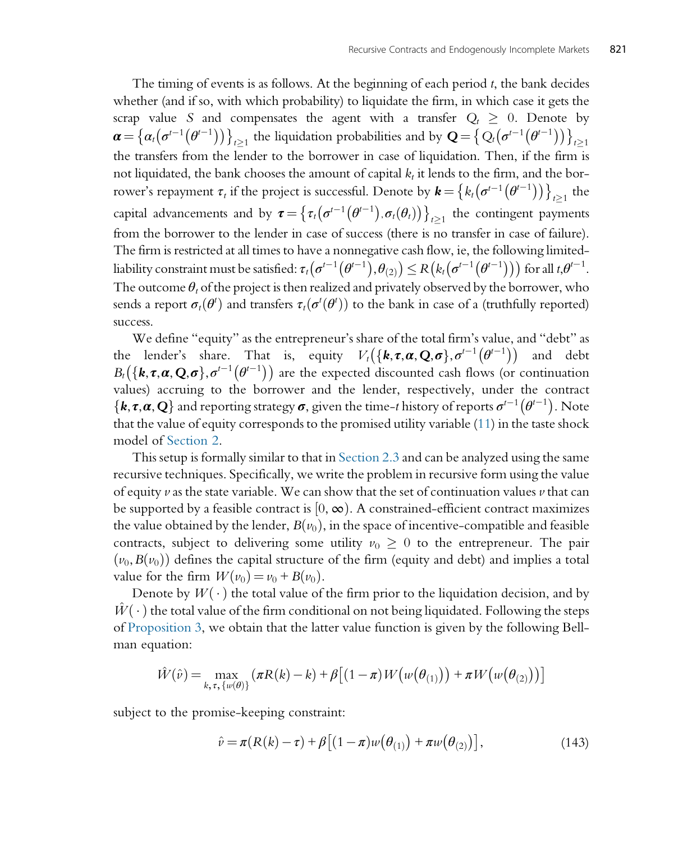<span id="page-96-0"></span>The timing of events is as follows. At the beginning of each period t, the bank decides whether (and if so, with which probability) to liquidate the firm, in which case it gets the scrap value S and compensates the agent with a transfer  $Q_t \geq 0$ . Denote by  $\boldsymbol{\alpha} = \left\{ \alpha_t \big( \sigma^{t-1} \big( \theta^{t-1} \big) \big) \right\}_{t \geq 1}$  the liquidation probabilities and by  $\mathbf{Q} = \left\{ Q_t \big( \sigma^{t-1} \big( \theta^{t-1} \big) \big) \right\}_{t \geq 1}$ the transfers from the lender to the borrower in case of liquidation. Then, if the firm is not liquidated, the bank chooses the amount of capital  $k_t$  it lends to the firm, and the borrower's repayment  $\tau_t$  if the project is successful. Denote by  $\mathbf{k} = \left\{ k_t \left( \sigma^{t-1} \left( \theta^{t-1} \right) \right) \right\}_{t \geq 1}$  the capital advancements and by  $\boldsymbol{\tau} = \{ \tau_t \big( \sigma^{t-1} \big( \theta^{t-1} \big), \sigma_t(\theta_t) \big) \}_{t \geq 1}$  the contingent payments from the borrower to the lender in case of success (there is no transfer in case of failure). The firm is restricted at all times to have a nonnegative cash flow, ie, the following limitedliability constraint must be satisfied:  $\tau_t\big(\sigma^{t-1}\big(\theta^{t-1}\big), \theta_{(2)}\big) \leq R\big(k_t\big(\sigma^{t-1}\big(\theta^{t-1}\big)\big)\big)$  for all  $t, \theta^{t-1}$ .<br>The exitence  $\theta$  of the unit of the unsuling due derivately also and linked a homogeneous subs The outcome  $\theta_t$  of the project is then realized and privately observed by the borrower, who sends a report  $\sigma_t(\theta^t)$  and transfers  $\tau_t(\sigma^t(\theta^t))$  to the bank in case of a (truthfully reported) success.

We define "equity" as the entrepreneur's share of the total firm's value, and "debt" as the lender's share. That is, equity  $V_t(\{\mathbf{k}, \tau, \alpha, \mathbf{Q}, \sigma\}, \sigma^{t-1}(\theta^{t-1}))$  and debt  $B_t(\{\mathbf{k}, \tau, \alpha, \mathbf{Q}, \sigma\}, \sigma^{t-1}(\theta^{t-1}))$  are the expected discounted cash flows (or continuation values) accruing to the borrower and the lender, respectively, under the contract  $\{k,\tau,\alpha,Q\}$  and reporting strategy  $\sigma$ , given the time-t history of reports  $\sigma^{t-1}(\theta^{t-1})$ . Note that the value of equity corresponds to the promised utility variable ([11\)](#page-10-0) in the taste shock model of [Section](#page-3-0) 2.

This setup is formally similar to that in [Section 2.3](#page-9-0) and can be analyzed using the same recursive techniques. Specifically, we write the problem in recursive form using the value of equity  $\nu$  as the state variable. We can show that the set of continuation values  $\nu$  that can be supported by a feasible contract is  $(0, \infty)$ . A constrained-efficient contract maximizes the value obtained by the lender,  $B(v_0)$ , in the space of incentive-compatible and feasible contracts, subject to delivering some utility  $v_0 \geq 0$  to the entrepreneur. The pair  $(v_0, B(v_0))$  defines the capital structure of the firm (equity and debt) and implies a total value for the firm  $W(v_0) = v_0 + B(v_0)$ .

Denote by  $W(\cdot)$  the total value of the firm prior to the liquidation decision, and by  $W(·)$  the total value of the firm conditional on not being liquidated. Following the steps of Proposition 3, we obtain that the latter value function is given by the following Bellman equation:

$$
\hat{W}(\hat{v}) = \max_{k, \tau, \{w(\theta)\}} (\pi R(k) - k) + \beta \big[ (1 - \pi) W \big( w(\theta_{(1)}) \big) + \pi W \big( w(\theta_{(2)}) \big) \big]
$$

subject to the promise-keeping constraint:

$$
\hat{\nu} = \pi (R(k) - \tau) + \beta [(1 - \pi) w(\theta_{(1)}) + \pi w(\theta_{(2)})],
$$
\n(143)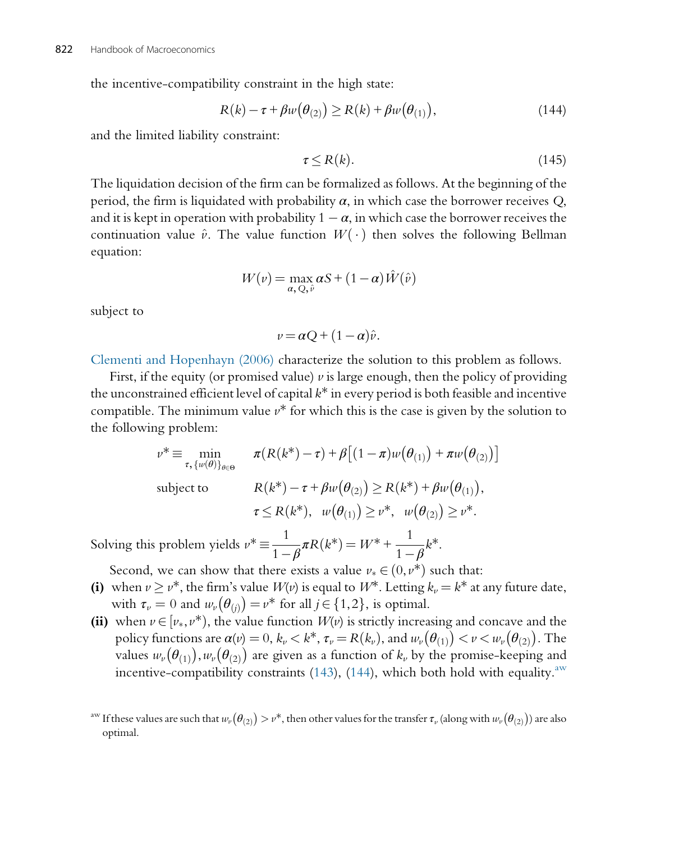the incentive-compatibility constraint in the high state:

$$
R(k) - \tau + \beta w(\theta_{(2)}) \ge R(k) + \beta w(\theta_{(1)}),
$$
\n(144)

and the limited liability constraint:

$$
\tau \le R(k). \tag{145}
$$

The liquidation decision of the firm can be formalized as follows. At the beginning of the period, the firm is liquidated with probability  $\alpha$ , in which case the borrower receives Q, and it is kept in operation with probability  $1 - \alpha$ , in which case the borrower receives the continuation value  $\hat{v}$ . The value function  $W(\cdot)$  then solves the following Bellman equation:

$$
W(v) = \max_{\alpha, Q, \hat{v}} \alpha S + (1 - \alpha) \hat{W}(\hat{v})
$$

subject to

$$
v = \alpha Q + (1 - \alpha)\hat{v}.
$$

[Clementi and Hopenhayn \(2006\)](#page-113-0) characterize the solution to this problem as follows.

First, if the equity (or promised value)  $\nu$  is large enough, then the policy of providing the unconstrained efficient level of capital  $k^*$  in every period is both feasible and incentive compatible. The minimum value  $v^*$  for which this is the case is given by the solution to the following problem:

$$
\nu^* \equiv \min_{\tau, \{\nu(\theta)\}_{\theta \in \Theta}} \pi(R(k^*) - \tau) + \beta[(1 - \pi)\nu(\theta_{(1)}) + \pi\nu(\theta_{(2)})]
$$
  
subject to  

$$
R(k^*) - \tau + \beta\nu(\theta_{(2)}) \ge R(k^*) + \beta\nu(\theta_{(1)}),
$$

$$
\tau \le R(k^*), \quad \nu(\theta_{(1)}) \ge \nu^*, \quad \nu(\theta_{(2)}) \ge \nu^*.
$$

Solving this problem yields  $v^* \equiv \frac{1}{1 -}$  $\frac{1}{1-\beta}\pi R(k^*) = W^* + \frac{1}{1-\beta}$ <br>ere exists a value  $v \in (0, \pi)$  $\frac{1}{1-\beta}k^*.$ <br>0  $v^*$  su

Second, we can show that there exists a value  $\nu_* \in (0, \nu^*)$  such that:<br>when  $\nu > \nu^*$  the firm's value  $W(\nu)$  is equal to  $W^*$ . Letting  $\nu = \nu^*$  at

- (i) when  $v \ge v^*$ , the firm's value  $W(v)$  is equal to  $W^*$ . Letting  $k_v = k^*$  at any future date, with  $\tau_{\nu} = 0$  and  $w_{\nu}(\theta_{(i)}) = \nu^*$  for all  $j \in \{1,2\}$ , is optimal.
- (ii) when  $v \in [v_*, v^*)$ , the value function  $W(v)$  is strictly increasing and concave and the policy functions are  $g(v) = 0$ ,  $h \leq v^* \leq F = B(h)$ , and  $w(G(v)) \leq v \leq w(G(v))$ . The policy functions are  $\alpha(v) = 0$ ,  $k_v < k^*$ ,  $\tau_v = R(k_v)$ , and  $w_v(\theta_{(1)}) < v < w_v(\theta_{(2)})$ . The values  $w_{\nu}(\theta_{(1)})$ ,  $w_{\nu}(\theta_{(2)})$  are given as a function of  $k_{\nu}$  by the promise-keeping and incentive-compatibility constraints ([143](#page-96-0)), (144), which both hold with equality.<sup> $aw$ </sup>

aw If these values are such that  $w_{\nu}(\theta_{(2)}) > \nu^*$ , then other values for the transfer  $\tau_{\nu}$  (along with  $w_{\nu}(\theta_{(2)})$ ) are also optimal.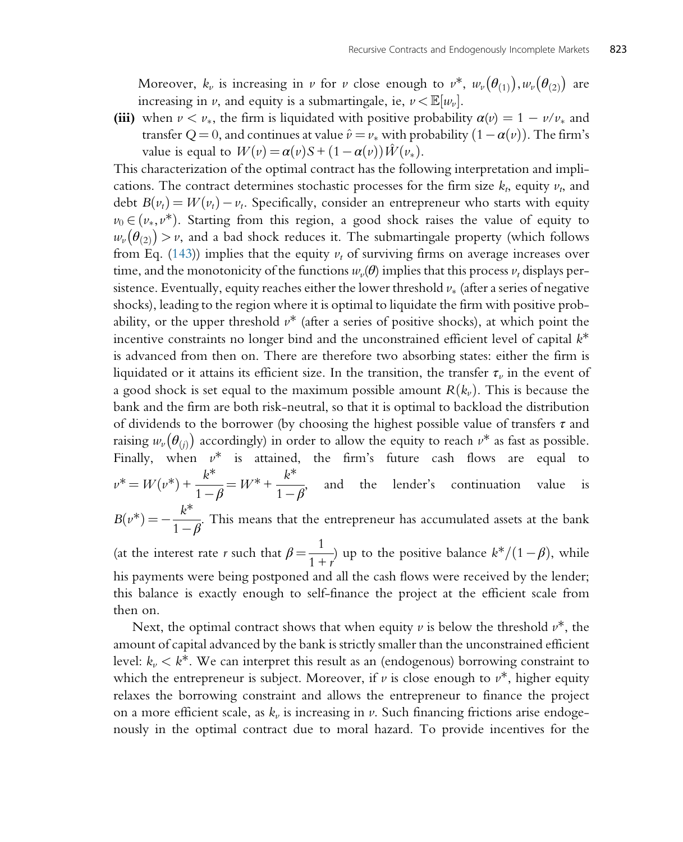Moreover,  $k_{\nu}$  is increasing in  $\nu$  for  $\nu$  close enough to  $\nu^*$ ,  $w_{\nu}(\theta_{(1)}), w_{\nu}(\theta_{(2)})$  are increasing in v, and equity is a submartingale, ie,  $\nu \lt \mathbb{E}[w_{\nu}]$ .

(iii) when  $v < v_*$ , the firm is liquidated with positive probability  $\alpha(v) = 1 - v/v_*$  and<br>transfer  $O = 0$  and continues at value  $\hat{v} = v$ , with probability  $(1 - \alpha(v))$ . The firm's transfer  $Q = 0$ , and continues at value  $\hat{v} = v_*$  with probability  $(1 - \alpha(v))$ . The firm's value is equal to  $W(v) = \alpha(v)S + (1 - \alpha(v))\hat{W}(v)$ . value is equal to  $W(v) = \alpha(v)S + (1 - \alpha(v))\hat{W}(v_*)$ .<br>characterization of the optimal contract has the follow

This characterization of the optimal contract has the following interpretation and implications. The contract determines stochastic processes for the firm size  $k_t$ , equity  $v_t$ , and debt  $B(v_t) = W(v_t) - v_t$ . Specifically, consider an entrepreneur who starts with equity  $v_0 \in (v_*, v^*)$ . Starting from this region, a good shock raises the value of equity to  $(u_0, v_0) > v_0$  and a bod shock reduces it. The submartingale property (which follows  $w_{\nu}(\theta_{(2)}) > \nu$ , and a bad shock reduces it. The submartingale property (which follows from Eq. ([143\)](#page-96-0)) implies that the equity  $v_t$  of surviving firms on average increases over time, and the monotonicity of the functions  $w_{\nu}(\theta)$  implies that this process  $v_t$  displays persistence. Eventually, equity reaches either the lower threshold  $v_*$  (after a series of negative  $\frac{1}{2}$ shocks), leading to the region where it is optimal to liquidate the firm with positive probability, or the upper threshold  $v^*$  (after a series of positive shocks), at which point the incentive constraints no longer bind and the unconstrained efficient level of capital  $k^*$ is advanced from then on. There are therefore two absorbing states: either the firm is liquidated or it attains its efficient size. In the transition, the transfer  $\tau_{\nu}$  in the event of a good shock is set equal to the maximum possible amount  $R(k_v)$ . This is because the bank and the firm are both risk-neutral, so that it is optimal to backload the distribution of dividends to the borrower (by choosing the highest possible value of transfers  $\tau$  and raising  $w_{\nu}(\theta_{(i)})$  accordingly) in order to allow the equity to reach  $\nu^*$  as fast as possible. Finally, when  $v^*$  is attained, the firm's future cash flows are equal to  $v^* = W(v^*) + \frac{k^*}{1-\beta} = W^* + \frac{k^*}{1-\beta}$  $\frac{\pi}{1-\beta}$ , and the lender's continuation value is

 $B(v^*) = -\frac{k^*}{1-\beta}$ . This means that the entrepreneur has accumulated assets at the bank  $1-\beta$ 

(at the interest rate r such that  $\beta = \frac{1}{1+r}$ ) up to the positive balance  $k^*/(1-\beta)$ , while his payments were being postponed and all the cash flows were received by the lender; this balance is exactly enough to self-finance the project at the efficient scale from then on.

Next, the optimal contract shows that when equity v is below the threshold  $v^*$ , the amount of capital advanced by the bank is strictly smaller than the unconstrained efficient level:  $k_v < k^*$ . We can interpret this result as an (endogenous) borrowing constraint to which the entrepreneur is subject. Moreover, if  $\nu$  is close enough to  $\nu^*$ , higher equity relaxes the borrowing constraint and allows the entrepreneur to finance the project on a more efficient scale, as  $k_{\nu}$  is increasing in  $\nu$ . Such financing frictions arise endogenously in the optimal contract due to moral hazard. To provide incentives for the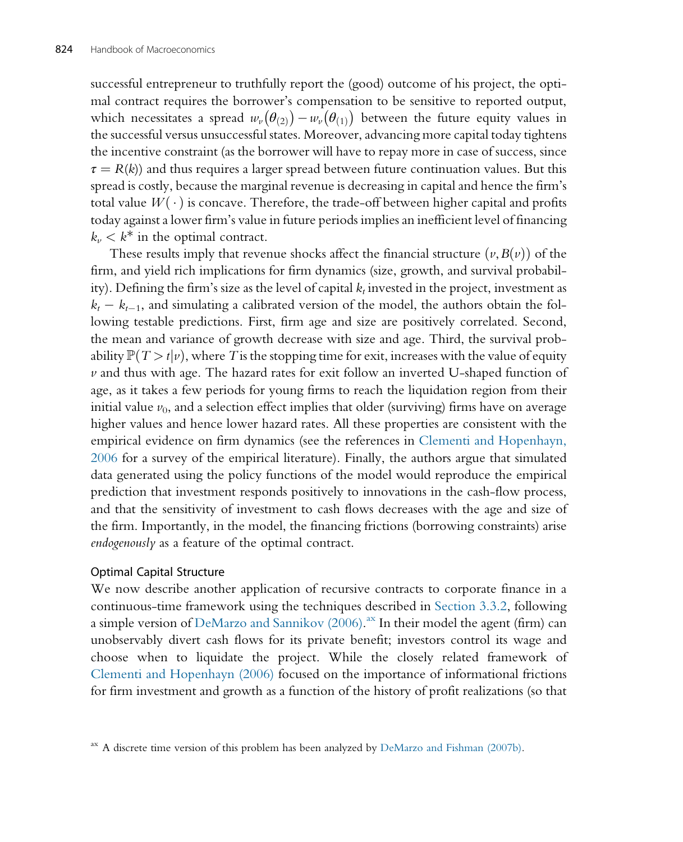successful entrepreneur to truthfully report the (good) outcome of his project, the optimal contract requires the borrower's compensation to be sensitive to reported output, which necessitates a spread  $w_{\nu}(\theta_{(2)}) - w_{\nu}(\theta_{(1)})$  between the future equity values in<br>the successful versus unsuccessful states. Moreover, advancing more capital today tightens the successful versus unsuccessful states. Moreover, advancing more capital today tightens the incentive constraint (as the borrower will have to repay more in case of success, since  $\tau = R(k)$ ) and thus requires a larger spread between future continuation values. But this spread is costly, because the marginal revenue is decreasing in capital and hence the firm's total value  $W(\cdot)$  is concave. Therefore, the trade-off between higher capital and profits today against a lower firm's value in future periods implies an inefficient level of financing  $k_v < k^*$  in the optimal contract.

These results imply that revenue shocks affect the financial structure  $(v, B(v))$  of the firm, and yield rich implications for firm dynamics (size, growth, and survival probability). Defining the firm's size as the level of capital  $k_t$  invested in the project, investment as  $k_t - k_{t-1}$ , and simulating a calibrated version of the model, the authors obtain the following testable predictions. First, firm age and size are positively correlated. Second, the mean and variance of growth decrease with size and age. Third, the survival probability  $\mathbb{P}(T > t | v)$ , where T is the stopping time for exit, increases with the value of equity  $\nu$  and thus with age. The hazard rates for exit follow an inverted U-shaped function of age, as it takes a few periods for young firms to reach the liquidation region from their initial value  $v_0$ , and a selection effect implies that older (surviving) firms have on average higher values and hence lower hazard rates. All these properties are consistent with the empirical evidence on firm dynamics (see the references in [Clementi and Hopenhayn,](#page-113-0) [2006](#page-113-0) for a survey of the empirical literature). Finally, the authors argue that simulated data generated using the policy functions of the model would reproduce the empirical prediction that investment responds positively to innovations in the cash-flow process, and that the sensitivity of investment to cash flows decreases with the age and size of the firm. Importantly, in the model, the financing frictions (borrowing constraints) arise endogenously as a feature of the optimal contract.

## Optimal Capital Structure

We now describe another application of recursive contracts to corporate finance in a continuous-time framework using the techniques described in [Section 3.3.2](#page-75-0), following a simple version of [DeMarzo and Sannikov \(2006\).](#page-113-0)<sup>ax</sup> In their model the agent (firm) can unobservably divert cash flows for its private benefit; investors control its wage and choose when to liquidate the project. While the closely related framework of [Clementi and Hopenhayn \(2006\)](#page-113-0) focused on the importance of informational frictions for firm investment and growth as a function of the history of profit realizations (so that

 $a^x$  A discrete time version of this problem has been analyzed by [DeMarzo and Fishman \(2007b\).](#page-113-0)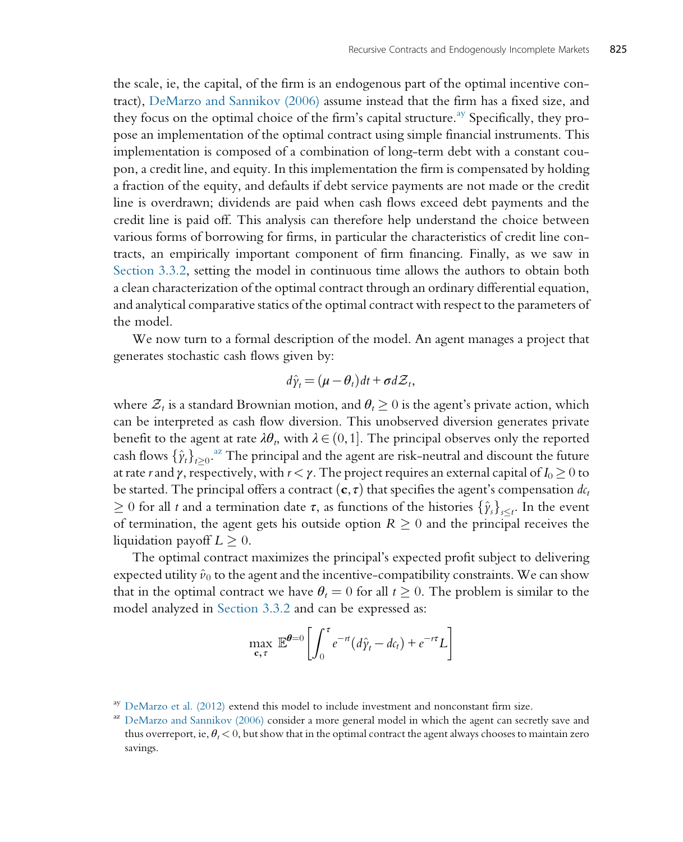the scale, ie, the capital, of the firm is an endogenous part of the optimal incentive contract), [DeMarzo and Sannikov \(2006\)](#page-113-0) assume instead that the firm has a fixed size, and they focus on the optimal choice of the firm's capital structure.<sup>ay</sup> Specifically, they propose an implementation of the optimal contract using simple financial instruments. This implementation is composed of a combination of long-term debt with a constant coupon, a credit line, and equity. In this implementation the firm is compensated by holding a fraction of the equity, and defaults if debt service payments are not made or the credit line is overdrawn; dividends are paid when cash flows exceed debt payments and the credit line is paid off. This analysis can therefore help understand the choice between various forms of borrowing for firms, in particular the characteristics of credit line contracts, an empirically important component of firm financing. Finally, as we saw in [Section 3.3.2](#page-75-0), setting the model in continuous time allows the authors to obtain both a clean characterization of the optimal contract through an ordinary differential equation, and analytical comparative statics of the optimal contract with respect to the parameters of the model.

We now turn to a formal description of the model. An agent manages a project that generates stochastic cash flows given by:

$$
d\hat{\gamma}_t = (\mu - \theta_t) dt + \sigma d\mathcal{Z}_t,
$$

where  $\mathcal{Z}_t$  is a standard Brownian motion, and  $\theta_t \geq 0$  is the agent's private action, which can be interpreted as cash flow diversion. This unobserved diversion generates private benefit to the agent at rate  $\lambda \theta_t$ , with  $\lambda \in (0,1]$ . The principal observes only the reported<br>cash flows  $\int \hat{v} \, d\lambda = a^2$ . The principal and the agent are risk, peutral and discount the future cash flows  $\{\hat{\gamma}_t\}_{t\geq 0}$ .<sup>az</sup> The principal and the agent are risk-neutral and discount the future at rate r and  $\gamma$ , respectively, with  $r < \gamma$ . The project requires an external capital of  $I_0 \geq 0$  to be started. The principal offers a contract  $(c, \tau)$  that specifies the agent's compensation  $d_c$  $\geq 0$  for all t and a termination date  $\tau$ , as functions of the histories  $\{\hat{y}_s\}_{s \leq t}$ . In the event of termination, the event of the outside option  $P > 0$  and the principal receives the of termination, the agent gets his outside option  $R \geq 0$  and the principal receives the liquidation payoff  $L \geq 0$ .

The optimal contract maximizes the principal's expected profit subject to delivering expected utility  $\hat{v}_0$  to the agent and the incentive-compatibility constraints. We can show that in the optimal contract we have  $\theta_t = 0$  for all  $t \geq 0$ . The problem is similar to the model analyzed in [Section 3.3.2](#page-75-0) and can be expressed as:

$$
\max_{\mathbf{c},\tau} \mathbb{E}^{\theta=0} \left[ \int_0^{\tau} e^{-rt} (d\hat{\gamma}_t - d\epsilon_t) + e^{-r\tau} L \right]
$$

<sup>&</sup>lt;sup>ay</sup> [DeMarzo et al. \(2012\)](#page-113-0) extend this model to include investment and nonconstant firm size.<br><sup>az</sup> [DeMarzo and Sannikov \(2006\)](#page-113-0) consider a more general model in which the agent can secretly save and thus overreport, ie,  $\theta_t < 0$ , but show that in the optimal contract the agent always chooses to maintain zero savings.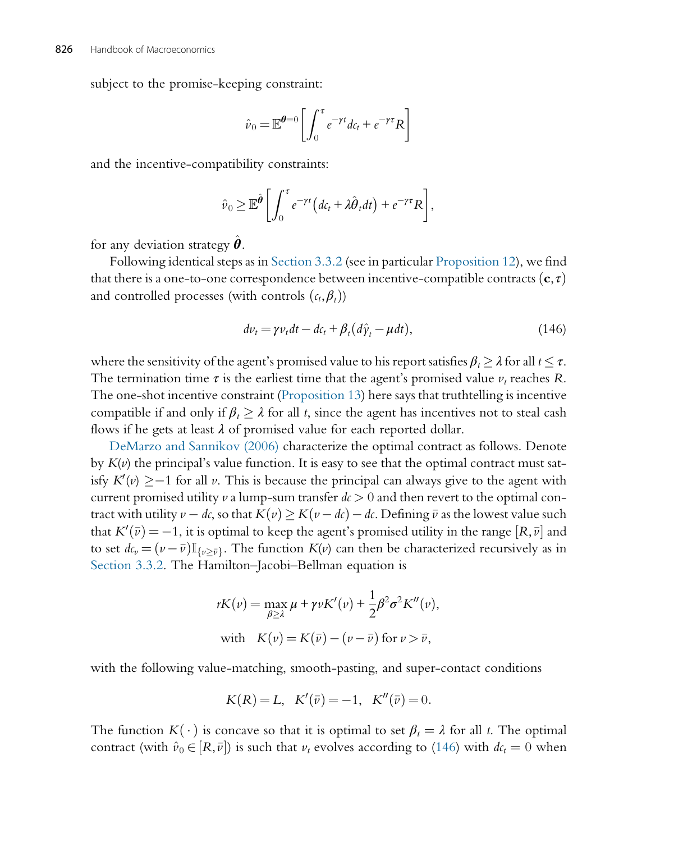<span id="page-101-0"></span>subject to the promise-keeping constraint:

$$
\hat{v}_0 = \mathbb{E}^{\theta=0} \left[ \int_0^{\tau} e^{-\gamma t} d\mathbf{r}_t + e^{-\gamma \tau} R \right]
$$

and the incentive-compatibility constraints:

$$
\hat{\nu}_0 \geq \mathbb{E}^{\hat{\theta}} \left[ \int_0^{\tau} e^{-\gamma t} \left( dc_t + \lambda \hat{\theta}_t dt \right) + e^{-\gamma \tau} R \right],
$$

for any deviation strategy  $\theta$ .

Following identical steps as in [Section 3.3.2](#page-75-0) (see in particular Proposition 12), we find that there is a one-to-one correspondence between incentive-compatible contracts  $(c, \tau)$ and controlled processes (with controls  $(c_t, \beta_t)$ )

$$
dv_t = \gamma v_t dt - d c_t + \beta_t (d \hat{y}_t - \mu dt), \qquad (146)
$$

where the sensitivity of the agent's promised value to his report satisfies  $\beta_t > \lambda$  for all  $t \leq \tau$ . The termination time  $\tau$  is the earliest time that the agent's promised value  $\nu_t$  reaches R. The one-shot incentive constraint (Proposition 13) here says that truthtelling is incentive compatible if and only if  $\beta_t \geq \lambda$  for all t, since the agent has incentives not to steal cash flows if he gets at least  $\lambda$  of promised value for each reported dollar.

[DeMarzo and Sannikov \(2006\)](#page-113-0) characterize the optimal contract as follows. Denote by  $K(v)$  the principal's value function. It is easy to see that the optimal contract must satisfy  $K'(v) \ge -1$  for all v. This is because the principal can always give to the agent with<br>current promised utility u.a lump sum transfer  $d > 0$  and then revert to the optimal concurrent promised utility v a lump-sum transfer  $d c > 0$  and then revert to the optimal contract with utility  $v - dc$ , so that  $K(v) \ge K(v - dc) - dc$ . Defining  $\bar{v}$  as the lowest value such that  $K'(\bar{v}) = -1$  it is optimal to keep the agent's promised utility in the range  $[R, \bar{v}]$  and that  $K'(\bar{\nu}) = -1$ , it is optimal to keep the agent's promised utility in the range  $[R, \bar{\nu}]$  and<br>to set  $ds = (\mu, \bar{\nu})^{\text{T}}(s)$ . The function  $K(u)$  can then be characterized recursively as in to set  $d_v = (v - \bar{v}) \mathbb{I}_{\{v \ge \bar{v}\}}$ . The function  $K(v)$  can then be characterized recursively as in [Section 3.3.2](#page-75-0). The Hamilton–Jacobi–Bellman equation is

$$
rK(v) = \max_{\beta \ge \lambda} \mu + \gamma v K'(v) + \frac{1}{2} \beta^2 \sigma^2 K''(v),
$$
  
with 
$$
K(v) = K(\bar{v}) - (v - \bar{v}) \text{ for } v > \bar{v},
$$

with the following value-matching, smooth-pasting, and super-contact conditions

$$
K(R) = L, K'(\bar{v}) = -1, K''(\bar{v}) = 0.
$$

The function  $K(\cdot)$  is concave so that it is optimal to set  $\beta_t = \lambda$  for all t. The optimal contract (with  $\hat{v}_0 \in [R, \bar{v}]$ ) is such that  $v_t$  evolves according to (146) with  $d\mathfrak{c}_t = 0$  when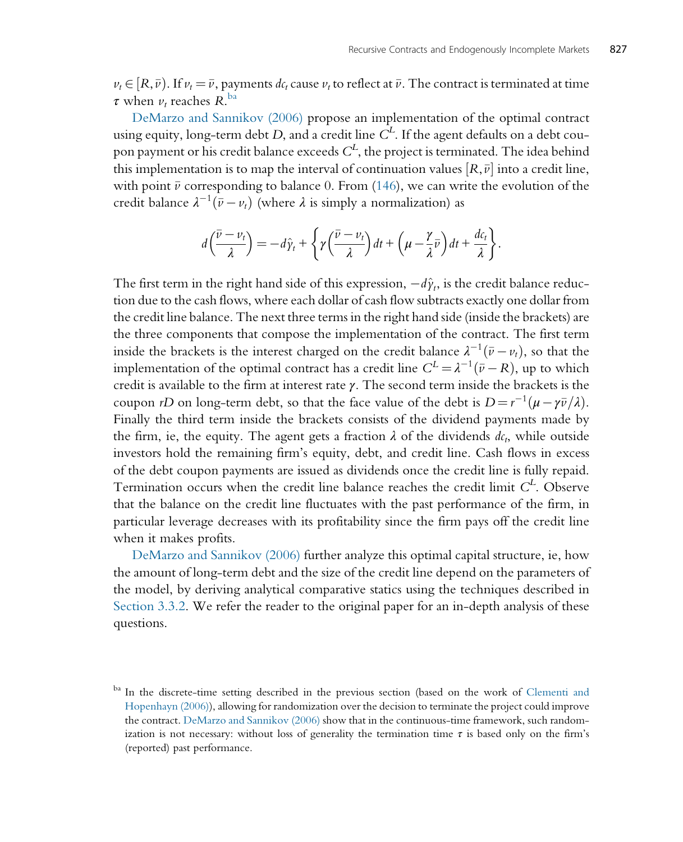$v_t \in [R, \bar{v})$ . If  $v_t = \bar{v}$ , payments  $d\epsilon_t$  cause  $v_t$  to reflect at  $\bar{v}$ . The contract is terminated at time  $\tau$  when  $v$  reaches  $R$  <sup>ba</sup>  $\tau$  when  $\nu_t$  reaches R.

[DeMarzo and Sannikov \(2006\)](#page-113-0) propose an implementation of the optimal contract using equity, long-term debt  $D$ , and a credit line  $C^L$ . If the agent defaults on a debt coupon payment or his credit balance exceeds  $C^L$ , the project is terminated. The idea behind this implementation is to map the interval of continuation values  $[R, \bar{\nu}]$  into a credit line,<br>with point  $\bar{v}$  corresponding to balance 0. From (146), we can write the evolution of the with point  $\bar{\nu}$  corresponding to balance  $0.$  From [\(146](#page-101-0)), we can write the evolution of the credit balance  $\lambda^{-1}(\bar{v}-v_t)$  (where  $\lambda$  is simply a normalization) as

$$
d\left(\frac{\bar{\nu}-\nu_t}{\lambda}\right)=-d\hat{\gamma}_t+\left\{\gamma\left(\frac{\bar{\nu}-\nu_t}{\lambda}\right)dt+\left(\mu-\frac{\gamma}{\lambda}\bar{\nu}\right)dt+\frac{dc_t}{\lambda}\right\}.
$$

The first term in the right hand side of this expression,  $-d\hat{y}_t$ , is the credit balance reduc-<br>tion due to the cash flows, where each dollar of cash flow subtracts exactly one dollar from tion due to the cash flows, where each dollar of cash flow subtracts exactly one dollar from the credit line balance. The next three terms in the right hand side (inside the brackets) are the three components that compose the implementation of the contract. The first term inside the brackets is the interest charged on the credit balance  $\lambda^{-1}(\bar{v} - v_t)$ , so that the implementation of the optimal contract has a credit line  $C^L = \lambda^{-1}(\bar{v} - \bar{v})$ , up to which implementation of the optimal contract has a credit line  $C^L = \lambda^{-1}(\bar{\nu} - R)$ , up to which credit is available to the firm at interest rate  $\gamma$ . The second term inside the brackets is the coupon *rD* on long-term debt, so that the face value of the debt is  $D = r^{-1}(\mu - \gamma \bar{\nu}/\lambda)$ .<br>Finally the third term inside the brackets consists of the dividend payments made by Finally the third term inside the brackets consists of the dividend payments made by the firm, ie, the equity. The agent gets a fraction  $\lambda$  of the dividends  $d\epsilon$ , while outside investors hold the remaining firm's equity, debt, and credit line. Cash flows in excess of the debt coupon payments are issued as dividends once the credit line is fully repaid. Termination occurs when the credit line balance reaches the credit limit  $C^L$ . Observe that the balance on the credit line fluctuates with the past performance of the firm, in particular leverage decreases with its profitability since the firm pays off the credit line when it makes profits.

[DeMarzo and Sannikov \(2006\)](#page-113-0) further analyze this optimal capital structure, ie, how the amount of long-term debt and the size of the credit line depend on the parameters of the model, by deriving analytical comparative statics using the techniques described in [Section 3.3.2.](#page-75-0) We refer the reader to the original paper for an in-depth analysis of these questions.

<sup>&</sup>lt;sup>ba</sup> In the discrete-time setting described in the previous section (based on the work of [Clementi and](#page-113-0) [Hopenhayn \(2006\)\)](#page-113-0), allowing for randomization over the decision to terminate the project could improve the contract. DeMarzo [and Sannikov \(2006\)](#page-113-0) show that in the continuous-time framework, such randomization is not necessary: without loss of generality the termination time  $\tau$  is based only on the firm's (reported) past performance.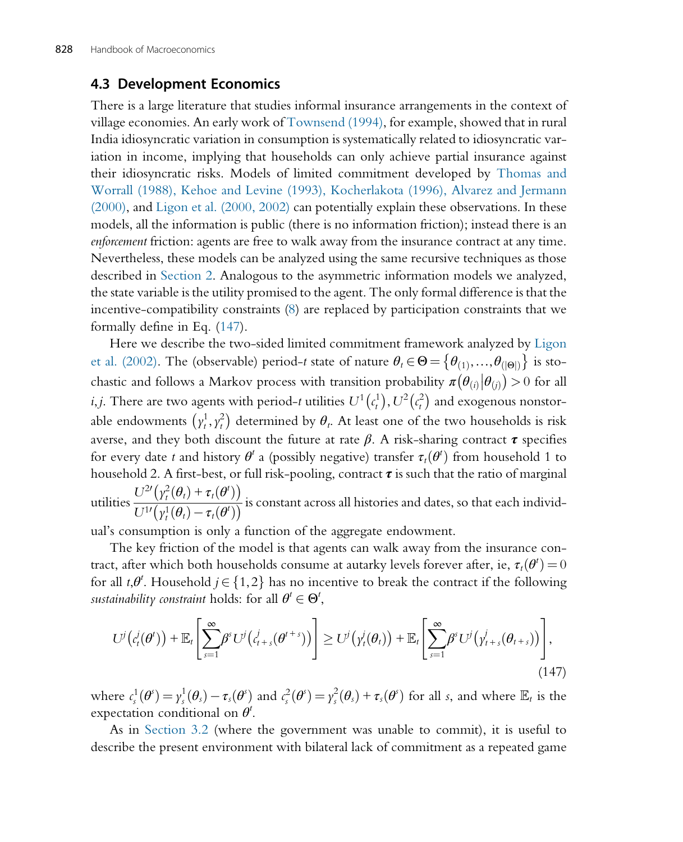## <span id="page-103-0"></span>4.3 Development Economics

There is a large literature that studies informal insurance arrangements in the context of village economies. An early work of [Townsend \(1994\)](#page-116-0), for example, showed that in rural India idiosyncratic variation in consumption is systematically related to idiosyncratic variation in income, implying that households can only achieve partial insurance against their idiosyncratic risks. Models of limited commitment developed by [Thomas and](#page-116-0) Worrall (1988), [Kehoe and Levine \(1993\), Kocherlakota \(1996\), Alvarez and Jermann](#page-116-0) [\(2000\),](#page-116-0) and [Ligon et al. \(2000, 2002\)](#page-114-0) can potentially explain these observations. In these models, all the information is public (there is no information friction); instead there is an enforcement friction: agents are free to walk away from the insurance contract at any time. Nevertheless, these models can be analyzed using the same recursive techniques as those described in [Section 2.](#page-3-0) Analogous to the asymmetric information models we analyzed, the state variable is the utility promised to the agent. The only formal difference is that the incentive-compatibility constraints [\(8\)](#page-8-0) are replaced by participation constraints that we formally define in Eq. (147).

Here we describe the two-sided limited commitment framework analyzed by [Ligon](#page-115-0) et al. [\(2002\)](#page-115-0). The (observable) period-t state of nature  $\theta_t \in \Theta = \{\theta_{(1)},...,\theta_{(|\Theta|)}\}$  is stochastic and follows a Markov process with transition probability  $\pi(\theta_{(i)}|\theta_{(j)}) > 0$  for all *i*,*j*. There are two agents with period-*t* utilities  $U^1\big(\mathbf{x}_t^1\big), U^2\big(\mathbf{x}_t^2\big)$  and exogenous nonstorable endowments  $\left(\gamma^1_t,\gamma^2_t\right)$  determined by  $\theta_t$ . At least one of the two households is risk averse, and they both discount the future at rate  $β$ . A risk-sharing contract  $τ$  specifies for every date t and history  $\theta^t$  a (possibly negative) transfer  $\tau_t(\theta^t)$  from household 1 to household 2. A first-best, or full risk-pooling, contract  $\tau$  is such that the ratio of marginal

utilities  $\frac{U^{2\prime} \left(\gamma_t^2(\theta_t) + \tau_t(\theta^t)\right)}{U^{1\prime}(1/\langle \theta \rangle) - \langle \theta^t \rangle}$  $\frac{U_1(V_1)}{U_1'}(\frac{V_1}{V_1'}(\theta_t) - \tau_t(\theta'))$  is constant across all histories and dates, so that each individ-

ual's consumption is only a function of the aggregate endowment.

The key friction of the model is that agents can walk away from the insurance contract, after which both households consume at autarky levels forever after, ie,  $\tau_t(\theta^t) = 0$ for all  $t, \theta^t$ . Household  $j \in \{1, 2\}$  has no incentive to break the contract if the following<br>sustainability constraint holds: for all  $\theta^t \in \Theta^t$ sustainability constraint holds: for all  $\theta^t \in \Theta^t$ ,

$$
U^{j}(\mathbf{c}_{t}^{j}(\theta^{t})) + \mathbb{E}_{t}\left[\sum_{s=1}^{\infty}\beta^{s}U^{j}(\mathbf{c}_{t+s}^{j}(\theta^{t+s}))\right] \geq U^{j}(\gamma_{t}^{j}(\theta_{t})) + \mathbb{E}_{t}\left[\sum_{s=1}^{\infty}\beta^{s}U^{j}(\gamma_{t+s}^{j}(\theta_{t+s}))\right],\tag{147}
$$

where  $c_s^1(\theta^s) = \gamma_s^1(\theta_s) - \tau_s(\theta^s)$  and  $c_s^2(\theta^s) = \gamma_s^2(\theta_s) + \tau_s(\theta^s)$  for all s, and where  $\mathbb{E}_t$  is the expectation conditional on  $\theta^t$ expectation conditional on  $\theta^t$ .

As in [Section 3.2](#page-62-0) (where the government was unable to commit), it is useful to describe the present environment with bilateral lack of commitment as a repeated game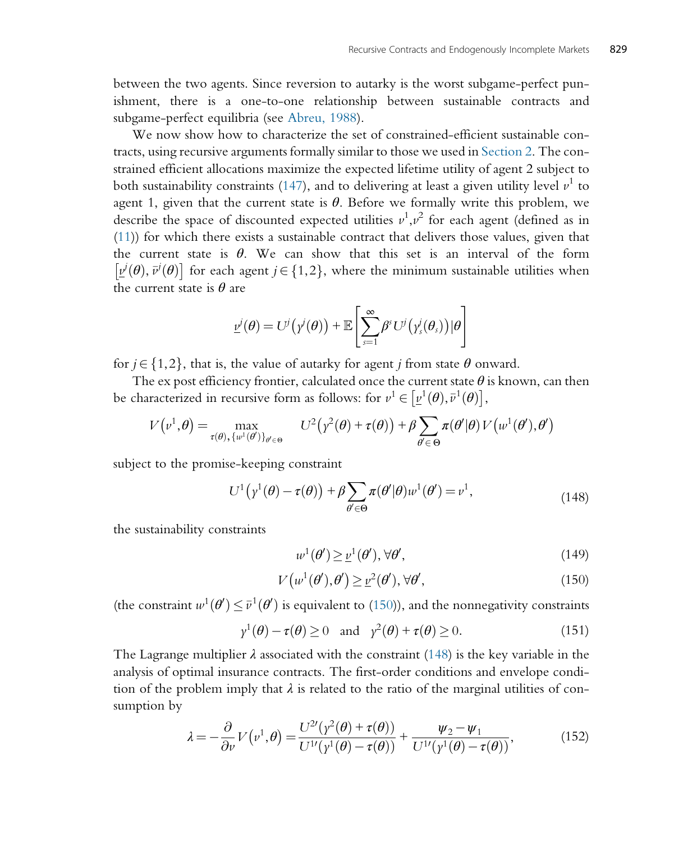<span id="page-104-0"></span>between the two agents. Since reversion to autarky is the worst subgame-perfect punishment, there is a one-to-one relationship between sustainable contracts and subgame-perfect equilibria (see [Abreu, 1988](#page-112-0)).

We now show how to characterize the set of constrained-efficient sustainable contracts, using recursive arguments formally similar to those we used in [Section 2.](#page-3-0) The constrained efficient allocations maximize the expected lifetime utility of agent 2 subject to both sustainability constraints [\(147](#page-103-0)), and to delivering at least a given utility level  $v^1$  to agent 1, given that the current state is  $\theta$ . Before we formally write this problem, we describe the space of discounted expected utilities  $v^1, v^2$  for each agent (defined as in ([11\)](#page-10-0)) for which there exists a sustainable contract that delivers those values, given that the current state is  $\theta$ . We can show that this set is an interval of the form  $[\underline{v}^j(\theta), \overline{v}^j(\theta)]$  for each agent  $j \in \{1,2\}$ , where the minimum sustainable utilities when the current state is  $\theta$  are the current state is  $\theta$  are

$$
\underline{v}^j(\theta) = U^j(\gamma^j(\theta)) + \mathbb{E}\left[\sum_{s=1}^{\infty} \beta^s U^j(\gamma_s^j(\theta_s)) | \theta\right]
$$

for  $j \in \{1,2\}$ , that is, the value of autarky for agent j from state  $\theta$  onward.

The ex post efficiency frontier, calculated once the current state  $\theta$  is known, can then be characterized in recursive form as follows: for  $v^1 \in [\underline{v}^1(\theta), \overline{v}^1(\theta)],$ 

$$
V(v^1, \theta) = \max_{\tau(\theta), \{\omega^1(\theta')\}_{\theta' \in \Theta}} U^2(\gamma^2(\theta) + \tau(\theta)) + \beta \sum_{\theta' \in \Theta} \pi(\theta'|\theta) V(\omega^1(\theta'), \theta')
$$

subject to the promise-keeping constraint

$$
U^1(\gamma^1(\theta) - \tau(\theta)) + \beta \sum_{\theta' \in \Theta} \pi(\theta'|\theta)w^1(\theta') = v^1,
$$
\n(148)

the sustainability constraints

$$
\omega^1(\theta') \ge \underline{\nu}^1(\theta'), \forall \theta', \tag{149}
$$

$$
V(\omega^1(\theta'), \theta') \ge \underline{\nu}^2(\theta'), \forall \theta', \tag{150}
$$

(the constraint  $w^1(\theta') \leq \bar{v}^1(\theta')$  is equivalent to (150)), and the nonnegativity constraints

$$
\gamma^1(\theta) - \tau(\theta) \ge 0 \quad \text{and} \quad \gamma^2(\theta) + \tau(\theta) \ge 0. \tag{151}
$$

The Lagrange multiplier  $\lambda$  associated with the constraint (148) is the key variable in the analysis of optimal insurance contracts. The first-order conditions and envelope condition of the problem imply that  $\lambda$  is related to the ratio of the marginal utilities of consumption by

$$
\lambda = -\frac{\partial}{\partial \nu} V(\nu^1, \theta) = \frac{U^{2\prime}(\gamma^2(\theta) + \tau(\theta))}{U^{1\prime}(\gamma^1(\theta) - \tau(\theta))} + \frac{\psi_2 - \psi_1}{U^{1\prime}(\gamma^1(\theta) - \tau(\theta))},
$$
(152)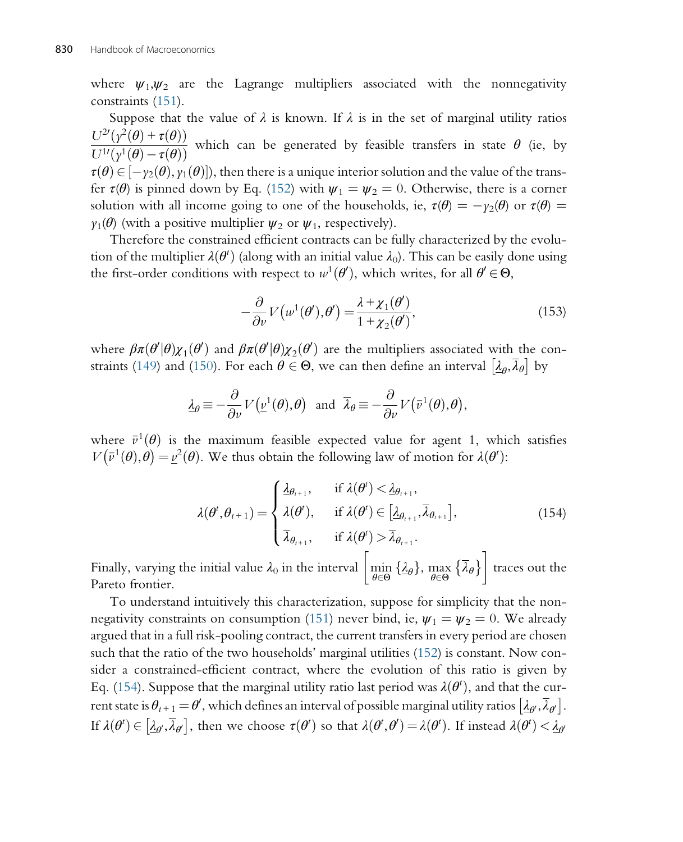<span id="page-105-0"></span>where  $\psi_1, \psi_2$  are the Lagrange multipliers associated with the nonnegativity constraints ([151\)](#page-104-0).

Suppose that the value of  $\lambda$  is known. If  $\lambda$  is in the set of marginal utility ratios  $\frac{U^{2\prime}(\gamma^2(\theta) + \tau(\theta))}{U^{1\prime}(\gamma^1(\theta) - \tau(\theta))}$  $\frac{U^{1}(y^{1}(\theta)-\tau(\theta))}{U^{1}(y^{1}(\theta)-\tau(\theta))}$  which can be generated by feasible transfers in state  $\theta$  (ie, by  $\tau(\theta) \in [-y_{0}(\theta), y_{1}(\theta)]$ ) then there is a unique interior solution and the value of the trans  $\tau(\theta) \in [-\gamma_2(\theta), \gamma_1(\theta)]$ , then there is a unique interior solution and the value of the transfer  $\tau(\theta)$  is pinned down by Eq. ([152](#page-104-0)) with  $\psi_1 = \psi_2 = 0$ . Otherwise, there is a corner solution with all income going to one of the households, ie,  $\tau(\theta) = -\gamma_2(\theta)$  or  $\tau(\theta) =$  $\gamma_1(\theta)$  (with a positive multiplier  $\psi_2$  or  $\psi_1$ , respectively).

Therefore the constrained efficient contracts can be fully characterized by the evolution of the multiplier  $\lambda(\theta')$  (along with an initial value  $\lambda_0$ ). This can be easily done using the first-order conditions with respect to  $w^1(\theta')$ , which writes, for all  $\theta' \in \Theta$ ,

$$
-\frac{\partial}{\partial \nu}V(\nu^1(\theta'),\theta') = \frac{\lambda + \chi_1(\theta')}{1 + \chi_2(\theta')},\tag{153}
$$

where  $\beta \pi(\theta'|\theta) \chi_1(\theta')$  and  $\beta \pi(\theta'|\theta) \chi_2(\theta')$  are the multipliers associated with the con-straints ([149\)](#page-104-0) and ([150\)](#page-104-0). For each  $\theta \in \Theta$ , we can then define an interval  $\left[\underline{\lambda}_{\theta}, \overline{\lambda}_{\theta}\right]$  by

$$
\underline{\lambda}_{\theta} \equiv -\frac{\partial}{\partial \nu} V(\underline{\nu}^{1}(\theta), \theta) \text{ and } \overline{\lambda}_{\theta} \equiv -\frac{\partial}{\partial \nu} V(\overline{\nu}^{1}(\theta), \theta),
$$

where  $\bar{v}^1(\theta)$  is the maximum feasible expected value for agent 1, which satisfies  $V(\bar{v}^1(\theta), \theta) - v^2(\theta)$ . We thus obtain the following law of motion for  $\lambda(\theta')$ .  $V(\bar{v}^1(\theta), \theta) = \underline{v}^2(\theta)$ . We thus obtain the following law of motion for  $\lambda(\theta^t)$ :

$$
\lambda(\theta^t, \theta_{t+1}) = \begin{cases} \frac{\lambda \theta_{t+1}}{\lambda(\theta^t)}, & \text{if } \lambda(\theta^t) < \frac{\lambda \theta_{t+1}}{\lambda}, \\ \lambda(\theta^t), & \text{if } \lambda(\theta^t) \in \left[\frac{\lambda \theta_{t+1}}{\lambda \theta_{t+1}}, \frac{\lambda \theta_{t+1}}{\lambda \theta_{t+1}}\right], \\ \overline{\lambda}_{\theta_{t+1}}, & \text{if } \lambda(\theta^t) > \overline{\lambda}_{\theta_{t+1}}. \end{cases}
$$
(154)

Finally, varying the initial value  $\lambda_0$  in the interval  $\left| \min_{\theta \in \Theta} \right|$  $\min_{\theta \in \Theta} {\{\lambda_{\theta}\}}$ ,  $\max_{\theta \in \Theta}$  $\left[\min_{\theta} {\{\lambda_{\theta}\}}\right]$ ,  $\max_{\theta} {\{\overline{\lambda}_{\theta}\}}$  traces out the Pareto frontier.

To understand intuitively this characterization, suppose for simplicity that the non-negativity constraints on consumption [\(151\)](#page-104-0) never bind, ie,  $\psi_1 = \psi_2 = 0$ . We already argued that in a full risk-pooling contract, the current transfers in every period are chosen such that the ratio of the two households' marginal utilities [\(152](#page-104-0)) is constant. Now consider a constrained-efficient contract, where the evolution of this ratio is given by Eq. (154). Suppose that the marginal utility ratio last period was  $\lambda(\theta')$ , and that the current state is  $\theta_{t+1} = \theta'$ , which defines an interval of possible marginal utility ratios  $[\lambda_{\theta'}, \overline{\lambda}_{\theta'}]$ . If  $\lambda(\theta^t) \in [\underline{\lambda}_{\theta'}, \overline{\lambda}_{\theta'}],$  then we choose  $\tau(\theta^t)$  so that  $\lambda(\theta^t, \theta') = \lambda(\theta^t).$  If instead  $\lambda(\theta^t) < \underline{\lambda}_{\theta'}$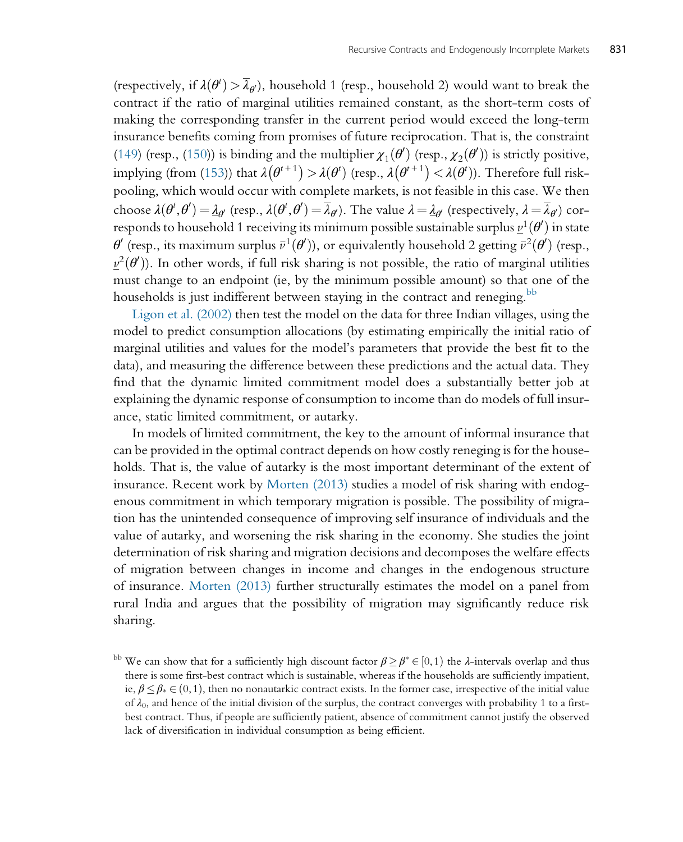(respectively, if  $\lambda(\theta^t) > \overline{\lambda}_{\theta}$ ), household 1 (resp., household 2) would want to break the contract if the ratio of marginal utilities remained constant, as the short-term costs of making the corresponding transfer in the current period would exceed the long-term insurance benefits coming from promises of future reciprocation. That is, the constraint [\(149](#page-104-0)) (resp., ([150\)](#page-104-0)) is binding and the multiplier  $\chi_1(\theta')$  (resp.,  $\chi_2(\theta')$ ) is strictly positive, implying (from ([153\)](#page-105-0)) that  $\lambda(\theta^{t+1}) > \lambda(\theta^t)$  (resp.,  $\lambda(\theta^{t+1}) < \lambda(\theta^t)$ ). Therefore full riskpooling, which would occur with complete markets, is not feasible in this case. We then choose  $\lambda(\theta^t, \theta') = \lambda_{\theta'}$  (resp.,  $\lambda(\theta^t, \theta') = \overline{\lambda}_{\theta'}$ ). The value  $\lambda = \lambda_{\theta'}$  (respectively,  $\lambda = \overline{\lambda}_{\theta'}$ ) corresponds to household 1 receiving its minimum possible sustainable surplus  $v^1(\theta')$  in state  $θ'$  (resp., its maximum surplus  $\bar{v}^1(θ')$ ), or equivalently household 2 getting  $\bar{v}^2(θ')$  (resp.,  $v^2(\theta')$ ). In other words, if full risk sharing is not possible, the ratio of marginal utilities must change to an endpoint (ie, by the minimum possible amount) so that one of the households is just indifferent between staying in the contract and reneging.<sup>bb</sup>

[Ligon et al. \(2002\)](#page-115-0) then test the model on the data for three Indian villages, using the model to predict consumption allocations (by estimating empirically the initial ratio of marginal utilities and values for the model's parameters that provide the best fit to the data), and measuring the difference between these predictions and the actual data. They find that the dynamic limited commitment model does a substantially better job at explaining the dynamic response of consumption to income than do models of full insurance, static limited commitment, or autarky.

In models of limited commitment, the key to the amount of informal insurance that can be provided in the optimal contract depends on how costly reneging is for the households. That is, the value of autarky is the most important determinant of the extent of insurance. Recent work by [Morten \(2013\)](#page-115-0) studies a model of risk sharing with endogenous commitment in which temporary migration is possible. The possibility of migration has the unintended consequence of improving self insurance of individuals and the value of autarky, and worsening the risk sharing in the economy. She studies the joint determination of risk sharing and migration decisions and decomposes the welfare effects of migration between changes in income and changes in the endogenous structure of insurance. [Morten \(2013\)](#page-115-0) further structurally estimates the model on a panel from rural India and argues that the possibility of migration may significantly reduce risk sharing.

bb We can show that for a sufficiently high discount factor  $\beta \ge \beta^* \in [0,1)$  the  $\lambda$ -intervals overlap and thus there is some first best contract which is sustainable, whereas if the households are sufficiently impatien there is some first-best contract which is sustainable, whereas if the households are sufficiently impatient, ie,  $\beta \le \beta_* \in (0,1)$ , then no nonautarkic contract exists. In the former case, irrespective of the initial value of  $\lambda_0$ , and hence of the initial division of the surplus, the contract converges with probability 1 to a firstbest contract. Thus, if people are sufficiently patient, absence of commitment cannot justify the observed lack of diversification in individual consumption as being efficient.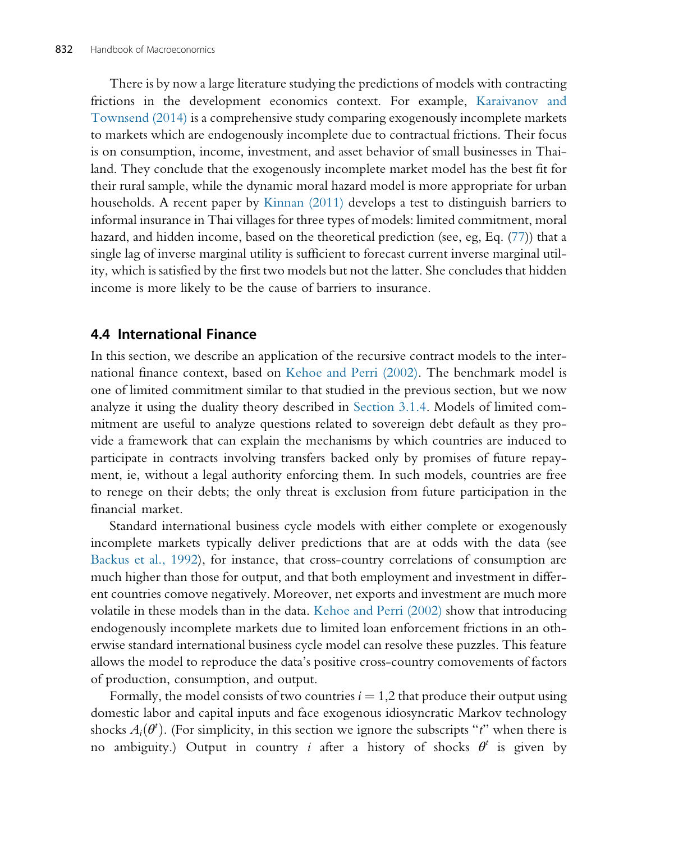There is by now a large literature studying the predictions of models with contracting frictions in the development economics context. For example, [Karaivanov and](#page-114-0) [Townsend \(2014\)](#page-114-0) is a comprehensive study comparing exogenously incomplete markets to markets which are endogenously incomplete due to contractual frictions. Their focus is on consumption, income, investment, and asset behavior of small businesses in Thailand. They conclude that the exogenously incomplete market model has the best fit for their rural sample, while the dynamic moral hazard model is more appropriate for urban households. A recent paper by [Kinnan \(2011\)](#page-114-0) develops a test to distinguish barriers to informal insurance in Thai villages for three types of models: limited commitment, moral hazard, and hidden income, based on the theoretical prediction (see, eg, Eq. ([77](#page-47-0))) that a single lag of inverse marginal utility is sufficient to forecast current inverse marginal utility, which is satisfied by the first two models but not the latter. She concludes that hidden income is more likely to be the cause of barriers to insurance.

## 4.4 International Finance

In this section, we describe an application of the recursive contract models to the international finance context, based on [Kehoe and Perri \(2002\).](#page-114-0) The benchmark model is one of limited commitment similar to that studied in the previous section, but we now analyze it using the duality theory described in [Section 3.1.4](#page-60-0). Models of limited commitment are useful to analyze questions related to sovereign debt default as they provide a framework that can explain the mechanisms by which countries are induced to participate in contracts involving transfers backed only by promises of future repayment, ie, without a legal authority enforcing them. In such models, countries are free to renege on their debts; the only threat is exclusion from future participation in the financial market.

Standard international business cycle models with either complete or exogenously incomplete markets typically deliver predictions that are at odds with the data (see [Backus et al., 1992](#page-112-0)), for instance, that cross-country correlations of consumption are much higher than those for output, and that both employment and investment in different countries comove negatively. Moreover, net exports and investment are much more volatile in these models than in the data. [Kehoe and Perri \(2002\)](#page-114-0) show that introducing endogenously incomplete markets due to limited loan enforcement frictions in an otherwise standard international business cycle model can resolve these puzzles. This feature allows the model to reproduce the data's positive cross-country comovements of factors of production, consumption, and output.

Formally, the model consists of two countries  $i = 1,2$  that produce their output using domestic labor and capital inputs and face exogenous idiosyncratic Markov technology shocks  $A_i(\theta^i)$ . (For simplicity, in this section we ignore the subscripts "t" when there is no ambiguity.) Output in country *i* after a history of shocks  $\theta^t$  is given by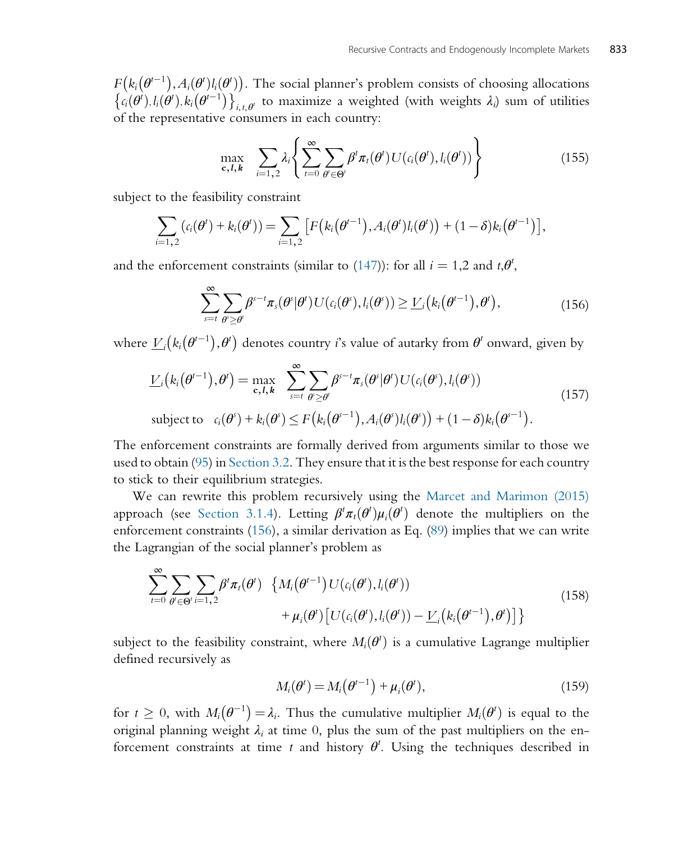<span id="page-108-0"></span> $F(k_i(\theta^{t-1}), A_i(\theta^t)l_i(\theta^t))$ . The social planner's problem consists of choosing allocations  $\{c_i(\theta^i), l_i(\theta^i), k_i(\theta^{t-1})\}_{i,t,\theta^t}$  to maximize a weighted (with weights  $\lambda_i$ ) sum of utilities of the representative consumers in each country:

$$
\max_{\mathbf{c},\mathbf{l},\mathbf{k}} \sum_{i=1,2} \lambda_i \left\{ \sum_{t=0}^{\infty} \sum_{\theta' \in \Theta'} \beta^t \pi_t(\theta^t) U(c_i(\theta^t), l_i(\theta^t)) \right\} \tag{155}
$$

subject to the feasibility constraint

$$
\sum_{i=1,2} (c_i(\theta^t) + k_i(\theta^t)) = \sum_{i=1,2} [F(k_i(\theta^{t-1}), A_i(\theta^t)l_i(\theta^t)) + (1-\delta)k_i(\theta^{t-1})],
$$

and the enforcement constraints (similar to ([147\)](#page-103-0)): for all  $i = 1,2$  and  $t,\theta^t$ ,

$$
\sum_{s=t}^{\infty} \sum_{\theta^s \geq \theta^t} \beta^{s-t} \pi_s(\theta^s | \theta^t) U(c_i(\theta^s), l_i(\theta^s)) \geq \underline{V}_i(k_i(\theta^{t-1}), \theta^t), \tag{156}
$$

where  $\underline{V}_i\big(k_i\big(\theta^{t-1}\big),\theta^t\big)$  denotes country  $i$ 's value of autarky from  $\theta^t$  onward, given by

$$
\underline{V}_{i}\big(k_{i}(\theta^{t-1}),\theta^{t}\big)=\max_{\mathbf{c},\mathbf{l},\mathbf{k}}\sum_{s=t}^{\infty}\sum_{\theta^{s}\geq\theta^{t}}\beta^{s-t}\pi_{s}(\theta^{s}|\theta^{t})U(c_{i}(\theta^{s}),l_{i}(\theta^{s}))
$$
\nsubject to\n
$$
c_{i}(\theta^{s})+k_{i}(\theta^{s})\leq F\big(k_{i}(\theta^{s-1}),A_{i}(\theta^{s})l_{i}(\theta^{s})\big)+(1-\delta)k_{i}(\theta^{s-1}).
$$
\n(157)

The enforcement constraints are formally derived from arguments similar to those we used to obtain [\(95](#page-64-0)) in [Section 3.2.](#page-62-0) They ensure that it is the best response for each country to stick to their equilibrium strategies.

We can rewrite this problem recursively using the [Marcet and Marimon \(2015\)](#page-115-0) approach (see [Section 3.1.4](#page-60-0)). Letting  $\beta^t \pi_t(\theta^t) \mu_i(\theta^t)$  denote the multipliers on the<br>enforcement constraints (156), a similar derivation as Eq. (89) implies that we can write enforcement constraints (156), a similar derivation as Eq. ([89](#page-59-0)) implies that we can write the Lagrangian of the social planner's problem as

$$
\sum_{t=0}^{\infty} \sum_{\theta' \in \Theta'} \sum_{i=1,2} \beta^t \pi_i(\theta') \left\{ M_i(\theta^{t-1}) U(c_i(\theta'), l_i(\theta')) + \mu_i(\theta') \Big[ U(c_i(\theta'), l_i(\theta')) - \underline{V}_i(k_i(\theta^{t-1}), \theta') \Big] \right\}
$$
(158)

subject to the feasibility constraint, where  $M_i(\theta^t)$  is a cumulative Lagrange multiplier defined recursively as

$$
M_i(\theta^t) = M_i(\theta^{t-1}) + \mu_i(\theta^t), \qquad (159)
$$

for  $t \geq 0$ , with  $M_i(\theta^{-1}) = \lambda_i$ . Thus the cumulative multiplier  $M_i(\theta^t)$  is equal to the original planning weight  $\lambda_i$  at time 0, plus the sum of the past multipliers on the enforcement constraints at time t and history  $\theta^t$ . Using the techniques described in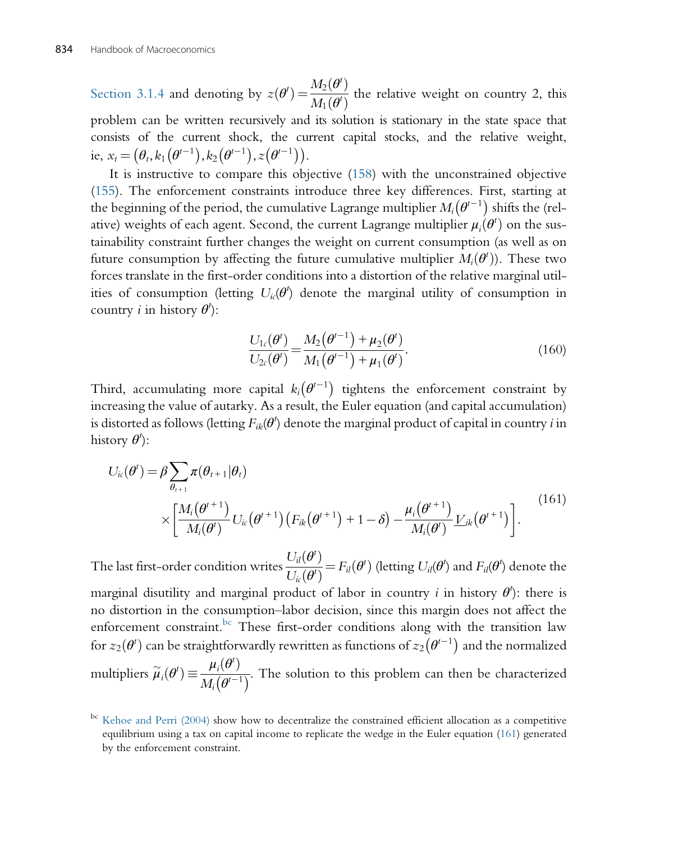<span id="page-109-0"></span>[Section 3.1.4](#page-60-0) and denoting by  $z(\theta^t) = \frac{M_2(\theta^t)}{M_1(\theta^t)}$  the relative weight on country 2, this problem can be written recursively and its solution is stationary in the state space that consists of the current shock, the current capital stocks, and the relative weight, ie,  $x_t = (\theta_t, k_1(\theta^{t-1}), k_2(\theta^{t-1}), z(\theta^{t-1})).$ 

It is instructive to compare this objective [\(158](#page-108-0)) with the unconstrained objective [\(155](#page-108-0)). The enforcement constraints introduce three key differences. First, starting at the beginning of the period, the cumulative Lagrange multiplier  $M_i(\theta^{t-1})$  shifts the (relative) weights of each agent. Second, the current Lagrange multiplier  $\mu_i(\theta^t)$  on the sustainability constraint further changes the weight on current consumption (as well as on future consumption by affecting the future cumulative multiplier  $M_i(\theta^t)$ . These two forces translate in the first-order conditions into a distortion of the relative marginal utilities of consumption (letting  $U_{ic}(\theta')$  denote the marginal utility of consumption in country *i* in history  $\theta$ <sup>*t*</sup>):

$$
\frac{U_{1c}(\theta')}{U_{2c}(\theta')} = \frac{M_2(\theta'^{-1}) + \mu_2(\theta')}{M_1(\theta'^{-1}) + \mu_1(\theta')}.
$$
\n(160)

Third, accumulating more capital  $k_i(\theta^{t-1})$  tightens the enforcement constraint by increasing the value of autarky. As a result, the Euler equation (and capital accumulation) is distorted as follows (letting  $F_{ik}(\theta')$  denote the marginal product of capital in country  $i$  in history  $\theta$ <sup>t</sup>):

$$
U_{i\epsilon}(\theta^{t}) = \beta \sum_{\theta_{t+1}} \pi(\theta_{t+1}|\theta_{t})
$$
  
 
$$
\times \left[ \frac{M_{i}(\theta^{t+1})}{M_{i}(\theta^{t})} U_{i\epsilon}(\theta^{t+1}) \left( F_{i k}(\theta^{t+1}) + 1 - \delta \right) - \frac{\mu_{i}(\theta^{t+1})}{M_{i}(\theta^{t})} \underline{V}_{i k}(\theta^{t+1}) \right].
$$
 (161)

The last first-order condition writes  $\frac{U_{il}(\theta')}{U_{ic}(\theta')} = F_{il}(\theta')$  (letting  $U_{il}(\theta')$  and  $F_{il}(\theta')$  denote the<br>marginal distribution and marginal product of labor in country i in history  $\theta^{k_{ij}}$  there is marginal disutility and marginal product of labor in country i in history  $\theta'$ ): there is no distortion in the consumption–labor decision, since this margin does not affect the enforcement constraint.<sup>bc</sup> These first-order conditions along with the transition law for  $z_2(\theta')$  can be straightforwardly rewritten as functions of  $z_2(\theta^{t-1})$  and the normalized multipliers  $\stackrel{\sim}{\mu}$  $\hat{u}_i(\theta^t) \equiv \frac{\mu_i(\theta^t)}{M_i(\theta^{t-1})}$ . The solution to this problem can then be characterized

bc [Kehoe and Perri \(2004\)](#page-114-0) show how to decentralize the constrained efficient allocation as a competitive equilibrium using a tax on capital income to replicate the wedge in the Euler equation (161) generated by the enforcement constraint.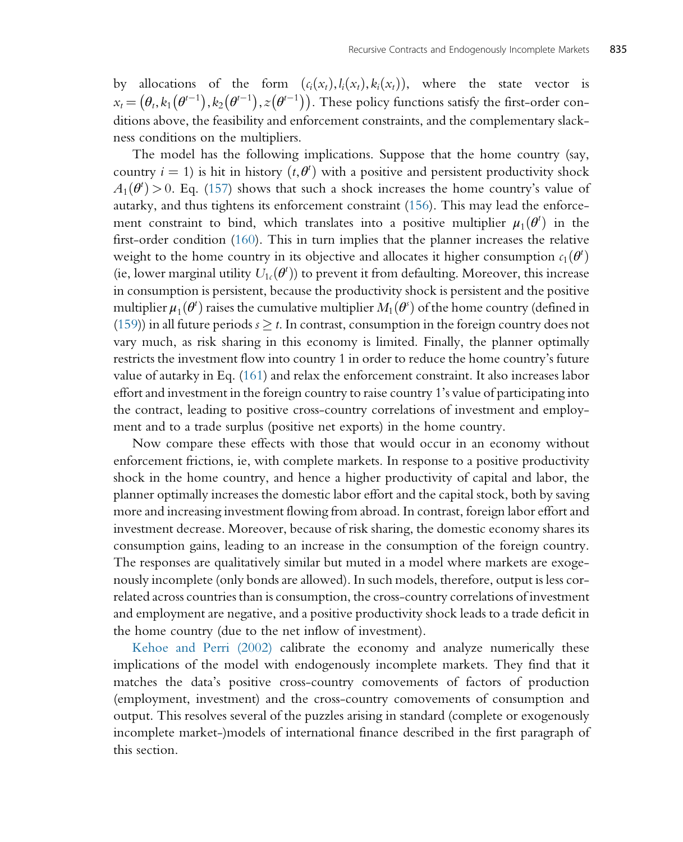by allocations of the form  $(c_i(x_t), l_i(x_t), k_i(x_t))$ , where the state vector is  $x_t = (\theta_t, k_1(\theta^{t-1}), k_2(\theta^{t-1}), z(\theta^{t-1})).$  These policy functions satisfy the first-order conditions above, the feasibility and enforcement constraints, and the complementary slackness conditions on the multipliers.

The model has the following implications. Suppose that the home country (say, country  $i = 1$ ) is hit in history  $(t, \theta^t)$  with a positive and persistent productivity shock  $A_1(\theta^t) > 0$ . Eq. ([157\)](#page-108-0) shows that such a shock increases the home country's value of autarky, and thus tightens its enforcement constraint [\(156](#page-108-0)). This may lead the enforcement constraint to bind, which translates into a positive multiplier  $\mu_1(\theta^t)$  in the first-order condition ([160\)](#page-109-0). This in turn implies that the planner increases the relative weight to the home country in its objective and allocates it higher consumption  $c_1(\theta^t)$ (ie, lower marginal utility  $U_{1c}(\theta^t)$ ) to prevent it from defaulting. Moreover, this increase in consumption is persistent, because the productivity shock is persistent and the positive multiplier  $\mu_1(\theta')$  raises the cumulative multiplier  $M_1(\theta')$  of the home country (defined in ([159](#page-108-0))) in all future periods  $s \geq t$ . In contrast, consumption in the foreign country does not vary much, as risk sharing in this economy is limited. Finally, the planner optimally restricts the investment flow into country 1 in order to reduce the home country's future value of autarky in Eq. [\(161](#page-109-0)) and relax the enforcement constraint. It also increases labor effort and investment in the foreign country to raise country 1's value of participating into the contract, leading to positive cross-country correlations of investment and employment and to a trade surplus (positive net exports) in the home country.

Now compare these effects with those that would occur in an economy without enforcement frictions, ie, with complete markets. In response to a positive productivity shock in the home country, and hence a higher productivity of capital and labor, the planner optimally increases the domestic labor effort and the capital stock, both by saving more and increasing investment flowing from abroad. In contrast, foreign labor effort and investment decrease. Moreover, because of risk sharing, the domestic economy shares its consumption gains, leading to an increase in the consumption of the foreign country. The responses are qualitatively similar but muted in a model where markets are exogenously incomplete (only bonds are allowed). In such models, therefore, output is less correlated across countries than is consumption, the cross-country correlations of investment and employment are negative, and a positive productivity shock leads to a trade deficit in the home country (due to the net inflow of investment).

[Kehoe and Perri \(2002\)](#page-114-0) calibrate the economy and analyze numerically these implications of the model with endogenously incomplete markets. They find that it matches the data's positive cross-country comovements of factors of production (employment, investment) and the cross-country comovements of consumption and output. This resolves several of the puzzles arising in standard (complete or exogenously incomplete market-)models of international finance described in the first paragraph of this section.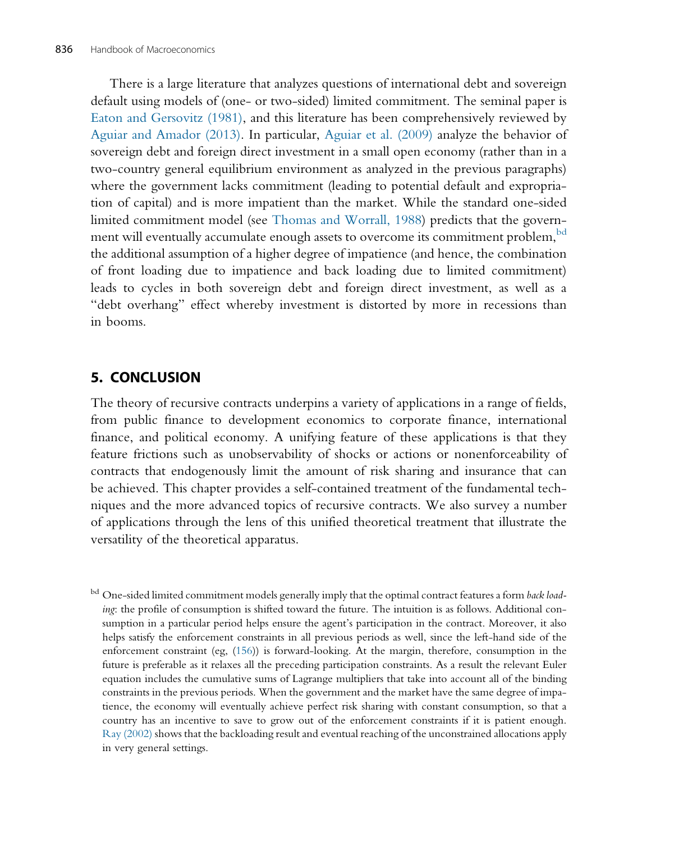There is a large literature that analyzes questions of international debt and sovereign default using models of (one- or two-sided) limited commitment. The seminal paper is [Eaton and Gersovitz \(1981\)](#page-113-0), and this literature has been comprehensively reviewed by [Aguiar and Amador \(2013\)](#page-112-0). In particular, [Aguiar et al. \(2009\)](#page-112-0) analyze the behavior of sovereign debt and foreign direct investment in a small open economy (rather than in a two-country general equilibrium environment as analyzed in the previous paragraphs) where the government lacks commitment (leading to potential default and expropriation of capital) and is more impatient than the market. While the standard one-sided limited commitment model (see [Thomas and Worrall, 1988\)](#page-116-0) predicts that the government will eventually accumulate enough assets to overcome its commitment problem, <sup>bd</sup> the additional assumption of a higher degree of impatience (and hence, the combination of front loading due to impatience and back loading due to limited commitment) leads to cycles in both sovereign debt and foreign direct investment, as well as a "debt overhang" effect whereby investment is distorted by more in recessions than in booms.

## 5. CONCLUSION

The theory of recursive contracts underpins a variety of applications in a range of fields, from public finance to development economics to corporate finance, international finance, and political economy. A unifying feature of these applications is that they feature frictions such as unobservability of shocks or actions or nonenforceability of contracts that endogenously limit the amount of risk sharing and insurance that can be achieved. This chapter provides a self-contained treatment of the fundamental techniques and the more advanced topics of recursive contracts. We also survey a number of applications through the lens of this unified theoretical treatment that illustrate the versatility of the theoretical apparatus.

bd One-sided limited commitment models generally imply that the optimal contract features a form back loading: the profile of consumption is shifted toward the future. The intuition is as follows. Additional consumption in a particular period helps ensure the agent's participation in the contract. Moreover, it also helps satisfy the enforcement constraints in all previous periods as well, since the left-hand side of the enforcement constraint (eg, ([156\)](#page-108-0)) is forward-looking. At the margin, therefore, consumption in the future is preferable as it relaxes all the preceding participation constraints. As a result the relevant Euler equation includes the cumulative sums of Lagrange multipliers that take into account all of the binding constraints in the previous periods. When the government and the market have the same degree of impatience, the economy will eventually achieve perfect risk sharing with constant consumption, so that a country has an incentive to save to grow out of the enforcement constraints if it is patient enough. [Ray \(2002\)](#page-115-0) shows that the backloading result and eventual reaching of the unconstrained allocations apply in very general settings.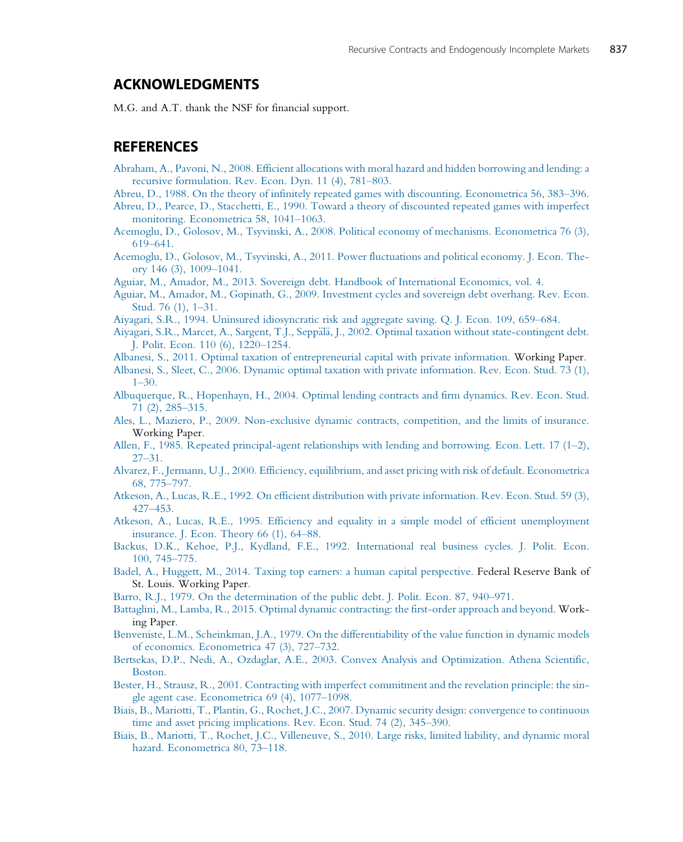## <span id="page-112-0"></span>ACKNOWLEDGMENTS

M.G. and A.T. thank the NSF for financial support.

## **REFERENCES**

- [Abraham, A., Pavoni, N., 2008. Efficient allocations with moral hazard and hidden borrowing and lending: a](http://refhub.elsevier.com/S1574-0048(16)00008-2/rf0010) [recursive formulation. Rev. Econ. Dyn. 11 \(4\), 781](http://refhub.elsevier.com/S1574-0048(16)00008-2/rf0010)–803.
- [Abreu, D., 1988. On the theory of infinitely repeated games with discounting. Econometrica 56, 383](http://refhub.elsevier.com/S1574-0048(16)00008-2/rf0015)–396.
- [Abreu, D., Pearce, D., Stacchetti, E., 1990. Toward a theory of discounted repeated games with imperfect](http://refhub.elsevier.com/S1574-0048(16)00008-2/rf0020) [monitoring. Econometrica 58, 1041](http://refhub.elsevier.com/S1574-0048(16)00008-2/rf0020)–1063.
- [Acemoglu, D., Golosov, M., Tsyvinski, A., 2008. Political economy of mechanisms. Econometrica 76 \(3\),](http://refhub.elsevier.com/S1574-0048(16)00008-2/rf0025) 619–[641.](http://refhub.elsevier.com/S1574-0048(16)00008-2/rf0025)
- [Acemoglu, D., Golosov, M., Tsyvinski, A., 2011. Power fluctuations and political economy. J. Econ. The](http://refhub.elsevier.com/S1574-0048(16)00008-2/rf0030)[ory 146 \(3\), 1009](http://refhub.elsevier.com/S1574-0048(16)00008-2/rf0030)–1041.
- [Aguiar, M., Amador, M., 2013. Sovereign debt. Handbook of International Economics, vol. 4.](http://refhub.elsevier.com/S1574-0048(16)00008-2/rf0035)
- [Aguiar, M., Amador, M., Gopinath, G., 2009. Investment cycles and sovereign debt overhang. Rev. Econ.](http://refhub.elsevier.com/S1574-0048(16)00008-2/rf0040) [Stud. 76 \(1\), 1](http://refhub.elsevier.com/S1574-0048(16)00008-2/rf0040)–31.
- [Aiyagari, S.R., 1994. Uninsured idiosyncratic risk and aggregate saving. Q. J. Econ. 109, 659](http://refhub.elsevier.com/S1574-0048(16)00008-2/rf0045)–684.
- [Aiyagari, S.R., Marcet, A., Sargent, T.J., Sepp](http://refhub.elsevier.com/S1574-0048(16)00008-2/rf0050)a[l](http://refhub.elsevier.com/S1574-0048(16)00008-2/rf0050)[a, J., 2002. Optimal taxation without state-contingent debt.](http://refhub.elsevier.com/S1574-0048(16)00008-2/rf0050) [J. Polit. Econ. 110 \(6\), 1220](http://refhub.elsevier.com/S1574-0048(16)00008-2/rf0050)–1254.
- [Albanesi, S., 2011. Optimal taxation of entrepreneurial capital with private information.](http://refhub.elsevier.com/S1574-0048(16)00008-2/rf0055) Working Paper.
- [Albanesi, S., Sleet, C., 2006. Dynamic optimal taxation with private information. Rev. Econ. Stud. 73 \(1\),](http://refhub.elsevier.com/S1574-0048(16)00008-2/rf0060) 1–[30.](http://refhub.elsevier.com/S1574-0048(16)00008-2/rf0060)
- [Albuquerque, R., Hopenhayn, H., 2004. Optimal lending contracts and firm dynamics. Rev. Econ. Stud.](http://refhub.elsevier.com/S1574-0048(16)00008-2/rf0065) [71 \(2\), 285](http://refhub.elsevier.com/S1574-0048(16)00008-2/rf0065)–315.
- [Ales, L., Maziero, P., 2009. Non-exclusive dynamic contracts, competition, and the limits of insurance.](http://refhub.elsevier.com/S1574-0048(16)00008-2/rf0070) [Working Paper.](http://refhub.elsevier.com/S1574-0048(16)00008-2/rf0070)
- [Allen, F., 1985. Repeated principal-agent relationships with lending and borrowing. Econ. Lett. 17 \(1](http://refhub.elsevier.com/S1574-0048(16)00008-2/rf0075)–2), 27–[31.](http://refhub.elsevier.com/S1574-0048(16)00008-2/rf0075)
- [Alvarez, F., Jermann, U.J., 2000. Efficiency, equilibrium, and asset pricing with risk of default. Econometrica](http://refhub.elsevier.com/S1574-0048(16)00008-2/rf0080) [68, 775](http://refhub.elsevier.com/S1574-0048(16)00008-2/rf0080)–797.
- [Atkeson, A., Lucas, R.E., 1992. On efficient distribution with private information. Rev. Econ. Stud. 59 \(3\),](http://refhub.elsevier.com/S1574-0048(16)00008-2/rf0085) 427–[453.](http://refhub.elsevier.com/S1574-0048(16)00008-2/rf0085)
- [Atkeson, A., Lucas, R.E., 1995. Efficiency and equality in a simple model of efficient unemployment](http://refhub.elsevier.com/S1574-0048(16)00008-2/rf0090) [insurance. J. Econ. Theory 66 \(1\), 64](http://refhub.elsevier.com/S1574-0048(16)00008-2/rf0090)–88.
- [Backus, D.K., Kehoe, P.J., Kydland, F.E., 1992. International real business cycles. J. Polit. Econ.](http://refhub.elsevier.com/S1574-0048(16)00008-2/rf0095) [100, 745](http://refhub.elsevier.com/S1574-0048(16)00008-2/rf0095)–775.
- [Badel, A., Huggett, M., 2014. Taxing top earners: a human capital perspective.](http://refhub.elsevier.com/S1574-0048(16)00008-2/rf0100) Federal Reserve Bank of [St. Louis. Working Paper.](http://refhub.elsevier.com/S1574-0048(16)00008-2/rf0100)
- [Barro, R.J., 1979. On the determination of the public debt. J. Polit. Econ. 87, 940](http://refhub.elsevier.com/S1574-0048(16)00008-2/rf0105)–971.
- [Battaglini, M., Lamba, R., 2015. Optimal dynamic contracting: the first-order approach and beyond.](http://refhub.elsevier.com/S1574-0048(16)00008-2/rf0110) Work[ing Paper.](http://refhub.elsevier.com/S1574-0048(16)00008-2/rf0110)
- [Benveniste, L.M., Scheinkman, J.A., 1979. On the differentiability of the value function in dynamic models](http://refhub.elsevier.com/S1574-0048(16)00008-2/rf0115) [of economics. Econometrica 47 \(3\), 727](http://refhub.elsevier.com/S1574-0048(16)00008-2/rf0115)–732.
- [Bertsekas, D.P., Nedi, A., Ozdaglar, A.E., 2003. Convex Analysis and Optimization. Athena Scientific,](http://refhub.elsevier.com/S1574-0048(16)00008-2/rf0120) [Boston.](http://refhub.elsevier.com/S1574-0048(16)00008-2/rf0120)
- [Bester, H., Strausz, R., 2001. Contracting with imperfect commitment and the revelation principle: the sin](http://refhub.elsevier.com/S1574-0048(16)00008-2/rf0125)[gle agent case. Econometrica 69 \(4\), 1077](http://refhub.elsevier.com/S1574-0048(16)00008-2/rf0125)–1098.
- [Biais, B., Mariotti, T., Plantin, G., Rochet, J.C., 2007. Dynamic security design: convergence to continuous](http://refhub.elsevier.com/S1574-0048(16)00008-2/rf0130) [time and asset pricing implications. Rev. Econ. Stud. 74 \(2\), 345](http://refhub.elsevier.com/S1574-0048(16)00008-2/rf0130)–390.
- [Biais, B., Mariotti, T., Rochet, J.C., Villeneuve, S., 2010. Large risks, limited liability, and dynamic moral](http://refhub.elsevier.com/S1574-0048(16)00008-2/rf0135) [hazard. Econometrica 80, 73](http://refhub.elsevier.com/S1574-0048(16)00008-2/rf0135)–118.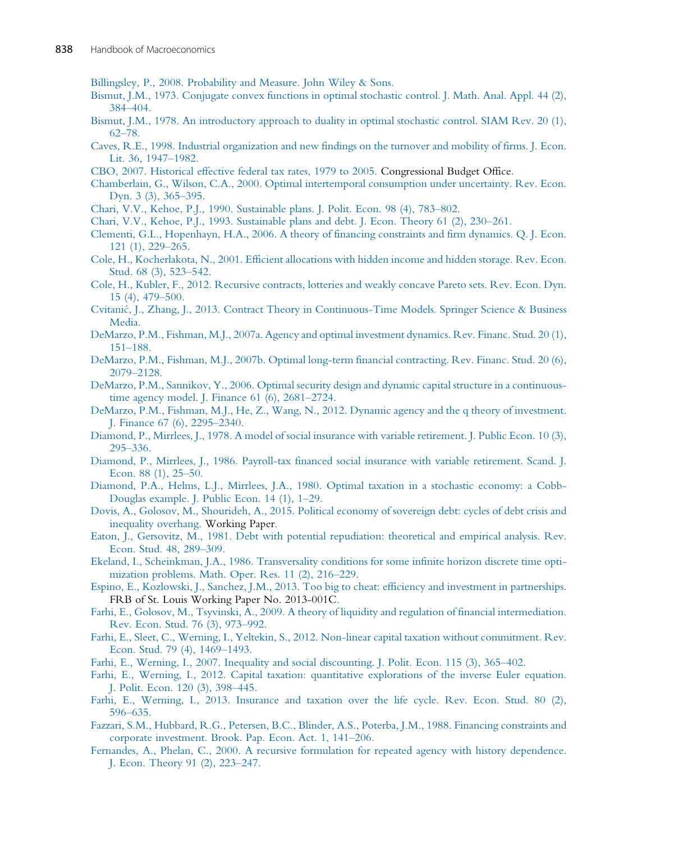<span id="page-113-0"></span>[Billingsley, P., 2008. Probability and Measure. John Wiley & Sons.](http://refhub.elsevier.com/S1574-0048(16)00008-2/rf0145)

- [Bismut, J.M., 1973. Conjugate convex functions in optimal stochastic control. J. Math. Anal. Appl. 44 \(2\),](http://refhub.elsevier.com/S1574-0048(16)00008-2/rf0150) 384–[404.](http://refhub.elsevier.com/S1574-0048(16)00008-2/rf0150)
- [Bismut, J.M., 1978. An introductory approach to duality in optimal stochastic control. SIAM Rev. 20 \(1\),](http://refhub.elsevier.com/S1574-0048(16)00008-2/rf0155) 62–[78.](http://refhub.elsevier.com/S1574-0048(16)00008-2/rf0155)
- [Caves, R.E., 1998. Industrial organization and new findings on the turnover and mobility of firms. J. Econ.](http://refhub.elsevier.com/S1574-0048(16)00008-2/rf0160) [Lit. 36, 1947](http://refhub.elsevier.com/S1574-0048(16)00008-2/rf0160)–1982.
- [CBO, 2007. Historical effective federal tax rates, 1979 to 2005.](http://refhub.elsevier.com/S1574-0048(16)00008-2/rf0165) Congressional Budget Office.
- [Chamberlain, G., Wilson, C.A., 2000. Optimal intertemporal consumption under uncertainty. Rev. Econ.](http://refhub.elsevier.com/S1574-0048(16)00008-2/rf0170) [Dyn. 3 \(3\), 365](http://refhub.elsevier.com/S1574-0048(16)00008-2/rf0170)–395.
- [Chari, V.V., Kehoe, P.J., 1990. Sustainable plans. J. Polit. Econ. 98 \(4\), 783](http://refhub.elsevier.com/S1574-0048(16)00008-2/rf0175)–802.
- [Chari, V.V., Kehoe, P.J., 1993. Sustainable plans and debt. J. Econ. Theory 61 \(2\), 230](http://refhub.elsevier.com/S1574-0048(16)00008-2/rf0180)–261.
- [Clementi, G.L., Hopenhayn, H.A., 2006. A theory of financing constraints and firm dynamics. Q. J. Econ.](http://refhub.elsevier.com/S1574-0048(16)00008-2/rf0185) [121 \(1\), 229](http://refhub.elsevier.com/S1574-0048(16)00008-2/rf0185)–265.
- [Cole, H., Kocherlakota, N., 2001. Efficient allocations with hidden income and hidden storage. Rev. Econ.](http://refhub.elsevier.com/S1574-0048(16)00008-2/rf0190) [Stud. 68 \(3\), 523](http://refhub.elsevier.com/S1574-0048(16)00008-2/rf0190)–542.
- [Cole, H., Kubler, F., 2012. Recursive contracts, lotteries and weakly concave Pareto sets. Rev. Econ. Dyn.](http://refhub.elsevier.com/S1574-0048(16)00008-2/rf0195) [15 \(4\), 479](http://refhub.elsevier.com/S1574-0048(16)00008-2/rf0195)–500.
- [Cvitanic´, J., Zhang, J., 2013. Contract Theory in Continuous-Time Models. Springer Science & Business](http://refhub.elsevier.com/S1574-0048(16)00008-2/rf0200) [Media.](http://refhub.elsevier.com/S1574-0048(16)00008-2/rf0200)
- [DeMarzo, P.M., Fishman, M.J., 2007a. Agency and optimal investment dynamics. Rev. Financ. Stud. 20 \(1\),](http://refhub.elsevier.com/S1574-0048(16)00008-2/rf0205) 151–[188.](http://refhub.elsevier.com/S1574-0048(16)00008-2/rf0205)
- [DeMarzo, P.M., Fishman, M.J., 2007b. Optimal long-term financial contracting. Rev. Financ. Stud. 20 \(6\),](http://refhub.elsevier.com/S1574-0048(16)00008-2/rf0210) 2079–[2128.](http://refhub.elsevier.com/S1574-0048(16)00008-2/rf0210)
- [DeMarzo, P.M., Sannikov, Y., 2006. Optimal security design and dynamic capital structure in a continuous](http://refhub.elsevier.com/S1574-0048(16)00008-2/rf0215)[time agency model. J. Finance 61 \(6\), 2681](http://refhub.elsevier.com/S1574-0048(16)00008-2/rf0215)–2724.
- [DeMarzo, P.M., Fishman, M.J., He, Z., Wang, N., 2012. Dynamic agency and the q theory of investment.](http://refhub.elsevier.com/S1574-0048(16)00008-2/rf0220) [J. Finance 67 \(6\), 2295](http://refhub.elsevier.com/S1574-0048(16)00008-2/rf0220)–2340.
- [Diamond, P., Mirrlees, J., 1978. A model of social insurance with variable retirement. J. Public Econ. 10 \(3\),](http://refhub.elsevier.com/S1574-0048(16)00008-2/rf0225) 295–[336.](http://refhub.elsevier.com/S1574-0048(16)00008-2/rf0225)
- [Diamond, P., Mirrlees, J., 1986. Payroll-tax financed social insurance with variable retirement. Scand. J.](http://refhub.elsevier.com/S1574-0048(16)00008-2/rf0230) [Econ. 88 \(1\), 25](http://refhub.elsevier.com/S1574-0048(16)00008-2/rf0230)–50.
- [Diamond, P.A., Helms, L.J., Mirrlees, J.A., 1980. Optimal taxation in a stochastic economy: a Cobb-](http://refhub.elsevier.com/S1574-0048(16)00008-2/rf0235)[Douglas example. J. Public Econ. 14 \(1\), 1](http://refhub.elsevier.com/S1574-0048(16)00008-2/rf0235)–29.
- [Dovis, A., Golosov, M., Shourideh, A., 2015. Political economy of sovereign debt: cycles of debt crisis and](http://refhub.elsevier.com/S1574-0048(16)00008-2/rf0240) [inequality overhang.](http://refhub.elsevier.com/S1574-0048(16)00008-2/rf0240) Working Paper.
- [Eaton, J., Gersovitz, M., 1981. Debt with potential repudiation: theoretical and empirical analysis. Rev.](http://refhub.elsevier.com/S1574-0048(16)00008-2/rf0245) [Econ. Stud. 48, 289](http://refhub.elsevier.com/S1574-0048(16)00008-2/rf0245)–309.
- [Ekeland, I., Scheinkman, J.A., 1986. Transversality conditions for some infinite horizon discrete time opti](http://refhub.elsevier.com/S1574-0048(16)00008-2/rf0250)[mization problems. Math. Oper. Res. 11 \(2\), 216](http://refhub.elsevier.com/S1574-0048(16)00008-2/rf0250)–229.
- [Espino, E., Kozlowski, J., Sanchez, J.M., 2013. Too big to cheat: efficiency and investment in partnerships.](http://refhub.elsevier.com/S1574-0048(16)00008-2/rf0255) [FRB of St. Louis Working Paper No. 2013-001C.](http://refhub.elsevier.com/S1574-0048(16)00008-2/rf0255)
- [Farhi, E., Golosov, M., Tsyvinski, A., 2009. A theory of liquidity and regulation of financial intermediation.](http://refhub.elsevier.com/S1574-0048(16)00008-2/rf0260) [Rev. Econ. Stud. 76 \(3\), 973](http://refhub.elsevier.com/S1574-0048(16)00008-2/rf0260)–992.
- [Farhi, E., Sleet, C., Werning, I., Yeltekin, S., 2012. Non-linear capital taxation without commitment. Rev.](http://refhub.elsevier.com/S1574-0048(16)00008-2/rf0265) [Econ. Stud. 79 \(4\), 1469](http://refhub.elsevier.com/S1574-0048(16)00008-2/rf0265)–1493.
- [Farhi, E., Werning, I., 2007. Inequality and social discounting. J. Polit. Econ. 115 \(3\), 365](http://refhub.elsevier.com/S1574-0048(16)00008-2/rf0270)–402.
- [Farhi, E., Werning, I., 2012. Capital taxation: quantitative explorations of the inverse Euler equation.](http://refhub.elsevier.com/S1574-0048(16)00008-2/rf0275) [J. Polit. Econ. 120 \(3\), 398](http://refhub.elsevier.com/S1574-0048(16)00008-2/rf0275)–445.
- [Farhi, E., Werning, I., 2013. Insurance and taxation over the life cycle. Rev. Econ. Stud. 80 \(2\),](http://refhub.elsevier.com/S1574-0048(16)00008-2/rf0280) 596–[635.](http://refhub.elsevier.com/S1574-0048(16)00008-2/rf0280)
- Fazzari, S.M., [Hubbard, R.G., Petersen, B.C., Blinder, A.S., Poterba, J.M., 1988. Financing constraints and](http://refhub.elsevier.com/S1574-0048(16)00008-2/rf0285) [corporate investment. Brook. Pap. Econ. Act. 1, 141](http://refhub.elsevier.com/S1574-0048(16)00008-2/rf0285)–206.
- [Fernandes, A., Phelan, C., 2000. A recursive formulation for repeated agency with history dependence.](http://refhub.elsevier.com/S1574-0048(16)00008-2/rf0290) [J. Econ. Theory 91 \(2\), 223](http://refhub.elsevier.com/S1574-0048(16)00008-2/rf0290)–247.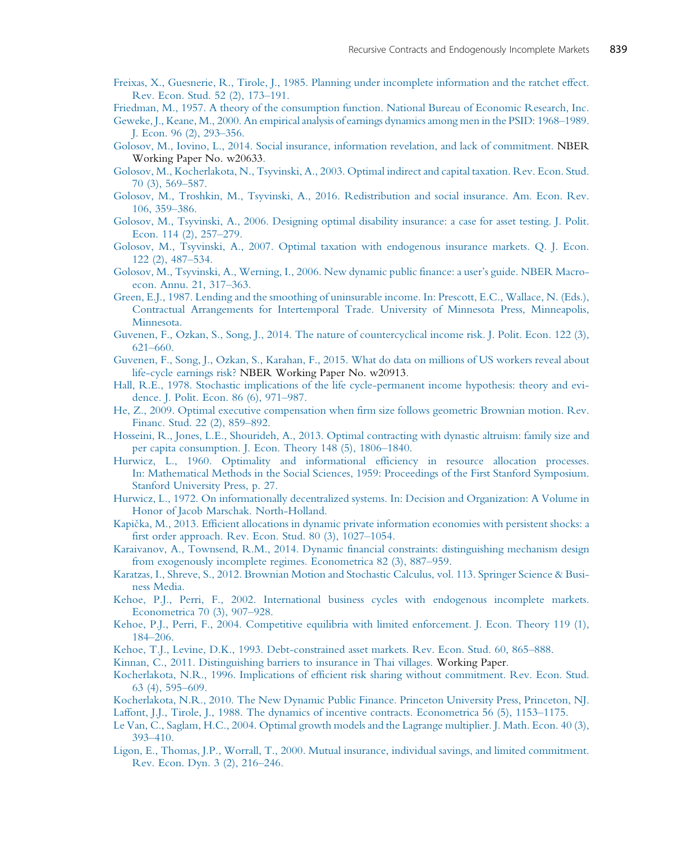<span id="page-114-0"></span>[Freixas, X., Guesnerie, R., Tirole, J., 1985. Planning under incomplete information and the ratchet effect.](http://refhub.elsevier.com/S1574-0048(16)00008-2/rf0295) [Rev. Econ. Stud. 52 \(2\), 173](http://refhub.elsevier.com/S1574-0048(16)00008-2/rf0295)–191.

[Friedman, M., 1957. A theory of the consumption function. National Bureau of Economic Research, Inc.](http://refhub.elsevier.com/S1574-0048(16)00008-2/rf0300)

[Geweke, J., Keane, M., 2000. An empirical analysis of earnings dynamics among men in the PSID: 1968](http://refhub.elsevier.com/S1574-0048(16)00008-2/rf0310)–1989. [J. Econ. 96 \(2\), 293](http://refhub.elsevier.com/S1574-0048(16)00008-2/rf0310)–356.

- [Golosov, M., Iovino, L., 2014. Social insurance, information revelation, and lack of commitment.](http://refhub.elsevier.com/S1574-0048(16)00008-2/rf0315) NBER [Working Paper No. w20633.](http://refhub.elsevier.com/S1574-0048(16)00008-2/rf0315)
- [Golosov, M., Kocherlakota, N., Tsyvinski, A., 2003. Optimal indirect and capital taxation. Rev. Econ. Stud.](http://refhub.elsevier.com/S1574-0048(16)00008-2/rf0320) [70 \(3\), 569](http://refhub.elsevier.com/S1574-0048(16)00008-2/rf0320)–587.
- [Golosov, M., Troshkin, M., Tsyvinski, A., 2016. Redistribution and social insurance. Am. Econ. Rev.](http://refhub.elsevier.com/S1574-0048(16)00008-2/rf0325) [106, 359](http://refhub.elsevier.com/S1574-0048(16)00008-2/rf0325)–386.
- [Golosov, M., Tsyvinski, A., 2006. Designing optimal disability insurance: a case for asset testing. J. Polit.](http://refhub.elsevier.com/S1574-0048(16)00008-2/rf0330) [Econ. 114 \(2\), 257](http://refhub.elsevier.com/S1574-0048(16)00008-2/rf0330)–279.
- [Golosov, M., Tsyvinski, A., 2007. Optimal taxation with endogenous insurance markets. Q. J. Econ.](http://refhub.elsevier.com/S1574-0048(16)00008-2/rf0335) [122 \(2\), 487](http://refhub.elsevier.com/S1574-0048(16)00008-2/rf0335)–534.
- [Golosov, M., Tsyvinski, A., Werning, I., 2006. New dynamic public finance: a user's guide. NBER Macro](http://refhub.elsevier.com/S1574-0048(16)00008-2/rf0340)[econ. Annu. 21, 317](http://refhub.elsevier.com/S1574-0048(16)00008-2/rf0340)–363.
- [Green, E.J., 1987. Lending and the smoothing of uninsurable income. In: Prescott, E.C., Wallace, N. \(Eds.\),](http://refhub.elsevier.com/S1574-0048(16)00008-2/rf0345) [Contractual Arrangements for Intertemporal Trade. University of Minnesota Press, Minneapolis,](http://refhub.elsevier.com/S1574-0048(16)00008-2/rf0345) [Minnesota.](http://refhub.elsevier.com/S1574-0048(16)00008-2/rf0345)
- [Guvenen, F., Ozkan, S., Song, J., 2014. The nature of countercyclical income risk. J. Polit. Econ. 122 \(3\),](http://refhub.elsevier.com/S1574-0048(16)00008-2/rf0350) 621–[660.](http://refhub.elsevier.com/S1574-0048(16)00008-2/rf0350)
- [Guvenen, F., Song, J., Ozkan, S., Karahan, F., 2015. What do data on millions of US workers reveal about](http://refhub.elsevier.com/S1574-0048(16)00008-2/rf0355) life-cycle earnings risk? [NBER Working Paper No. w20913.](http://refhub.elsevier.com/S1574-0048(16)00008-2/rf0355)
- [Hall, R.E., 1978. Stochastic implications of the life cycle-permanent income hypothesis: theory and evi](http://refhub.elsevier.com/S1574-0048(16)00008-2/rf0360)[dence. J. Polit. Econ. 86 \(6\), 971](http://refhub.elsevier.com/S1574-0048(16)00008-2/rf0360)–987.
- [He, Z., 2009. Optimal executive compensation when firm size follows geometric Brownian motion. Rev.](http://refhub.elsevier.com/S1574-0048(16)00008-2/rf0365) [Financ. Stud. 22 \(2\), 859](http://refhub.elsevier.com/S1574-0048(16)00008-2/rf0365)–892.
- [Hosseini, R., Jones, L.E., Shourideh, A., 2013. Optimal contracting with dynastic altruism: family size and](http://refhub.elsevier.com/S1574-0048(16)00008-2/rf0370) [per capita consumption. J. Econ. Theory 148 \(5\), 1806](http://refhub.elsevier.com/S1574-0048(16)00008-2/rf0370)–1840.
- [Hurwicz, L., 1960. Optimality and informational efficiency in resource allocation processes.](http://refhub.elsevier.com/S1574-0048(16)00008-2/rf0375) [In: Mathematical Methods in the Social Sciences, 1959: Proceedings of the First Stanford Symposium.](http://refhub.elsevier.com/S1574-0048(16)00008-2/rf0375) [Stanford University Press, p. 27.](http://refhub.elsevier.com/S1574-0048(16)00008-2/rf0375)
- [Hurwicz, L., 1972. On informationally decentralized systems. In: Decision and Organization: A Volume in](http://refhub.elsevier.com/S1574-0048(16)00008-2/rf0380) [Honor of Jacob Marschak. North-Holland.](http://refhub.elsevier.com/S1574-0048(16)00008-2/rf0380)
- Kapička, M., 2013. Efficient allocations in dynamic private information economies with persistent shocks: a [first order approach. Rev. Econ. Stud. 80 \(3\), 1027](http://refhub.elsevier.com/S1574-0048(16)00008-2/rf0385)–1054.
- [Karaivanov, A., Townsend, R.M., 2014. Dynamic financial constraints: distinguishing mechanism design](http://refhub.elsevier.com/S1574-0048(16)00008-2/rf0390) [from exogenously incomplete regimes. Econometrica 82 \(3\), 887](http://refhub.elsevier.com/S1574-0048(16)00008-2/rf0390)–959.
- [Karatzas, I., Shreve, S., 2012. Brownian Motion and Stochastic Calculus, vol. 113. Springer Science & Busi](http://refhub.elsevier.com/S1574-0048(16)00008-2/rf0395)[ness Media.](http://refhub.elsevier.com/S1574-0048(16)00008-2/rf0395)
- [Kehoe, P.J., Perri, F., 2002. International business cycles with endogenous incomplete markets.](http://refhub.elsevier.com/S1574-0048(16)00008-2/rf0400) [Econometrica 70 \(3\), 907](http://refhub.elsevier.com/S1574-0048(16)00008-2/rf0400)–928.
- [Kehoe, P.J., Perri, F., 2004. Competitive equilibria with limited enforcement. J. Econ. Theory 119 \(1\),](http://refhub.elsevier.com/S1574-0048(16)00008-2/rf0405) 184–[206.](http://refhub.elsevier.com/S1574-0048(16)00008-2/rf0405)
- [Kehoe, T.J., Levine, D.K., 1993. Debt-constrained asset markets. Rev. Econ. Stud. 60, 865](http://refhub.elsevier.com/S1574-0048(16)00008-2/rf0410)–888.
- [Kinnan, C., 2011. Distinguishing barriers to insurance in Thai villages.](http://refhub.elsevier.com/S1574-0048(16)00008-2/rf0415) Working Paper.
- [Kocherlakota, N.R., 1996. Implications of efficient risk sharing without commitment. Rev. Econ. Stud.](http://refhub.elsevier.com/S1574-0048(16)00008-2/rf0420) [63 \(4\), 595](http://refhub.elsevier.com/S1574-0048(16)00008-2/rf0420)–609.
- [Kocherlakota, N.R., 2010. The New Dynamic Public Finance. Princeton University Press, Princeton, NJ.](http://refhub.elsevier.com/S1574-0048(16)00008-2/rf0425) [Laffont, J.J., Tirole, J., 1988. The dynamics of incentive contracts. Econometrica 56 \(5\), 1153](http://refhub.elsevier.com/S1574-0048(16)00008-2/rf0430)–1175.
- [Le Van, C., Saglam, H.C., 2004. Optimal growth models and the Lagrange multiplier. J. Math. Econ. 40 \(3\),](http://refhub.elsevier.com/S1574-0048(16)00008-2/rf0435) 393–[410.](http://refhub.elsevier.com/S1574-0048(16)00008-2/rf0435)
- [Ligon, E., Thomas, J.P., Worrall, T., 2000. Mutual insurance, individual savings, and limited commitment.](http://refhub.elsevier.com/S1574-0048(16)00008-2/rf0440) [Rev. Econ. Dyn. 3 \(2\), 216](http://refhub.elsevier.com/S1574-0048(16)00008-2/rf0440)–246.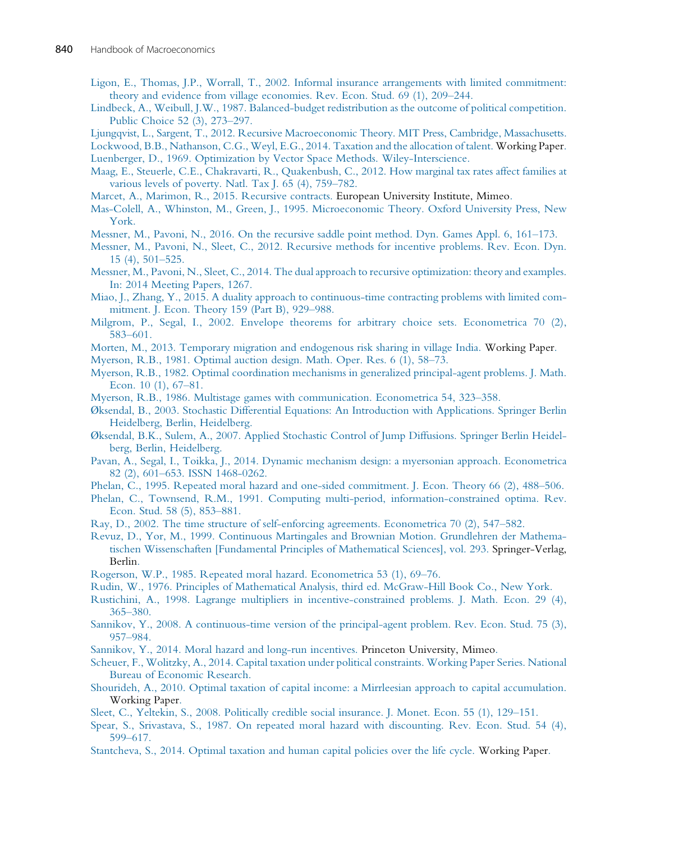- <span id="page-115-0"></span>[Ligon, E., Thomas, J.P., Worrall, T., 2002. Informal insurance arrangements with limited commitment:](http://refhub.elsevier.com/S1574-0048(16)00008-2/rf0445) [theory and evidence from village economies. Rev. Econ. Stud. 69 \(1\), 209](http://refhub.elsevier.com/S1574-0048(16)00008-2/rf0445)–244.
- [Lindbeck, A., Weibull, J.W., 1987. Balanced-budget redistribution as the outcome of political competition.](http://refhub.elsevier.com/S1574-0048(16)00008-2/rf0450) [Public Choice 52 \(3\), 273](http://refhub.elsevier.com/S1574-0048(16)00008-2/rf0450)–297.

[Ljungqvist, L., Sargent, T., 2012. Recursive Macroeconomic Theory. MIT Press, Cambridge, Massachusetts.](http://refhub.elsevier.com/S1574-0048(16)00008-2/rf0455)

[Lockwood, B.B., Nathanson, C.G., Weyl, E.G., 2014. Taxation and the allocation of talent.](http://refhub.elsevier.com/S1574-0048(16)00008-2/rf0460) Working Paper.

[Luenberger, D., 1969. Optimization by Vector Space Methods. Wiley-Interscience.](http://refhub.elsevier.com/S1574-0048(16)00008-2/rf0465)

- [Maag, E., Steuerle, C.E., Chakravarti, R., Quakenbush, C., 2012. How marginal tax rates affect families at](http://refhub.elsevier.com/S1574-0048(16)00008-2/rf0470) [various levels of poverty. Natl. Tax J. 65 \(4\), 759](http://refhub.elsevier.com/S1574-0048(16)00008-2/rf0470)–782.
- [Marcet, A., Marimon, R., 2015. Recursive contracts.](http://refhub.elsevier.com/S1574-0048(16)00008-2/rf0475) European University Institute, Mimeo.
- [Mas-Colell, A., Whinston, M., Green, J., 1995. Microeconomic Theory. Oxford University Press, New](http://refhub.elsevier.com/S1574-0048(16)00008-2/rf0480) [York.](http://refhub.elsevier.com/S1574-0048(16)00008-2/rf0480)
- [Messner, M., Pavoni, N., 2016. On the recursive saddle point method. Dyn. Games Appl. 6, 161](http://refhub.elsevier.com/S1574-0048(16)00008-2/rf0485)–173.
- [Messner, M., Pavoni, N., Sleet, C., 2012. Recursive methods for incentive problems. Rev. Econ. Dyn.](http://refhub.elsevier.com/S1574-0048(16)00008-2/rf0490) [15 \(4\), 501](http://refhub.elsevier.com/S1574-0048(16)00008-2/rf0490)–525.
- [Messner, M., Pavoni, N., Sleet, C., 2014. The dual approach to recursive optimization: theory and examples.](http://refhub.elsevier.com/S1574-0048(16)00008-2/rf0495) [In: 2014 Meeting Papers, 1267.](http://refhub.elsevier.com/S1574-0048(16)00008-2/rf0495)
- [Miao, J., Zhang, Y., 2015. A duality approach to continuous-time contracting problems with limited com](http://refhub.elsevier.com/S1574-0048(16)00008-2/rf0500)[mitment. J. Econ. Theory 159 \(Part B\), 929](http://refhub.elsevier.com/S1574-0048(16)00008-2/rf0500)–988.
- [Milgrom, P., Segal, I., 2002. Envelope theorems for arbitrary choice sets. Econometrica 70 \(2\),](http://refhub.elsevier.com/S1574-0048(16)00008-2/rf0505) 583–[601.](http://refhub.elsevier.com/S1574-0048(16)00008-2/rf0505)
- [Morten, M., 2013. Temporary migration and endogenous risk sharing in village India.](http://refhub.elsevier.com/S1574-0048(16)00008-2/rf0510) Working Paper.
- [Myerson, R.B., 1981. Optimal auction design. Math. Oper. Res. 6 \(1\), 58](http://refhub.elsevier.com/S1574-0048(16)00008-2/rf0515)–73.
- [Myerson, R.B., 1982. Optimal coordination mechanisms in generalized principal-agent problems. J. Math.](http://refhub.elsevier.com/S1574-0048(16)00008-2/rf0520) [Econ. 10 \(1\), 67](http://refhub.elsevier.com/S1574-0048(16)00008-2/rf0520)–81.
- [Myerson, R.B., 1986. Multistage games with communication. Econometrica 54, 323](http://refhub.elsevier.com/S1574-0048(16)00008-2/rf0525)–358.
- Ø[ksendal, B., 2003. Stochastic Differential Equations: An Introduction with Applications. Springer Berlin](http://refhub.elsevier.com/S1574-0048(16)00008-2/rf0530) [Heidelberg, Berlin, Heidelberg.](http://refhub.elsevier.com/S1574-0048(16)00008-2/rf0530)
- Ø[ksendal, B.K., Sulem, A., 2007. Applied Stochastic Control of Jump Diffusions. Springer Berlin Heidel](http://refhub.elsevier.com/S1574-0048(16)00008-2/rf0535)[berg, Berlin, Heidelberg.](http://refhub.elsevier.com/S1574-0048(16)00008-2/rf0535)
- [Pavan, A., Segal, I., Toikka, J., 2014. Dynamic mechanism design: a myersonian approach. Econometrica](http://refhub.elsevier.com/S1574-0048(16)00008-2/rf0540) 82 (2), 601–[653. ISSN 1468-0262.](http://refhub.elsevier.com/S1574-0048(16)00008-2/rf0540)
- [Phelan, C., 1995. Repeated moral hazard and one-sided commitment. J. Econ. Theory 66 \(2\), 488](http://refhub.elsevier.com/S1574-0048(16)00008-2/rf0545)–506.
- [Phelan, C., Townsend, R.M., 1991. Computing multi-period, information-constrained optima. Rev.](http://refhub.elsevier.com/S1574-0048(16)00008-2/rf0550) [Econ. Stud. 58 \(5\), 853](http://refhub.elsevier.com/S1574-0048(16)00008-2/rf0550)–881.
- [Ray, D., 2002. The time structure of self-enforcing agreements. Econometrica 70 \(2\), 547](http://refhub.elsevier.com/S1574-0048(16)00008-2/rf0555)–582.
- [Revuz, D., Yor, M., 1999. Continuous Martingales and Brownian Motion. Grundlehren der Mathema](http://refhub.elsevier.com/S1574-0048(16)00008-2/rf0560)[tischen Wissenschaften \[Fundamental Principles of Mathematical Sciences\], vol. 293.](http://refhub.elsevier.com/S1574-0048(16)00008-2/rf0560) Springer-Verlag, [Berlin.](http://refhub.elsevier.com/S1574-0048(16)00008-2/rf0560)
- [Rogerson, W.P., 1985. Repeated moral hazard. Econometrica 53 \(1\), 69](http://refhub.elsevier.com/S1574-0048(16)00008-2/rf0565)–76.
- [Rudin, W., 1976. Principles of Mathematical Analysis, third ed. McGraw-Hill Book Co., New York.](http://refhub.elsevier.com/S1574-0048(16)00008-2/rf0570)
- [Rustichini, A., 1998. Lagrange multipliers in incentive-constrained problems. J. Math. Econ. 29 \(4\),](http://refhub.elsevier.com/S1574-0048(16)00008-2/rf0575) 365–[380.](http://refhub.elsevier.com/S1574-0048(16)00008-2/rf0575)
- [Sannikov, Y., 2008. A continuous-time version of the principal-agent problem. Rev. Econ. Stud. 75 \(3\),](http://refhub.elsevier.com/S1574-0048(16)00008-2/rf0580) 957–[984.](http://refhub.elsevier.com/S1574-0048(16)00008-2/rf0580)
- [Sannikov, Y., 2014. Moral hazard and long-run incentives.](http://refhub.elsevier.com/S1574-0048(16)00008-2/rf0585) Princeton University, Mimeo.
- [Scheuer, F., Wolitzky, A., 2014. Capital taxation under political constraints. Working Paper Series. National](http://refhub.elsevier.com/S1574-0048(16)00008-2/rf0590) [Bureau of Economic Research.](http://refhub.elsevier.com/S1574-0048(16)00008-2/rf0590)
- [Shourideh, A., 2010. Optimal taxation of capital income: a Mirrleesian approach to capital accumulation.](http://refhub.elsevier.com/S1574-0048(16)00008-2/rf0595) [Working Paper.](http://refhub.elsevier.com/S1574-0048(16)00008-2/rf0595)
- [Sleet, C., Yeltekin, S., 2008. Politically credible social insurance. J. Monet. Econ. 55 \(1\), 129](http://refhub.elsevier.com/S1574-0048(16)00008-2/rf0600)–151.
- [Spear, S., Srivastava, S., 1987. On repeated moral hazard with discounting. Rev. Econ. Stud. 54 \(4\),](http://refhub.elsevier.com/S1574-0048(16)00008-2/rf0605) 599–[617.](http://refhub.elsevier.com/S1574-0048(16)00008-2/rf0605)
- Stantcheva, S., [2014. Optimal taxation and human capital policies over the life cycle.](http://refhub.elsevier.com/S1574-0048(16)00008-2/rf0610) Working Paper.